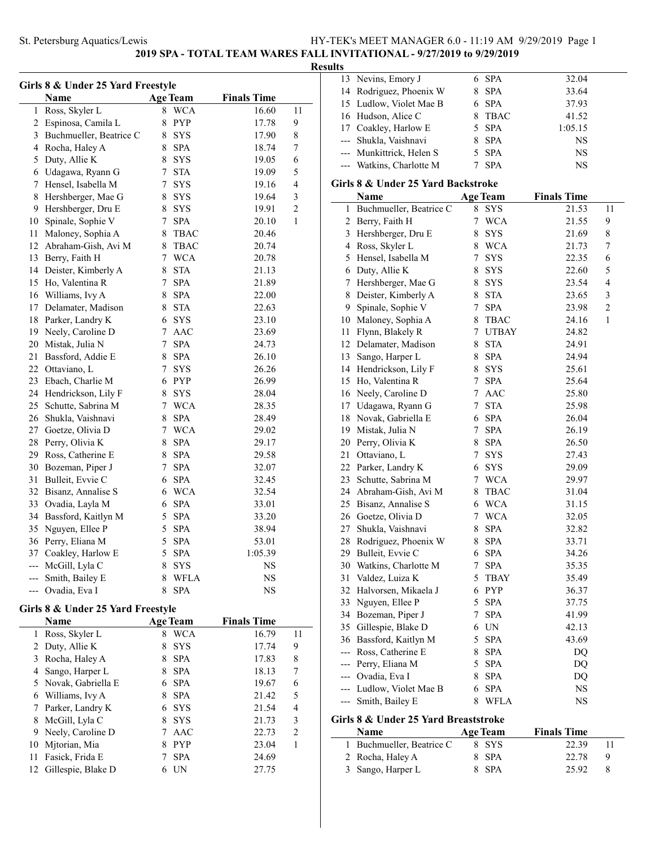# **2019 SPA - TOTAL TEAM WARES FALL INVITATIONAL - 9/27/2019 to 9/29/2019**

# **Results**

| Girls 8 & Under 25 Yard Freestyle |                         |                 |                 |                    |                |  |
|-----------------------------------|-------------------------|-----------------|-----------------|--------------------|----------------|--|
|                                   | Name                    |                 | <b>Age Team</b> | <b>Finals Time</b> |                |  |
| 1                                 | Ross, Skyler L          | 8               | <b>WCA</b>      | 16.60              | 11             |  |
| $\overline{c}$                    | Espinosa, Camila L      | 8               | <b>PYP</b>      | 17.78              | 9              |  |
| $\mathfrak{Z}$                    | Buchmueller, Beatrice C | 8               | <b>SYS</b>      | 17.90              | 8              |  |
| $\overline{4}$                    | Rocha, Haley A          | 8               | <b>SPA</b>      | 18.74              | 7              |  |
| 5                                 | Duty, Allie K           | 8               | <b>SYS</b>      | 19.05              | 6              |  |
| 6                                 | Udagawa, Ryann G        | $\tau$          | <b>STA</b>      | 19.09              | 5              |  |
| 7                                 | Hensel, Isabella M      | 7               | <b>SYS</b>      | 19.16              | 4              |  |
| 8                                 | Hershberger, Mae G      | 8               | <b>SYS</b>      | 19.64              | 3              |  |
| 9                                 | Hershberger, Dru E      | 8               | SYS             | 19.91              | $\overline{c}$ |  |
| 10                                | Spinale, Sophie V       | 7               | <b>SPA</b>      | 20.10              | $\mathbf{1}$   |  |
| 11                                | Maloney, Sophia A       | 8               | <b>TBAC</b>     | 20.46              |                |  |
| 12                                | Abraham-Gish, Avi M     | 8               | <b>TBAC</b>     | 20.74              |                |  |
| 13                                | Berry, Faith H          |                 | 7 WCA           | 20.78              |                |  |
| 14                                | Deister, Kimberly A     | 8               | <b>STA</b>      | 21.13              |                |  |
| 15                                | Ho, Valentina R         | 7               | <b>SPA</b>      | 21.89              |                |  |
| 16                                | Williams, Ivy A         | 8               | <b>SPA</b>      | 22.00              |                |  |
| 17                                | Delamater, Madison      | 8               | <b>STA</b>      | 22.63              |                |  |
| 18                                | Parker, Landry K        |                 | 6 SYS           | 23.10              |                |  |
| 19                                | Neely, Caroline D       | 7               | AAC             | 23.69              |                |  |
| 20                                | Mistak, Julia N         | 7               | <b>SPA</b>      | 24.73              |                |  |
| 21                                | Bassford, Addie E       |                 | 8 SPA           | 26.10              |                |  |
| 22                                | Ottaviano, L            | 7               | SYS             | 26.26              |                |  |
| 23                                | Ebach, Charlie M        |                 | 6 PYP           | 26.99              |                |  |
| 24                                | Hendrickson, Lily F     | 8               | SYS             | 28.04              |                |  |
| 25                                | Schutte, Sabrina M      | $7\phantom{.0}$ | <b>WCA</b>      | 28.35              |                |  |
| 26                                | Shukla, Vaishnavi       | 8               | <b>SPA</b>      | 28.49              |                |  |
| 27                                | Goetze, Olivia D        |                 | 7 WCA           | 29.02              |                |  |
| 28                                | Perry, Olivia K         | 8               | <b>SPA</b>      | 29.17              |                |  |
| 29                                | Ross, Catherine E       | 8               | <b>SPA</b>      | 29.58              |                |  |
| 30                                | Bozeman, Piper J        | 7               | <b>SPA</b>      | 32.07              |                |  |
| 31                                | Bulleit, Evvie C        | 6               | <b>SPA</b>      | 32.45              |                |  |
| 32                                | Bisanz, Annalise S      |                 | 6 WCA           | 32.54              |                |  |
| 33                                | Ovadia, Layla M         | 6               | <b>SPA</b>      | 33.01              |                |  |
| 34                                | Bassford, Kaitlyn M     | 5               | <b>SPA</b>      | 33.20              |                |  |
| 35                                | Nguyen, Ellee P         | 5               | <b>SPA</b>      | 38.94              |                |  |
| 36                                | Perry, Eliana M         | 5               | <b>SPA</b>      | 53.01              |                |  |
| 37                                | Coakley, Harlow E       |                 | 5 SPA           | 1:05.39            |                |  |
| ---                               | McGill, Lyla C          | 8               | <b>SYS</b>      | <b>NS</b>          |                |  |
| ---                               | Smith, Bailey E         | 8               | <b>WFLA</b>     | NS                 |                |  |
| $---$                             | Ovadia, Eva I           | 8               | <b>SPA</b>      | <b>NS</b>          |                |  |

### **Girls 8 & Under 25 Yard Freestyle**

|    | Name                 |   | <b>Age Team</b> | <b>Finals Time</b> |                |
|----|----------------------|---|-----------------|--------------------|----------------|
|    | Ross, Skyler L       | 8 | <b>WCA</b>      | 16.79              | 11             |
|    | 2 Duty, Allie K      |   | <b>SYS</b>      | 17.74              | 9              |
| 3  | Rocha, Haley A       |   | <b>SPA</b>      | 17.83              | 8              |
| 4  | Sango, Harper L      | 8 | <b>SPA</b>      | 18.13              | 7              |
|    | 5 Novak, Gabriella E |   | <b>SPA</b>      | 19.67              | 6              |
| 6  | Williams, Ivy A      | 8 | <b>SPA</b>      | 21.42              | 5              |
|    | Parker, Landry K     | 6 | <b>SYS</b>      | 21.54              | 4              |
| 8  | McGill, Lyla C       | 8 | <b>SYS</b>      | 21.73              | 3              |
| 9  | Neely, Caroline D    |   | AAC             | 22.73              | $\overline{c}$ |
| 10 | Mitorian, Mia        |   | <b>PYP</b>      | 23.04              |                |
| 11 | Fasick, Frida E      |   | <b>SPA</b>      | 24.69              |                |
| 12 | Gillespie, Blake D   |   | UN              | 27.75              |                |

|                                    | Name                     |    | Age Team    | <b>Finals Time</b> |  |
|------------------------------------|--------------------------|----|-------------|--------------------|--|
| Girls 8 & Under 25 Yard Backstroke |                          |    |             |                    |  |
|                                    | --- Watkins, Charlotte M |    | <b>SPA</b>  | <b>NS</b>          |  |
|                                    | --- Munkittrick, Helen S |    | 5 SPA       | <b>NS</b>          |  |
|                                    | --- Shukla, Vaishnavi    |    | <b>SPA</b>  | <b>NS</b>          |  |
|                                    | 17 Coakley, Harlow E     |    | 5 SPA       | 1:05.15            |  |
|                                    | 16 Hudson, Alice C       |    | <b>TBAC</b> | 41.52              |  |
|                                    | 15 Ludlow, Violet Mae B  |    | 6 SPA       | 37.93              |  |
|                                    | 14 Rodriguez, Phoenix W  | 8. | <b>SPA</b>  | 33.64              |  |
|                                    | 13 Nevins, Emory J       | 6. | SPA         | 32.04              |  |
| uns                                |                          |    |             |                    |  |

| Girls 8 & Under 25 Yard Backstroke |                                      |                 |                 |                    |    |  |  |  |  |
|------------------------------------|--------------------------------------|-----------------|-----------------|--------------------|----|--|--|--|--|
|                                    | Name                                 |                 | <b>Age Team</b> | <b>Finals Time</b> |    |  |  |  |  |
| $\mathbf{1}$                       | Buchmueller, Beatrice C              | 8               | <b>SYS</b>      | 21.53              | 11 |  |  |  |  |
| 2                                  | Berry, Faith H                       | 7               | <b>WCA</b>      | 21.55              | 9  |  |  |  |  |
| 3                                  | Hershberger, Dru E                   | 8               | <b>SYS</b>      | 21.69              | 8  |  |  |  |  |
| 4                                  | Ross, Skyler L                       |                 | 8 WCA           | 21.73              | 7  |  |  |  |  |
| 5                                  | Hensel, Isabella M                   | 7               | <b>SYS</b>      | 22.35              | 6  |  |  |  |  |
| 6                                  | Duty, Allie K                        | 8               | SYS             | 22.60              | 5  |  |  |  |  |
| 7                                  | Hershberger, Mae G                   |                 | 8 SYS           | 23.54              | 4  |  |  |  |  |
| 8                                  | Deister, Kimberly A                  |                 | 8 STA           | 23.65              | 3  |  |  |  |  |
| 9                                  | Spinale, Sophie V                    | $\tau$          | <b>SPA</b>      | 23.98              | 2  |  |  |  |  |
| 10                                 | Maloney, Sophia A                    |                 | 8 TBAC          | 24.16              | 1  |  |  |  |  |
| 11                                 | Flynn, Blakely R                     |                 | 7 UTBAY         | 24.82              |    |  |  |  |  |
| 12                                 | Delamater, Madison                   |                 | 8 STA           | 24.91              |    |  |  |  |  |
| 13                                 | Sango, Harper L                      |                 | 8 SPA           | 24.94              |    |  |  |  |  |
| 14                                 | Hendrickson, Lily F                  |                 | 8 SYS           | 25.61              |    |  |  |  |  |
| 15                                 | Ho, Valentina R                      | $7\overline{ }$ | <b>SPA</b>      | 25.64              |    |  |  |  |  |
| 16                                 | Neely, Caroline D                    |                 | 7 AAC           | 25.80              |    |  |  |  |  |
| 17                                 | Udagawa, Ryann G                     |                 | 7 STA           | 25.98              |    |  |  |  |  |
| 18                                 | Novak, Gabriella E                   |                 | 6 SPA           | 26.04              |    |  |  |  |  |
| 19                                 | Mistak, Julia N                      | $7^{\circ}$     | <b>SPA</b>      | 26.19              |    |  |  |  |  |
| 20                                 | Perry, Olivia K                      |                 | 8 SPA           | 26.50              |    |  |  |  |  |
| 21                                 | Ottaviano, L                         | $7\overline{ }$ | <b>SYS</b>      | 27.43              |    |  |  |  |  |
| 22                                 | Parker, Landry K                     |                 | 6 SYS           | 29.09              |    |  |  |  |  |
| 23                                 | Schutte, Sabrina M                   |                 | 7 WCA           | 29.97              |    |  |  |  |  |
| 24                                 | Abraham-Gish, Avi M                  | 8               | <b>TBAC</b>     | 31.04              |    |  |  |  |  |
| 25                                 | Bisanz, Annalise S                   |                 | 6 WCA           | 31.15              |    |  |  |  |  |
| 26                                 | Goetze, Olivia D                     | 7               | <b>WCA</b>      | 32.05              |    |  |  |  |  |
| 27                                 | Shukla, Vaishnavi                    | 8               | <b>SPA</b>      | 32.82              |    |  |  |  |  |
| 28                                 | Rodriguez, Phoenix W                 | 8               | <b>SPA</b>      | 33.71              |    |  |  |  |  |
| 29                                 | Bulleit, Evvie C                     |                 | 6 SPA           | 34.26              |    |  |  |  |  |
| 30                                 | Watkins, Charlotte M                 |                 | 7 SPA           | 35.35              |    |  |  |  |  |
| 31                                 | Valdez, Luiza K                      | 5               | <b>TBAY</b>     | 35.49              |    |  |  |  |  |
| 32                                 | Halvorsen, Mikaela J                 |                 | 6 PYP           | 36.37              |    |  |  |  |  |
| 33                                 | Nguyen, Ellee P                      |                 | 5 SPA           | 37.75              |    |  |  |  |  |
| 34                                 | Bozeman, Piper J                     | $7\overline{ }$ | <b>SPA</b>      | 41.99              |    |  |  |  |  |
| 35                                 | Gillespie, Blake D                   |                 | 6 UN            | 42.13              |    |  |  |  |  |
| 36                                 | Bassford, Kaitlyn M                  |                 | 5 SPA           | 43.69              |    |  |  |  |  |
|                                    | --- Ross, Catherine E                | 8               | <b>SPA</b>      | DQ                 |    |  |  |  |  |
|                                    | --- Perry, Eliana M                  | 5               | <b>SPA</b>      | DQ                 |    |  |  |  |  |
|                                    | --- Ovadia, Eva I                    |                 | 8 SPA           | DQ                 |    |  |  |  |  |
| $---$                              | Ludlow, Violet Mae B                 | 6               | <b>SPA</b>      | NS                 |    |  |  |  |  |
| ---                                | Smith, Bailey E                      | 8               | <b>WFLA</b>     | <b>NS</b>          |    |  |  |  |  |
|                                    | Girls 8 & Under 25 Yard Breaststroke |                 |                 |                    |    |  |  |  |  |

| <b>Name</b>               | <b>Age Team</b> | <b>Finals Time</b> |    |
|---------------------------|-----------------|--------------------|----|
| 1 Buchmueller, Beatrice C | 8 SYS           | 22.39              |    |
| 2 Rocha, Haley A          | 8 SPA           | 22.78              | -Q |
| 3 Sango, Harper L         | 8 SPA           | 25.92              |    |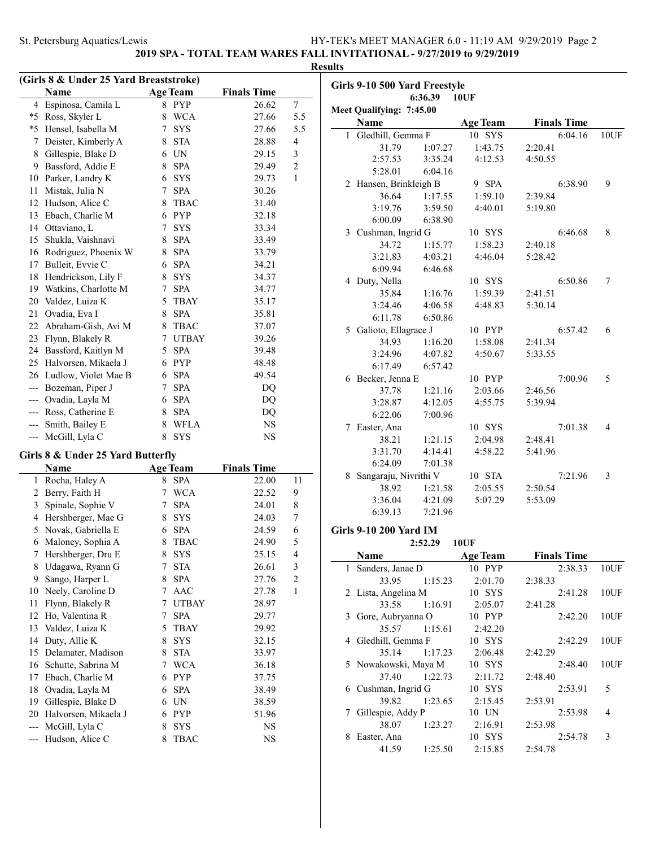**2019 SPA - TOTAL TEAM WARES FALL INVITATIONAL - 9/27/2019 to 9/29/2019**

**Results**

 $\mathbb{R}^2$ 

### **(Girls 8 & Under 25 Yard Breaststroke) Name Age Team Finals Time** 4 Espinosa, Camila L 8 PYP 26.62 7 \*5 Ross, Skyler L 8 WCA 27.66 5.5 \*5 Hensel, Isabella M 7 SYS 27.66 5.5 7 Deister, Kimberly A 8 STA 28.88 4 8 Gillespie, Blake D 6 UN 29.15 3 9 Bassford, Addie E 8 SPA 29.49 2 10 Parker, Landry K 6 SYS 29.73 1 11 Mistak, Julia N 7 SPA 30.26 12 Hudson, Alice C 8 TBAC 31.40 13 Ebach, Charlie M 6 PYP 32.18 14 Ottaviano, L 7 SYS 33.34 15 Shukla, Vaishnavi 8 SPA 33.49 16 Rodriguez, Phoenix W 8 SPA 33.79 17 Bulleit, Evvie C 6 SPA 34.21 18 Hendrickson, Lily F 8 SYS 34.37 19 Watkins, Charlotte M 7 SPA 34.77 20 Valdez, Luiza K 5 TBAY 35.17 21 Ovadia, Eva I 8 SPA 35.81 22 Abraham-Gish, Avi M 8 TBAC 37.07 23 Flynn, Blakely R 7 UTBAY 39.26 24 Bassford, Kaitlyn M 5 SPA 39.48 25 Halvorsen, Mikaela J 6 PYP 48.48 26 Ludlow, Violet Mae B 6 SPA 49.54 --- Bozeman, Piper J 7 SPA DQ --- Ovadia, Layla M 6 SPA DQ --- Ross, Catherine E 8 SPA DQ --- Smith, Bailey E 8 WFLA NS --- McGill, Lyla C 8 SYS NS **Girls 8 & Under 25 Yard Butterfly Name Age Team Finals Time** 1 Rocha, Haley A 8 SPA 22.00 11 2 Berry, Faith H 7 WCA 22.52 9 3 Spinale, Sophie V 7 SPA 24.01 8 4 Hershberger, Mae G 8 SYS 24.03 7 5 Novak, Gabriella E 6 SPA 24.59 6 6 Maloney, Sophia A 8 TBAC 24.90 5 7 Hershberger, Dru E 8 SYS 25.15 4 8 Udagawa, Ryann G 7 STA 26.61 3 9 Sango, Harper L 8 SPA 27.76 2 10 Neely, Caroline D 7 AAC 27.78 1 11 Flynn, Blakely R 7 UTBAY 28.97 12 Ho, Valentina R 7 SPA 29.77 13 Valdez, Luiza K 5 TBAY 29.92

14 Duty, Allie K 8 SYS 32.15 15 Delamater, Madison 8 STA 33.97 16 Schutte, Sabrina M 7 WCA 36.18 17 Ebach, Charlie M 6 PYP 37.75 18 Ovadia, Layla M 6 SPA 38.49 19 Gillespie, Blake D 6 UN 38.59 20 Halvorsen, Mikaela J 6 PYP 51.96 --- McGill, Lyla C 8 SYS NS --- Hudson, Alice C 8 TBAC NS

| Girls 9-10 500 Yard Freestyle |                               |         |                 |                    |      |  |  |
|-------------------------------|-------------------------------|---------|-----------------|--------------------|------|--|--|
|                               |                               | 6:36.39 | <b>10UF</b>     |                    |      |  |  |
|                               | Meet Qualifying: 7:45.00      |         |                 |                    |      |  |  |
|                               | Name                          |         | <b>Age Team</b> | <b>Finals Time</b> |      |  |  |
| 1                             | Gledhill, Gemma F             |         | 10 SYS          | 6:04.16            | 10UF |  |  |
|                               | 31.79                         | 1:07.27 | 1:43.75         | 2:20.41            |      |  |  |
|                               | 2:57.53                       | 3:35.24 | 4:12.53         | 4:50.55            |      |  |  |
|                               | 5:28.01                       | 6:04.16 |                 |                    |      |  |  |
|                               | 2 Hansen, Brinkleigh B        |         | 9 SPA           | 6:38.90            | 9    |  |  |
|                               | 36.64                         | 1:17.55 | 1:59.10         | 2:39.84            |      |  |  |
|                               | 3:19.76                       | 3:59.50 | 4:40.01         | 5:19.80            |      |  |  |
|                               | 6:00.09                       | 6:38.90 |                 |                    |      |  |  |
|                               | 3 Cushman, Ingrid G           |         | 10 SYS          | 6:46.68            | 8    |  |  |
|                               | 34.72                         | 1:15.77 | 1:58.23         | 2:40.18            |      |  |  |
|                               | 3:21.83                       | 4:03.21 | 4:46.04         | 5:28.42            |      |  |  |
|                               | 6:09.94                       | 6:46.68 |                 |                    |      |  |  |
|                               | 4 Duty, Nella                 |         | 10 SYS          | 6:50.86            | 7    |  |  |
|                               | 35.84                         | 1:16.76 | 1:59.39         | 2:41.51            |      |  |  |
|                               | 3:24.46                       | 4:06.58 | 4:48.83         | 5:30.14            |      |  |  |
|                               | 6:11.78                       | 6:50.86 |                 |                    |      |  |  |
|                               | 5 Galioto, Ellagrace J        |         | 10 PYP          | 6:57.42            | 6    |  |  |
|                               | 34.93                         | 1:16.20 | 1:58.08         | 2:41.34            |      |  |  |
|                               | 3:24.96                       | 4:07.82 | 4:50.67         | 5:33.55            |      |  |  |
|                               | 6:17.49                       | 6:57.42 |                 |                    |      |  |  |
|                               | 6 Becker, Jenna E             |         | 10 PYP          | 7:00.96            | 5    |  |  |
|                               | 37.78                         | 1:21.16 | 2:03.66         | 2:46.56            |      |  |  |
|                               | 3:28.87                       | 4:12.05 | 4:55.75         | 5:39.94            |      |  |  |
|                               | 6:22.06                       | 7:00.96 |                 |                    |      |  |  |
|                               | 7 Easter, Ana                 |         | 10 SYS          | 7:01.38            | 4    |  |  |
|                               | 38.21                         | 1:21.15 | 2:04.98         | 2:48.41            |      |  |  |
|                               | 3:31.70                       | 4:14.41 | 4:58.22         | 5:41.96            |      |  |  |
|                               | 6:24.09                       | 7:01.38 |                 |                    |      |  |  |
|                               | 8 Sangaraju, Nivrithi V       |         | 10 STA          | 7:21.96            | 3    |  |  |
|                               | 38.92                         | 1:21.58 | 2:05.55         | 2:50.54            |      |  |  |
|                               | 3:36.04                       | 4:21.09 | 5:07.29         | 5:53.09            |      |  |  |
|                               | 6:39.13                       | 7:21.96 |                 |                    |      |  |  |
|                               | <b>Girls 9-10 200 Yard IM</b> |         |                 |                    |      |  |  |
|                               |                               | 2:52.29 | 10UF            |                    |      |  |  |
|                               | Name                          |         | <b>Age Team</b> | <b>Finals Time</b> |      |  |  |
| 1                             | Sanders, Janae D              |         | 10 PYP          | 2:38.33            | 10UF |  |  |
|                               | 33.95                         | 1:15.23 | 2:01.70         | 2:38.33            |      |  |  |
|                               | 2 Lista, Angelina M           |         | 10 SYS          | 2:41.28            | 10UF |  |  |
|                               | 33.58                         | 1:16.91 | 2:05.07         | 2:41.28            |      |  |  |
|                               |                               |         |                 |                    |      |  |  |

|   | 2 Lista, Angelina M  |               | 10 SYS   | 2:41.28 | 10UF |
|---|----------------------|---------------|----------|---------|------|
|   |                      | 33.58 1:16.91 | 2:05.07  | 2:41.28 |      |
|   | 3 Gore, Aubryanna O  |               | 10 PYP   | 2:42.20 | 10UF |
|   | 35.57                | 1:15.61       | 2:42.20  |         |      |
| 4 | Gledhill, Gemma F    |               | 10 SYS   | 2:42.29 | 10UF |
|   |                      | 35.14 1:17.23 | 2:06.48  | 2:42.29 |      |
|   | 5 Nowakowski, Maya M |               | $10$ SYS | 2:48.40 | 10UF |
|   | 37.40                | 1:22.73       | 2:11.72  | 2:48.40 |      |
|   | 6 Cushman, Ingrid G  |               | 10 SYS   | 2:53.91 | 5    |
|   | 39.82                | 1:23.65       | 2:15.45  | 2:53.91 |      |
|   | 7 Gillespie, Addy P  |               | $10$ UN  | 2:53.98 | 4    |
|   | 38.07                | 1:23.27       | 2:16.91  | 2:53.98 |      |
| 8 | Easter, Ana          |               | 10 SYS   | 2:54.78 | 3    |
|   | 41.59                | 1:25.50       | 2:15.85  | 2:54.78 |      |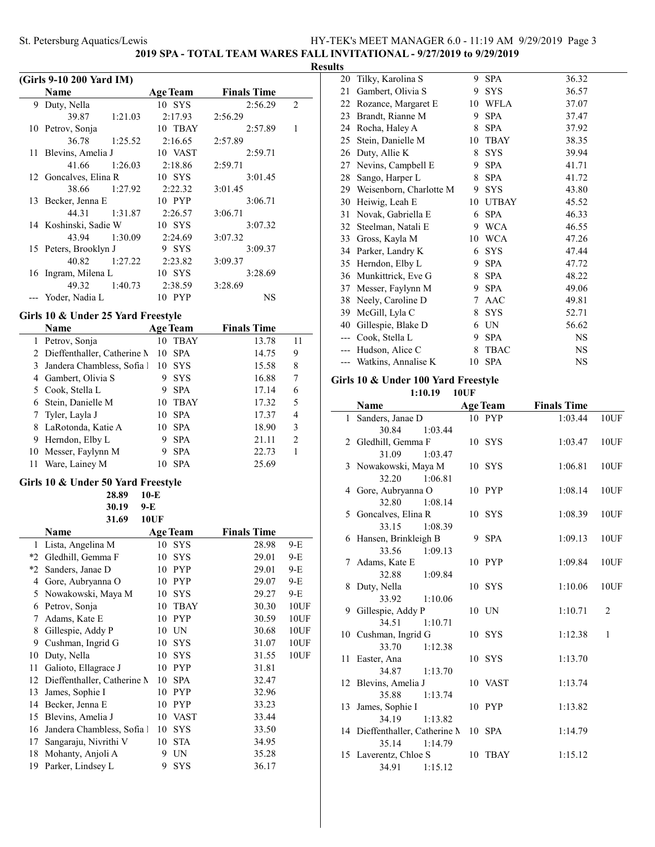20 Tilky, Karolina S 9 SPA 36.32

**2019 SPA - TOTAL TEAM WARES FALL INVITATIONAL - 9/27/2019 to 9/29/2019**

#### **Results**

 $\overline{a}$ 

|      |                                    |                  |                    | F              |
|------|------------------------------------|------------------|--------------------|----------------|
|      | (Girls 9-10 200 Yard IM)           |                  |                    |                |
|      | Name                               | <b>Age Team</b>  | <b>Finals Time</b> |                |
| 9    | Duty, Nella                        | 10 SYS           | 2:56.29            | $\overline{2}$ |
|      | 39.87<br>1:21.03                   | 2:17.93          | 2:56.29            |                |
|      | 10 Petrov, Sonja                   | 10 TBAY          | 2:57.89            | 1              |
|      | 36.78<br>1:25.52                   | 2:16.65          | 2:57.89            |                |
| 11   | Blevins, Amelia J                  | 10 VAST          | 2:59.71            |                |
|      | 41.66<br>1:26.03                   | 2:18.86          | 2:59.71            |                |
| 12   | Goncalves, Elina R                 | 10 SYS           | 3:01.45            |                |
|      | 38.66<br>1:27.92                   | 2:22.32          | 3:01.45            |                |
| 13   | Becker, Jenna E                    | 10 PYP           | 3:06.71            |                |
|      | 44.31<br>1:31.87                   | 2:26.57          | 3:06.71            |                |
|      | 14 Koshinski, Sadie W              | 10 SYS           | 3:07.32            |                |
|      | 43.94<br>1:30.09                   | 2:24.69          | 3:07.32            |                |
|      | 15 Peters, Brooklyn J              | 9 SYS            | 3:09.37            |                |
|      | 40.82<br>1:27.22                   | 2:23.82          | 3:09.37            |                |
| 16   | Ingram, Milena L                   | 10 SYS           | 3:28.69            |                |
|      | 49.32<br>1:40.73                   | 2:38.59          | 3:28.69            |                |
| ---  | Yoder, Nadia L                     | 10 PYP           | NS                 |                |
|      | Girls 10 & Under 25 Yard Freestyle |                  |                    |                |
|      | Name                               | <b>Age Team</b>  | <b>Finals Time</b> |                |
| 1    | Petrov, Sonja                      | 10 TBAY          | 13.78              | 11             |
| 2    | Dieffenthaller, Catherine N        | 10<br><b>SPA</b> | 14.75              | 9              |
| 3    | Jandera Chambless, Sofia 1         | 10 SYS           | 15.58              | 8              |
| 4    | Gambert, Olivia S                  | 9 SYS            | 16.88              | 7              |
| 5    | Cook, Stella L                     | 9 SPA            | 17.14              | 6              |
| 6    | Stein, Danielle M                  | 10 TBAY          | 17.32              | 5              |
| 7    | Tyler, Layla J                     | 10 SPA           | 17.37              | 4              |
| 8    | LaRotonda, Katie A                 | 10 SPA           | 18.90              | 3              |
| 9    | Herndon, Elby L                    | 9 SPA            | 21.11              | $\overline{c}$ |
| 10   | Messer, Faylynn M                  | 9<br><b>SPA</b>  | 22.73              | 1              |
| 11   | Ware, Lainey M                     | 10 SPA           | 25.69              |                |
|      |                                    |                  |                    |                |
|      | Girls 10 & Under 50 Yard Freestyle |                  |                    |                |
|      | 28.89                              | $10-E$           |                    |                |
|      | 30.19                              | 9-E              |                    |                |
|      | 31.69                              | <b>10UF</b>      |                    |                |
|      | Name                               | <b>Age Team</b>  | <b>Finals Time</b> |                |
| 1    | Lista, Angelina M                  | 10 SYS           | 28.98              | 9-E            |
| $*2$ | Gledhill, Gemma F                  | 10<br>SYS        | 29.01              | 9-E            |
| $*2$ | Sanders, Janae D                   | PYP<br>10        | 29.01              | 9-E            |
| 4    | Gore, Aubryanna O                  | PYP<br>10        | 29.07              | 9-E            |

 Nowakowski, Maya M 10 SYS 29.27 9-E Petrov, Sonja 10 TBAY 30.30 10UF Adams, Kate E 10 PYP 30.59 10UF 8 Gillespie, Addy P 10 UN 30.68 10UF Cushman, Ingrid G 10 SYS 31.07 10UF Duty, Nella 10 SYS 31.55 10UF

11 Galioto, Ellagrace J 10 PYP 31.81 12 Dieffenthaller, Catherine M 10 SPA 32.47 13 James, Sophie I 10 PYP 32.96 14 Becker, Jenna E 10 PYP 33.23 15 Blevins, Amelia J 10 VAST 33.44 16 Jandera Chambless, Sofia 1 10 SYS 33.50 17 Sangaraju, Nivrithi V 10 STA 34.95 18 Mohanty, Anjoli A 9 UN 35.28 19 Parker, Lindsey L 9 SYS 36.17

| 21    | Gambert, Olivia S          |    | 9 SYS        | 36.57     |  |
|-------|----------------------------|----|--------------|-----------|--|
| 22    | Rozance, Margaret E        | 10 | WFLA         | 37.07     |  |
| 23    | Brandt, Rianne M           | 9  | <b>SPA</b>   | 37.47     |  |
| 24    | Rocha, Haley A             | 8  | <b>SPA</b>   | 37.92     |  |
| 25    | Stein, Danielle M          | 10 | TBAY         | 38.35     |  |
| 26    | Duty, Allie K              | 8  | <b>SYS</b>   | 39.94     |  |
| 27    | Nevins, Campbell E         | 9. | <b>SPA</b>   | 41.71     |  |
| 28    | Sango, Harper L            | 8  | <b>SPA</b>   | 41.72     |  |
|       | 29 Weisenborn, Charlotte M | 9  | <b>SYS</b>   | 43.80     |  |
| 30    | Heiwig, Leah E             | 10 | <b>UTBAY</b> | 45.52     |  |
| 31    | Novak, Gabriella E         | 6  | <b>SPA</b>   | 46.33     |  |
| 32    | Steelman, Natali E         | 9  | <b>WCA</b>   | 46.55     |  |
| 33    | Gross, Kayla M             | 10 | <b>WCA</b>   | 47.26     |  |
| 34    | Parker, Landry K           | 6  | <b>SYS</b>   | 47.44     |  |
|       | 35 Herndon, Elby L         | 9  | <b>SPA</b>   | 47.72     |  |
| 36    | Munkittrick, Eve G         | 8  | <b>SPA</b>   | 48.22     |  |
| 37    | Messer, Faylynn M          | 9  | <b>SPA</b>   | 49.06     |  |
| 38    | Neely, Caroline D          | 7  | AAC          | 49.81     |  |
| 39    | McGill, Lyla C             | 8  | <b>SYS</b>   | 52.71     |  |
| 40    | Gillespie, Blake D         | 6  | UN           | 56.62     |  |
| $---$ | Cook, Stella L             | 9  | <b>SPA</b>   | <b>NS</b> |  |
| $---$ | Hudson, Alice C            | 8  | <b>TBAC</b>  | NS        |  |
|       | --- Watkins, Annalise K    | 10 | <b>SPA</b>   | NS        |  |

### **Girls 10 & Under 100 Yard Freestyle**

**1:10.19 10UF**

|    | <b>Name</b>                    | <b>Age Team</b> | <b>Finals Time</b> |                |
|----|--------------------------------|-----------------|--------------------|----------------|
|    | 1 Sanders, Janae D             | 10 PYP          | 1:03.44            | 10UF           |
|    | 30.84<br>1:03.44               |                 |                    |                |
|    | 2 Gledhill, Gemma F            | 10 SYS          | 1:03.47            | 10UF           |
|    | 31.09<br>1:03.47               |                 |                    |                |
|    | 3 Nowakowski, Maya M           | 10 SYS          | 1:06.81            | 10UF           |
|    | 32.20<br>1:06.81               |                 |                    |                |
|    | 4 Gore, Aubryanna O            | 10 PYP          | 1:08.14            | 10UF           |
|    | 32.80<br>1:08.14               |                 |                    |                |
|    | 5 Goncalves, Elina R           | 10 SYS          | 1:08.39            | 10UF           |
|    | 33.15<br>1:08.39               |                 |                    |                |
|    | 6 Hansen, Brinkleigh B         | 9 SPA           | 1:09.13            | 10UF           |
|    | 33.56<br>1:09.13               |                 |                    |                |
|    | 7 Adams, Kate E                | 10 PYP          | 1:09.84            | 10UF           |
|    | 32.88<br>1:09.84               |                 |                    |                |
|    | 8 Duty, Nella                  | 10 SYS          | 1:10.06            | 10UF           |
|    | 33.92 1:10.06                  |                 |                    |                |
|    | 9 Gillespie, Addy P            | 10 UN           | 1:10.71            | $\overline{2}$ |
|    | 34.51<br>1:10.71               |                 |                    |                |
|    | 10 Cushman, Ingrid G           | 10 SYS          | 1:12.38            | $\mathbf{1}$   |
|    | 33.70<br>1:12.38               |                 |                    |                |
|    | 11 Easter, Ana                 | 10 SYS          | 1:13.70            |                |
|    | 34.87<br>1:13.70               |                 |                    |                |
|    | 12 Blevins, Amelia J           | 10 VAST         | 1:13.74            |                |
|    | 35.88<br>1:13.74               |                 |                    |                |
| 13 | James, Sophie I                | 10 PYP          | 1:13.82            |                |
|    | 34.19<br>1:13.82               |                 |                    |                |
|    | 14 Dieffenthaller, Catherine M | 10 SPA          | 1:14.79            |                |
|    | 1:14.79<br>35.14               |                 |                    |                |
|    | 15 Laverentz, Chloe S          | 10 TBAY         | 1:15.12            |                |
|    | 34.91<br>1:15.12               |                 |                    |                |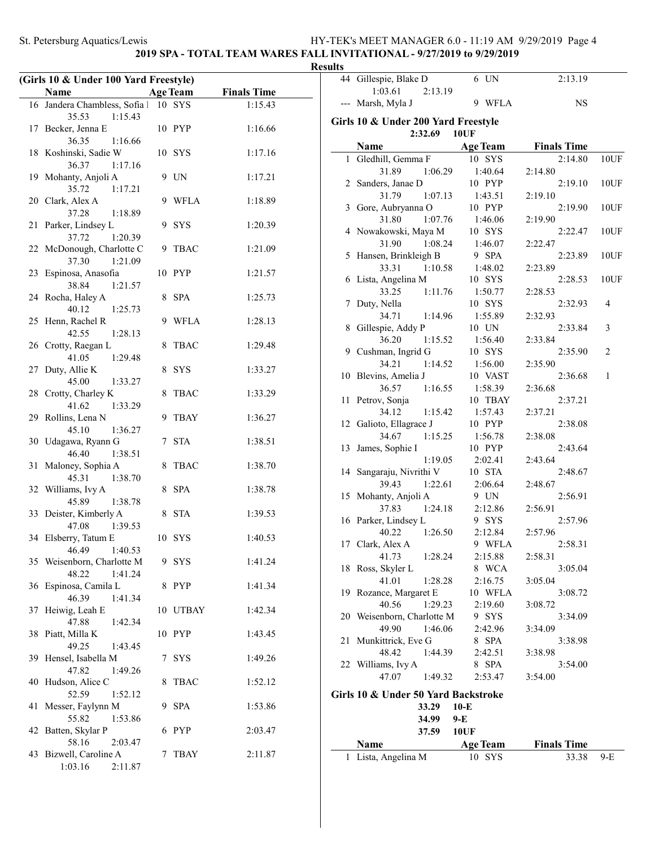### **2019 SPA - TOTAL TEAM WARES FALL INVITATIONAL - 9/27/2019 to 9/29/2019 Results**

|     | (Girls 10 & Under 100 Yard Freestyle) |   |                 |                    |
|-----|---------------------------------------|---|-----------------|--------------------|
|     | Name                                  |   | <b>Age Team</b> | <b>Finals Time</b> |
| 16  | Jandera Chambless, Sofia 1            |   | 10 SYS          | 1:15.43            |
|     | 35.53<br>1:15.43                      |   |                 |                    |
| 17  | Becker, Jenna E                       |   | 10 PYP          | 1:16.66            |
|     | 36.35<br>1:16.66                      |   |                 |                    |
| 18  | Koshinski, Sadie W                    |   | 10 SYS          | 1:17.16            |
|     | 36.37<br>1:17.16                      |   |                 |                    |
| 19  | Mohanty, Anjoli A                     |   | 9 UN            | 1:17.21            |
|     | 35.72<br>1:17.21                      |   |                 |                    |
|     | 20 Clark, Alex A                      | 9 | <b>WFLA</b>     | 1:18.89            |
|     | 37.28<br>1:18.89                      |   |                 |                    |
| 21  | Parker, Lindsey L                     | 9 | <b>SYS</b>      | 1:20.39            |
|     | 37.72<br>1:20.39                      |   |                 |                    |
|     | 22 McDonough, Charlotte C             | 9 | <b>TBAC</b>     | 1:21.09            |
|     | 37.30<br>1:21.09                      |   |                 |                    |
| 23  | Espinosa, Anasofia                    |   | 10 PYP          | 1:21.57            |
|     | 38.84<br>1:21.57                      |   |                 |                    |
| 24  | Rocha, Haley A                        | 8 | <b>SPA</b>      | 1:25.73            |
|     | 40.12<br>1:25.73                      |   |                 |                    |
| 25  | Henn, Rachel R                        | 9 | WFLA            | 1:28.13            |
|     | 42.55<br>1:28.13                      |   |                 |                    |
| 26  | Crotty, Raegan L                      | 8 | <b>TBAC</b>     | 1:29.48            |
|     | 41.05<br>1:29.48                      |   |                 |                    |
| 27  | Duty, Allie K<br>45.00                | 8 | <b>SYS</b>      | 1:33.27            |
| 28  | 1:33.27<br>Crotty, Charley K          | 8 | TBAC            | 1:33.29            |
|     | 41.62<br>1:33.29                      |   |                 |                    |
| 29. | Rollins, Lena N                       | 9 | <b>TBAY</b>     | 1:36.27            |
|     | 1:36.27<br>45.10                      |   |                 |                    |
|     | 30 Udagawa, Ryann G                   | 7 | <b>STA</b>      | 1:38.51            |
|     | 46.40<br>1:38.51                      |   |                 |                    |
| 31  | Maloney, Sophia A                     | 8 | <b>TBAC</b>     | 1:38.70            |
|     | 45.31<br>1:38.70                      |   |                 |                    |
| 32  | Williams, Ivy A                       | 8 | <b>SPA</b>      | 1:38.78            |
|     | 45.89<br>1:38.78                      |   |                 |                    |
| 33  | Deister, Kimberly A                   | 8 | <b>STA</b>      | 1:39.53            |
|     | 47.08<br>1:39.53                      |   |                 |                    |
|     | 34 Elsberry, Tatum E                  |   | 10 SYS          | 1:40.53            |
|     | 1:40.53<br>46.49                      |   |                 |                    |
|     | 35 Weisenborn, Charlotte M            |   | 9 SYS           | 1:41.24            |
|     | 48.22<br>1:41.24                      |   |                 |                    |
| 36  | Espinosa, Camila L                    | 8 | PYP             | 1:41.34            |
|     | 46.39<br>1:41.34                      |   |                 |                    |
| 37  | Heiwig, Leah E                        |   | 10 UTBAY        | 1:42.34            |
| 38  | 47.88<br>1:42.34                      |   | 10 PYP          | 1:43.45            |
|     | Piatt, Milla K<br>49.25<br>1:43.45    |   |                 |                    |
| 39  | Hensel, Isabella M                    | 7 | <b>SYS</b>      | 1:49.26            |
|     | 47.82<br>1:49.26                      |   |                 |                    |
| 40  | Hudson, Alice C                       | 8 | <b>TBAC</b>     | 1:52.12            |
|     | 52.59<br>1:52.12                      |   |                 |                    |
| 41  | Messer, Faylynn M                     |   | 9 SPA           | 1:53.86            |
|     | 55.82<br>1:53.86                      |   |                 |                    |
| 42  | Batten, Skylar P                      |   | 6 PYP           | 2:03.47            |
|     | 58.16<br>2:03.47                      |   |                 |                    |
| 43  | Bizwell, Caroline A                   | 7 | TBAY            | 2:11.87            |
|     | 1:03.16<br>2:11.87                    |   |                 |                    |

| ults |                                                |                   |                    |       |
|------|------------------------------------------------|-------------------|--------------------|-------|
|      | 44 Gillespie, Blake D<br>1:03.61<br>2:13.19    | 6 UN              | 2:13.19            |       |
| ---  | Marsh, Myla J                                  | 9 WFLA            | <b>NS</b>          |       |
|      | Girls 10 & Under 200 Yard Freestyle<br>2:32.69 | <b>10UF</b>       |                    |       |
|      | Name                                           | <b>Age Team</b>   | <b>Finals Time</b> |       |
|      | 1 Gledhill, Gemma F                            | 10 SYS            | 2:14.80            | 10UF  |
|      |                                                |                   |                    |       |
|      | 31.89<br>1:06.29                               | 1:40.64           | 2:14.80            |       |
|      | 2 Sanders, Janae D<br>31.79<br>1:07.13         | 10 PYP<br>1:43.51 | 2:19.10<br>2:19.10 | 10UF  |
|      | 3 Gore, Aubryanna O                            | 10 PYP            | 2:19.90            | 10UF  |
|      | 31.80<br>1:07.76                               |                   | 2:19.90            |       |
|      | 4 Nowakowski, Maya M                           | 1:46.06<br>10 SYS | 2:22.47            | 10UF  |
|      | 31.90<br>1:08.24                               | 1:46.07           | 2:22.47            |       |
|      | 5 Hansen, Brinkleigh B                         | 9 SPA             | 2:23.89            | 10UF  |
|      | 33.31<br>1:10.58                               | 1:48.02           | 2:23.89            |       |
|      | 6 Lista, Angelina M                            | 10 SYS            | 2:28.53            | 10UF  |
|      | 33.25<br>1:11.76                               | 1:50.77           | 2:28.53            |       |
| 7    | Duty, Nella                                    | 10 SYS            | 2:32.93            | 4     |
|      | 34.71<br>1:14.96                               | 1:55.89           | 2:32.93            |       |
| 8    | Gillespie, Addy P                              | 10 UN             | 2:33.84            | 3     |
|      | 36.20<br>1:15.52                               | 1:56.40           | 2:33.84            |       |
|      | 9 Cushman, Ingrid G                            | 10 SYS            | 2:35.90            | 2     |
|      | 34.21<br>1:14.52                               | 1:56.00           | 2:35.90            |       |
|      | 10 Blevins, Amelia J                           | 10 VAST           | 2:36.68            | 1     |
|      | 36.57<br>1:16.55                               | 1:58.39           | 2:36.68            |       |
|      | 11 Petrov, Sonja                               | 10 TBAY           | 2:37.21            |       |
|      | 34.12<br>1:15.42                               | 1:57.43           | 2:37.21            |       |
|      | 12 Galioto, Ellagrace J                        | 10 PYP            | 2:38.08            |       |
|      | 34.67<br>1:15.25                               | 1:56.78           | 2:38.08            |       |
| 13   | James, Sophie I                                | 10 PYP            | 2:43.64            |       |
|      | 1:19.05                                        | 2:02.41           | 2:43.64            |       |
|      | 14 Sangaraju, Nivrithi V                       | 10 STA            | 2:48.67            |       |
|      | 39.43<br>1:22.61                               | 2:06.64           | 2:48.67            |       |
|      | 15 Mohanty, Anjoli A                           | 9 UN              | 2:56.91            |       |
|      | 37.83<br>1:24.18                               | 2:12.86           | 2:56.91            |       |
|      | 16 Parker, Lindsey L                           | 9 SYS             | 2:57.96            |       |
|      | 40.22<br>1:26.50                               | 2:12.84           | 2:57.96            |       |
|      | 17 Clark, Alex A                               | 9 WFLA            | 2:58.31            |       |
|      | 41.73<br>1:28.24                               | 2:15.88           | 2:58.31            |       |
| 18   | Ross, Skyler L                                 | 8 WCA             | 3:05.04            |       |
|      | 41.01<br>1:28.28                               | 2:16.75           | 3:05.04            |       |
|      | 19 Rozance, Margaret E                         | 10 WFLA           | 3:08.72            |       |
|      | 40.56<br>1:29.23                               | 2:19.60           | 3:08.72            |       |
|      | 20 Weisenborn, Charlotte M                     | 9 SYS             | 3:34.09            |       |
|      | 49.90<br>1:46.06                               | 2:42.96           | 3:34.09            |       |
| 21   | Munkittrick, Eve G                             | 8 SPA             | 3:38.98            |       |
|      | 48.42<br>1:44.39                               | 2:42.51           | 3:38.98            |       |
|      | 22 Williams, Ivy A                             | 8 SPA             | 3:54.00            |       |
|      | 47.07<br>1:49.32                               | 2:53.47           | 3:54.00            |       |
|      | Girls 10 & Under 50 Yard Backstroke            |                   |                    |       |
|      | 33.29                                          | $10-E$            |                    |       |
|      | 34.99                                          | 9-E               |                    |       |
|      | 37.59                                          | <b>10UF</b>       |                    |       |
|      | Name                                           | <b>Age Team</b>   | <b>Finals Time</b> |       |
| 1    | Lista, Angelina M                              | 10 SYS            | 33.38              | $9-E$ |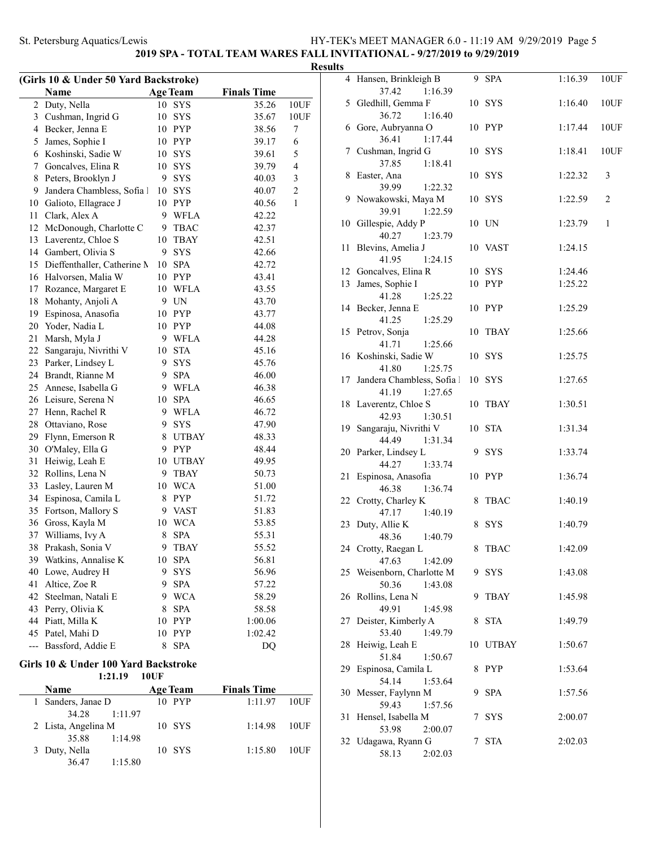### **2019 SPA - TOTAL TEAM WARES FALL INVITATIONAL - 9/27/2019 to 9/29/2019**

| (Girls 10 & Under 50 Yard Backstroke) |                             |    |                 |                    |                |  |
|---------------------------------------|-----------------------------|----|-----------------|--------------------|----------------|--|
|                                       | Name                        |    | <b>Age Team</b> | <b>Finals Time</b> |                |  |
| 2                                     | Duty, Nella                 | 10 | $_{\rm{SYS}}$   | 35.26              | 10UF           |  |
| 3                                     | Cushman, Ingrid G           | 10 | SYS             | 35.67              | 10UF           |  |
| 4                                     | Becker, Jenna E             |    | 10 PYP          | 38.56              | 7              |  |
| 5                                     | James, Sophie I             |    | 10 PYP          | 39.17              | 6              |  |
| 6                                     | Koshinski, Sadie W          |    | 10 SYS          | 39.61              | 5              |  |
| 7                                     | Goncalves, Elina R          | 10 | SYS             | 39.79              | 4              |  |
| 8                                     | Peters, Brooklyn J          | 9. | <b>SYS</b>      | 40.03              | 3              |  |
| 9                                     | Jandera Chambless, Sofia 1  | 10 | <b>SYS</b>      | 40.07              | $\overline{c}$ |  |
| 10                                    | Galioto, Ellagrace J        |    | 10 PYP          | 40.56              | 1              |  |
| 11                                    | Clark, Alex A               |    | 9 WFLA          | 42.22              |                |  |
| 12                                    | McDonough, Charlotte C      |    | 9 TBAC          | 42.37              |                |  |
| 13                                    | Laverentz, Chloe S          |    | 10 TBAY         | 42.51              |                |  |
| 14                                    | Gambert, Olivia S           | 9. | <b>SYS</b>      | 42.66              |                |  |
| 15                                    | Dieffenthaller, Catherine M |    | 10 SPA          | 42.72              |                |  |
| 16                                    | Halvorsen, Malia W          |    | 10 PYP          | 43.41              |                |  |
| 17                                    | Rozance, Margaret E         |    | 10 WFLA         | 43.55              |                |  |
| 18                                    | Mohanty, Anjoli A           |    | 9 UN            | 43.70              |                |  |
| 19                                    | Espinosa, Anasofia          |    | 10 PYP          | 43.77              |                |  |
| 20                                    | Yoder, Nadia L              |    | 10 PYP          | 44.08              |                |  |
| 21                                    | Marsh, Myla J               |    | 9 WFLA          | 44.28              |                |  |
| 22                                    | Sangaraju, Nivrithi V       | 10 | <b>STA</b>      | 45.16              |                |  |
| 23                                    | Parker, Lindsey L           | 9. | <b>SYS</b>      | 45.76              |                |  |
| 24                                    | Brandt, Rianne M            | 9. | SPA             | 46.00              |                |  |
| 25                                    | Annese, Isabella G          |    | 9 WFLA          | 46.38              |                |  |
| 26                                    | Leisure, Serena N           | 10 | $\rm SPA$       | 46.65              |                |  |
| 27                                    | Henn, Rachel R              | 9  | WFLA            | 46.72              |                |  |
| 28                                    | Ottaviano, Rose             | 9  | <b>SYS</b>      | 47.90              |                |  |
| 29                                    | Flynn, Emerson R            | 8  | <b>UTBAY</b>    | 48.33              |                |  |
| 30                                    | O'Maley, Ella G             |    | 9 PYP           | 48.44              |                |  |
| 31                                    | Heiwig, Leah E              | 10 | <b>UTBAY</b>    | 49.95              |                |  |
| 32                                    | Rollins, Lena N             | 9. | TBAY            | 50.73              |                |  |
| 33                                    | Lasley, Lauren M            |    | 10 WCA          | 51.00              |                |  |
| 34                                    | Espinosa, Camila L          | 8  | PYP             | 51.72              |                |  |
| 35                                    | Fortson, Mallory S          |    | 9 VAST          | 51.83              |                |  |
| 36                                    | Gross, Kayla M              |    | 10 WCA          | 53.85              |                |  |
| 37                                    | Williams, Ivy A             | 8  | <b>SPA</b>      | 55.31              |                |  |
|                                       | 38 Prakash, Sonia V         |    | 9 TBAY          | 55.52              |                |  |
| 39.                                   | Watkins, Annalise K         | 10 | SPA             | 56.81              |                |  |
| 40                                    | Lowe, Audrey H              | 9  | <b>SYS</b>      | 56.96              |                |  |
| 41                                    | Altice, Zoe R               | 9  | SPA             | 57.22              |                |  |
| 42                                    | Steelman, Natali E          | 9  | <b>WCA</b>      | 58.29              |                |  |
| 43                                    | Perry, Olivia K             | 8  | SPA             | 58.58              |                |  |
| 44                                    | Piatt, Milla K              | 10 | PYP             | 1:00.06            |                |  |
| 45                                    | Patel, Mahi D               | 10 | PYP             | 1:02.42            |                |  |
| ---                                   | Bassford, Addie E           | 8  | <b>SPA</b>      | DQ                 |                |  |
|                                       |                             |    |                 |                    |                |  |

#### **Girls 10 & Under 100 Yard Backstroke**

**1:21.19 10UF**

| Name                | <b>Age Team</b> | <b>Finals Time</b> |      |
|---------------------|-----------------|--------------------|------|
| 1 Sanders, Janae D  | 10 PYP          | $1:11.97$ 10UF     |      |
| 34.28<br>1:11.97    |                 |                    |      |
| 2 Lista, Angelina M | $10$ SYS        | $1:14.98$ 10UF     |      |
| 1:14.98<br>35.88    |                 |                    |      |
| 3 Duty, Nella       | $10$ SYS        | 1:15.80            | 10UF |
| 1:15.80<br>36.47    |                 |                    |      |

|        | <b>Results</b> |                                                                       |   |                 |                    |                |
|--------|----------------|-----------------------------------------------------------------------|---|-----------------|--------------------|----------------|
|        |                | 4 Hansen, Brinkleigh B                                                |   | 9 SPA           | 1:16.39            | 10UF           |
|        |                | 37.42<br>1:16.39<br>5 Gledhill, Gemma F                               |   | 10 SYS          | 1:16.40            | 10UF           |
|        |                | 36.72<br>1:16.40<br>6 Gore, Aubryanna O<br>36.41<br>1:17.44           |   | 10 PYP          | 1:17.44            | 10UF           |
|        |                | 7 Cushman, Ingrid G<br>37.85<br>1:18.41                               |   | 10 SYS          | 1:18.41            | 10UF           |
|        |                | 8 Easter, Ana<br>39.99<br>1:22.32                                     |   | 10 SYS          | 1:22.32            | 3              |
|        |                | 9 Nowakowski, Maya M<br>39.91<br>1:22.59                              |   | 10 SYS          | 1:22.59            | $\mathfrak{2}$ |
|        |                | 10 Gillespie, Addy P<br>40.27<br>1:23.79                              |   | 10 UN           | 1:23.79            | $\mathbf{1}$   |
|        |                | 11 Blevins, Amelia J<br>41.95<br>1:24.15                              |   | 10 VAST         | 1:24.15            |                |
|        |                | 12 Goncalves, Elina R                                                 |   | 10 SYS          | 1:24.46            |                |
|        |                | 13 James, Sophie I<br>41.28<br>1:25.22                                |   | 10 PYP          | 1:25.22            |                |
|        |                | 14 Becker, Jenna E<br>41.25<br>1:25.29                                |   | 10 PYP          | 1:25.29            |                |
|        |                | 15 Petrov, Sonja<br>41.71<br>1:25.66                                  |   | 10 TBAY         | 1:25.66            |                |
|        |                | 16 Koshinski, Sadie W<br>1:25.75<br>41.80                             |   | 10 SYS          | 1:25.75            |                |
|        |                | 17 Jandera Chambless, Sofia l<br>41.19<br>1:27.65                     |   | 10 SYS          | 1:27.65            |                |
|        |                | 18 Laverentz, Chloe S<br>42.93<br>1:30.51                             |   | 10 TBAY         | 1:30.51            |                |
|        |                | 19 Sangaraju, Nivrithi V<br>44.49<br>1:31.34                          |   | 10 STA          | 1:31.34            |                |
|        |                | 20 Parker, Lindsey L<br>44.27<br>1:33.74                              |   | 9 SYS           | 1:33.74            |                |
|        |                | 21 Espinosa, Anasofia<br>46.38<br>1:36.74                             |   | 10 PYP          | 1:36.74            |                |
|        |                | 22 Crotty, Charley K<br>1:40.19<br>47.17                              |   | 8 TBAC          | 1:40.19            |                |
|        |                | 23 Duty, Allie K<br>48.36<br>1:40.79                                  |   | 8 SYS           | 1:40.79            |                |
|        |                | 24 Crotty, Raegan L<br>47.63<br>1:42.09<br>25 Weisenborn, Charlotte M |   | 8 TBAC<br>9 SYS | 1:42.09<br>1:43.08 |                |
|        |                | 50.36<br>1:43.08<br>26 Rollins, Lena N                                | 9 | <b>TBAY</b>     | 1:45.98            |                |
|        |                | 49.91<br>1:45.98<br>27 Deister, Kimberly A                            |   | 8 STA           | 1:49.79            |                |
|        |                | 53.40<br>1:49.79<br>28 Heiwig, Leah E                                 |   | 10 UTBAY        | 1:50.67            |                |
|        |                | 51.84<br>1:50.67<br>29 Espinosa, Camila L                             |   | 8 PYP           | 1:53.64            |                |
|        |                | 54.14<br>1:53.64<br>30 Messer, Faylynn M                              | 9 | SPA             | 1:57.56            |                |
| F      | 31             | 59.43<br>1:57.56<br>Hensel, Isabella M                                | 7 | SYS             | 2:00.07            |                |
| F<br>F |                | 53.98<br>2:00.07<br>32 Udagawa, Ryann G                               |   | 7 STA           | 2:02.03            |                |
|        |                | 58.13<br>2:02.03                                                      |   |                 |                    |                |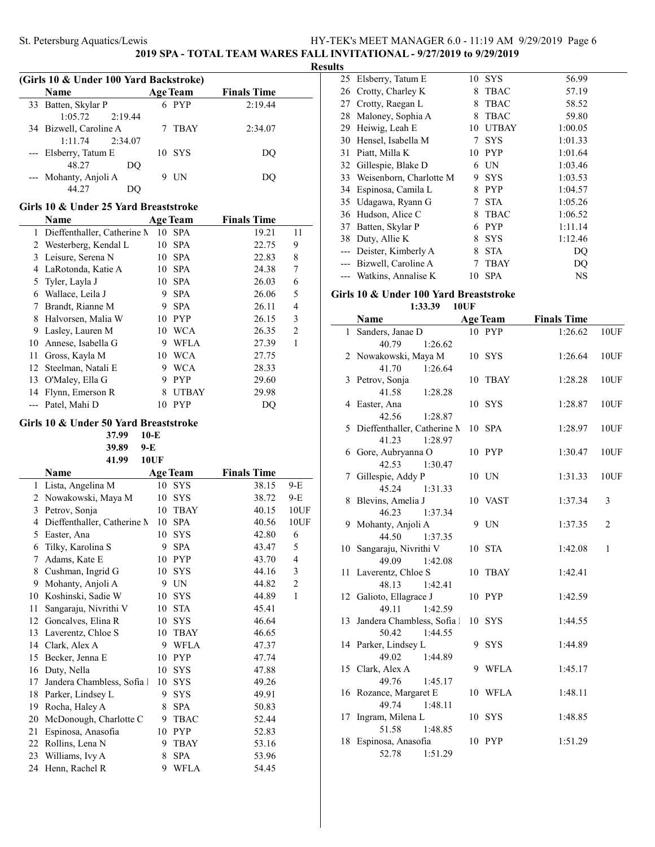**2019 SPA - TOTAL TEAM WARES FALL INVITATIONAL - 9/27/2019 to 9/29/2019**

**Results**

| (Girls 10 & Under 100 Yard Backstroke) |                        |                 |                    |  |  |  |
|----------------------------------------|------------------------|-----------------|--------------------|--|--|--|
|                                        | Name                   | <b>Age Team</b> | <b>Finals Time</b> |  |  |  |
|                                        | 33 Batten, Skylar P    | 6 PYP           | 2:19.44            |  |  |  |
|                                        | 2:19.44<br>1:05.72     |                 |                    |  |  |  |
|                                        | 34 Bizwell, Caroline A | TBAY            | 2:34.07            |  |  |  |
|                                        | 1:11.74<br>2:34.07     |                 |                    |  |  |  |
|                                        | --- Elsberry, Tatum E  | 10 SYS          | DO                 |  |  |  |
|                                        | 48.27<br>DO            |                 |                    |  |  |  |
|                                        | --- Mohanty, Anjoli A  | UN              | DO.                |  |  |  |
|                                        |                        |                 |                    |  |  |  |

### **Girls 10 & Under 25 Yard Breaststroke**

J.

|    | Name                          |    | <b>Age Team</b> | <b>Finals Time</b> |                |
|----|-------------------------------|----|-----------------|--------------------|----------------|
|    | 1 Dieffenthaller, Catherine N | 10 | <b>SPA</b>      | 19.21              | 11             |
|    | Westerberg, Kendal L          | 10 | <b>SPA</b>      | 22.75              | 9              |
|    | 3 Leisure, Serena N           | 10 | <b>SPA</b>      | 22.83              | 8              |
| 4  | LaRotonda, Katie A            | 10 | <b>SPA</b>      | 24.38              | 7              |
|    | 5 Tyler, Layla J              | 10 | <b>SPA</b>      | 26.03              | 6              |
| 6  | Wallace, Leila J              | 9  | <b>SPA</b>      | 26.06              | 5              |
| 7  | Brandt, Rianne M              | 9  | <b>SPA</b>      | 26.11              | 4              |
| 8  | Halvorsen, Malia W            | 10 | <b>PYP</b>      | 26.15              | 3              |
| 9  | Lasley, Lauren M              | 10 | <b>WCA</b>      | 26.35              | $\overline{2}$ |
| 10 | Annese, Isabella G            | 9  | WFLA            | 27.39              | 1              |
| 11 | Gross, Kayla M                | 10 | <b>WCA</b>      | 27.75              |                |
| 12 | Steelman, Natali E            | 9  | WCA             | 28.33              |                |
| 13 | O'Maley, Ella G               | 9  | <b>PYP</b>      | 29.60              |                |
| 14 | Flynn, Emerson R              | 8  | <b>UTBAY</b>    | 29.98              |                |
|    | Patel, Mahi D                 | 10 | <b>PYP</b>      | DO                 |                |

### **Girls 10 & Under 50 Yard Breaststroke**

**37.99 10-E 39.89 9-E**

|    | 41.99                       | <b>10UF</b> |                 |                    |       |
|----|-----------------------------|-------------|-----------------|--------------------|-------|
|    | Name                        |             | <b>Age Team</b> | <b>Finals Time</b> |       |
| 1  | Lista, Angelina M           | 10          | <b>SYS</b>      | 38.15              | $9-E$ |
| 2  | Nowakowski, Maya M          | 10          | SYS             | 38.72              | $9-E$ |
| 3  | Petrov, Sonja               | 10          | <b>TBAY</b>     | 40.15              | 10UF  |
| 4  | Dieffenthaller, Catherine N | 10          | <b>SPA</b>      | 40.56              | 10UF  |
| 5  | Easter, Ana                 | 10          | <b>SYS</b>      | 42.80              | 6     |
| 6  | Tilky, Karolina S           | 9           | <b>SPA</b>      | 43.47              | 5     |
| 7  | Adams, Kate E               | 10          | <b>PYP</b>      | 43.70              | 4     |
| 8  | Cushman, Ingrid G           | 10          | <b>SYS</b>      | 44.16              | 3     |
| 9  | Mohanty, Anjoli A           | 9           | <b>UN</b>       | 44.82              | 2     |
| 10 | Koshinski, Sadie W          | 10          | <b>SYS</b>      | 44.89              | 1     |
| 11 | Sangaraju, Nivrithi V       | 10          | <b>STA</b>      | 45.41              |       |
| 12 | Goncalves, Elina R          | 10          | <b>SYS</b>      | 46.64              |       |
| 13 | Laverentz, Chloe S          | 10          | <b>TBAY</b>     | 46.65              |       |
| 14 | Clark, Alex A               | 9           | <b>WFLA</b>     | 47.37              |       |
| 15 | Becker, Jenna E             | 10          | <b>PYP</b>      | 47.74              |       |
| 16 | Duty, Nella                 | 10          | <b>SYS</b>      | 47.88              |       |
| 17 | Jandera Chambless, Sofia 1  | 10          | <b>SYS</b>      | 49.26              |       |
| 18 | Parker, Lindsey L           | 9           | <b>SYS</b>      | 49.91              |       |
| 19 | Rocha, Haley A              | 8           | <b>SPA</b>      | 50.83              |       |
| 20 | McDonough, Charlotte C      | 9           | <b>TBAC</b>     | 52.44              |       |
| 21 | Espinosa, Anasofia          | 10          | <b>PYP</b>      | 52.83              |       |
| 22 | Rollins, Lena N             | 9           | <b>TBAY</b>     | 53.16              |       |
| 23 | Williams, Ivy A             | 8           | <b>SPA</b>      | 53.96              |       |
| 24 | Henn, Rachel R              | 9           | <b>WFLA</b>     | 54.45              |       |

|    | 25 Elsberry, Tatum E       | 10 | <b>SYS</b>   | 56.99   |
|----|----------------------------|----|--------------|---------|
|    | 26 Crotty, Charley K       | 8  | <b>TBAC</b>  | 57.19   |
| 27 | Crotty, Raegan L           | 8  | <b>TBAC</b>  | 58.52   |
|    | 28 Maloney, Sophia A       | 8  | <b>TBAC</b>  | 59.80   |
| 29 | Heiwig, Leah E             | 10 | <b>UTBAY</b> | 1:00.05 |
| 30 | Hensel, Isabella M         | 7  | <b>SYS</b>   | 1:01.33 |
| 31 | Piatt, Milla K             | 10 | <b>PYP</b>   | 1:01.64 |
|    | 32 Gillespie, Blake D      | 6  | UN           | 1:03.46 |
|    | 33 Weisenborn, Charlotte M | 9  | <b>SYS</b>   | 1:03.53 |
|    | Espinosa, Camila L<br>34   | 8  | <b>PYP</b>   | 1:04.57 |
|    | 35 Udagawa, Ryann G        | 7  | <b>STA</b>   | 1:05.26 |
|    | 36 Hudson, Alice C         | 8  | <b>TBAC</b>  | 1:06.52 |
| 37 | Batten, Skylar P           | 6  | <b>PYP</b>   | 1:11.14 |
|    | Duty, Allie K<br>38        | 8  | <b>SYS</b>   | 1:12.46 |
|    | Deister, Kimberly A        | 8  | <b>STA</b>   | DO      |
|    | Bizwell, Caroline A        | 7  | TBAY         | DO      |
|    | --- Watkins, Annalise K    | 10 | SPA          | NS      |

### **Girls 10 & Under 100 Yard Breaststroke**

**1:33.39 10UF**

|    | <b>Name</b>                          |   | <b>Age Team</b> | <b>Finals Time</b> |                |
|----|--------------------------------------|---|-----------------|--------------------|----------------|
|    | 1 Sanders, Janae D                   |   | 10 PYP          | 1:26.62            | 10UF           |
|    | 40.79<br>1:26.62                     |   |                 |                    |                |
|    | 2 Nowakowski, Maya M                 |   | 10 SYS          | 1:26.64            | 10UF           |
|    | 41.70<br>1:26.64                     |   |                 |                    |                |
|    | 3 Petrov, Sonja                      |   | 10 TBAY         | 1:28.28            | 10UF           |
|    | 41.58<br>1:28.28                     |   |                 |                    |                |
|    | 4 Easter, Ana                        |   | 10 SYS          | 1:28.87            | 10UF           |
|    | 42.56<br>1:28.87                     |   |                 |                    |                |
|    | 5 Dieffenthaller, Catherine M        |   | 10 SPA          | 1:28.97            | 10UF           |
|    | 41.23<br>1:28.97                     |   |                 |                    |                |
|    | 6 Gore, Aubryanna O                  |   | 10 PYP          | 1:30.47            | 10UF           |
|    | 42.53<br>1:30.47                     |   |                 |                    |                |
| 7  | Gillespie, Addy P                    |   | 10 UN           | 1:31.33            | 10UF           |
|    | 45.24<br>1:31.33                     |   |                 |                    |                |
| 8  | Blevins, Amelia J                    |   | 10 VAST         | 1:37.34            | 3              |
|    | 46.23<br>1:37.34                     |   |                 |                    |                |
|    | 9 Mohanty, Anjoli A                  |   | 9 UN            | 1:37.35            | $\mathfrak{2}$ |
|    | 44.50<br>1:37.35                     |   |                 |                    |                |
| 10 | Sangaraju, Nivrithi V                |   | 10 STA          | 1:42.08            | $\mathbf{1}$   |
|    | 49.09<br>1:42.08                     |   |                 |                    |                |
|    | 11 Laverentz, Chloe S                |   | 10 TBAY         | 1:42.41            |                |
|    | 48.13<br>1:42.41                     |   |                 |                    |                |
|    | 12 Galioto, Ellagrace J              |   | 10 PYP          | 1:42.59            |                |
|    | 49.11<br>1:42.59                     |   |                 |                    |                |
|    | 13 Jandera Chambless, Sofia l        |   | 10 SYS          | 1:44.55            |                |
|    | 50.42<br>1:44.55                     |   |                 |                    |                |
|    | 14 Parker, Lindsey L                 | 9 | SYS             | 1:44.89            |                |
|    | 49.02<br>1:44.89                     | 9 | <b>WFLA</b>     | 1:45.17            |                |
|    | 15 Clark, Alex A<br>49.76<br>1:45.17 |   |                 |                    |                |
|    | 16 Rozance, Margaret E               |   | 10 WFLA         | 1:48.11            |                |
|    | 49.74<br>1:48.11                     |   |                 |                    |                |
| 17 | Ingram, Milena L                     |   | 10 SYS          | 1:48.85            |                |
|    | 51.58<br>1:48.85                     |   |                 |                    |                |
| 18 | Espinosa, Anasofia                   |   | 10 PYP          | 1:51.29            |                |
|    | 52.78<br>1:51.29                     |   |                 |                    |                |
|    |                                      |   |                 |                    |                |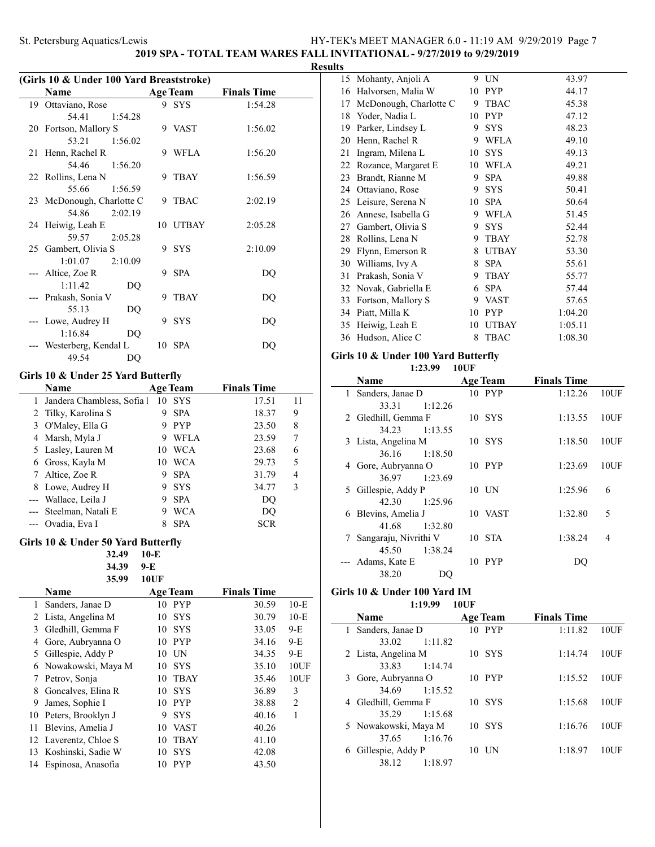**2019 SPA - TOTAL TEAM WARES FALL INVITATIONAL - 9/27/2019 to 9/29/2019**

### **Results**

 $\overline{\phantom{a}}$ 

| (Girls 10 & Under 100 Yard Breaststroke) |                           |    |                 |                    |  |
|------------------------------------------|---------------------------|----|-----------------|--------------------|--|
|                                          | Name                      |    | <b>Age Team</b> | <b>Finals Time</b> |  |
|                                          | 19 Ottaviano, Rose        |    | 9 SYS           | 1:54.28            |  |
|                                          | 54.41<br>1:54.28          |    |                 |                    |  |
|                                          | 20 Fortson, Mallory S     |    | 9 VAST          | 1:56.02            |  |
|                                          | 53.21<br>1:56.02          |    |                 |                    |  |
|                                          | 21 Henn, Rachel R         | 9  | WFLA            | 1:56.20            |  |
|                                          | 54.46<br>1:56.20          |    |                 |                    |  |
|                                          | 22 Rollins, Lena N        |    | 9 TBAY          | 1:56.59            |  |
|                                          | 55.66<br>1:56.59          |    |                 |                    |  |
|                                          | 23 McDonough, Charlotte C |    | 9 TBAC          | 2:02.19            |  |
|                                          | 54.86<br>2:02.19          |    |                 |                    |  |
|                                          | 24 Heiwig, Leah E         |    | 10 UTBAY        | 2:05.28            |  |
|                                          | 59.57<br>2:05.28          |    |                 |                    |  |
|                                          | 25 Gambert, Olivia S      |    | 9 SYS           | 2:10.09            |  |
|                                          | 1:01.07<br>2:10.09        |    |                 |                    |  |
|                                          | --- Altice, Zoe R         |    | 9 SPA           | DO                 |  |
|                                          | 1:11.42                   | DQ |                 |                    |  |
|                                          | --- Prakash, Sonia V      | 9  | <b>TBAY</b>     | DQ                 |  |
|                                          | 55.13                     | DQ |                 |                    |  |
|                                          | --- Lowe, Audrey H        |    | 9 SYS           | DQ                 |  |
|                                          | 1:16.84                   | DQ |                 |                    |  |
|                                          | --- Westerberg, Kendal L  |    | 10 SPA          | DO                 |  |
|                                          | 49.54                     | DQ |                 |                    |  |
|                                          |                           |    |                 |                    |  |

### **Girls 10 & Under 25 Yard Butterfly**

|   | Name                     |    | <b>Age Team</b> | <b>Finals Time</b> |    |
|---|--------------------------|----|-----------------|--------------------|----|
|   | Jandera Chambless, Sofia | 10 | <b>SYS</b>      | 17.51              | 11 |
|   | 2 Tilky, Karolina S      | 9  | <b>SPA</b>      | 18.37              | 9  |
|   | 3 O'Maley, Ella G        | 9  | <b>PYP</b>      | 23.50              | 8  |
|   | 4 Marsh, Myla J          | 9  | WFLA            | 23.59              | 7  |
|   | 5 Lasley, Lauren M       | 10 | <b>WCA</b>      | 23.68              | 6  |
| 6 | Gross, Kayla M           | 10 | <b>WCA</b>      | 29.73              | 5  |
|   | 7 Altice, Zoe R          | 9  | <b>SPA</b>      | 31.79              | 4  |
|   | 8 Lowe, Audrey H         | 9  | <b>SYS</b>      | 34.77              | 3  |
|   | --- Wallace, Leila J     | 9  | <b>SPA</b>      | DO                 |    |
|   | --- Steelman, Natali E   | 9  | <b>WCA</b>      | DO                 |    |
|   | --- Ovadia, Eva I        |    | <b>SPA</b>      | <b>SCR</b>         |    |

### **Girls 10 & Under 50 Yard Butterfly**

|    | 32.49              | $10-E$            |                    |                |
|----|--------------------|-------------------|--------------------|----------------|
|    | 34.39              | 9-E               |                    |                |
|    | 35.99              | 10UF              |                    |                |
|    | Name               | <b>Age Team</b>   | <b>Finals Time</b> |                |
| 1  | Sanders, Janae D   | 10<br><b>PYP</b>  | 30.59              | $10-E$         |
| 2  | Lista, Angelina M  | <b>SYS</b><br>10  | 30.79              | $10-E$         |
| 3  | Gledhill, Gemma F  | <b>SYS</b><br>10  | 33.05              | 9-E            |
| 4  | Gore, Aubryanna O  | <b>PYP</b><br>10  | 34.16              | 9-E            |
| 5  | Gillespie, Addy P  | UN<br>10          | 34.35              | 9-E            |
| 6  | Nowakowski, Maya M | <b>SYS</b><br>10  | 35.10              | 10UF           |
| 7  | Petrov, Sonja      | 10<br>TBAY        | 35.46              | 10UF           |
| 8  | Goncalves, Elina R | <b>SYS</b><br>10  | 36.89              | 3              |
| 9  | James, Sophie I    | <b>PYP</b><br>10  | 38.88              | $\overline{2}$ |
| 10 | Peters, Brooklyn J | <b>SYS</b><br>9   | 40.16              | 1              |
| 11 | Blevins, Amelia J  | <b>VAST</b><br>10 | 40.26              |                |
| 12 | Laverentz, Chloe S | <b>TBAY</b><br>10 | 41.10              |                |
| 13 | Koshinski, Sadie W | 10<br><b>SYS</b>  | 42.08              |                |
| 14 | Espinosa, Anasofia | <b>PYP</b><br>10  | 43.50              |                |
|    |                    |                   |                    |                |

| Mohanty, Anjoli A       | 9  | UN          | 43.97   |
|-------------------------|----|-------------|---------|
| Halvorsen, Malia W      | 10 | <b>PYP</b>  | 44.17   |
| McDonough, Charlotte C  | 9  | <b>TBAC</b> | 45.38   |
| Yoder, Nadia L          | 10 | <b>PYP</b>  | 47.12   |
| Parker, Lindsey L       | 9  | <b>SYS</b>  | 48.23   |
| Henn, Rachel R          | 9  | <b>WFLA</b> | 49.10   |
| Ingram, Milena L        | 10 | <b>SYS</b>  | 49.13   |
| Rozance, Margaret E     | 10 | <b>WFLA</b> | 49.21   |
| Brandt, Rianne M        | 9  | <b>SPA</b>  | 49.88   |
| Ottaviano, Rose         | 9  | <b>SYS</b>  | 50.41   |
| Leisure, Serena N<br>25 | 10 | <b>SPA</b>  | 50.64   |
| Annese, Isabella G      | 9  | WFLA        | 51.45   |
| Gambert, Olivia S       | 9  | <b>SYS</b>  | 52.44   |
| Rollins, Lena N         | 9  | <b>TBAY</b> | 52.78   |
| Flynn, Emerson R        | 8  |             | 53.30   |
| Williams, Ivy A         | 8  | <b>SPA</b>  | 55.61   |
| Prakash, Sonia V        | 9  | <b>TBAY</b> | 55.77   |
| Novak, Gabriella E      | 6  | <b>SPA</b>  | 57.44   |
| Fortson, Mallory S      | 9  | <b>VAST</b> | 57.65   |
| Piatt, Milla K          | 10 | <b>PYP</b>  | 1:04.20 |
| Heiwig, Leah E          | 10 | UTBAY       | 1:05.11 |
| Hudson, Alice C         | 8  | <b>TBAC</b> | 1:08.30 |
|                         |    |             | UTBAY   |

### **Girls 10 & Under 100 Yard Butterfly 1:23.99 10UF**

|              | <b>Name</b>           | <b>Age Team</b>  | <b>Finals Time</b> |      |
|--------------|-----------------------|------------------|--------------------|------|
| $\mathbf{1}$ | Sanders, Janae D      | 10 PYP           | 1:12.26            | 10UF |
|              | 1:12.26<br>33.31      |                  |                    |      |
|              | 2 Gledhill, Gemma F   | $10$ SYS         | 1:13.55            | 10UF |
|              | 34.23<br>1:13.55      |                  |                    |      |
|              | 3 Lista, Angelina M   | 10 SYS           | 1:18.50            | 10UF |
|              | 1:18.50<br>36.16      |                  |                    |      |
|              | 4 Gore, Aubryanna O   | 10 PYP           | 1:23.69            | 10UF |
|              | 36.97<br>1:23.69      |                  |                    |      |
| 5            | Gillespie, Addy P     | $10$ UN          | 1:25.96            | 6    |
|              | 42.30<br>1:25.96      |                  |                    |      |
|              | 6 Blevins, Amelia J   | 10 VAST          | 1:32.80            | 5    |
|              | 41.68<br>1:32.80      |                  |                    |      |
| 7            | Sangaraju, Nivrithi V | $10$ STA         | 1:38.24            | 4    |
|              | 1:38.24<br>45.50      |                  |                    |      |
|              | Adams, Kate E         | <b>PYP</b><br>10 | DО                 |      |
|              | 38.20<br>DO           |                  |                    |      |

#### **Girls 10 & Under 100 Yard IM 1:19.99 10UF**

|   | Name                 | <b>Age Team</b> | <b>Finals Time</b> |      |
|---|----------------------|-----------------|--------------------|------|
|   | 1 Sanders, Janae D   | 10 PYP          | 1:11.82            | 10UF |
|   | 33.02<br>1:11.82     |                 |                    |      |
|   | 2 Lista, Angelina M  | 10 SYS          | 1:14.74            | 10UF |
|   | 33.83<br>1:14.74     |                 |                    |      |
|   | 3 Gore, Aubryanna O  | 10 PYP          | 1:15.52            | 10UF |
|   | 34.69 1:15.52        |                 |                    |      |
| 4 | Gledhill, Gemma F    | 10 SYS          | 1:15.68            | 10UF |
|   | 35.29<br>1:15.68     |                 |                    |      |
|   | 5 Nowakowski, Maya M | 10 SYS          | 1:16.76            | 10UF |
|   | 1:16.76<br>37.65     |                 |                    |      |
| 6 | Gillespie, Addy P    | - UN<br>10      | 1:18.97            | 10UF |
|   | 1:18.97<br>38.12     |                 |                    |      |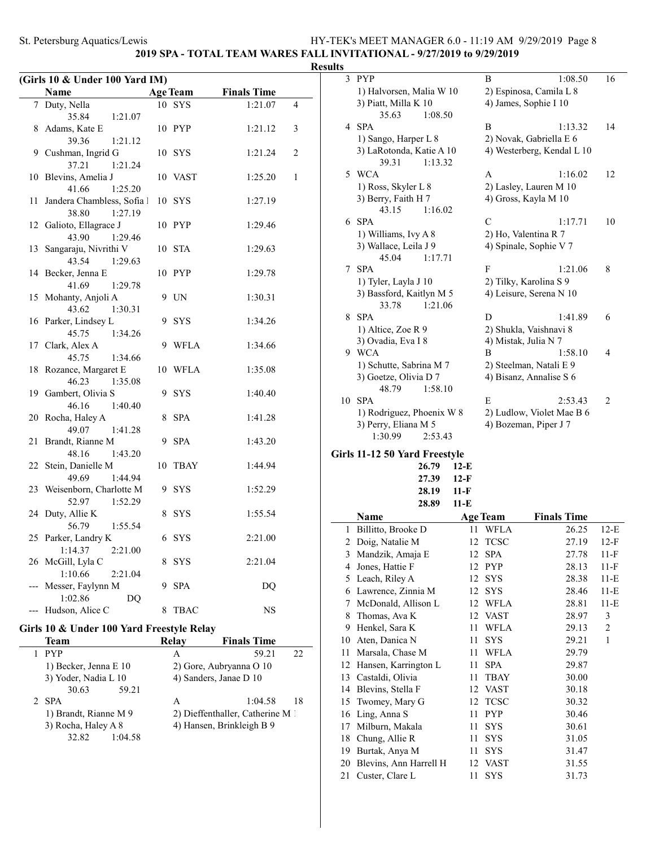**2019 SPA - TOTAL TEAM WARES FALL INVITATIONAL - 9/27/2019 to 9/29/2019**

### **Results**

|    | (Girls 10 & Under 100 Yard IM)              |    |                 |                    |   |  |  |
|----|---------------------------------------------|----|-----------------|--------------------|---|--|--|
|    | Name                                        |    | <b>Age Team</b> | <b>Finals Time</b> |   |  |  |
| 7  | Duty, Nella                                 | 10 | SYS             | 1:21.07            | 4 |  |  |
|    | 35.84<br>1:21.07                            |    |                 |                    |   |  |  |
| 8  | Adams, Kate E                               |    | 10 PYP          | 1:21.12            | 3 |  |  |
|    | 39.36<br>1:21.12                            |    |                 |                    |   |  |  |
|    | 9 Cushman, Ingrid G                         |    | 10 SYS          | 1:21.24            | 2 |  |  |
|    | 37.21<br>1:21.24                            |    |                 |                    |   |  |  |
| 10 | Blevins, Amelia J                           |    | 10 VAST         | 1:25.20            | 1 |  |  |
|    | 1:25.20<br>41.66                            |    |                 |                    |   |  |  |
| 11 | Jandera Chambless, Sofia 1                  |    | 10 SYS          | 1:27.19            |   |  |  |
|    | 38.80<br>1:27.19                            |    |                 |                    |   |  |  |
| 12 | Galioto, Ellagrace J                        |    | 10 PYP          | 1:29.46            |   |  |  |
|    | 43.90<br>1:29.46                            |    |                 |                    |   |  |  |
| 13 | Sangaraju, Nivrithi V                       |    | 10 STA          | 1:29.63            |   |  |  |
|    | 43.54<br>1:29.63                            |    |                 |                    |   |  |  |
| 14 | Becker, Jenna E                             |    | 10 PYP          | 1:29.78            |   |  |  |
|    | 41.69<br>1:29.78                            |    |                 |                    |   |  |  |
| 15 | Mohanty, Anjoli A                           | 9  | UN              | 1:30.31            |   |  |  |
|    | 43.62<br>1:30.31                            |    |                 |                    |   |  |  |
|    | 16 Parker, Lindsey L                        | 9  | <b>SYS</b>      | 1:34.26            |   |  |  |
|    | 45.75<br>1:34.26                            |    |                 |                    |   |  |  |
| 17 | Clark, Alex A                               | 9  | WFLA            | 1:34.66            |   |  |  |
|    | 45.75<br>1:34.66                            |    |                 |                    |   |  |  |
| 18 | Rozance, Margaret E                         |    | 10 WFLA         | 1:35.08            |   |  |  |
|    | 46.23<br>1:35.08                            |    |                 |                    |   |  |  |
| 19 | Gambert, Olivia S                           | 9  | <b>SYS</b>      | 1:40.40            |   |  |  |
|    | 46.16<br>1:40.40                            |    |                 |                    |   |  |  |
| 20 | Rocha, Haley A                              | 8  | <b>SPA</b>      | 1:41.28            |   |  |  |
|    | 49.07<br>1:41.28                            |    |                 |                    |   |  |  |
| 21 | Brandt, Rianne M                            | 9  | <b>SPA</b>      | 1:43.20            |   |  |  |
|    | 48.16<br>1:43.20                            |    |                 |                    |   |  |  |
| 22 | Stein, Danielle M                           | 10 | <b>TBAY</b>     | 1:44.94            |   |  |  |
| 23 | 49.69<br>1:44.94<br>Weisenborn, Charlotte M |    |                 |                    |   |  |  |
|    | 52.97<br>1:52.29                            | 9  | <b>SYS</b>      | 1:52.29            |   |  |  |
| 24 | Duty, Allie K                               | 8  | <b>SYS</b>      | 1:55.54            |   |  |  |
|    | 56.79<br>1:55.54                            |    |                 |                    |   |  |  |
| 25 | Parker, Landry K                            | 6  | <b>SYS</b>      | 2:21.00            |   |  |  |
|    | 1:14.37<br>2:21.00                          |    |                 |                    |   |  |  |
|    | 26 McGill, Lyla C                           | 8  | <b>SYS</b>      | 2:21.04            |   |  |  |
|    | 1:10.66<br>2:21.04                          |    |                 |                    |   |  |  |
|    | Messer, Faylynn M                           | 9  | <b>SPA</b>      | DQ                 |   |  |  |
|    | 1:02.86<br>DQ                               |    |                 |                    |   |  |  |
|    | --- Hudson, Alice C                         | 8  | <b>TBAC</b>     | <b>NS</b>          |   |  |  |
|    |                                             |    |                 |                    |   |  |  |

### **Girls 10 & Under 100 Yard Freestyle Relay**

| Team                  | Relav | <b>Finals Time</b>               |
|-----------------------|-------|----------------------------------|
| <b>PYP</b>            | А     | 59.21<br>22.                     |
| 1) Becker, Jenna E 10 |       | 2) Gore, Aubryanna O 10          |
| 3) Yoder, Nadia L 10  |       | 4) Sanders, Janae D 10           |
| 30.63<br>59.21        |       |                                  |
| 2 SPA                 | A     | 1:04.58<br>18                    |
| 1) Brandt, Rianne M 9 |       | 2) Dieffenthaller, Catherine M 1 |
| 3) Rocha, Haley A 8   |       | 4) Hansen, Brinkleigh B 9        |
| 32.82<br>1:04.58      |       |                                  |

| $\mathcal{E}$ | <b>PYP</b>                | 1:08.50<br>B               | 16             |
|---------------|---------------------------|----------------------------|----------------|
|               | 1) Halvorsen, Malia W 10  | 2) Espinosa, Camila L 8    |                |
|               | 3) Piatt, Milla K 10      | 4) James, Sophie I 10      |                |
|               | 35.63<br>1:08.50          |                            |                |
|               | 4 SPA                     | 1:13.32<br>B               | 14             |
|               | 1) Sango, Harper L 8      | 2) Novak, Gabriella E 6    |                |
|               | 3) LaRotonda, Katie A 10  | 4) Westerberg, Kendal L 10 |                |
|               | 39.31<br>1:13.32          |                            |                |
|               | 5 WCA                     | A<br>1:16.02               | 12             |
|               | 1) Ross, Skyler L 8       | 2) Lasley, Lauren M 10     |                |
|               | 3) Berry, Faith H 7       | 4) Gross, Kayla M 10       |                |
|               | 43.15<br>1:16.02          |                            |                |
| 6             | <b>SPA</b>                | $\mathcal{C}$<br>1:17.71   | 10             |
|               | 1) Williams, Ivy A 8      | 2) Ho, Valentina R 7       |                |
|               | 3) Wallace, Leila J 9     | 4) Spinale, Sophie V 7     |                |
|               | 45.04<br>1:17.71          |                            |                |
| 7             | <b>SPA</b>                | F<br>1:21.06               | 8              |
|               | 1) Tyler, Layla J 10      | 2) Tilky, Karolina S 9     |                |
|               | 3) Bassford, Kaitlyn M 5  | 4) Leisure, Serena N 10    |                |
|               | 33.78<br>1:21.06          |                            |                |
| 8             | <b>SPA</b>                | 1:41.89<br>D               | 6              |
|               | 1) Altice, Zoe R 9        | 2) Shukla, Vaishnavi 8     |                |
|               | 3) Ovadia, Eva I 8        | 4) Mistak, Julia N 7       |                |
| 9             | <b>WCA</b>                | B<br>1:58.10               | 4              |
|               | 1) Schutte, Sabrina M 7   | 2) Steelman, Natali E 9    |                |
|               | 3) Goetze, Olivia D 7     | 4) Bisanz, Annalise S 6    |                |
|               | 48.79<br>1:58.10          |                            |                |
| 10            | <b>SPA</b>                | E<br>2:53.43               | $\overline{2}$ |
|               | 1) Rodriguez, Phoenix W 8 | 2) Ludlow, Violet Mae B 6  |                |
|               | 3) Perry, Eliana M 5      | 4) Bozeman, Piper J 7      |                |
|               | 1:30.99<br>2:53.43        |                            |                |
|               |                           |                            |                |

### **Girls 11-12 50 Yard Freestyle**

| $26.79$ 12-E<br>$27.39$ 12-F<br>28.19 11-F<br>28.89 11-E |
|----------------------------------------------------------|

|    | Name                   |    | <b>Age Team</b> | <b>Finals Time</b> |              |
|----|------------------------|----|-----------------|--------------------|--------------|
| 1  | Billitto, Brooke D     | 11 | WFLA            | 26.25              | $12-E$       |
| 2  | Doig, Natalie M        | 12 | <b>TCSC</b>     | 27.19              | $12-F$       |
| 3  | Mandzik, Amaja E       | 12 | <b>SPA</b>      | 27.78              | $11-F$       |
| 4  | Jones, Hattie F        | 12 | <b>PYP</b>      | 28.13              | $11-F$       |
| 5  | Leach, Riley A         | 12 | <b>SYS</b>      | 28.38              | 11-E         |
| 6  | Lawrence, Zinnia M     | 12 | <b>SYS</b>      | 28.46              | 11-E         |
| 7  | McDonald, Allison L    | 12 | <b>WFLA</b>     | 28.81              | 11-E         |
| 8  | Thomas, Ava K          | 12 | <b>VAST</b>     | 28.97              | 3            |
| 9  | Henkel, Sara K         | 11 | WFLA            | 29.13              | 2            |
| 10 | Aten, Danica N         | 11 | <b>SYS</b>      | 29.21              | $\mathbf{1}$ |
| 11 | Marsala, Chase M       | 11 | <b>WFLA</b>     | 29.79              |              |
| 12 | Hansen, Karrington L   | 11 | <b>SPA</b>      | 29.87              |              |
| 13 | Castaldi, Olivia       | 11 | <b>TBAY</b>     | 30.00              |              |
| 14 | Blevins, Stella F      | 12 | <b>VAST</b>     | 30.18              |              |
| 15 | Twomey, Mary G         | 12 | <b>TCSC</b>     | 30.32              |              |
| 16 | Ling, Anna S           | 11 | <b>PYP</b>      | 30.46              |              |
| 17 | Milburn, Makala        | 11 | <b>SYS</b>      | 30.61              |              |
| 18 | Chung, Allie R         | 11 | <b>SYS</b>      | 31.05              |              |
| 19 | Burtak, Anya M         | 11 | <b>SYS</b>      | 31.47              |              |
| 20 | Blevins, Ann Harrell H | 12 | <b>VAST</b>     | 31.55              |              |
| 21 | Custer, Clare L        | 11 | <b>SYS</b>      | 31.73              |              |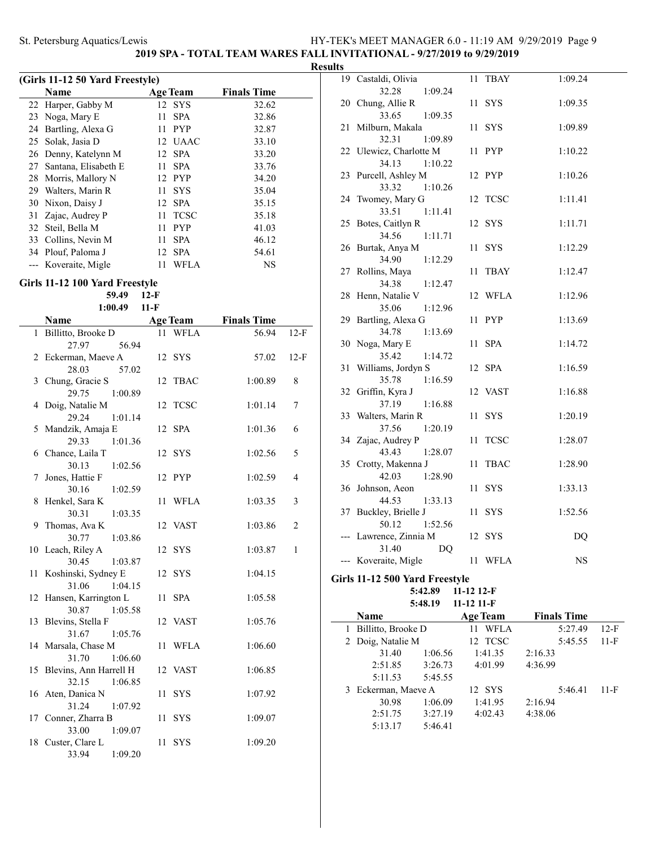### **2019 SPA - TOTAL TEAM WARES FALL INVITATIONAL - 9/27/2019 to 9/29/2019**

### **Results**

|    | (Girls 11-12 50 Yard Freestyle) |                 |             |                    |  |
|----|---------------------------------|-----------------|-------------|--------------------|--|
|    | <b>Name</b>                     | <b>Age Team</b> |             | <b>Finals Time</b> |  |
|    | 22 Harper, Gabby M              |                 | 12 SYS      | 32.62              |  |
|    | 23 Noga, Mary E                 | 11              | <b>SPA</b>  | 32.86              |  |
| 24 | Bartling, Alexa G               | 11              | <b>PYP</b>  | 32.87              |  |
| 25 | Solak, Jasia D                  |                 | 12 UAAC     | 33.10              |  |
|    | 26 Denny, Katelynn M            |                 | 12 SPA      | 33.20              |  |
| 27 | Santana, Elisabeth E            | 11              | <b>SPA</b>  | 33.76              |  |
| 28 | Morris, Mallory N               |                 | 12 PYP      | 34.20              |  |
| 29 | Walters, Marin R                | 11              | <b>SYS</b>  | 35.04              |  |
| 30 | Nixon, Daisy J                  |                 | 12 SPA      | 35.15              |  |
| 31 | Zajac, Audrey P                 | 11              | <b>TCSC</b> | 35.18              |  |
| 32 | Steil, Bella M                  | 11              | <b>PYP</b>  | 41.03              |  |
| 33 | Collins, Nevin M                | 11              | <b>SPA</b>  | 46.12              |  |
|    | 34 Plouf, Paloma J              |                 | 12 SPA      | 54.61              |  |
|    | Koveraite, Migle                | 11              | WFLA        | <b>NS</b>          |  |

### **Girls 11-12 100 Yard Freestyle**

### **59.49 12-F 1:00.49 11-F**

|              | Name                                | <b>Age Team</b>   | <b>Finals Time</b> |                |
|--------------|-------------------------------------|-------------------|--------------------|----------------|
| $\mathbf{1}$ | Billitto, Brooke D                  | WFLA<br>11        | 56.94              | $12-F$         |
|              | 27.97<br>56.94                      |                   |                    |                |
|              | 2 Eckerman, Maeve A                 | SYS<br>12         | 57.02              | $12-F$         |
|              | 28.03<br>57.02                      |                   |                    |                |
|              | 3 Chung, Gracie S                   | 12<br><b>TBAC</b> | 1:00.89            | 8              |
|              | 29.75<br>1:00.89                    |                   |                    |                |
| 4            | Doig, Natalie M                     | <b>TCSC</b><br>12 | 1:01.14            | 7              |
|              | 29.24<br>1:01.14                    |                   |                    |                |
| 5            | Mandzik, Amaja E                    | <b>SPA</b><br>12  | 1:01.36            | 6              |
|              | 29.33<br>1:01.36                    |                   |                    |                |
|              | 6 Chance, Laila T                   | 12 SYS            | 1:02.56            | 5              |
|              | 30.13<br>1:02.56                    |                   |                    |                |
| 7            | Jones, Hattie F                     | 12 PYP            | 1:02.59            | $\overline{4}$ |
|              | 30.16<br>1:02.59                    |                   |                    |                |
|              | 8 Henkel, Sara K                    | 11 WFLA           | 1:03.35            | 3              |
|              | 30.31<br>1:03.35<br>9 Thomas, Ava K | 12 VAST           | 1:03.86            | $\overline{2}$ |
|              | 30.77<br>1:03.86                    |                   |                    |                |
|              | 10 Leach, Riley A                   | 12 SYS            | 1:03.87            | $\mathbf{1}$   |
|              | 30.45<br>1:03.87                    |                   |                    |                |
|              | 11 Koshinski, Sydney E              | 12 SYS            | 1:04.15            |                |
|              | 31.06<br>1:04.15                    |                   |                    |                |
|              | 12 Hansen, Karrington L             | 11 SPA            | 1:05.58            |                |
|              | 30.87<br>1:05.58                    |                   |                    |                |
|              | 13 Blevins, Stella F                | 12 VAST           | 1:05.76            |                |
|              | 31.67<br>1:05.76                    |                   |                    |                |
|              | 14 Marsala, Chase M                 | <b>WFLA</b><br>11 | 1:06.60            |                |
|              | 31.70<br>1:06.60                    |                   |                    |                |
|              | 15 Blevins, Ann Harrell H           | 12 VAST           | 1:06.85            |                |
|              | 1:06.85<br>32.15                    |                   |                    |                |
|              | 16 Aten, Danica N                   | <b>SYS</b><br>11  | 1:07.92            |                |
|              | 31.24<br>1:07.92                    |                   |                    |                |
|              | 17 Conner, Zharra B                 | 11<br><b>SYS</b>  | 1:09.07            |                |
|              | 33.00<br>1:09.07                    |                   |                    |                |
|              | 18 Custer, Clare L                  | 11<br><b>SYS</b>  | 1:09.20            |                |
|              | 33.94<br>1:09.20                    |                   |                    |                |

|    | 19 Castaldi, Olivia                | 11 | <b>TBAY</b>                                             | 1:09.24 |
|----|------------------------------------|----|---------------------------------------------------------|---------|
|    | 32.28<br>1:09.24                   |    |                                                         |         |
|    | 20 Chung, Allie R                  | 11 | <b>SYS</b>                                              | 1:09.35 |
|    | 33.65<br>1:09.35                   |    |                                                         |         |
|    | 21 Milburn, Makala                 |    | 11 SYS                                                  | 1:09.89 |
|    | 32.31<br>1:09.89                   |    |                                                         |         |
|    | 22 Ulewicz, Charlotte M            | 11 | PYP                                                     | 1:10.22 |
|    | 34.13<br>1:10.22                   |    |                                                         |         |
|    | 23 Purcell, Ashley M               |    | 12 PYP                                                  | 1:10.26 |
| 24 | 33.32<br>1:10.26                   | 12 | <b>TCSC</b>                                             |         |
|    | Twomey, Mary G<br>33.51<br>1:11.41 |    |                                                         | 1:11.41 |
|    | 25 Botes, Caitlyn R                |    | 12 SYS                                                  | 1:11.71 |
|    | 34.56<br>1:11.71                   |    |                                                         |         |
|    | 26 Burtak, Anya M                  | 11 | <b>SYS</b>                                              | 1:12.29 |
|    | 34.90<br>1:12.29                   |    |                                                         |         |
|    | 27 Rollins, Maya                   | 11 | TBAY                                                    | 1:12.47 |
|    | 34.38<br>1:12.47                   |    |                                                         |         |
| 28 | Henn, Natalie V                    | 12 | WFLA                                                    | 1:12.96 |
|    | 35.06<br>1:12.96                   |    |                                                         |         |
| 29 | Bartling, Alexa G                  | 11 | <b>PYP</b>                                              | 1:13.69 |
|    | 34.78<br>1:13.69                   |    |                                                         |         |
|    | 30 Noga, Mary E                    | 11 | <b>SPA</b>                                              | 1:14.72 |
|    | 35.42<br>1:14.72                   |    |                                                         |         |
|    | 31 Williams, Jordyn S              |    | 12 SPA                                                  | 1:16.59 |
|    | 35.78<br>1:16.59                   |    |                                                         |         |
|    | 32 Griffin, Kyra J                 |    | 12 VAST                                                 | 1:16.88 |
|    | 37.19<br>1:16.88                   |    |                                                         |         |
| 33 | Walters, Marin R                   | 11 | SYS                                                     | 1:20.19 |
|    | 37.56<br>1:20.19                   |    |                                                         |         |
| 34 | Zajac, Audrey P                    | 11 | $\ensuremath{\mathsf{T}\mathsf{C}\mathsf{S}\mathsf{C}}$ | 1:28.07 |
|    | 43.43<br>1:28.07                   |    |                                                         |         |
|    | 35 Crotty, Makenna J<br>42.03      | 11 | <b>TBAC</b>                                             | 1:28.90 |
|    | 1:28.90<br>36 Johnson, Aeon        | 11 | <b>SYS</b>                                              | 1:33.13 |
|    | 44.53<br>1:33.13                   |    |                                                         |         |
|    | 37 Buckley, Brielle J              | 11 | <b>SYS</b>                                              | 1:52.56 |
|    | 50.12<br>1:52.56                   |    |                                                         |         |
|    | Lawrence, Zinnia M                 |    | 12 SYS                                                  | DQ      |
|    | 31.40<br>DQ                        |    |                                                         |         |
|    | --- Koveraite, Migle               |    | 11 WFLA                                                 | NS      |
|    |                                    |    |                                                         |         |

#### **Girls 11-12 500 Yard Freestyle 5:42.89 11-12 12-F 5:48.19 11-12 11-F**

| <b>Name</b>         | <b>Age Team</b>    | <b>Finals Time</b> |        |
|---------------------|--------------------|--------------------|--------|
| Billitto, Brooke D  | <b>WFLA</b><br>11  | 5:27.49            | $12-F$ |
| 2 Doig, Natalie M   | 12 TCSC            | 5:45.55            | $11-F$ |
| 31.40               | 1:06.56<br>1:41.35 | 2:16.33            |        |
| 2:51.85             | 3:26.73<br>4:01.99 | 4:36.99            |        |
| 5:11.53             | 5:45.55            |                    |        |
| 3 Eckerman, Maeve A | 12 SYS             | 5:46.41            | 11-F   |
| 30.98               | 1:41.95<br>1:06.09 | 2:16.94            |        |
| 2:51.75             | 3:27.19<br>4:02.43 | 4:38.06            |        |
| 5:13.17             | 5:46.41            |                    |        |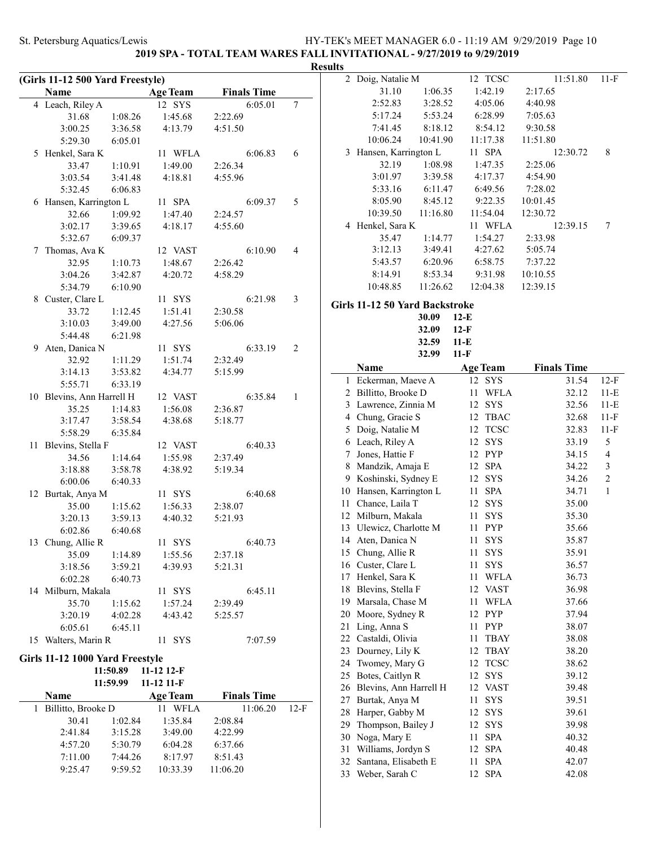### **2019 SPA - TOTAL TEAM WARES FALL INVITATIONAL - 9/27/2019 to 9/29/2019 Results**

| (Girls 11-12 500 Yard Freestyle) |                                 |          |                 |                    |        |  |  |  |
|----------------------------------|---------------------------------|----------|-----------------|--------------------|--------|--|--|--|
|                                  | Name                            |          | <b>Age Team</b> | <b>Finals Time</b> |        |  |  |  |
|                                  | 4 Leach, Riley A                |          | 12 SYS          | 6:05.01            | 7      |  |  |  |
|                                  | 31.68                           | 1:08.26  | 1:45.68         | 2:22.69            |        |  |  |  |
|                                  | 3:00.25                         | 3:36.58  | 4:13.79         | 4:51.50            |        |  |  |  |
|                                  | 5:29.30                         | 6:05.01  |                 |                    |        |  |  |  |
|                                  | 5 Henkel, Sara K                |          | 11 WFLA         | 6:06.83            | 6      |  |  |  |
|                                  | 33.47                           | 1:10.91  | 1:49.00         | 2:26.34            |        |  |  |  |
|                                  | 3:03.54                         | 3:41.48  | 4:18.81         | 4:55.96            |        |  |  |  |
|                                  | 5:32.45                         | 6:06.83  |                 |                    |        |  |  |  |
|                                  | 6 Hansen, Karrington L          |          | 11 SPA          | 6:09.37            | 5      |  |  |  |
|                                  | 32.66                           | 1:09.92  | 1:47.40         | 2:24.57            |        |  |  |  |
|                                  | 3:02.17                         | 3:39.65  | 4:18.17         | 4:55.60            |        |  |  |  |
|                                  | 5:32.67                         | 6:09.37  |                 |                    |        |  |  |  |
| 7                                | Thomas, Ava K                   |          | 12 VAST         | 6:10.90            | 4      |  |  |  |
|                                  | 32.95                           | 1:10.73  | 1:48.67         | 2:26.42            |        |  |  |  |
|                                  | 3:04.26                         | 3:42.87  | 4:20.72         | 4:58.29            |        |  |  |  |
|                                  | 5:34.79                         | 6:10.90  |                 |                    |        |  |  |  |
|                                  | 8 Custer, Clare L               |          | 11 SYS          | 6:21.98            | 3      |  |  |  |
|                                  | 33.72                           | 1:12.45  | 1:51.41         | 2:30.58            |        |  |  |  |
|                                  | 3:10.03                         | 3:49.00  | 4:27.56         | 5:06.06            |        |  |  |  |
|                                  | 5:44.48                         | 6:21.98  |                 |                    |        |  |  |  |
|                                  | 9 Aten, Danica N                |          | 11 SYS          | 6:33.19            | 2      |  |  |  |
|                                  | 32.92                           | 1:11.29  | 1:51.74         | 2:32.49            |        |  |  |  |
|                                  | 3:14.13                         | 3:53.82  | 4:34.77         | 5:15.99            |        |  |  |  |
|                                  | 5:55.71                         | 6:33.19  |                 |                    |        |  |  |  |
|                                  | 10 Blevins, Ann Harrell H       |          | 12 VAST         | 6:35.84            | 1      |  |  |  |
|                                  | 35.25                           | 1:14.83  | 1:56.08         | 2:36.87            |        |  |  |  |
|                                  | 3:17.47                         | 3:58.54  | 4:38.68         | 5:18.77            |        |  |  |  |
|                                  | 5:58.29                         | 6:35.84  |                 |                    |        |  |  |  |
| 11                               | Blevins, Stella F               |          | 12 VAST         | 6:40.33            |        |  |  |  |
|                                  | 34.56                           | 1:14.64  | 1:55.98         | 2:37.49            |        |  |  |  |
|                                  | 3:18.88                         | 3:58.78  | 4:38.92         | 5:19.34            |        |  |  |  |
|                                  | 6:00.06                         | 6:40.33  |                 |                    |        |  |  |  |
|                                  | 12 Burtak, Anya M               |          | 11 SYS          | 6:40.68            |        |  |  |  |
|                                  | 35.00                           | 1:15.62  | 1:56.33         | 2:38.07            |        |  |  |  |
|                                  | 3:20.13                         | 3:59.13  | 4:40.32         | 5:21.93            |        |  |  |  |
|                                  | 6:02.86                         | 6:40.68  |                 |                    |        |  |  |  |
|                                  | 13 Chung, Allie R               |          | 11 SYS          | 6:40.73            |        |  |  |  |
|                                  | 35.09                           | 1:14.89  | 1:55.56         | 2:37.18            |        |  |  |  |
|                                  | 3:18.56                         | 3:59.21  | 4:39.93         | 5:21.31            |        |  |  |  |
|                                  | 6:02.28                         | 6:40.73  |                 |                    |        |  |  |  |
| 14                               | Milburn, Makala                 |          | 11 SYS          | 6:45.11            |        |  |  |  |
|                                  | 35.70                           | 1:15.62  | 1:57.24         | 2:39.49            |        |  |  |  |
|                                  | 3:20.19                         | 4:02.28  | 4:43.42         | 5:25.57            |        |  |  |  |
|                                  | 6:05.61                         | 6:45.11  |                 |                    |        |  |  |  |
|                                  | 15 Walters, Marin R             |          | 11 SYS          | 7:07.59            |        |  |  |  |
|                                  |                                 |          |                 |                    |        |  |  |  |
|                                  | Girls 11-12 1000 Yard Freestyle |          |                 |                    |        |  |  |  |
|                                  |                                 | 11:50.89 | 11-12 12-F      |                    |        |  |  |  |
|                                  |                                 | 11:59.99 | 11-12 11-F      |                    |        |  |  |  |
|                                  | Name                            |          | <b>Age Team</b> | <b>Finals Time</b> |        |  |  |  |
| 1                                | Billitto, Brooke D              |          | 11 WFLA         | 11:06.20           | $12-F$ |  |  |  |
|                                  | 30.41                           | 1:02.84  | 1:35.84         | 2:08.84            |        |  |  |  |
|                                  | 2:41.84                         | 3:15.28  | 3:49.00         | 4:22.99            |        |  |  |  |
|                                  | 4:57.20                         | 5:30.79  | 6:04.28         | 6:37.66            |        |  |  |  |
|                                  | 7:11.00                         | 7:44.26  | 8:17.97         | 8:51.43            |        |  |  |  |
|                                  | 9:25.47                         | 9:59.52  | 10:33.39        | 11:06.20           |        |  |  |  |
|                                  |                                 |          |                 |                    |        |  |  |  |
|                                  |                                 |          |                 |                    |        |  |  |  |

| 2              | Doig, Natalie M                        | <b>TCSC</b><br>12             | 11:51.80           | 11-F           |
|----------------|----------------------------------------|-------------------------------|--------------------|----------------|
|                | 31.10<br>1:06.35                       | 1:42.19                       | 2:17.65            |                |
|                | 2:52.83<br>3:28.52                     | 4:05.06                       | 4:40.98            |                |
|                | 5:17.24<br>5:53.24                     | 6:28.99                       | 7:05.63            |                |
|                | 7:41.45<br>8:18.12                     | 8:54.12                       | 9:30.58            |                |
|                | 10:06.24<br>10:41.90                   | 11:17.38                      | 11:51.80           |                |
| 3              | Hansen, Karrington L                   | <b>SPA</b><br>11 -            | 12:30.72           | 8              |
|                | 32.19<br>1:08.98                       | 1:47.35                       | 2:25.06            |                |
|                | 3:01.97<br>3:39.58                     | 4:17.37                       | 4:54.90            |                |
|                | 5:33.16<br>6:11.47                     | 6:49.56                       | 7:28.02            |                |
|                | 8:45.12<br>8:05.90                     | 9:22.35                       | 10:01.45           |                |
|                | 10:39.50<br>11:16.80                   | 11:54.04                      | 12:30.72           |                |
|                | 4 Henkel, Sara K                       | 11 WFLA                       | 12:39.15           | 7              |
|                | 35.47<br>1:14.77                       | 1:54.27                       | 2:33.98            |                |
|                | 3:12.13<br>3:49.41                     | 4:27.62                       | 5:05.74            |                |
|                | 6:20.96<br>5:43.57                     | 6:58.75                       | 7:37.22            |                |
|                | 8:14.91<br>8:53.34                     | 9:31.98                       | 10:10.55           |                |
|                | 10:48.85<br>11:26.62                   | 12:04.38                      | 12:39.15           |                |
|                | Girls 11-12 50 Yard Backstroke         |                               |                    |                |
|                | 30.09                                  | $12-E$                        |                    |                |
|                | 32.09                                  | $12-F$                        |                    |                |
|                | 32.59                                  | $11-E$                        |                    |                |
|                | 32.99                                  | $11-F$                        |                    |                |
|                | Name                                   | <b>Age Team</b>               | <b>Finals Time</b> |                |
| 1              | Eckerman, Maeve A                      | 12<br>SYS                     | 31.54              | $12-F$         |
| 2              | Billitto, Brooke D                     | 11<br><b>WFLA</b>             | 32.12              | 11-E           |
| 3              | Lawrence, Zinnia M                     | 12 SYS                        | 32.56              | $11-E$         |
| $\overline{4}$ | Chung, Gracie S                        | 12 TBAC                       | 32.68              | $11-F$         |
| 5              | Doig, Natalie M                        | 12<br><b>TCSC</b>             | 32.83              | $11-F$         |
| 6              | Leach, Riley A                         | 12<br><b>SYS</b>              | 33.19              | 5              |
| 7              | Jones, Hattie F                        | 12 PYP                        | 34.15              | $\overline{4}$ |
| 8              | Mandzik, Amaja E                       | 12 SPA                        | 34.22              | 3              |
| 9              | Koshinski, Sydney E                    | <b>SYS</b><br>12              | 34.26              | $\mathfrak{2}$ |
| 10             | Hansen, Karrington L                   | <b>SPA</b><br>11              | 34.71              | $\mathbf{1}$   |
| 11             | Chance, Laila T                        | 12<br><b>SYS</b>              | 35.00              |                |
| 12             | Milburn, Makala                        | 11<br><b>SYS</b>              | 35.30              |                |
| 13             | Ulewicz, Charlotte M                   | <b>PYP</b><br>11              | 35.66              |                |
|                | 14 Aten, Danica N                      | 11<br><b>SYS</b>              | 35.87              |                |
|                | 15 Chung, Allie R                      | 11 SYS                        | 35.91              |                |
|                | 16 Custer, Clare L                     | 11<br>SYS                     | 36.57              |                |
|                | 17 Henkel, Sara K                      | 11<br><b>WFLA</b>             | 36.73              |                |
| 18             | Blevins, Stella F                      | 12 VAST                       | 36.98              |                |
| 19             | Marsala, Chase M                       | WFLA<br>11                    | 37.66              |                |
| 20             | Moore, Sydney R                        | PYP<br>12                     | 37.94              |                |
| 21             | Ling, Anna S                           | 11<br><b>PYP</b>              | 38.07              |                |
| 22             | Castaldi, Olivia                       | $_{\rm TBAY}$<br>11           | 38.08              |                |
| 23             | Dourney, Lily K                        | 12<br>TBAY                    | 38.20              |                |
| 24             | Twomey, Mary G                         | 12<br><b>TCSC</b>             | 38.62              |                |
| 25             | Botes, Caitlyn R                       | <b>SYS</b><br>12              | 39.12              |                |
| 26             | Blevins, Ann Harrell H                 | 12 VAST                       | 39.48              |                |
| 27             | Burtak, Anya M                         | 11<br>SYS                     | 39.51              |                |
| 28             | Harper, Gabby M                        | 12<br>SYS                     | 39.61              |                |
| 29             |                                        | SYS<br>12                     | 39.98              |                |
|                | Thompson, Bailey J                     |                               |                    |                |
| 30             | Noga, Mary E                           | 11<br>SPA                     | 40.32              |                |
| 31             | Williams, Jordyn S                     | <b>SPA</b><br>12              | 40.48              |                |
| 32<br>33       | Santana, Elisabeth E<br>Weber, Sarah C | SPA<br>11<br>12<br><b>SPA</b> | 42.07<br>42.08     |                |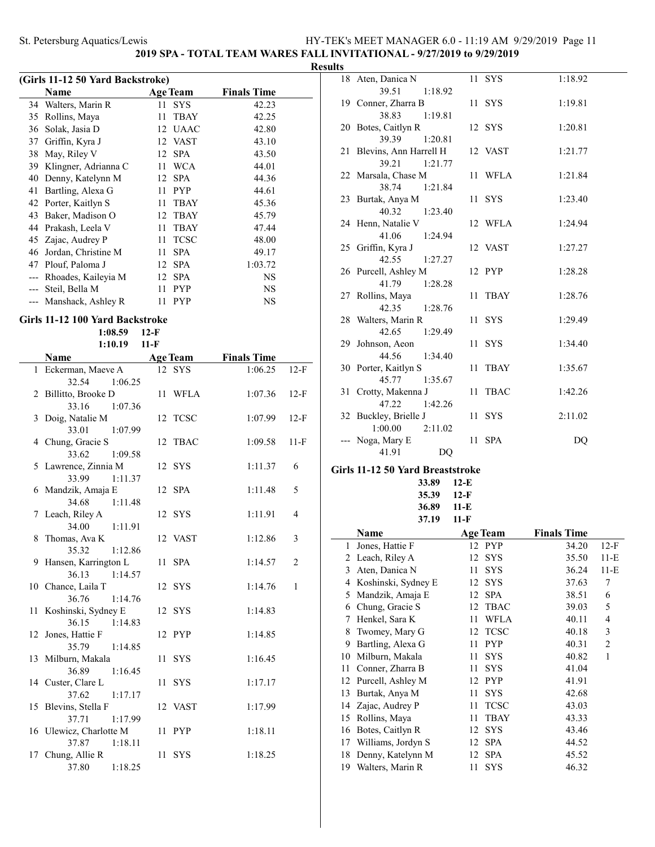### **2019 SPA - TOTAL TEAM WARES FALL INVITATIONAL - 9/27/2019 to 9/29/2019**

### **Results**

| (Girls 11-12 50 Yard Backstroke) |                      |    |                 |                    |  |  |  |  |
|----------------------------------|----------------------|----|-----------------|--------------------|--|--|--|--|
|                                  | Name                 |    | <b>Age Team</b> | <b>Finals Time</b> |  |  |  |  |
|                                  | 34 Walters, Marin R  | 11 | <b>SYS</b>      | 42.23              |  |  |  |  |
| 35                               | Rollins, Maya        | 11 | <b>TBAY</b>     | 42.25              |  |  |  |  |
| 36                               | Solak, Jasia D       |    | 12 UAAC         | 42.80              |  |  |  |  |
| 37                               | Griffin, Kyra J      |    | 12 VAST         | 43.10              |  |  |  |  |
| 38                               | May, Riley V         | 12 | <b>SPA</b>      | 43.50              |  |  |  |  |
| 39                               | Klingner, Adrianna C | 11 | <b>WCA</b>      | 44.01              |  |  |  |  |
| 40                               | Denny, Katelynn M    | 12 | <b>SPA</b>      | 44.36              |  |  |  |  |
| 41                               | Bartling, Alexa G    | 11 | <b>PYP</b>      | 44.61              |  |  |  |  |
| 42                               | Porter, Kaitlyn S    | 11 | <b>TBAY</b>     | 45.36              |  |  |  |  |
| 43                               | Baker, Madison O     | 12 | <b>TBAY</b>     | 45.79              |  |  |  |  |
| 44                               | Prakash, Leela V     | 11 | <b>TBAY</b>     | 47.44              |  |  |  |  |
|                                  | 45 Zajac, Audrey P   | 11 | <b>TCSC</b>     | 48.00              |  |  |  |  |
| 46                               | Jordan, Christine M  | 11 | <b>SPA</b>      | 49.17              |  |  |  |  |
| 47                               | Plouf, Paloma J      | 12 | <b>SPA</b>      | 1:03.72            |  |  |  |  |
| ---                              | Rhoades, Kaileyia M  | 12 | <b>SPA</b>      | NS                 |  |  |  |  |
|                                  | Steil, Bella M       | 11 | <b>PYP</b>      | NS                 |  |  |  |  |
|                                  | Manshack, Ashley R   | 11 | <b>PYP</b>      | NS                 |  |  |  |  |

### **Girls 11-12 100 Yard Backstroke**

|                             | 1:08.59       | $12-F$ |                 |                    |                |
|-----------------------------|---------------|--------|-----------------|--------------------|----------------|
|                             | 1:10.19       | $11-F$ |                 |                    |                |
| Name                        |               |        | <b>Age Team</b> | <b>Finals Time</b> |                |
| 1 Eckerman, Maeve A         |               |        | 12 SYS          | 1:06.25            | $12-F$         |
| 32.54                       | 1:06.25       |        |                 |                    |                |
| 2 Billitto, Brooke D        |               |        | 11 WFLA         | 1:07.36            | $12-F$         |
| 33.16                       | 1:07.36       |        |                 |                    |                |
| 3 Doig, Natalie M           |               |        | 12 TCSC         | 1:07.99            | $12-F$         |
| 33.01                       | 1:07.99       |        |                 |                    |                |
| 4 Chung, Gracie S           |               |        | 12 TBAC         | 1:09.58            | $11-F$         |
| 33.62                       | 1:09.58       |        |                 |                    |                |
| 5 Lawrence, Zinnia M        |               |        | 12 SYS          | 1:11.37            | 6              |
| 33.99                       | 1:11.37       |        |                 |                    |                |
| 6 Mandzik, Amaja E          |               |        | 12 SPA          | 1:11.48            | 5              |
| 34.68                       | 1:11.48       |        |                 |                    |                |
| 7 Leach, Riley A            |               |        | 12 SYS          | 1:11.91            | 4              |
| 34.00                       | 1:11.91       |        |                 |                    |                |
| 8 Thomas, Ava K             |               |        | 12 VAST         | 1:12.86            | 3              |
| 35.32                       | 1:12.86       |        |                 |                    |                |
| 9 Hansen, Karrington L      |               | 11 -   | <b>SPA</b>      | 1:14.57            | $\overline{2}$ |
| 36.13                       | 1:14.57       |        | 12 SYS          | 1:14.76            | $\mathbf{1}$   |
| 10 Chance, Laila T<br>36.76 | 1:14.76       |        |                 |                    |                |
| 11 Koshinski, Sydney E      |               |        | 12 SYS          | 1:14.83            |                |
| 36.15                       | 1:14.83       |        |                 |                    |                |
| 12 Jones, Hattie F          |               |        | 12 PYP          | 1:14.85            |                |
|                             | 35.79 1:14.85 |        |                 |                    |                |
| 13 Milburn, Makala          |               |        | 11 SYS          | 1:16.45            |                |
| 36.89                       | 1:16.45       |        |                 |                    |                |
| 14 Custer, Clare L          |               |        | 11 SYS          | 1:17.17            |                |
| 37.62                       | 1:17.17       |        |                 |                    |                |
| 15 Blevins, Stella F        |               |        | 12 VAST         | 1:17.99            |                |
| 37.71                       | 1:17.99       |        |                 |                    |                |
| 16 Ulewicz, Charlotte M     |               |        | 11 PYP          | 1:18.11            |                |
| 37.87                       | 1:18.11       |        |                 |                    |                |
| 17 Chung, Allie R           |               | 11     | <b>SYS</b>      | 1:18.25            |                |
| 37.80                       | 1:18.25       |        |                 |                    |                |

| 18 Aten, Danica N                      | 11 SYS  | 1:18.92 |
|----------------------------------------|---------|---------|
| 39.51<br>1:18.92                       |         |         |
| 19 Conner, Zharra B                    | 11 SYS  | 1:19.81 |
| 38.83<br>1:19.81                       |         |         |
| 20 Botes, Caitlyn R                    | 12 SYS  | 1:20.81 |
| 39.39 1:20.81                          |         |         |
| 21 Blevins, Ann Harrell H              | 12 VAST | 1:21.77 |
| 1:21.77<br>39.21                       |         |         |
| 22 Marsala, Chase M                    | 11 WFLA | 1:21.84 |
| 38.74<br>1:21.84                       |         |         |
| 23 Burtak, Anya M                      | 11 SYS  | 1:23.40 |
| 40.32<br>1:23.40                       |         |         |
| 24 Henn, Natalie V                     | 12 WFLA | 1:24.94 |
| 41.06<br>1:24.94                       | 12 VAST | 1:27.27 |
| 25 Griffin, Kyra J<br>42.55<br>1:27.27 |         |         |
| 26 Purcell, Ashley M                   | 12 PYP  | 1:28.28 |
| 41.79<br>1:28.28                       |         |         |
| 27 Rollins, Maya                       | 11 TBAY | 1:28.76 |
| 42.35 1:28.76                          |         |         |
| 28 Walters, Marin R                    | 11 SYS  | 1:29.49 |
| 42.65<br>1:29.49                       |         |         |
| 29 Johnson, Aeon                       | 11 SYS  | 1:34.40 |
| 44.56<br>1:34.40                       |         |         |
| 30 Porter, Kaitlyn S                   | 11 TBAY | 1:35.67 |
| 45.77<br>1:35.67                       |         |         |
| 31 Crotty, Makenna J                   | 11 TBAC | 1:42.26 |
| 47.22<br>1:42.26                       |         |         |
| 32 Buckley, Brielle J                  | 11 SYS  | 2:11.02 |
| $1:00.00$ $2:11.02$                    |         |         |
| --- Noga, Mary E                       | 11 SPA  | DQ      |
| 41.91<br>DQ                            |         |         |
| Girls 11-12 50 Yard Breaststroke       |         |         |

**33.89 12-E 35.39 12-F 36.89 11-E 37.19 11-F**

|    | Name                | <b>Age Team</b> |             | <b>Finals Time</b> |        |
|----|---------------------|-----------------|-------------|--------------------|--------|
| 1  | Jones, Hattie F     | 12 PYP          |             | 34.20              | $12-F$ |
| 2  | Leach, Riley A      | 12              | <b>SYS</b>  | 35.50              | $11-E$ |
| 3  | Aten, Danica N      | 11              | <b>SYS</b>  | 36.24              | $11-E$ |
| 4  | Koshinski, Sydney E | 12              | <b>SYS</b>  | 37.63              | 7      |
| 5  | Mandzik, Amaja E    | 12              | <b>SPA</b>  | 38.51              | 6      |
| 6  | Chung, Gracie S     | 12              | <b>TBAC</b> | 39.03              | 5      |
| 7  | Henkel, Sara K      | 11              | <b>WFLA</b> | 40.11              | 4      |
| 8  | Twomey, Mary G      | 12              | <b>TCSC</b> | 40.18              | 3      |
| 9  | Bartling, Alexa G   | 11              | <b>PYP</b>  | 40.31              | 2      |
| 10 | Milburn, Makala     | 11              | <b>SYS</b>  | 40.82              | 1      |
| 11 | Conner, Zharra B    | 11              | <b>SYS</b>  | 41.04              |        |
| 12 | Purcell, Ashley M   | 12              | <b>PYP</b>  | 41.91              |        |
| 13 | Burtak, Anya M      | 11              | <b>SYS</b>  | 42.68              |        |
| 14 | Zajac, Audrey P     | 11              | <b>TCSC</b> | 43.03              |        |
| 15 | Rollins, Maya       | 11              | <b>TBAY</b> | 43.33              |        |
| 16 | Botes, Caitlyn R    | 12              | <b>SYS</b>  | 43.46              |        |
| 17 | Williams, Jordyn S  | 12              | <b>SPA</b>  | 44.52              |        |
| 18 | Denny, Katelynn M   | 12              | <b>SPA</b>  | 45.52              |        |
| 19 | Walters, Marin R    | 11              | <b>SYS</b>  | 46.32              |        |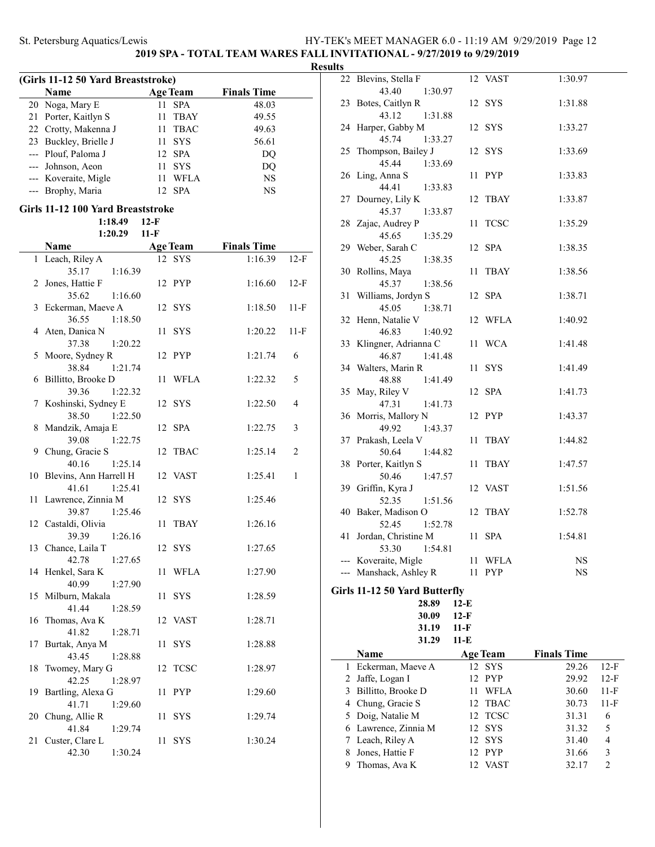### **2019 SPA - TOTAL TEAM WARES FALL INVITATIONAL - 9/27/2019 to 9/29/2019**

### **Results**

 $\overline{\phantom{0}}$ 

| (Girls 11-12 50 Yard Breaststroke) |                       |     |                 |                    |  |  |
|------------------------------------|-----------------------|-----|-----------------|--------------------|--|--|
|                                    | Name                  |     | <b>Age Team</b> | <b>Finals Time</b> |  |  |
|                                    | 20 Noga, Mary E       | 11  | <b>SPA</b>      | 48.03              |  |  |
|                                    | 21 Porter, Kaitlyn S  | 11. | TBAY            | 49.55              |  |  |
|                                    | 22 Crotty, Makenna J  | 11  | <b>TBAC</b>     | 49.63              |  |  |
|                                    | 23 Buckley, Brielle J | 11  | <b>SYS</b>      | 56.61              |  |  |
|                                    | --- Plouf, Paloma J   |     | 12 SPA          | DQ                 |  |  |
|                                    | --- Johnson, Aeon     | 11  | <b>SYS</b>      | DO                 |  |  |
|                                    | --- Koveraite, Migle  | 11  | <b>WFLA</b>     | <b>NS</b>          |  |  |
|                                    | --- Brophy, Maria     |     | <b>SPA</b>      | NS                 |  |  |

### **Girls 11-12 100 Yard Breaststroke**

**1:18.49 12-F 1:20.29 11-F**

|                | Name                          | Age Team          | <b>Finals Time</b> |                |
|----------------|-------------------------------|-------------------|--------------------|----------------|
| 1              | Leach, Riley A                | 12 SYS            | 1:16.39            | $12-F$         |
|                | 35.17<br>1:16.39              |                   |                    |                |
| $\overline{2}$ | Jones, Hattie F               | 12 PYP            | 1:16.60            | $12-F$         |
|                | 35.62<br>1:16.60              |                   |                    |                |
| 3              | Eckerman, Maeve A             | 12 SYS            | 1:18.50            | $11-F$         |
|                | 36.55<br>1:18.50              |                   |                    |                |
| 4              | Aten, Danica N                | <b>SYS</b><br>11  | 1:20.22            | $11-F$         |
|                | 37.38<br>1:20.22              |                   |                    |                |
| 5              | Moore, Sydney R               | 12 PYP            | 1:21.74            | 6              |
|                | 38.84<br>1:21.74              |                   |                    |                |
| 6              | Billitto, Brooke D            | <b>WFLA</b><br>11 | 1:22.32            | 5              |
|                | 39.36<br>1:22.32              |                   |                    |                |
| 7              | Koshinski, Sydney E           | 12 SYS            | 1:22.50            | 4              |
|                | 38.50<br>1:22.50              |                   |                    |                |
| 8              | Mandzik, Amaja E              | <b>SPA</b><br>12  | 1:22.75            | 3              |
|                | 39.08<br>1:22.75              |                   |                    |                |
|                | 9 Chung, Gracie S             | 12<br><b>TBAC</b> | 1:25.14            | $\overline{c}$ |
|                | 40.16<br>1:25.14              |                   |                    |                |
| 10             | Blevins, Ann Harrell H        | 12 VAST           | 1:25.41            | 1              |
|                | 41.61<br>1:25.41              |                   |                    |                |
| 11             | Lawrence, Zinnia M            | 12 SYS            | 1:25.46            |                |
|                | 39.87<br>1:25.46              |                   |                    |                |
|                | 12 Castaldi, Olivia<br>39.39  | 11<br>TBAY        | 1:26.16            |                |
|                | 1:26.16<br>13 Chance, Laila T | 12 SYS            | 1:27.65            |                |
|                | 42.78<br>1:27.65              |                   |                    |                |
| 14             | Henkel, Sara K                | 11<br>WFLA        | 1:27.90            |                |
|                | 40.99<br>1:27.90              |                   |                    |                |
| 15             | Milburn, Makala               | <b>SYS</b><br>11  | 1:28.59            |                |
|                | 41.44<br>1:28.59              |                   |                    |                |
| 16             | Thomas, Ava K                 | 12 VAST           | 1:28.71            |                |
|                | 41.82<br>1:28.71              |                   |                    |                |
| 17             | Burtak, Anya M                | <b>SYS</b><br>11  | 1:28.88            |                |
|                | 43.45<br>1:28.88              |                   |                    |                |
| 18             | Twomey, Mary G                | <b>TCSC</b><br>12 | 1:28.97            |                |
|                | 42.25<br>1:28.97              |                   |                    |                |
| 19             | Bartling, Alexa G             | <b>PYP</b><br>11  | 1:29.60            |                |
|                | 41.71<br>1:29.60              |                   |                    |                |
|                | 20 Chung, Allie R             | 11<br><b>SYS</b>  | 1:29.74            |                |
|                | 41.84<br>1:29.74              |                   |                    |                |
| 21             | Custer, Clare L               | 11<br><b>SYS</b>  | 1:30.24            |                |
|                | 42.30<br>1:30.24              |                   |                    |                |

| πэ  |                                             |        |            |         |
|-----|---------------------------------------------|--------|------------|---------|
|     | 22 Blevins, Stella F                        |        | 12 VAST    | 1:30.97 |
|     | 43.40<br>1:30.97                            |        |            |         |
|     | 23 Botes, Caitlyn R                         |        | 12 SYS     | 1:31.88 |
|     | 43.12<br>1:31.88                            |        |            |         |
|     | 24 Harper, Gabby M<br>45.74<br>1:33.27      |        | 12 SYS     | 1:33.27 |
| 25  | Thompson, Bailey J                          |        | 12 SYS     | 1:33.69 |
|     | 45.44<br>1:33.69                            |        |            |         |
|     | 26 Ling, Anna S                             |        | 11 PYP     | 1:33.83 |
|     | 44.41<br>1:33.83                            |        |            |         |
|     | 27 Dourney, Lily K                          |        | 12 TBAY    | 1:33.87 |
|     | 45.37<br>1:33.87                            |        |            |         |
|     | 28 Zajac, Audrey P                          |        | 11 TCSC    | 1:35.29 |
|     | 45.65<br>1:35.29                            |        |            |         |
|     | 29 Weber, Sarah C                           |        | 12 SPA     | 1:38.35 |
|     | 45.25<br>1:38.35                            |        |            |         |
|     | 30 Rollins, Maya                            |        | 11 TBAY    | 1:38.56 |
|     | 45.37<br>1:38.56                            |        |            |         |
|     | 31 Williams, Jordyn S                       |        | 12 SPA     | 1:38.71 |
|     | 45.05<br>1:38.71                            |        |            |         |
|     | 32 Henn, Natalie V                          |        | 12 WFLA    | 1:40.92 |
|     | 46.83<br>1:40.92<br>33 Klingner, Adrianna C |        |            | 1:41.48 |
|     | 46.87<br>1:41.48                            |        | 11 WCA     |         |
|     | 34 Walters, Marin R                         |        | 11 SYS     | 1:41.49 |
|     | 48.88<br>1:41.49                            |        |            |         |
|     | 35 May, Riley V                             |        | 12 SPA     | 1:41.73 |
|     | 47.31<br>1:41.73                            |        |            |         |
|     | 36 Morris, Mallory N                        |        | 12 PYP     | 1:43.37 |
|     | 1:43.37<br>49.92                            |        |            |         |
|     | 37 Prakash, Leela V                         |        | 11 TBAY    | 1:44.82 |
|     | 50.64<br>1:44.82                            |        |            |         |
|     | 38 Porter, Kaitlyn S                        |        | 11 TBAY    | 1:47.57 |
|     | 50.46 1:47.57                               |        |            |         |
|     | 39 Griffin, Kyra J                          |        | 12 VAST    | 1:51.56 |
|     | 52.35<br>1:51.56                            |        |            |         |
|     | 40 Baker, Madison O                         |        | 12 TBAY    | 1:52.78 |
|     | 52.45<br>1:52.78<br>41 Jordan, Christine M  |        | 11 SPA     | 1:54.81 |
|     | 53.30 1:54.81                               |        |            |         |
|     | --- Koveraite, Migle                        | 11     | WFLA       | NS      |
| --- | Manshack, Ashley R                          | 11     | <b>PYP</b> | NS      |
|     |                                             |        |            |         |
|     | Girls 11-12 50 Yard Butterfly               |        |            |         |
|     | 28.89                                       | $12-E$ |            |         |
|     | 30.09                                       | $12-F$ |            |         |
|     | 31.19                                       | 11-F   |            |         |

|   | 31.29                | 11-E              |                    |        |
|---|----------------------|-------------------|--------------------|--------|
|   | Name                 | <b>Age Team</b>   | <b>Finals Time</b> |        |
|   | 1 Eckerman, Maeve A  | 12 SYS            | 29.26              | $12-F$ |
|   | 2 Jaffe, Logan I     | 12 PYP            | 29.92              | $12-F$ |
| 3 | Billitto, Brooke D   | <b>WFLA</b><br>11 | 30.60              | $11-F$ |
|   | 4 Chung, Gracie S    | 12 TBAC           | 30.73              | $11-F$ |
|   | 5 Doig, Natalie M    | 12 TCSC           | 31.31              | 6      |
|   | 6 Lawrence, Zinnia M | 12 SYS            | 31.32              | 5      |
|   | 7 Leach, Riley A     | 12 SYS            | 31.40              | 4      |
| 8 | Jones, Hattie F      | 12 PYP            | 31.66              | 3      |
| 9 | Thomas, Ava K        | VAST              | 32.17              | 2      |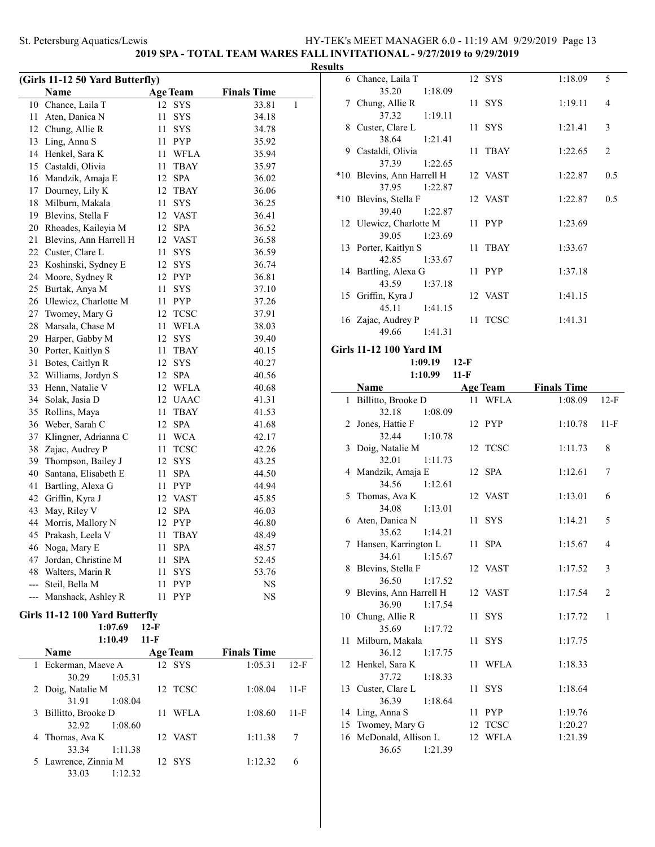### **2019 SPA - TOTAL TEAM WARES FALL INVITATIONAL - 9/27/2019 to 9/29/2019**

| (Girls 11-12 50 Yard Butterfly) |                                |    |                 |                    |   |  |  |  |
|---------------------------------|--------------------------------|----|-----------------|--------------------|---|--|--|--|
|                                 | Name                           |    | <b>Age Team</b> | <b>Finals Time</b> |   |  |  |  |
| 10                              | Chance, Laila T                | 12 | SYS             | 33.81              | 1 |  |  |  |
| 11                              | Aten, Danica N                 | 11 | SYS             | 34.18              |   |  |  |  |
| 12                              | Chung, Allie R                 | 11 | <b>SYS</b>      | 34.78              |   |  |  |  |
| 13                              | Ling, Anna S                   | 11 | PYP             | 35.92              |   |  |  |  |
| 14                              | Henkel, Sara K                 | 11 | WFLA            | 35.94              |   |  |  |  |
|                                 | 15 Castaldi, Olivia            | 11 | TBAY            | 35.97              |   |  |  |  |
| 16                              | Mandzik, Amaja E               | 12 | <b>SPA</b>      | 36.02              |   |  |  |  |
| 17                              | Dourney, Lily K                | 12 | <b>TBAY</b>     | 36.06              |   |  |  |  |
| 18                              | Milburn, Makala                | 11 | <b>SYS</b>      | 36.25              |   |  |  |  |
| 19                              | Blevins, Stella F              |    | 12 VAST         | 36.41              |   |  |  |  |
| 20                              | Rhoades, Kaileyia M            | 12 | <b>SPA</b>      | 36.52              |   |  |  |  |
| 21                              | Blevins, Ann Harrell H         | 12 | <b>VAST</b>     | 36.58              |   |  |  |  |
| 22                              | Custer, Clare L                | 11 | SYS             | 36.59              |   |  |  |  |
| 23                              | Koshinski, Sydney E            | 12 | SYS             | 36.74              |   |  |  |  |
| 24                              | Moore, Sydney R                |    | 12 PYP          | 36.81              |   |  |  |  |
| 25                              | Burtak, Anya M                 | 11 | <b>SYS</b>      | 37.10              |   |  |  |  |
| 26                              | Ulewicz, Charlotte M           | 11 | PYP             | 37.26              |   |  |  |  |
| 27                              | Twomey, Mary G                 | 12 | <b>TCSC</b>     | 37.91              |   |  |  |  |
| 28                              | Marsala, Chase M               | 11 | WFLA            | 38.03              |   |  |  |  |
| 29                              | Harper, Gabby M                | 12 | SYS             | 39.40              |   |  |  |  |
| 30                              | Porter, Kaitlyn S              | 11 | <b>TBAY</b>     | 40.15              |   |  |  |  |
| 31                              | Botes, Caitlyn R               | 12 | SYS             | 40.27              |   |  |  |  |
| 32                              | Williams, Jordyn S             | 12 | <b>SPA</b>      | 40.56              |   |  |  |  |
| 33                              | Henn, Natalie V                | 12 | WFLA            | 40.68              |   |  |  |  |
| 34                              | Solak, Jasia D                 | 12 | <b>UAAC</b>     | 41.31              |   |  |  |  |
| 35                              | Rollins, Maya                  | 11 | TBAY            | 41.53              |   |  |  |  |
| 36                              | Weber, Sarah C                 | 12 | <b>SPA</b>      | 41.68              |   |  |  |  |
| 37                              | Klingner, Adrianna C           | 11 | <b>WCA</b>      | 42.17              |   |  |  |  |
| 38                              | Zajac, Audrey P                | 11 | <b>TCSC</b>     | 42.26              |   |  |  |  |
| 39                              | Thompson, Bailey J             | 12 | SYS             | 43.25              |   |  |  |  |
| 40                              | Santana, Elisabeth E           | 11 | <b>SPA</b>      | 44.50              |   |  |  |  |
| 41                              | Bartling, Alexa G              | 11 | <b>PYP</b>      | 44.94              |   |  |  |  |
| 42                              | Griffin, Kyra J                |    | 12 VAST         | 45.85              |   |  |  |  |
| 43                              | May, Riley V                   | 12 | <b>SPA</b>      | 46.03              |   |  |  |  |
| 44                              | Morris, Mallory N              | 12 | PYP             | 46.80              |   |  |  |  |
| 45                              | Prakash, Leela V               | 11 | TBAY            | 48.49              |   |  |  |  |
| 46                              | Noga, Mary E                   | 11 | <b>SPA</b>      | 48.57              |   |  |  |  |
| 47                              | Jordan, Christine M            | 11 | <b>SPA</b>      | 52.45              |   |  |  |  |
| 48                              | Walters, Marin R               | 11 | <b>SYS</b>      | 53.76              |   |  |  |  |
| ---                             | Steil, Bella M                 | 11 | PYP             | NS                 |   |  |  |  |
| ---                             | Manshack, Ashley R             | 11 | PYP             | NS                 |   |  |  |  |
|                                 | Girls 11-12 100 Yard Butterfly |    |                 |                    |   |  |  |  |
|                                 | 1:07.69<br>$12-F$              |    |                 |                    |   |  |  |  |

| 1:10.49              | 11-F            |                    |        |
|----------------------|-----------------|--------------------|--------|
| Name                 | <b>Age Team</b> | <b>Finals Time</b> |        |
| 1 Eckerman, Maeve A  | 12 SYS          | 1:05.31            | $12-F$ |
| 30.29                | 1:05.31         |                    |        |
| 2 Doig, Natalie M    | 12 TCSC         | 1:08.04            | 11-F   |
| 31.91                | 1:08.04         |                    |        |
| 3 Billitto, Brooke D | WFLA            | 1:08.60            | 11-F   |
| 32.92                | 1:08.60         |                    |        |
| 4 Thomas, Ava K      | 12 VAST         | 1:11.38            |        |
| 33.34                | 1:11.38         |                    |        |
| 5 Lawrence, Zinnia M | 12 SYS          | 1:12.32            | 6      |
| 33.03                | 1:12.32         |                    |        |

| <b>Results</b> |                                    |          |         |                |
|----------------|------------------------------------|----------|---------|----------------|
|                | 6 Chance, Laila T                  | 12 SYS   | 1:18.09 | 5              |
|                | 35.20 1:18.09                      |          |         |                |
|                | 7 Chung, Allie R                   | 11 SYS   | 1:19.11 | $\overline{4}$ |
|                | 37.32 1:19.11                      |          |         |                |
|                | 8 Custer, Clare L                  | 11 SYS   | 1:21.41 | 3              |
|                | 38.64 1:21.41                      |          |         |                |
|                | 9 Castaldi, Olivia                 | 11 TBAY  | 1:22.65 | 2              |
|                | 37.39 1:22.65                      |          |         |                |
|                | *10 Blevins, Ann Harrell H 12 VAST |          | 1:22.87 | 0.5            |
|                | 37.95 1:22.87                      |          |         |                |
|                | *10 Blevins, Stella F              | 12 VAST  | 1:22.87 | 0.5            |
|                | 39.40 1:22.87                      |          |         |                |
|                | 12 Ulewicz, Charlotte M            | $11$ PYP | 1:23.69 |                |
|                | 39.05 1:23.69                      |          |         |                |
|                | 13 Porter, Kaitlyn S               | 11 TBAY  | 1:33.67 |                |
|                | 42.85 1:33.67                      |          |         |                |
|                | 14 Bartling, Alexa G               | 11 PYP   | 1:37.18 |                |
|                | 43.59 1:37.18                      |          |         |                |
|                | 15 Griffin, Kyra J                 | 12 VAST  | 1:41.15 |                |
|                | 45.11 1:41.15                      |          |         |                |
|                | 16 Zajac, Audrey P                 | 11 TCSC  | 1:41.31 |                |
|                | 49.66 1:41.31                      |          |         |                |

**Girls 11-12 100 Yard IM**

#### **1:09.19 12-F 1:10.99 11-F**

|    | Name                                                                                                                                                                                                                                                                                                                      | <b>Age Team</b>                                                                            | <b>Finals Time</b>                                                                   |                                |
|----|---------------------------------------------------------------------------------------------------------------------------------------------------------------------------------------------------------------------------------------------------------------------------------------------------------------------------|--------------------------------------------------------------------------------------------|--------------------------------------------------------------------------------------|--------------------------------|
|    | 1 Billitto, Brooke D                                                                                                                                                                                                                                                                                                      | 11 WFLA                                                                                    | 1:08.09                                                                              | $12-F$                         |
|    | 32.18<br>1:08.09                                                                                                                                                                                                                                                                                                          |                                                                                            |                                                                                      |                                |
|    | 2 Jones, Hattie F                                                                                                                                                                                                                                                                                                         | 12 PYP                                                                                     | 1:10.78                                                                              | $11-F$                         |
|    | 32.44<br>1:10.78                                                                                                                                                                                                                                                                                                          |                                                                                            |                                                                                      |                                |
|    | 3 Doig, Natalie M                                                                                                                                                                                                                                                                                                         | 12 TCSC                                                                                    | 1:11.73                                                                              | 8                              |
|    | 32.01<br>1:11.73                                                                                                                                                                                                                                                                                                          |                                                                                            |                                                                                      |                                |
|    | 4 Mandzik, Amaja E                                                                                                                                                                                                                                                                                                        | 12 SPA                                                                                     | 1:12.61                                                                              | 7                              |
|    | 34.56 1:12.61                                                                                                                                                                                                                                                                                                             |                                                                                            |                                                                                      |                                |
|    | 5 Thomas, Ava K                                                                                                                                                                                                                                                                                                           | 12 VAST                                                                                    | 1:13.01                                                                              | 6                              |
|    | 34.08<br>1:13.01                                                                                                                                                                                                                                                                                                          |                                                                                            |                                                                                      |                                |
|    | 6 Aten, Danica N                                                                                                                                                                                                                                                                                                          | 11 SYS                                                                                     | 1:14.21                                                                              | 5                              |
|    | 35.62<br>1:14.21                                                                                                                                                                                                                                                                                                          |                                                                                            |                                                                                      |                                |
|    | 7 Hansen, Karrington L                                                                                                                                                                                                                                                                                                    | 11 SPA                                                                                     | 1:15.67                                                                              | 4                              |
|    | 34.61<br>1:15.67                                                                                                                                                                                                                                                                                                          |                                                                                            |                                                                                      |                                |
|    | 8 Blevins, Stella F                                                                                                                                                                                                                                                                                                       | 12 VAST                                                                                    | 1:17.52                                                                              | 3                              |
|    |                                                                                                                                                                                                                                                                                                                           |                                                                                            |                                                                                      |                                |
|    |                                                                                                                                                                                                                                                                                                                           |                                                                                            |                                                                                      |                                |
|    |                                                                                                                                                                                                                                                                                                                           |                                                                                            |                                                                                      |                                |
|    |                                                                                                                                                                                                                                                                                                                           |                                                                                            |                                                                                      |                                |
|    |                                                                                                                                                                                                                                                                                                                           |                                                                                            |                                                                                      |                                |
|    |                                                                                                                                                                                                                                                                                                                           |                                                                                            |                                                                                      |                                |
|    |                                                                                                                                                                                                                                                                                                                           |                                                                                            |                                                                                      |                                |
|    |                                                                                                                                                                                                                                                                                                                           |                                                                                            |                                                                                      |                                |
|    |                                                                                                                                                                                                                                                                                                                           |                                                                                            |                                                                                      |                                |
|    |                                                                                                                                                                                                                                                                                                                           |                                                                                            |                                                                                      |                                |
|    |                                                                                                                                                                                                                                                                                                                           |                                                                                            |                                                                                      |                                |
|    |                                                                                                                                                                                                                                                                                                                           |                                                                                            |                                                                                      |                                |
|    |                                                                                                                                                                                                                                                                                                                           |                                                                                            |                                                                                      |                                |
|    |                                                                                                                                                                                                                                                                                                                           |                                                                                            |                                                                                      |                                |
| 16 | 36.50<br>1:17.52<br>9 Blevins, Ann Harrell H<br>36.90<br>1:17.54<br>10 Chung, Allie R<br>35.69<br>1:17.72<br>11 Milburn, Makala<br>36.12<br>1:17.75<br>12 Henkel, Sara K<br>37.72<br>1:18.33<br>13 Custer, Clare L<br>36.39<br>1:18.64<br>14 Ling, Anna S<br>15 Twomey, Mary G<br>McDonald, Allison L<br>36.65<br>1:21.39 | 12 VAST<br>11 SYS<br>11 SYS<br>11 WFLA<br>11 SYS<br>11 PYP<br>12 TCSC<br><b>WFLA</b><br>12 | 1:17.54<br>1:17.72<br>1:17.75<br>1:18.33<br>1:18.64<br>1:19.76<br>1:20.27<br>1:21.39 | $\overline{2}$<br>$\mathbf{1}$ |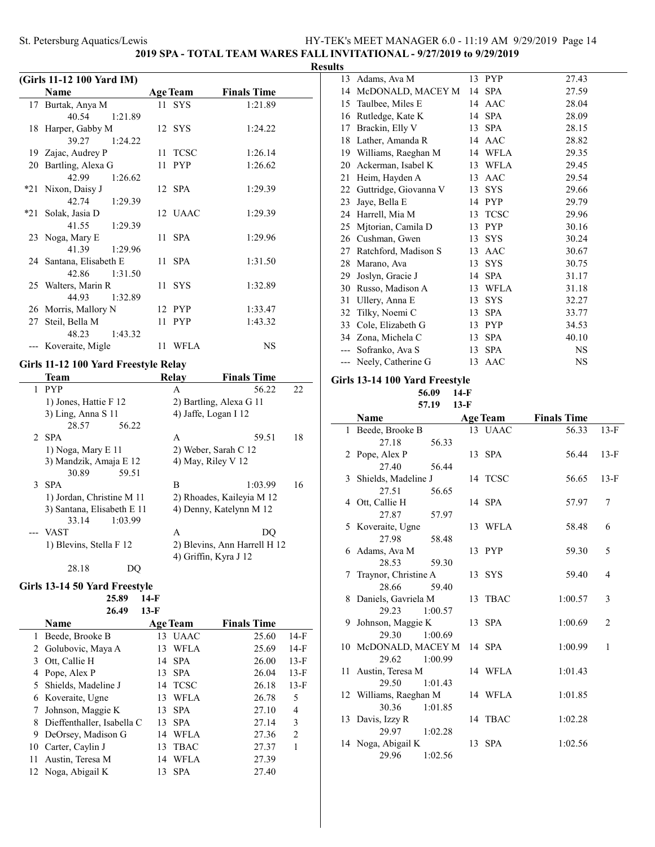**2019 SPA - TOTAL TEAM WARES FALL INVITATIONAL - 9/27/2019 to 9/29/2019**

| Results |  |
|---------|--|
|         |  |

|    | (Girls 11-12 100 Yard IM) |                 |                    |
|----|---------------------------|-----------------|--------------------|
|    | Name                      | <b>Age Team</b> | <b>Finals Time</b> |
|    | 17 Burtak, Anya M         | 11 SYS          | 1:21.89            |
|    | 40.54<br>1:21.89          |                 |                    |
|    | 18 Harper, Gabby M        | 12 SYS          | 1:24.22            |
|    | 39.27<br>1:24.22          |                 |                    |
|    | 19 Zajac, Audrey P        | 11 TCSC         | 1:26.14            |
| 20 | Bartling, Alexa G         | 11 PYP          | 1:26.62            |
|    | 42.99<br>1:26.62          |                 |                    |
|    | *21 Nixon, Daisy J        | 12 SPA          | 1:29.39            |
|    | 42.74<br>1:29.39          |                 |                    |
|    | *21 Solak, Jasia D        | 12 UAAC         | 1:29.39            |
|    | 41.55<br>1:29.39          |                 |                    |
|    | 23 Noga, Mary E           | 11 SPA          | 1:29.96            |
|    | 41.39<br>1:29.96          |                 |                    |
|    | 24 Santana, Elisabeth E   | $11$ SPA        | 1:31.50            |
|    | 42.86<br>1:31.50          |                 |                    |
|    | 25 Walters, Marin R       | 11 SYS          | 1:32.89            |
|    | 44.93<br>1:32.89          |                 |                    |
|    | 26 Morris, Mallory N      | 12 PYP          | 1:33.47            |
| 27 | Steil, Bella M            | 11 PYP          | 1:43.32            |
|    | 1:43.32<br>48.23          |                 |                    |
|    | --- Koveraite, Migle      | 11 WFLA         | <b>NS</b>          |

### **Girls 11-12 100 Yard Freestyle Relay**

|   | Team                       | Relay | <b>Finals Time</b>           |    |
|---|----------------------------|-------|------------------------------|----|
| 1 | <b>PYP</b>                 | A     | 56.22                        | 22 |
|   | 1) Jones, Hattie F 12      |       | 2) Bartling, Alexa G 11      |    |
|   | $3)$ Ling, Anna S 11       |       | 4) Jaffe, Logan I 12         |    |
|   | 28.57<br>56.22             |       |                              |    |
|   | 2 SPA                      | A     | 59.51                        | 18 |
|   | 1) Noga, Mary $E$ 11       |       | 2) Weber, Sarah C 12         |    |
|   | 3) Mandzik, Amaja E 12     |       | 4) May, Riley V $12$         |    |
|   | 30.89<br>59.51             |       |                              |    |
|   | 3 SPA                      | В     | 1:03.99                      | 16 |
|   | 1) Jordan, Christine M 11  |       | 2) Rhoades, Kaileyia M 12    |    |
|   | 3) Santana, Elisabeth E 11 |       | 4) Denny, Katelynn M 12      |    |
|   | 1:03.99<br>33.14           |       |                              |    |
|   | --- VAST                   | A     | DO                           |    |
|   | 1) Blevins, Stella F 12    |       | 2) Blevins, Ann Harrell H 12 |    |
|   |                            |       | 4) Griffin, Kyra J 12        |    |
|   | 28.18                      |       |                              |    |

### **Girls 13-14 50 Yard Freestyle**

**25.89 14-F**

|             | 26.49 | $13-F$          |                    |
|-------------|-------|-----------------|--------------------|
| <b>Name</b> |       | <b>Age Team</b> | <b>Finals Time</b> |

|   | 1 Beede, Brooke B            | 13 | <b>UAAC</b> | 25.60 | $14-F$ |
|---|------------------------------|----|-------------|-------|--------|
|   | 2 Golubovic, Maya A          | 13 | WFLA        | 25.69 | $14-F$ |
| 3 | Ott, Callie H                | 14 | <b>SPA</b>  | 26.00 | $13-F$ |
|   | 4 Pope, Alex P               | 13 | <b>SPA</b>  | 26.04 | $13-F$ |
|   | 5 Shields, Madeline J        | 14 | <b>TCSC</b> | 26.18 | $13-F$ |
|   | 6 Koveraite, Ugne            | 13 | WFLA        | 26.78 | 5      |
| 7 | Johnson, Maggie K            | 13 | <b>SPA</b>  | 27.10 | 4      |
|   | 8 Dieffenthaller, Isabella C | 13 | <b>SPA</b>  | 27.14 | 3      |
|   | 9 DeOrsey, Madison G         | 14 | WFLA        | 27.36 | 2      |
|   | 10 Carter, Caylin J          | 13 | <b>TBAC</b> | 27.37 |        |
|   | 11 Austin, Teresa M          | 14 | WFLA        | 27.39 |        |
|   | 12 Noga, Abigail K           | 13 | <b>SPA</b>  | 27.40 |        |
|   |                              |    |             |       |        |

| 13 | Adams, Ava M          |    | 13 PYP      | 27.43 |
|----|-----------------------|----|-------------|-------|
| 14 | McDONALD, MACEY M     |    | 14 SPA      | 27.59 |
| 15 | Taulbee, Miles E      | 14 | AAC         | 28.04 |
| 16 | Rutledge, Kate K      | 14 | <b>SPA</b>  | 28.09 |
| 17 | Brackin, Elly V       | 13 | <b>SPA</b>  | 28.15 |
| 18 | Lather, Amanda R      |    | 14 AAC      | 28.82 |
| 19 | Williams, Raeghan M   | 14 | WFLA        | 29.35 |
| 20 | Ackerman, Isabel K    |    | 13 WFLA     | 29.45 |
| 21 | Heim, Hayden A        |    | 13 AAC      | 29.54 |
| 22 | Guttridge, Giovanna V | 13 | <b>SYS</b>  | 29.66 |
| 23 | Jaye, Bella E         | 14 | <b>PYP</b>  | 29.79 |
| 24 | Harrell, Mia M        | 13 | <b>TCSC</b> | 29.96 |
| 25 | Mitorian, Camila D    | 13 | <b>PYP</b>  | 30.16 |
| 26 | Cushman, Gwen         | 13 | <b>SYS</b>  | 30.24 |
| 27 | Ratchford, Madison S  | 13 | AAC         | 30.67 |
| 28 | Marano, Ava           | 13 | <b>SYS</b>  | 30.75 |
| 29 | Joslyn, Gracie J      | 14 | <b>SPA</b>  | 31.17 |
| 30 | Russo, Madison A      | 13 | WFLA        | 31.18 |
| 31 | Ullery, Anna E        | 13 | <b>SYS</b>  | 32.27 |
| 32 | Tilky, Noemi C        | 13 | <b>SPA</b>  | 33.77 |
| 33 | Cole, Elizabeth G     | 13 | <b>PYP</b>  | 34.53 |
|    | 34 Zona, Michela C    | 13 | <b>SPA</b>  | 40.10 |
|    | Sofranko, Ava S       | 13 | <b>SPA</b>  | NS    |
|    | Neely, Catherine G    | 13 | AAC         | NS    |
|    |                       |    |             |       |

### **Girls 13-14 100 Yard Freestyle**

**56.09 14-F**

| Name                   | <b>Age Team</b> | <b>Finals Time</b> |        |
|------------------------|-----------------|--------------------|--------|
| 1 Beede, Brooke B      | 13 UAAC         | 56.33              | $13-F$ |
| 27.18<br>56.33         |                 |                    |        |
| 2 Pope, Alex P         | 13 SPA          | 56.44              | $13-F$ |
| 27.40<br>56.44         |                 |                    |        |
| 3 Shields, Madeline J  | 14 TCSC         | 56.65              | $13-F$ |
| 27.51<br>56.65         |                 |                    |        |
| 4 Ott, Callie H        | 14 SPA          | 57.97              | 7      |
| 27.87<br>57.97         |                 |                    |        |
| 5 Koveraite, Ugne      | 13 WFLA         | 58.48              | 6      |
| 27.98<br>58.48         |                 |                    |        |
| 6 Adams, Ava M         | 13 PYP          | 59.30              | 5      |
| 28.53<br>59.30         |                 |                    |        |
| 7 Traynor, Christine A | 13 SYS          | 59.40              | 4      |
| 28.66<br>59.40         |                 |                    |        |
| 8 Daniels, Gavriela M  | 13 TBAC         | 1:00.57            | 3      |
| 1:00.57<br>29.23       |                 |                    |        |
| 9 Johnson, Maggie K    | 13 SPA          | 1:00.69            | 2      |
| 29.30<br>1:00.69       |                 |                    |        |
| 10 McDONALD, MACEY M   | 14 SPA          | 1:00.99            | 1      |
| 1:00.99<br>29.62       |                 |                    |        |
| 11 Austin, Teresa M    | 14 WFLA         | 1:01.43            |        |
| 29.50<br>1:01.43       |                 |                    |        |
| 12 Williams, Raeghan M | 14 WFLA         | 1:01.85            |        |
| 30.36<br>1:01.85       |                 |                    |        |
| 13 Davis, Izzy R       | 14 TBAC         | 1:02.28            |        |
| 29.97<br>1:02.28       |                 |                    |        |
| 14 Noga, Abigail K     | 13 SPA          | 1:02.56            |        |
| 29.96<br>1:02.56       |                 |                    |        |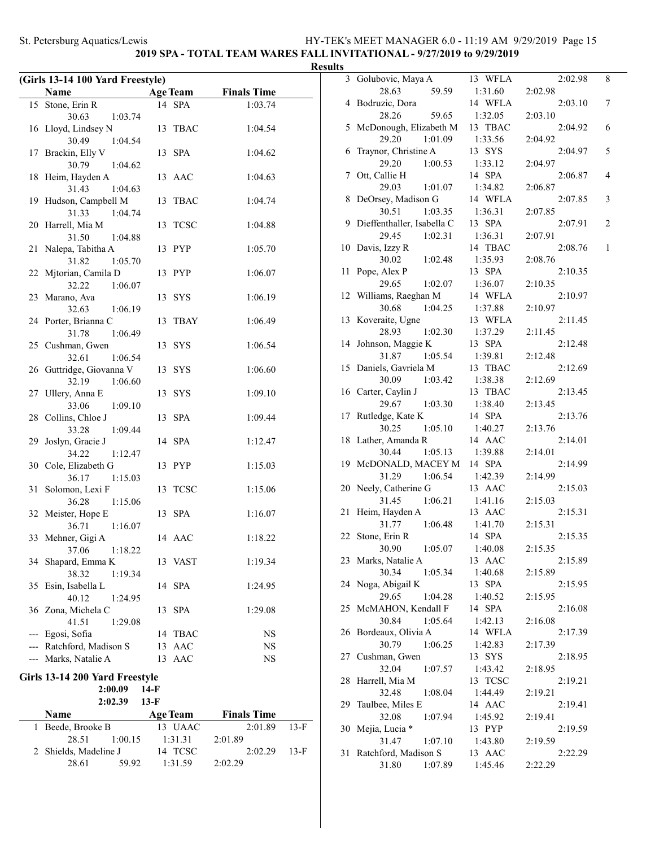**2019 SPA - TOTAL TEAM WARES FALL INVITATIONAL - 9/27/2019 to 9/29/2019**

# **Results**

|    | (Girls 13-14 100 Yard Freestyle) |        |                 |                    |        |
|----|----------------------------------|--------|-----------------|--------------------|--------|
|    | Name                             |        | <b>Age Team</b> | <b>Finals Time</b> |        |
|    | 15 Stone, Erin R                 |        | 14 SPA          | 1:03.74            |        |
|    | 30.63<br>1:03.74                 |        |                 |                    |        |
|    | 16 Lloyd, Lindsey N              |        | 13 TBAC         | 1:04.54            |        |
|    | 30.49<br>1:04.54                 |        |                 |                    |        |
|    | 17 Brackin, Elly V               |        | 13 SPA          | 1:04.62            |        |
|    | 30.79<br>1:04.62                 |        |                 |                    |        |
|    | 18 Heim, Hayden A                |        | 13 AAC          | 1:04.63            |        |
|    | 31.43<br>1:04.63                 |        |                 |                    |        |
|    | 19 Hudson, Campbell M            | 13     | TBAC            | 1:04.74            |        |
|    | 31.33<br>1:04.74                 |        |                 |                    |        |
|    | 20 Harrell, Mia M                |        | 13 TCSC         | 1:04.88            |        |
|    | 31.50<br>1:04.88                 |        |                 |                    |        |
| 21 | Nalepa, Tabitha A                |        | 13 PYP          | 1:05.70            |        |
|    | 31.82<br>1:05.70                 |        |                 |                    |        |
| 22 | Mjtorian, Camila D               |        | 13 PYP          | 1:06.07            |        |
|    | 32.22<br>1:06.07                 |        |                 |                    |        |
| 23 | Marano, Ava                      |        | 13 SYS          | 1:06.19            |        |
|    | 32.63<br>1:06.19                 |        |                 |                    |        |
|    | 24 Porter, Brianna C             | 13     | TBAY            | 1:06.49            |        |
|    | 1:06.49<br>31.78                 |        |                 |                    |        |
|    | 25 Cushman, Gwen                 |        | 13 SYS          | 1:06.54            |        |
|    | 32.61<br>1:06.54                 |        |                 |                    |        |
|    | 26 Guttridge, Giovanna V         |        | 13 SYS          | 1:06.60            |        |
|    | 32.19<br>1:06.60                 |        |                 |                    |        |
|    | 27 Ullery, Anna E                |        | 13 SYS          | 1:09.10            |        |
|    | 33.06<br>1:09.10                 |        |                 |                    |        |
|    | 28 Collins, Chloe J              | 13     | <b>SPA</b>      | 1:09.44            |        |
|    | 33.28<br>1:09.44                 |        |                 |                    |        |
| 29 | Joslyn, Gracie J                 |        | 14 SPA          | 1:12.47            |        |
|    | 34.22<br>1:12.47                 |        |                 |                    |        |
| 30 | Cole, Elizabeth G                |        | 13 PYP          | 1:15.03            |        |
|    | 36.17<br>1:15.03                 |        |                 |                    |        |
| 31 | Solomon, Lexi F                  |        | 13 TCSC         | 1:15.06            |        |
|    | 36.28<br>1:15.06                 |        |                 |                    |        |
|    | 32 Meister, Hope E               | 13     | <b>SPA</b>      | 1:16.07            |        |
|    | 36.71<br>1:16.07                 |        |                 |                    |        |
|    | 33 Mehner, Gigi A                |        | 14 AAC          | 1:18.22            |        |
|    | 37.06 1:18.22                    |        |                 |                    |        |
| 34 | Shapard, Emma K                  |        | 13 VAST         | 1:19.34            |        |
|    | 38.32<br>1:19.34                 |        |                 |                    |        |
| 35 | Esin, Isabella L                 |        | 14 SPA          | 1:24.95            |        |
|    | 40.12<br>1:24.95                 |        |                 |                    |        |
|    | 36 Zona, Michela C               | 13     | <b>SPA</b>      | 1:29.08            |        |
|    | 41.51<br>1:29.08                 |        |                 |                    |        |
|    | --- Egosi, Sofia                 |        | 14 TBAC         | NS                 |        |
|    | --- Ratchford, Madison S         |        | 13 AAC          | NS                 |        |
|    | --- Marks, Natalie A             | 13     | AAC             | NS                 |        |
|    | Girls 13-14 200 Yard Freestyle   |        |                 |                    |        |
|    | 2:00.09                          | $14-F$ |                 |                    |        |
|    | 2:02.39                          | $13-F$ |                 |                    |        |
|    | Name                             |        | <b>Age Team</b> | <b>Finals Time</b> |        |
| 1  | Beede, Brooke B                  |        | 13 UAAC         | 2:01.89            | $13-F$ |
|    | 28.51<br>1:00.15                 |        | 1:31.31         | 2:01.89            |        |
| 2  | Shields, Madeline J              | 14     | <b>TCSC</b>     | 2:02.29            | $13-F$ |
|    |                                  |        |                 |                    |        |

28.61 59.92 1:31.59 2:02.29

| 3  | Golubovic, Maya A            | 13 WFLA           | 2:02.98            | 8              |
|----|------------------------------|-------------------|--------------------|----------------|
|    | 28.63<br>59.59               | 1:31.60           | 2:02.98            |                |
| 4  | Bodruzic, Dora               | 14 WFLA           | 2:03.10            | 7              |
|    | 28.26<br>59.65               | 1:32.05           | 2:03.10            |                |
| 5  | McDonough, Elizabeth M       | 13 TBAC           | 2:04.92            | 6              |
|    | 29.20<br>1:01.09             | 1:33.56           | 2:04.92            |                |
| 6  | Traynor, Christine A         | 13 SYS            | 2:04.97            | 5              |
|    | 29.20<br>1:00.53             | 1:33.12           | 2:04.97            |                |
|    | Ott, Callie H                | 14 SPA            | 2:06.87            | 4              |
| 7  |                              |                   |                    |                |
|    | 29.03<br>1:01.07             | 1:34.82           | 2:06.87            |                |
| 8  | DeOrsey, Madison G           | 14 WFLA           | 2:07.85            | 3              |
|    | 30.51<br>1:03.35             | 1:36.31           | 2:07.85            |                |
| 9  | Dieffenthaller, Isabella C   | 13 SPA            | 2:07.91            | $\overline{c}$ |
|    | 29.45<br>1:02.31             | 1:36.31           | 2:07.91            |                |
| 10 | Davis, Izzy R                | 14 TBAC           | 2:08.76            | $\mathbf{1}$   |
|    | 30.02<br>1:02.48             | 1:35.93           | 2:08.76            |                |
| 11 | Pope, Alex P                 | 13 SPA            | 2:10.35            |                |
|    | 29.65<br>1:02.07             | 1:36.07           | 2:10.35            |                |
| 12 | Williams, Raeghan M          | 14 WFLA           | 2:10.97            |                |
|    | 30.68<br>1:04.25             | 1:37.88           | 2:10.97            |                |
| 13 | Koveraite, Ugne              | 13 WFLA           | 2:11.45            |                |
|    | 1:02.30<br>28.93             | 1:37.29           | 2:11.45            |                |
| 14 | Johnson, Maggie K            | 13 SPA            | 2:12.48            |                |
|    | 1:05.54<br>31.87             | 1:39.81           | 2:12.48            |                |
|    | 15 Daniels, Gavriela M       | 13 TBAC           | 2:12.69            |                |
|    | 30.09<br>1:03.42             | 1:38.38           | 2:12.69            |                |
|    | 16 Carter, Caylin J          | 13 TBAC           | 2:13.45            |                |
|    | 29.67<br>1:03.30             | 1:38.40           | 2:13.45            |                |
| 17 | Rutledge, Kate K             | 14 SPA            | 2:13.76            |                |
|    | 30.25<br>1:05.10             | 1:40.27           | 2:13.76            |                |
| 18 | Lather, Amanda R             | 14 AAC            | 2:14.01            |                |
|    | 30.44                        |                   |                    |                |
| 19 | 1:05.13<br>McDONALD, MACEY M | 1:39.88<br>14 SPA | 2:14.01<br>2:14.99 |                |
|    |                              |                   |                    |                |
|    | 31.29<br>1:06.54             | 1:42.39           | 2:14.99            |                |
| 20 | Neely, Catherine G           | 13 AAC            | 2:15.03            |                |
|    | 31.45<br>1:06.21             | 1:41.16           | 2:15.03            |                |
| 21 | Heim, Hayden A               | 13 AAC            | 2:15.31            |                |
|    | 31.77<br>1:06.48             | 1:41.70           | 2:15.31            |                |
| 22 | Stone, Erin R                | 14 SPA            | 2:15.35            |                |
|    | 30.90 1:05.07                | 1:40.08           | 2:15.35            |                |
| 23 | Marks, Natalie A             | 13 AAC            | 2:15.89            |                |
|    | 30.34<br>1:05.34             | 1:40.68           | 2:15.89            |                |
| 24 | Noga, Abigail K              | 13 SPA            | 2:15.95            |                |
|    | 29.65<br>1:04.28             | 1:40.52           | 2:15.95            |                |
| 25 | McMAHON, Kendall F           | 14 SPA            | 2:16.08            |                |
|    | 30.84<br>1:05.64             | 1:42.13           | 2:16.08            |                |
|    | 26 Bordeaux, Olivia A        | 14 WFLA           | 2:17.39            |                |
|    | 30.79<br>1:06.25             | 1:42.83           | 2:17.39            |                |
| 27 | Cushman, Gwen                | 13 SYS            | 2:18.95            |                |
|    | 32.04<br>1:07.57             | 1:43.42           | 2:18.95            |                |
| 28 | Harrell, Mia M               | 13 TCSC           | 2:19.21            |                |
|    | 32.48<br>1:08.04             | 1:44.49           | 2:19.21            |                |
| 29 | Taulbee, Miles E             | 14 AAC            | 2:19.41            |                |
|    | 32.08<br>1:07.94             | 1:45.92           | 2:19.41            |                |
| 30 | Mejia, Lucia *               | 13 PYP            | 2:19.59            |                |
|    | 31.47<br>1:07.10             | 1:43.80           | 2:19.59            |                |
| 31 | Ratchford, Madison S         | 13 AAC            | 2:22.29            |                |
|    | 31.80<br>1:07.89             | 1:45.46           | 2:22.29            |                |
|    |                              |                   |                    |                |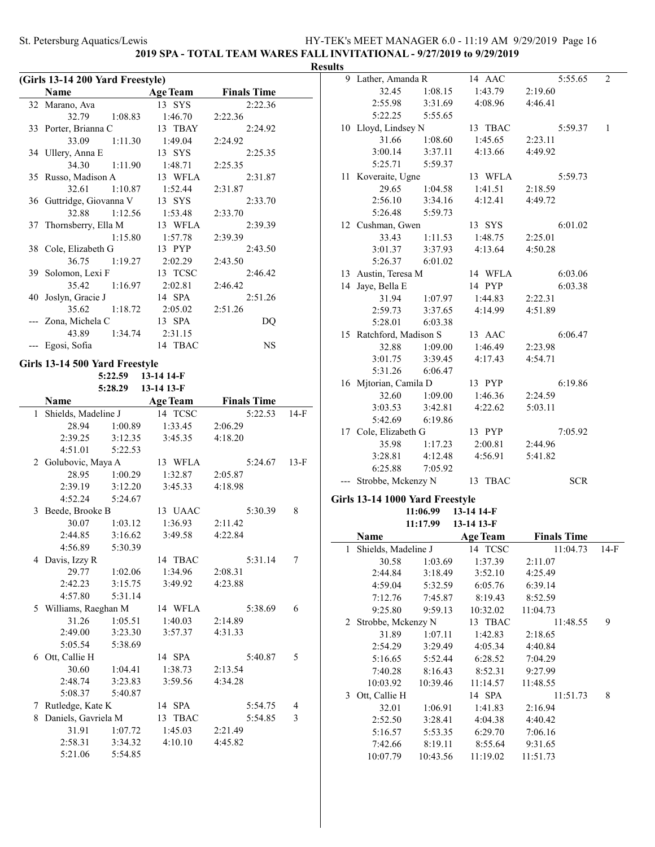**2019 SPA - TOTAL TEAM WARES FALL INVITATIONAL - 9/27/2019 to 9/29/2019**

### **Results**

|    | (Girls 13-14 200 Yard Freestyle)          |                    |                    |        |  |  |  |
|----|-------------------------------------------|--------------------|--------------------|--------|--|--|--|
|    | Name                                      | <b>Age Team</b>    | <b>Finals Time</b> |        |  |  |  |
|    | 32 Marano, Ava                            | 13 SYS             | 2:22.36            |        |  |  |  |
|    | 32.79<br>1:08.83                          | 1:46.70            | 2:22.36            |        |  |  |  |
|    | 33 Porter, Brianna C                      | 13 TBAY            | 2:24.92            |        |  |  |  |
|    | 33.09<br>1:11.30                          | 1:49.04            | 2:24.92            |        |  |  |  |
|    | 34 Ullery, Anna E                         | 13 SYS             | 2:25.35            |        |  |  |  |
|    | 34.30<br>1:11.90                          | 1:48.71            | 2:25.35            |        |  |  |  |
| 35 | Russo, Madison A                          | 13 WFLA            | 2:31.87            |        |  |  |  |
|    | 32.61<br>1:10.87                          | 1:52.44            | 2:31.87            |        |  |  |  |
|    | 36 Guttridge, Giovanna V                  | 13 SYS             | 2:33.70            |        |  |  |  |
|    | 32.88<br>1:12.56                          | 1:53.48            | 2:33.70            |        |  |  |  |
| 37 | Thornsberry, Ella M                       | 13 WFLA            | 2:39.39            |        |  |  |  |
|    | 1:15.80                                   | 1:57.78            | 2:39.39            |        |  |  |  |
|    | 38 Cole, Elizabeth G                      | 13 PYP             | 2:43.50            |        |  |  |  |
|    | 36.75<br>1:19.27                          | 2:02.29            | 2:43.50            |        |  |  |  |
|    | 39 Solomon, Lexi F                        | 13 TCSC            | 2:46.42            |        |  |  |  |
|    | 35.42<br>1:16.97                          | 2:02.81            | 2:46.42            |        |  |  |  |
| 40 | Joslyn, Gracie J                          | 14 SPA             | 2:51.26            |        |  |  |  |
|    | 35.62<br>1:18.72                          | 2:05.02            | 2:51.26            |        |  |  |  |
|    | --- Zona, Michela C                       | 13 SPA             | DQ                 |        |  |  |  |
|    | 43.89<br>1:34.74                          | 2:31.15            |                    |        |  |  |  |
|    | --- Egosi, Sofia                          | 14 TBAC            | <b>NS</b>          |        |  |  |  |
|    |                                           |                    |                    |        |  |  |  |
|    | Girls 13-14 500 Yard Freestyle<br>5:22.59 | 13-14 14-F         |                    |        |  |  |  |
|    | 5:28.29 13-14 13-F                        |                    |                    |        |  |  |  |
|    | Name                                      | <b>Age Team</b>    | <b>Finals Time</b> |        |  |  |  |
| 1  | Shields, Madeline J                       | 14 TCSC            | 5:22.53            | $14-F$ |  |  |  |
|    | 28.94<br>1:00.89                          | 1:33.45            | 2:06.29            |        |  |  |  |
|    | 2:39.25<br>3:12.35                        | 3:45.35            | 4:18.20            |        |  |  |  |
|    | 4:51.01<br>5:22.53                        |                    |                    |        |  |  |  |
|    | 2 Golubovic, Maya A                       | 13 WFLA            | 5:24.67            | $13-F$ |  |  |  |
|    | 1:00.29<br>28.95                          | 1:32.87            | 2:05.87            |        |  |  |  |
|    | 2:39.19<br>3:12.20                        | 3:45.33            | 4:18.98            |        |  |  |  |
|    | 4:52.24<br>5:24.67                        |                    |                    |        |  |  |  |
| 3  | Beede, Brooke B                           | 13 UAAC            | 5:30.39            | 8      |  |  |  |
|    | 30.07<br>1:03.12                          | 1:36.93            | 2:11.42            |        |  |  |  |
|    | 2:44.85<br>3:16.62                        | 3:49.58            | 4:22.84            |        |  |  |  |
|    | 5:30.39<br>4:56.89                        |                    |                    |        |  |  |  |
|    | 4 Davis, Izzy R                           | 14 TBAC            | 5:31.14            | 7      |  |  |  |
|    | 29.77<br>1:02.06                          | 1:34.96            | 2:08.31            |        |  |  |  |
|    | 2:42.23<br>3:15.75                        | 3:49.92            | 4:23.88            |        |  |  |  |
|    | 4:57.80<br>5:31.14                        |                    |                    |        |  |  |  |
|    | 5 Williams, Raeghan M                     | 14 WFLA            | 5:38.69            | 6      |  |  |  |
|    | 31.26<br>1:05.51                          | 1:40.03            | 2:14.89            |        |  |  |  |
|    | 2:49.00<br>3:23.30                        | 3:57.37            | 4:31.33            |        |  |  |  |
|    | 5:05.54<br>5:38.69                        |                    |                    |        |  |  |  |
|    | 6 Ott, Callie H                           | 14 SPA             | 5:40.87            | 5      |  |  |  |
|    | 30.60<br>1:04.41                          | 1:38.73            | 2:13.54            |        |  |  |  |
|    | 2:48.74<br>3:23.83                        | 3:59.56            | 4:34.28            |        |  |  |  |
|    | 5:08.37<br>5:40.87                        |                    |                    |        |  |  |  |
|    |                                           |                    |                    | 4      |  |  |  |
|    |                                           |                    |                    |        |  |  |  |
|    | 7 Rutledge, Kate K                        | 14 SPA             | 5:54.75            |        |  |  |  |
| 8  | Daniels, Gavriela M<br>31.91<br>1:07.72   | 13 TBAC<br>1:45.03 | 5:54.85<br>2:21.49 | 3      |  |  |  |

5:21.06 5:54.85

|   | 9 Lather, Amanda R              |                     | 14 AAC             | 5:55.65            | 2            |
|---|---------------------------------|---------------------|--------------------|--------------------|--------------|
|   | 32.45                           | 1:08.15             | 1:43.79            | 2:19.60            |              |
|   | 2:55.98                         | 3:31.69             | 4:08.96            | 4:46.41            |              |
|   | 5:22.25                         | 5:55.65             |                    |                    |              |
|   | 10 Lloyd, Lindsey N             |                     | 13 TBAC            | 5:59.37            | $\mathbf{1}$ |
|   | 31.66                           | 1:08.60             | 1:45.65            | 2:23.11            |              |
|   | 3:00.14                         | 3:37.11             | 4:13.66            | 4:49.92            |              |
|   | 5:25.71                         | 5:59.37             |                    |                    |              |
|   | 11 Koveraite, Ugne              |                     | 13 WFLA            | 5:59.73            |              |
|   | 29.65                           | 1:04.58             | 1:41.51            | 2:18.59            |              |
|   | 2:56.10                         | 3:34.16             | 4:12.41            | 4:49.72            |              |
|   | 5:26.48                         | 5:59.73             |                    |                    |              |
|   | 12 Cushman, Gwen                |                     | 13 SYS             | 6:01.02            |              |
|   | 33.43                           | 1:11.53             | 1:48.75            | 2:25.01            |              |
|   | 3:01.37                         | 3:37.93             | 4:13.64            | 4:50.28            |              |
|   | 5:26.37 6:01.02                 |                     |                    |                    |              |
|   | 13 Austin, Teresa M             |                     | 14 WFLA            | 6:03.06            |              |
|   | 14 Jaye, Bella E                |                     | 14 PYP             | 6:03.38            |              |
|   | 31.94                           | 1:07.97             | 1:44.83            | 2:22.31            |              |
|   | 2:59.73                         | 3:37.65             | 4:14.99            | 4:51.89            |              |
|   | 5:28.01                         | 6:03.38             |                    |                    |              |
|   | 15 Ratchford, Madison S         |                     | 13 AAC             | 6:06.47            |              |
|   |                                 | 32.88 1:09.00       | 1:46.49            | 2:23.98            |              |
|   | 3:01.75                         | 3:39.45             | 4:17.43            | 4:54.71            |              |
|   | 5:31.26                         | 6:06.47             |                    |                    |              |
|   | 16 Mjtorian, Camila D           |                     | 13 PYP             | 6:19.86            |              |
|   | 32.60                           | 1:09.00             | 1:46.36            | 2:24.59            |              |
|   | 3:03.53                         | 3:42.81             | 4:22.62            | 5:03.11            |              |
|   | 5:42.69                         | 6:19.86             |                    |                    |              |
|   | 17 Cole, Elizabeth G            |                     | 13 PYP             | 7:05.92            |              |
|   | 35.98                           | 1:17.23             | 2:00.81            | 2:44.96            |              |
|   | 3:28.81                         | 4:12.48             | 4:56.91            | 5:41.82            |              |
|   | 6:25.88                         | 7:05.92             |                    |                    |              |
|   | Strobbe, Mckenzy N 13 TBAC      |                     |                    | <b>SCR</b>         |              |
|   |                                 |                     |                    |                    |              |
|   | Girls 13-14 1000 Yard Freestyle |                     |                    |                    |              |
|   |                                 | 11:06.99 13-14 14-F |                    |                    |              |
|   |                                 | 11:17.99 13-14 13-F |                    |                    |              |
|   | Name                            |                     | <b>Age Team</b>    | <b>Finals Time</b> |              |
| 1 | Shields, Madeline J             |                     | 14<br><b>TCSC</b>  | 11:04.73           | 14-F         |
|   | 30.58<br>2:44.84                | 1:03.69             | 1:37.39            | 2:11.07            |              |
|   | 4:59.04                         | 3:18.49<br>5:32.59  | 3:52.10<br>6:05.76 | 4:25.49<br>6:39.14 |              |
|   | 7:12.76                         |                     |                    |                    |              |
|   |                                 | 7:45.87             | 8:19.43            | 8:52.59            |              |
|   | 9:25.80                         | 9:59.13             | 10:32.02           | 11:04.73           |              |
| 2 | Strobbe, Mckenzy N              |                     | 13 TBAC            | 11:48.55           | 9            |
|   | 31.89                           | 1:07.11             | 1:42.83            | 2:18.65            |              |
|   | 2:54.29                         | 3:29.49             | 4:05.34            | 4:40.84            |              |
|   | 5:16.65                         | 5:52.44             | 6:28.52            | 7:04.29            |              |
|   | 7:40.28                         | 8:16.43             | 8:52.31            | 9:27.99            |              |
|   | 10:03.92                        | 10:39.46            | 11:14.57           | 11:48.55           |              |
| 3 | Ott, Callie H                   |                     | 14 SPA             | 11:51.73           | 8            |
|   | 32.01                           | 1:06.91             | 1:41.83            | 2:16.94            |              |
|   | 2:52.50                         | 3:28.41             | 4:04.38            | 4:40.42            |              |
|   | 5:16.57                         | 5:53.35             | 6:29.70            | 7:06.16            |              |
|   | 7:42.66                         | 8:19.11             | 8:55.64            | 9:31.65            |              |
|   |                                 |                     |                    |                    |              |
|   | 10:07.79                        | 10:43.56            | 11:19.02           | 11:51.73           |              |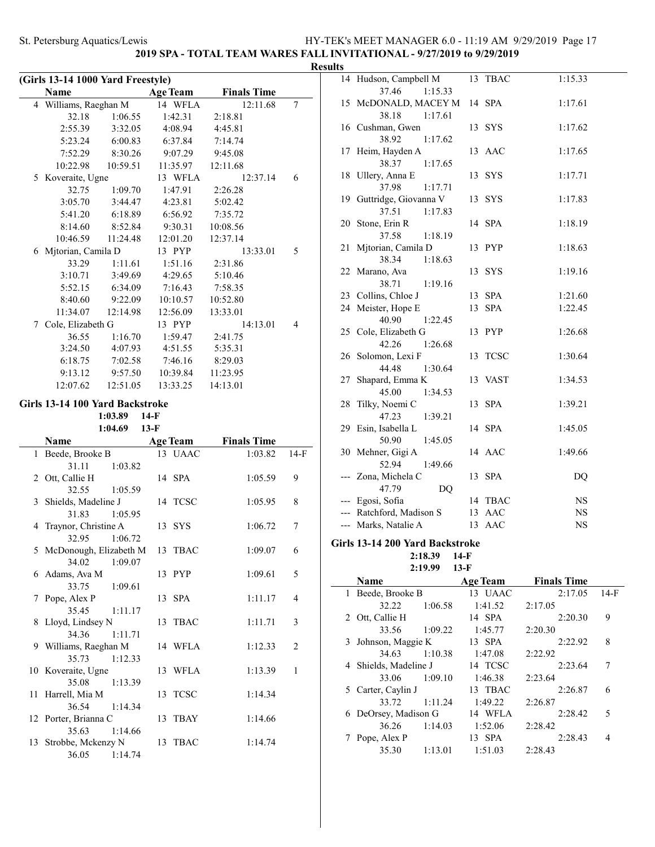# **2019 SPA - TOTAL TEAM WARES FALL INVITATIONAL - 9/27/2019 to 9/29/2019**

| (Girls 13-14 1000 Yard Freestyle) |                                 |          |                 |                    |   |
|-----------------------------------|---------------------------------|----------|-----------------|--------------------|---|
|                                   | <b>Name</b>                     |          | <b>Age Team</b> | <b>Finals Time</b> |   |
|                                   | 4 Williams, Raeghan M           |          | 14 WFLA         | 12:11.68           | 7 |
|                                   | 32.18                           | 1:06.55  | 1:42.31         | 2:18.81            |   |
|                                   | 2:55.39                         | 3:32.05  | 4:08.94         | 4:45.81            |   |
|                                   | 5:23.24                         | 6:00.83  | 6:37.84         | 7:14.74            |   |
|                                   | 7:52.29                         | 8:30.26  | 9:07.29         | 9:45.08            |   |
|                                   | 10:22.98                        | 10:59.51 | 11:35.97        | 12:11.68           |   |
| 5                                 | Koveraite, Ugne                 |          | 13 WFLA         | 12:37.14           | 6 |
|                                   | 32.75                           | 1:09.70  | 1:47.91         | 2:26.28            |   |
|                                   | 3:05.70                         | 3:44.47  | 4:23.81         | 5:02.42            |   |
|                                   | 5:41.20                         | 6:18.89  | 6:56.92         | 7:35.72            |   |
|                                   | 8:14.60                         | 8:52.84  | 9:30.31         | 10:08.56           |   |
|                                   | 10:46.59                        | 11:24.48 | 12:01.20        | 12:37.14           |   |
| 6                                 | Mjtorian, Camila D              |          | 13 PYP          | 13:33.01           | 5 |
|                                   | 33.29                           | 1:11.61  | 1:51.16         | 2:31.86            |   |
|                                   | 3:10.71                         | 3:49.69  | 4:29.65         | 5:10.46            |   |
|                                   | 5:52.15                         | 6:34.09  | 7:16.43         | 7:58.35            |   |
|                                   | 8:40.60                         | 9:22.09  | 10:10.57        | 10:52.80           |   |
|                                   | 11:34.07                        | 12:14.98 | 12:56.09        | 13:33.01           |   |
| 7                                 | Cole, Elizabeth G               |          | 13 PYP          | 14:13.01           | 4 |
|                                   | 36.55                           | 1:16.70  | 1:59.47         | 2:41.75            |   |
|                                   | 3:24.50                         | 4:07.93  | 4:51.55         | 5:35.31            |   |
|                                   | 6:18.75                         | 7:02.58  | 7:46.16         | 8:29.03            |   |
|                                   | 9:13.12                         | 9:57.50  | 10:39.84        | 11:23.95           |   |
|                                   | 12:07.62                        | 12:51.05 | 13:33.25        | 14:13.01           |   |
|                                   |                                 |          |                 |                    |   |
|                                   | Girls 13-14 100 Yard Backstroke |          |                 |                    |   |

# **1:03.89 14-F**

**1:04.69 13-F**

| Name                     | <b>Age Team</b> | <b>Finals Time</b> |        |  |
|--------------------------|-----------------|--------------------|--------|--|
| 1 Beede, Brooke B        | 13 UAAC         | 1:03.82            | $14-F$ |  |
| 31.11<br>1:03.82         |                 |                    |        |  |
| 2 Ott, Callie H          | 14 SPA          | 1:05.59            | 9      |  |
| 32.55<br>1:05.59         |                 |                    |        |  |
| 3 Shields, Madeline J    | 14 TCSC         | 1:05.95            | 8      |  |
| 31.83 1:05.95            |                 |                    |        |  |
| 4 Traynor, Christine A   | 13 SYS          | 1:06.72            | 7      |  |
| 1:06.72<br>32.95         |                 |                    |        |  |
| 5 McDonough, Elizabeth M | 13 TBAC         | 1:09.07            | 6      |  |
| 34.02<br>1:09.07         |                 |                    |        |  |
| 6 Adams, Ava M           | 13 PYP          | 1:09.61            | 5      |  |
| 33.75 1:09.61            |                 |                    |        |  |
| 7 Pope, Alex P           | 13 SPA          | 1:11.17            | 4      |  |
| 35.45 1:11.17            |                 |                    |        |  |
| 8 Lloyd, Lindsey N       | 13 TBAC         | 1:11.71            | 3      |  |
| 34.36 1:11.71            |                 |                    |        |  |
| 9 Williams, Raeghan M    | 14 WFLA         | 1:12.33            | 2      |  |
| 35.73<br>1:12.33         |                 |                    |        |  |
| 10 Koveraite, Ugne       | 13 WFLA         | 1:13.39            | 1      |  |
| 35.08 1:13.39            |                 |                    |        |  |
| 11 Harrell, Mia M        | 13 TCSC         | 1:14.34            |        |  |
| 36.54<br>1:14.34         |                 |                    |        |  |
| 12 Porter, Brianna C     | 13 TBAY         | 1:14.66            |        |  |
| 35.63<br>1:14.66         |                 |                    |        |  |
| 13 Strobbe, Mckenzy N    | 13 TBAC         | 1:14.74            |        |  |
| 36.05<br>1:14.74         |                 |                    |        |  |

| <b>Results</b> |                                       |    |         |             |
|----------------|---------------------------------------|----|---------|-------------|
|                | 14 Hudson, Campbell M                 |    | 13 TBAC | 1:15.33     |
|                | 37.46<br>1:15.33                      |    |         |             |
|                | 15 McDONALD, MACEY M                  |    | 14 SPA  | 1:17.61     |
|                | 38.18<br>1:17.61                      |    |         |             |
|                | 16 Cushman, Gwen                      |    | 13 SYS  | 1:17.62     |
|                | 38.92<br>1:17.62                      |    |         |             |
|                | 17 Heim, Hayden A                     |    | 13 AAC  | 1:17.65     |
|                | 38.37<br>1:17.65                      |    |         |             |
|                | 18 Ullery, Anna E                     |    | 13 SYS  | 1:17.71     |
|                | 37.98<br>1:17.71                      |    |         |             |
|                | 19 Guttridge, Giovanna V              |    | 13 SYS  | 1:17.83     |
|                | 37.51<br>1:17.83                      |    |         |             |
|                | 20 Stone, Erin R                      |    | 14 SPA  | 1:18.19     |
|                | 37.58<br>1:18.19                      |    |         |             |
| 21             | Mjtorian, Camila D                    |    | 13 PYP  | 1:18.63     |
|                | 38.34<br>1:18.63                      |    |         |             |
|                | 22 Marano, Ava                        |    | 13 SYS  | 1:19.16     |
|                | 38.71<br>1:19.16                      |    |         |             |
|                | 23 Collins, Chloe J                   |    | 13 SPA  | 1:21.60     |
|                | 24 Meister, Hope E                    |    | 13 SPA  | 1:22.45     |
|                | 40.90<br>1:22.45                      |    |         |             |
|                | 25 Cole, Elizabeth G                  |    | 13 PYP  | 1:26.68     |
|                | 42.26<br>1:26.68                      |    |         |             |
|                | 26 Solomon, Lexi F                    |    | 13 TCSC | 1:30.64     |
|                | 1:30.64<br>44.48                      |    |         |             |
|                | 27 Shapard, Emma K                    |    | 13 VAST | 1:34.53     |
|                | 45.00<br>1:34.53<br>28 Tilky, Noemi C |    | 13 SPA  |             |
|                | 47.23                                 |    |         | 1:39.21     |
|                | 1:39.21<br>29 Esin, Isabella L        |    | 14 SPA  | 1:45.05     |
|                | 50.90<br>1:45.05                      |    |         |             |
|                | 30 Mehner, Gigi A                     |    | 14 AAC  | 1:49.66     |
|                | 52.94<br>1:49.66                      |    |         |             |
|                | --- Zona, Michela C                   |    | 13 SPA  | DQ          |
|                | 47.79<br>DQ                           |    |         |             |
|                | --- Egosi, Sofia                      |    | 14 TBAC | $_{\rm NS}$ |
|                | --- Ratchford, Madison S              |    | 13 AAC  | <b>NS</b>   |
|                | --- Marks, Natalie A                  | 13 | AAC     | NS          |
|                |                                       |    |         |             |

#### **Girls 13-14 200 Yard Backstroke 2:18.39 14-F**

**2:19.99 13-F**

|   | Name                  |         | <b>Age Team</b> | <b>Finals Time</b> |        |
|---|-----------------------|---------|-----------------|--------------------|--------|
| 1 | Beede, Brooke B       |         | 13 UAAC         | 2:17.05            | $14-F$ |
|   | 32.22                 | 1:06.58 | 1:41.52         | 2:17.05            |        |
|   | 2 Ott, Callie H       |         | 14 SPA          | 2:20.30            | 9      |
|   | 33.56                 | 1:09.22 | 1:45.77         | 2:20.30            |        |
|   | 3 Johnson, Maggie K   |         | 13 SPA          | 2:22.92            | 8      |
|   | 34.63                 | 1:10.38 | 1:47.08         | 2:22.92            |        |
|   | 4 Shields, Madeline J |         | 14 TCSC         | 2:23.64            |        |
|   | 33.06                 | 1:09.10 | 1:46.38         | 2:23.64            |        |
|   | 5 Carter, Caylin J    |         | 13 TBAC         | 2:26.87            | 6      |
|   | 33.72                 | 1:11.24 | 1:49.22         | 2:26.87            |        |
|   | 6 DeOrsey, Madison G  |         | 14 WFLA         | 2:28.42            | 5      |
|   | 36.26                 | 1:14.03 | 1:52.06         | 2:28.42            |        |
|   | Pope, Alex P          |         | 13 SPA          | 2:28.43            | 4      |
|   | 35.30                 | 1:13.01 | 1:51.03         | 2:28.43            |        |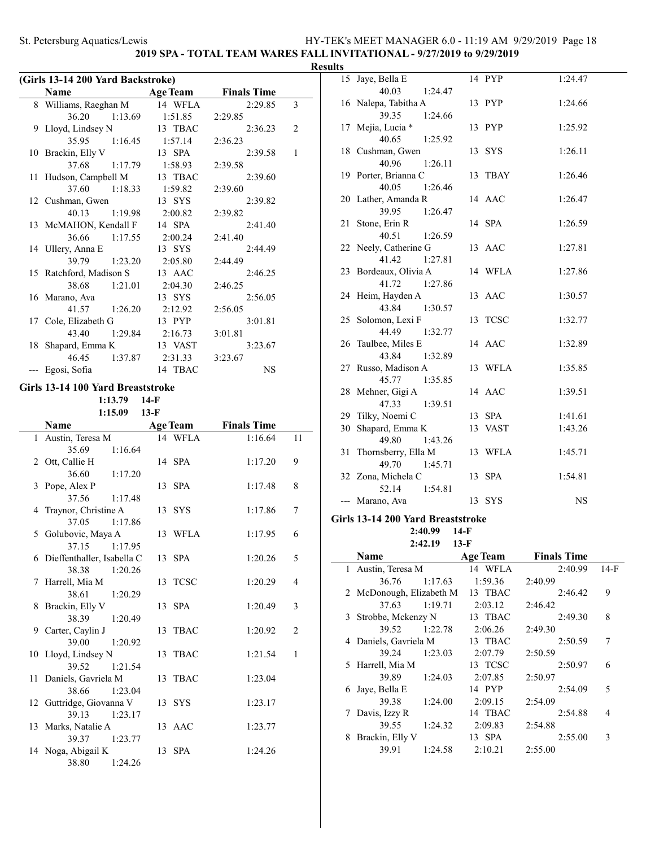### **2019 SPA - TOTAL TEAM WARES FALL INVITATIONAL - 9/27/2019 to 9/29/2019**

### **Results**

|    | (Girls 13-14 200 Yard Backstroke)      |                   |                    |                |
|----|----------------------------------------|-------------------|--------------------|----------------|
|    | Name                                   | <b>Age Team</b>   | <b>Finals Time</b> |                |
|    | 8 Williams, Raeghan M                  | 14 WFLA           | 2:29.85            | 3              |
|    | 36.20<br>1:13.69                       | 1:51.85           | 2:29.85            |                |
| 9  | Lloyd, Lindsey N                       | 13 TBAC           | 2:36.23            | 2              |
|    | 35.95<br>1:16.45                       | 1:57.14           |                    |                |
|    |                                        |                   | 2:36.23            | $\mathbf{1}$   |
|    | 10 Brackin, Elly V                     | 13 SPA            | 2:39.58            |                |
|    | 37.68<br>1:17.79                       | 1:58.93           | 2:39.58            |                |
| 11 | Hudson, Campbell M                     | 13 TBAC           | 2:39.60            |                |
|    | 37.60<br>1:18.33                       | 1:59.82           | 2:39.60            |                |
|    | 12 Cushman, Gwen                       | 13 SYS            | 2:39.82            |                |
|    | 40.13<br>1:19.98                       | 2:00.82           | 2:39.82            |                |
|    | 13 McMAHON, Kendall F                  | 14 SPA            | 2:41.40            |                |
|    | 36.66<br>1:17.55                       | 2:00.24           | 2:41.40            |                |
| 14 | Ullery, Anna E                         | 13 SYS            | 2:44.49            |                |
|    | 39.79<br>1:23.20                       | 2:05.80           | 2:44.49            |                |
|    | 15 Ratchford, Madison S                | 13 AAC            | 2:46.25            |                |
|    | 38.68<br>1:21.01                       | 2:04.30           | 2:46.25            |                |
|    | 16 Marano, Ava                         | 13 SYS            | 2:56.05            |                |
|    | 41.57<br>1:26.20                       | 2:12.92           | 2:56.05            |                |
|    | 17 Cole, Elizabeth G                   | 13 PYP            | 3:01.81            |                |
|    | 43.40<br>1:29.84                       | 2:16.73           | 3:01.81            |                |
| 18 | Shapard, Emma K                        | 13 VAST           | 3:23.67            |                |
|    | 46.45<br>1:37.87                       | 2:31.33           | 3:23.67            |                |
|    | Egosi, Sofia                           | 14 TBAC           | <b>NS</b>          |                |
|    |                                        |                   |                    |                |
|    | Girls 13-14 100 Yard Breaststroke      |                   |                    |                |
|    | 1:13.79                                | $14-F$            |                    |                |
|    | 1:15.09                                | $13-F$            |                    |                |
|    | Name                                   | <b>Age Team</b>   | <b>Finals Time</b> |                |
| 1  | Austin, Teresa M                       | 14 WFLA           | 1:16.64            | 11             |
|    | 35.69<br>1:16.64                       |                   |                    |                |
| 2  | Ott, Callie H                          | 14 SPA            | 1:17.20            | 9              |
|    | 36.60<br>1:17.20                       |                   |                    |                |
| 3  | Pope, Alex P                           | 13 SPA            | 1:17.48            | 8              |
|    | 37.56<br>1:17.48                       |                   |                    |                |
| 4  | Traynor, Christine A                   | 13 SYS            | 1:17.86            | 7              |
|    | 37.05<br>1:17.86                       |                   |                    |                |
| 5  | Golubovic, Maya A                      |                   |                    |                |
|    |                                        |                   |                    |                |
|    |                                        | 13 WFLA           | 1:17.95            | 6              |
|    | 37.15 1:17.95                          |                   |                    |                |
|    | 6 Dieffenthaller, Isabella C           | 13 SPA            | 1:20.26            | 5              |
|    | 38.38<br>1:20.26                       |                   |                    |                |
| 7  | Harrell, Mia M                         | <b>TCSC</b><br>13 | 1:20.29            | 4              |
|    | 38.61<br>1:20.29                       |                   |                    |                |
| 8  | Brackin, Elly V                        | <b>SPA</b><br>13  | 1:20.49            | 3              |
|    | 38.39<br>1:20.49                       |                   |                    |                |
| 9  | Carter, Caylin J                       | TBAC<br>13        | 1:20.92            | $\overline{c}$ |
|    | 39.00<br>1:20.92                       |                   |                    |                |
| 10 | Lloyd, Lindsey N                       | 13<br>TBAC        | 1:21.54            | $\mathbf{1}$   |
|    | 39.52<br>1:21.54                       |                   |                    |                |
| 11 | Daniels, Gavriela M                    | TBAC<br>13        | 1:23.04            |                |
|    | 38.66<br>1:23.04                       |                   |                    |                |
|    | 12 Guttridge, Giovanna V               | 13 SYS            | 1:23.17            |                |
|    | 39.13<br>1:23.17                       |                   |                    |                |
|    | 13 Marks, Natalie A                    | 13 AAC            | 1:23.77            |                |
|    | 39.37<br>1:23.77                       |                   |                    |                |
|    | 14 Noga, Abigail K<br>38.80<br>1:24.26 | 13 SPA            | 1:24.26            |                |

| 11.S |                                         |         |           |
|------|-----------------------------------------|---------|-----------|
|      | 15 Jaye, Bella E                        | 14 PYP  | 1:24.47   |
|      | 40.03<br>1:24.47                        |         |           |
|      | 16 Nalepa, Tabitha A                    | 13 PYP  | 1:24.66   |
|      | 39.35<br>1:24.66                        |         |           |
| 17   | Mejia, Lucia *                          | 13 PYP  | 1:25.92   |
|      | 40.65<br>1:25.92                        |         |           |
|      | 18 Cushman, Gwen                        | 13 SYS  | 1:26.11   |
|      | 40.96<br>1:26.11                        |         |           |
|      | 19 Porter, Brianna C                    | 13 TBAY | 1:26.46   |
|      | 40.05<br>1:26.46                        |         |           |
|      | 20 Lather, Amanda R                     | 14 AAC  | 1:26.47   |
|      | 1:26.47<br>39.95<br>21 Stone, Erin R    | 14 SPA  | 1:26.59   |
|      | 40.51<br>1:26.59                        |         |           |
|      | 22 Neely, Catherine G                   | 13 AAC  | 1:27.81   |
|      | 41.42<br>1:27.81                        |         |           |
|      | 23 Bordeaux, Olivia A                   | 14 WFLA | 1:27.86   |
|      | 41.72<br>1:27.86                        |         |           |
|      | 24 Heim, Hayden A                       | 13 AAC  | 1:30.57   |
|      | 43.84<br>1:30.57                        |         |           |
|      | 25 Solomon, Lexi F                      | 13 TCSC | 1:32.77   |
|      | 44.49<br>1:32.77                        |         |           |
| 26   | Taulbee, Miles E                        | 14 AAC  | 1:32.89   |
|      | 43.84<br>1:32.89                        |         |           |
|      | 27 Russo, Madison A                     | 13 WFLA | 1:35.85   |
|      | 45.77<br>1:35.85                        |         |           |
|      | 28 Mehner, Gigi A                       | 14 AAC  | 1:39.51   |
|      | 47.33<br>1:39.51                        |         |           |
|      | 29 Tilky, Noemi C                       | 13 SPA  | 1:41.61   |
|      | 30 Shapard, Emma K                      | 13 VAST | 1:43.26   |
| 31   | 49.80<br>1:43.26<br>Thornsberry, Ella M | 13 WFLA |           |
|      | 49.70<br>1:45.71                        |         | 1:45.71   |
|      | 32 Zona, Michela C                      | 13 SPA  | 1:54.81   |
|      | 52.14<br>1:54.81                        |         |           |
| ---  | Marano, Ava                             | 13 SYS  | <b>NS</b> |
|      |                                         |         |           |
|      | Girls 13-14 200 Yard Breaststroke       |         |           |
|      | 2:40.99<br>14-F                         |         |           |
|      | $2:42.19$ 13-F                          |         |           |

|   | Name                     |         | <b>Age Team</b> | <b>Finals Time</b> |        |
|---|--------------------------|---------|-----------------|--------------------|--------|
|   | 1 Austin, Teresa M       |         | 14 WFLA         | 2:40.99            | $14-F$ |
|   | 36.76                    | 1:17.63 | 1:59.36         | 2:40.99            |        |
|   | 2 McDonough, Elizabeth M |         | 13 TBAC         | 2:46.42            | 9      |
|   | 37.63                    | 1:19.71 | 2:03.12         | 2:46.42            |        |
| 3 | Strobbe, Mckenzy N       |         | 13 TBAC         | 2:49.30            | 8      |
|   | 39.52                    | 1:22.78 | 2:06.26         | 2:49.30            |        |
|   | 4 Daniels, Gavriela M    |         | 13 TBAC         | 2:50.59            | 7      |
|   | 39.24                    | 1:23.03 | 2:07.79         | 2:50.59            |        |
|   | 5 Harrell, Mia M         |         | 13 TCSC         | 2:50.97            | 6      |
|   | 39.89                    | 1:24.03 | 2:07.85         | 2:50.97            |        |
| 6 | Jaye, Bella E            |         | 14 PYP          | 2:54.09            | 5      |
|   | 39.38                    | 1:24.00 | 2:09.15         | 2:54.09            |        |
| 7 | Davis, Izzy R            |         | 14 TBAC         | 2:54.88            | 4      |
|   | 39.55                    | 1:24.32 | 2:09.83         | 2:54.88            |        |
| 8 | Brackin, Elly V          |         | 13 SPA          | 2:55.00            | 3      |
|   | 39.91                    | 1:24.58 | 2:10.21         | 2:55.00            |        |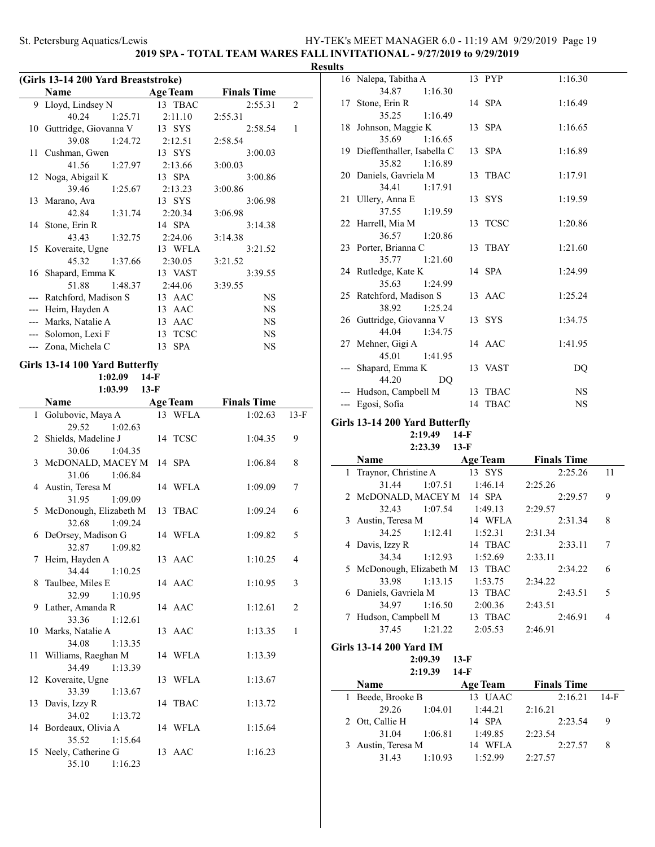# **2019 SPA - TOTAL TEAM WARES FALL INVITATIONAL - 9/27/2019 to 9/29/2019**

### **Resul**

| (Girls 13-14 200 Yard Breaststroke) |                                           |                  |                    |              |
|-------------------------------------|-------------------------------------------|------------------|--------------------|--------------|
|                                     | Name                                      | <b>Age Team</b>  | <b>Finals Time</b> |              |
|                                     | 9 Lloyd, Lindsey N                        | 13 TBAC          | 2:55.31            | 2            |
|                                     | 40.24<br>1:25.71                          | 2:11.10          | 2:55.31            |              |
|                                     | 10 Guttridge, Giovanna V                  | 13 SYS           | 2:58.54            | $\mathbf{1}$ |
|                                     | 39.08<br>1:24.72                          | 2:12.51          | 2:58.54            |              |
|                                     | 11 Cushman, Gwen                          | 13 SYS           | 3:00.03            |              |
|                                     | 41.56<br>1:27.97                          | 2:13.66          | 3:00.03            |              |
|                                     | 12 Noga, Abigail K                        | 13 SPA           | 3:00.86            |              |
|                                     | 39.46<br>1:25.67                          | 2:13.23          | 3:00.86            |              |
|                                     | 13 Marano, Ava                            | 13 SYS           | 3:06.98            |              |
|                                     | 42.84 1:31.74                             | 2:20.34          | 3:06.98            |              |
|                                     | 14 Stone, Erin R                          | 14 SPA           | 3:14.38            |              |
|                                     | 43.43<br>1:32.75                          | 2:24.06          | 3:14.38            |              |
|                                     | 15 Koveraite, Ugne                        | 13 WFLA          | 3:21.52            |              |
|                                     | 45.32<br>1:37.66                          | 2:30.05          | 3:21.52            |              |
|                                     | 16 Shapard, Emma K                        | 13 VAST          | 3:39.55            |              |
|                                     | 51.88<br>1:48.37                          | 2:44.06          | 3:39.55            |              |
|                                     | --- Ratchford, Madison S                  | 13 AAC           | <b>NS</b>          |              |
| $---$                               | Heim, Hayden A                            | 13 AAC           | <b>NS</b>          |              |
|                                     | --- Marks, Natalie A                      | 13 AAC           | <b>NS</b>          |              |
|                                     | --- Solomon, Lexi F                       | 13 TCSC          | <b>NS</b>          |              |
|                                     | --- Zona, Michela C                       | <b>SPA</b><br>13 | <b>NS</b>          |              |
|                                     | Girls 13-14 100 Yard Butterfly<br>1:02.09 | $14-F$           |                    |              |

**1:03.99 13-F**

| <b>Finals Time</b>        |
|---------------------------|
| 1:02.63<br>$13-F$         |
|                           |
| 1:04.35<br>9              |
|                           |
| 1:06.84<br>8              |
|                           |
| 1:09.09<br>7              |
|                           |
| 1:09.24<br>6              |
|                           |
| 5<br>1:09.82              |
|                           |
| 1:10.25<br>$\overline{4}$ |
|                           |
| 3<br>1:10.95              |
| 1:12.61<br>$\overline{2}$ |
|                           |
| 1:13.35<br>$\mathbf{1}$   |
|                           |
| 1:13.39                   |
|                           |
| 1:13.67                   |
|                           |
| 1:13.72                   |
|                           |
| 1:15.64                   |
|                           |
| 1:16.23                   |
|                           |
|                           |

| lts   |                                        |                   |           |  |
|-------|----------------------------------------|-------------------|-----------|--|
|       | 16 Nalepa, Tabitha A                   | 13 PYP            | 1:16.30   |  |
|       | 34.87<br>1:16.30                       |                   |           |  |
|       | 17 Stone, Erin R                       | 14 SPA            | 1:16.49   |  |
|       | 35.25 1:16.49                          |                   |           |  |
|       | 18 Johnson, Maggie K                   | 13 SPA            | 1:16.65   |  |
|       | 35.69<br>1:16.65                       |                   |           |  |
|       | 19 Dieffenthaller, Isabella C          | 13 SPA            | 1:16.89   |  |
|       | 35.82 1:16.89                          |                   |           |  |
|       | 20 Daniels, Gavriela M                 | 13 TBAC           | 1:17.91   |  |
|       | 34.41<br>1:17.91                       |                   |           |  |
|       | 21 Ullery, Anna E                      | 13 SYS            | 1:19.59   |  |
|       | 37.55 1:19.59                          |                   |           |  |
|       | 22 Harrell, Mia M                      | 13 TCSC           | 1:20.86   |  |
|       | 36.57 1:20.86                          |                   |           |  |
|       | 23 Porter, Brianna C                   | 13 TBAY           | 1:21.60   |  |
|       | 35.77 1:21.60                          |                   |           |  |
|       | 24 Rutledge, Kate K                    | 14 SPA            | 1:24.99   |  |
|       | 35.63<br>1:24.99                       |                   |           |  |
|       | 25 Ratchford, Madison S                | 13 AAC            | 1:25.24   |  |
|       | 38.92<br>1:25.24                       |                   |           |  |
|       | 26 Guttridge, Giovanna V               | 13 SYS            | 1:34.75   |  |
|       | 44.04<br>1:34.75                       |                   |           |  |
|       | 27 Mehner, Gigi A                      | 14 AAC            | 1:41.95   |  |
|       | 45.01<br>1:41.95                       |                   |           |  |
|       | Shapard, Emma K                        | 13 VAST           | DQ        |  |
|       | 44.20<br>DO.                           | 13 TBAC           | <b>NS</b> |  |
| $---$ | --- Hudson, Campbell M<br>Egosi, Sofia | <b>TBAC</b><br>14 | NS        |  |
|       |                                        |                   |           |  |
|       | .<br>$\sim$ $\sim$ $\sim$ $\sim$       |                   |           |  |

### **Girls 13-14 200 Yard Butterfly 2:19.49 14-F 2:23.39 13-F**

|   | Name                     |         | <b>Age Team</b> | <b>Finals Time</b> |    |
|---|--------------------------|---------|-----------------|--------------------|----|
|   | 1 Traynor, Christine A   |         | 13 SYS          | 2:25.26            | 11 |
|   | 31.44                    | 1:07.51 | 1:46.14         | 2:25.26            |    |
|   | 2 McDONALD, MACEY M      |         | 14 SPA          | 2:29.57            | 9  |
|   | 32.43                    | 1:07.54 | 1:49.13         | 2:29.57            |    |
| 3 | Austin, Teresa M         |         | 14 WFLA         | 2:31.34            | 8  |
|   | 34.25                    | 1:12.41 | 1:52.31         | 2:31.34            |    |
|   | 4 Davis, Izzy R          |         | 14 TBAC         | 2:33.11            | 7  |
|   | 34.34                    | 1:12.93 | 1:52.69         | 2:33.11            |    |
|   | 5 McDonough, Elizabeth M |         | 13 TBAC         | 2:34.22            | 6  |
|   | 33.98                    | 1:13.15 | 1:53.75         | 2:34.22            |    |
|   | 6 Daniels, Gavriela M    |         | 13 TBAC         | 2:43.51            | 5  |
|   | 34.97                    | 1:16.50 | 2:00.36         | 2:43.51            |    |
|   | Hudson, Campbell M       |         | 13 TBAC         | 2:46.91            | 4  |
|   | 37.45                    | 1:21.22 | 2:05.53         | 2:46.91            |    |

### **Girls 13-14 200 Yard IM**

**2:09.39 13-F 2:19.39 14-F**

|   | 211 Y.JY<br>14-D  |         |                 |                    |      |
|---|-------------------|---------|-----------------|--------------------|------|
|   | <b>Name</b>       |         | <b>Age Team</b> | <b>Finals Time</b> |      |
|   | 1 Beede, Brooke B |         | 13 UAAC         | 2:16.21            | 14-F |
|   | 29.26             | 1:04.01 | 1:44.21         | 2:16.21            |      |
|   | 2 Ott, Callie H   |         | 14 SPA          | 2:23.54            | 9    |
|   | 31.04             | 1:06.81 | 1:49.85         | 2:23.54            |      |
| 3 | Austin, Teresa M  |         | WFLA<br>14      | 2:27.57            | 8    |
|   | 31.43             | 1:10.93 | 1:52.99         | 2:27.57            |      |
|   |                   |         |                 |                    |      |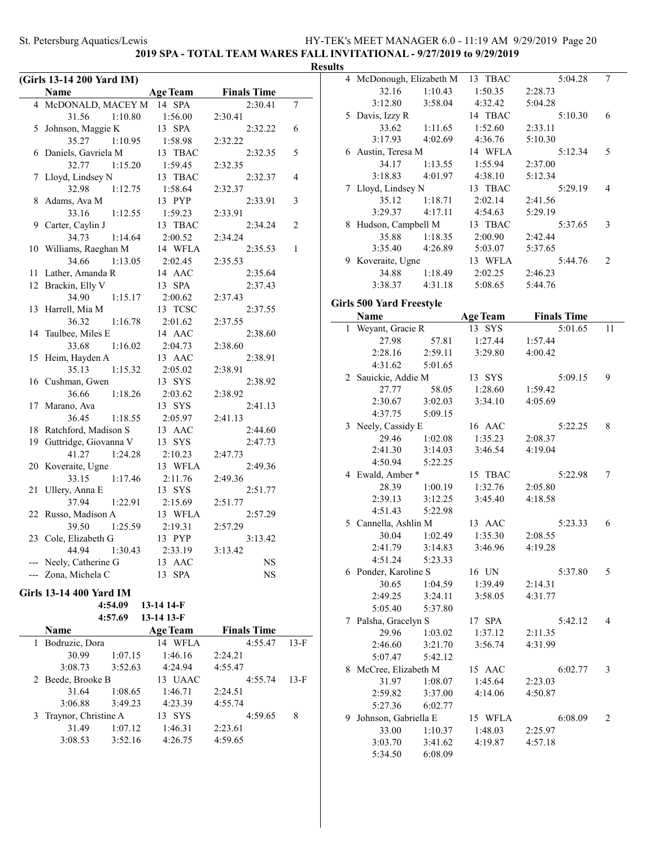4 McDonough, Elizabeth M 13 TBAC 5:04.28 7 32.16 1:10.43 1:50.35 2:28.73 3:12.80 3:58.04 4:32.42 5:04.28

**2019 SPA - TOTAL TEAM WARES FALL INVITATIONAL - 9/27/2019 to 9/29/2019**

| (Girls 13-14 200 Yard IM)<br>Name<br><b>Age Team</b><br><b>Finals Time</b><br>4 McDONALD, MACEY M<br>14 SPA<br>2:30.41<br>7<br>1:56.00<br>31.56 1:10.80<br>2:30.41<br>5 Johnson, Maggie K<br>13 SPA<br>2:32.22<br>6<br>1:10.95 1:58.98<br>35.27<br>2:32.22<br>6 Daniels, Gavriela M<br>13 TBAC<br>2:32.35<br>5<br>$1:15.20$ $1:59.45$<br>32.77<br>2:32.35<br>7 Lloyd, Lindsey N<br>13 TBAC<br>2:32.37<br>4<br>1:12.75<br>32.98<br>1:58.64<br>2:32.37<br>8 Adams, Ava M<br>13 PYP<br>2:33.91<br>3<br>33.16<br>1:12.55<br>1:59.23<br>2:33.91<br>9 Carter, Caylin J<br>13 TBAC<br>2:34.24<br>2<br>34.73<br>1:14.64<br>2:00.52<br>2:34.24<br>10 Williams, Raeghan M<br>14 WFLA<br>1<br>2:35.53<br>34.66<br>$1:13.05$ $2:02.45$<br>2:35.53<br>11 Lather, Amanda R<br>14 AAC<br>2:35.64<br>12 Brackin, Elly V<br>13 SPA<br>2:37.43<br>34.90<br>2:00.62<br>1:15.17<br>2:37.43<br>Gil<br>13 Harrell, Mia M<br>13 TCSC<br>2:37.55<br>1:16.78<br>2:01.62<br>36.32<br>2:37.55<br>14 Taulbee, Miles E<br>14 AAC<br>2:38.60<br>1:16.02<br>33.68<br>2:38.60<br>2:04.73<br>15 Heim, Hayden A<br>2:38.91<br>13 AAC<br>1:15.32<br>35.13<br>2:05.02<br>2:38.91<br>16 Cushman, Gwen<br>13 SYS<br>2:38.92<br>36.66<br>1:18.26<br>2:03.62<br>2:38.92<br>13 SYS<br>2:41.13<br>17 Marano, Ava<br>36.45<br>1:18.55<br>2:05.97<br>2:41.13<br>18 Ratchford, Madison S<br>13 AAC<br>2:44.60<br>19 Guttridge, Giovanna V<br>2:47.73<br>13 SYS<br>41.27<br>1:24.28<br>2:10.23<br>2:47.73<br>20 Koveraite, Ugne<br>13 WFLA<br>2:49.36<br>33.15<br>1:17.46<br>2:11.76<br>2:49.36<br>21 Ullery, Anna E<br>13 SYS<br>2:51.77<br>37.94<br>1:22.91<br>2:15.69<br>2:51.77<br>22 Russo, Madison A<br>13 WFLA<br>2:57.29<br>2:19.31<br>1:25.59<br>39.50<br>2:57.29<br>13 PYP<br>23 Cole, Elizabeth G<br>3:13.42<br>44.94<br>1:30.43<br>2:33.19<br>3:13.42<br>--- Neely, Catherine G<br>13 AAC<br>NS<br>--- Zona, Michela C<br>13 SPA<br>NS<br>Girls 13-14 400 Yard IM<br>4:54.09<br>13-14 14-F<br>13-14 13-F<br>4:57.69<br>Name<br><b>Finals Time</b><br><b>Age Team</b><br>4:55.47<br>Bodruzic, Dora<br>14 WFLA<br>$13-F$ |  |  | <b>Results</b> |
|--------------------------------------------------------------------------------------------------------------------------------------------------------------------------------------------------------------------------------------------------------------------------------------------------------------------------------------------------------------------------------------------------------------------------------------------------------------------------------------------------------------------------------------------------------------------------------------------------------------------------------------------------------------------------------------------------------------------------------------------------------------------------------------------------------------------------------------------------------------------------------------------------------------------------------------------------------------------------------------------------------------------------------------------------------------------------------------------------------------------------------------------------------------------------------------------------------------------------------------------------------------------------------------------------------------------------------------------------------------------------------------------------------------------------------------------------------------------------------------------------------------------------------------------------------------------------------------------------------------------------------------------------------------------------------------------------------------------------------------------------------------------------------------------------------------------------------------------------------------------------------------------------------------------------------------------------------------------------------------------------------------------------------------------------------------------------------------|--|--|----------------|
|                                                                                                                                                                                                                                                                                                                                                                                                                                                                                                                                                                                                                                                                                                                                                                                                                                                                                                                                                                                                                                                                                                                                                                                                                                                                                                                                                                                                                                                                                                                                                                                                                                                                                                                                                                                                                                                                                                                                                                                                                                                                                      |  |  |                |
|                                                                                                                                                                                                                                                                                                                                                                                                                                                                                                                                                                                                                                                                                                                                                                                                                                                                                                                                                                                                                                                                                                                                                                                                                                                                                                                                                                                                                                                                                                                                                                                                                                                                                                                                                                                                                                                                                                                                                                                                                                                                                      |  |  |                |
|                                                                                                                                                                                                                                                                                                                                                                                                                                                                                                                                                                                                                                                                                                                                                                                                                                                                                                                                                                                                                                                                                                                                                                                                                                                                                                                                                                                                                                                                                                                                                                                                                                                                                                                                                                                                                                                                                                                                                                                                                                                                                      |  |  |                |
|                                                                                                                                                                                                                                                                                                                                                                                                                                                                                                                                                                                                                                                                                                                                                                                                                                                                                                                                                                                                                                                                                                                                                                                                                                                                                                                                                                                                                                                                                                                                                                                                                                                                                                                                                                                                                                                                                                                                                                                                                                                                                      |  |  |                |
|                                                                                                                                                                                                                                                                                                                                                                                                                                                                                                                                                                                                                                                                                                                                                                                                                                                                                                                                                                                                                                                                                                                                                                                                                                                                                                                                                                                                                                                                                                                                                                                                                                                                                                                                                                                                                                                                                                                                                                                                                                                                                      |  |  |                |
|                                                                                                                                                                                                                                                                                                                                                                                                                                                                                                                                                                                                                                                                                                                                                                                                                                                                                                                                                                                                                                                                                                                                                                                                                                                                                                                                                                                                                                                                                                                                                                                                                                                                                                                                                                                                                                                                                                                                                                                                                                                                                      |  |  |                |
|                                                                                                                                                                                                                                                                                                                                                                                                                                                                                                                                                                                                                                                                                                                                                                                                                                                                                                                                                                                                                                                                                                                                                                                                                                                                                                                                                                                                                                                                                                                                                                                                                                                                                                                                                                                                                                                                                                                                                                                                                                                                                      |  |  |                |
|                                                                                                                                                                                                                                                                                                                                                                                                                                                                                                                                                                                                                                                                                                                                                                                                                                                                                                                                                                                                                                                                                                                                                                                                                                                                                                                                                                                                                                                                                                                                                                                                                                                                                                                                                                                                                                                                                                                                                                                                                                                                                      |  |  |                |
|                                                                                                                                                                                                                                                                                                                                                                                                                                                                                                                                                                                                                                                                                                                                                                                                                                                                                                                                                                                                                                                                                                                                                                                                                                                                                                                                                                                                                                                                                                                                                                                                                                                                                                                                                                                                                                                                                                                                                                                                                                                                                      |  |  |                |
|                                                                                                                                                                                                                                                                                                                                                                                                                                                                                                                                                                                                                                                                                                                                                                                                                                                                                                                                                                                                                                                                                                                                                                                                                                                                                                                                                                                                                                                                                                                                                                                                                                                                                                                                                                                                                                                                                                                                                                                                                                                                                      |  |  |                |
|                                                                                                                                                                                                                                                                                                                                                                                                                                                                                                                                                                                                                                                                                                                                                                                                                                                                                                                                                                                                                                                                                                                                                                                                                                                                                                                                                                                                                                                                                                                                                                                                                                                                                                                                                                                                                                                                                                                                                                                                                                                                                      |  |  |                |
|                                                                                                                                                                                                                                                                                                                                                                                                                                                                                                                                                                                                                                                                                                                                                                                                                                                                                                                                                                                                                                                                                                                                                                                                                                                                                                                                                                                                                                                                                                                                                                                                                                                                                                                                                                                                                                                                                                                                                                                                                                                                                      |  |  |                |
|                                                                                                                                                                                                                                                                                                                                                                                                                                                                                                                                                                                                                                                                                                                                                                                                                                                                                                                                                                                                                                                                                                                                                                                                                                                                                                                                                                                                                                                                                                                                                                                                                                                                                                                                                                                                                                                                                                                                                                                                                                                                                      |  |  |                |
|                                                                                                                                                                                                                                                                                                                                                                                                                                                                                                                                                                                                                                                                                                                                                                                                                                                                                                                                                                                                                                                                                                                                                                                                                                                                                                                                                                                                                                                                                                                                                                                                                                                                                                                                                                                                                                                                                                                                                                                                                                                                                      |  |  |                |
|                                                                                                                                                                                                                                                                                                                                                                                                                                                                                                                                                                                                                                                                                                                                                                                                                                                                                                                                                                                                                                                                                                                                                                                                                                                                                                                                                                                                                                                                                                                                                                                                                                                                                                                                                                                                                                                                                                                                                                                                                                                                                      |  |  |                |
|                                                                                                                                                                                                                                                                                                                                                                                                                                                                                                                                                                                                                                                                                                                                                                                                                                                                                                                                                                                                                                                                                                                                                                                                                                                                                                                                                                                                                                                                                                                                                                                                                                                                                                                                                                                                                                                                                                                                                                                                                                                                                      |  |  |                |
|                                                                                                                                                                                                                                                                                                                                                                                                                                                                                                                                                                                                                                                                                                                                                                                                                                                                                                                                                                                                                                                                                                                                                                                                                                                                                                                                                                                                                                                                                                                                                                                                                                                                                                                                                                                                                                                                                                                                                                                                                                                                                      |  |  |                |
|                                                                                                                                                                                                                                                                                                                                                                                                                                                                                                                                                                                                                                                                                                                                                                                                                                                                                                                                                                                                                                                                                                                                                                                                                                                                                                                                                                                                                                                                                                                                                                                                                                                                                                                                                                                                                                                                                                                                                                                                                                                                                      |  |  |                |
|                                                                                                                                                                                                                                                                                                                                                                                                                                                                                                                                                                                                                                                                                                                                                                                                                                                                                                                                                                                                                                                                                                                                                                                                                                                                                                                                                                                                                                                                                                                                                                                                                                                                                                                                                                                                                                                                                                                                                                                                                                                                                      |  |  |                |
|                                                                                                                                                                                                                                                                                                                                                                                                                                                                                                                                                                                                                                                                                                                                                                                                                                                                                                                                                                                                                                                                                                                                                                                                                                                                                                                                                                                                                                                                                                                                                                                                                                                                                                                                                                                                                                                                                                                                                                                                                                                                                      |  |  |                |
|                                                                                                                                                                                                                                                                                                                                                                                                                                                                                                                                                                                                                                                                                                                                                                                                                                                                                                                                                                                                                                                                                                                                                                                                                                                                                                                                                                                                                                                                                                                                                                                                                                                                                                                                                                                                                                                                                                                                                                                                                                                                                      |  |  |                |
|                                                                                                                                                                                                                                                                                                                                                                                                                                                                                                                                                                                                                                                                                                                                                                                                                                                                                                                                                                                                                                                                                                                                                                                                                                                                                                                                                                                                                                                                                                                                                                                                                                                                                                                                                                                                                                                                                                                                                                                                                                                                                      |  |  |                |
|                                                                                                                                                                                                                                                                                                                                                                                                                                                                                                                                                                                                                                                                                                                                                                                                                                                                                                                                                                                                                                                                                                                                                                                                                                                                                                                                                                                                                                                                                                                                                                                                                                                                                                                                                                                                                                                                                                                                                                                                                                                                                      |  |  |                |
|                                                                                                                                                                                                                                                                                                                                                                                                                                                                                                                                                                                                                                                                                                                                                                                                                                                                                                                                                                                                                                                                                                                                                                                                                                                                                                                                                                                                                                                                                                                                                                                                                                                                                                                                                                                                                                                                                                                                                                                                                                                                                      |  |  |                |
|                                                                                                                                                                                                                                                                                                                                                                                                                                                                                                                                                                                                                                                                                                                                                                                                                                                                                                                                                                                                                                                                                                                                                                                                                                                                                                                                                                                                                                                                                                                                                                                                                                                                                                                                                                                                                                                                                                                                                                                                                                                                                      |  |  |                |
|                                                                                                                                                                                                                                                                                                                                                                                                                                                                                                                                                                                                                                                                                                                                                                                                                                                                                                                                                                                                                                                                                                                                                                                                                                                                                                                                                                                                                                                                                                                                                                                                                                                                                                                                                                                                                                                                                                                                                                                                                                                                                      |  |  |                |
|                                                                                                                                                                                                                                                                                                                                                                                                                                                                                                                                                                                                                                                                                                                                                                                                                                                                                                                                                                                                                                                                                                                                                                                                                                                                                                                                                                                                                                                                                                                                                                                                                                                                                                                                                                                                                                                                                                                                                                                                                                                                                      |  |  |                |
|                                                                                                                                                                                                                                                                                                                                                                                                                                                                                                                                                                                                                                                                                                                                                                                                                                                                                                                                                                                                                                                                                                                                                                                                                                                                                                                                                                                                                                                                                                                                                                                                                                                                                                                                                                                                                                                                                                                                                                                                                                                                                      |  |  |                |
|                                                                                                                                                                                                                                                                                                                                                                                                                                                                                                                                                                                                                                                                                                                                                                                                                                                                                                                                                                                                                                                                                                                                                                                                                                                                                                                                                                                                                                                                                                                                                                                                                                                                                                                                                                                                                                                                                                                                                                                                                                                                                      |  |  |                |
|                                                                                                                                                                                                                                                                                                                                                                                                                                                                                                                                                                                                                                                                                                                                                                                                                                                                                                                                                                                                                                                                                                                                                                                                                                                                                                                                                                                                                                                                                                                                                                                                                                                                                                                                                                                                                                                                                                                                                                                                                                                                                      |  |  |                |
|                                                                                                                                                                                                                                                                                                                                                                                                                                                                                                                                                                                                                                                                                                                                                                                                                                                                                                                                                                                                                                                                                                                                                                                                                                                                                                                                                                                                                                                                                                                                                                                                                                                                                                                                                                                                                                                                                                                                                                                                                                                                                      |  |  |                |
|                                                                                                                                                                                                                                                                                                                                                                                                                                                                                                                                                                                                                                                                                                                                                                                                                                                                                                                                                                                                                                                                                                                                                                                                                                                                                                                                                                                                                                                                                                                                                                                                                                                                                                                                                                                                                                                                                                                                                                                                                                                                                      |  |  |                |
|                                                                                                                                                                                                                                                                                                                                                                                                                                                                                                                                                                                                                                                                                                                                                                                                                                                                                                                                                                                                                                                                                                                                                                                                                                                                                                                                                                                                                                                                                                                                                                                                                                                                                                                                                                                                                                                                                                                                                                                                                                                                                      |  |  |                |
|                                                                                                                                                                                                                                                                                                                                                                                                                                                                                                                                                                                                                                                                                                                                                                                                                                                                                                                                                                                                                                                                                                                                                                                                                                                                                                                                                                                                                                                                                                                                                                                                                                                                                                                                                                                                                                                                                                                                                                                                                                                                                      |  |  |                |
|                                                                                                                                                                                                                                                                                                                                                                                                                                                                                                                                                                                                                                                                                                                                                                                                                                                                                                                                                                                                                                                                                                                                                                                                                                                                                                                                                                                                                                                                                                                                                                                                                                                                                                                                                                                                                                                                                                                                                                                                                                                                                      |  |  |                |
|                                                                                                                                                                                                                                                                                                                                                                                                                                                                                                                                                                                                                                                                                                                                                                                                                                                                                                                                                                                                                                                                                                                                                                                                                                                                                                                                                                                                                                                                                                                                                                                                                                                                                                                                                                                                                                                                                                                                                                                                                                                                                      |  |  |                |
|                                                                                                                                                                                                                                                                                                                                                                                                                                                                                                                                                                                                                                                                                                                                                                                                                                                                                                                                                                                                                                                                                                                                                                                                                                                                                                                                                                                                                                                                                                                                                                                                                                                                                                                                                                                                                                                                                                                                                                                                                                                                                      |  |  |                |
|                                                                                                                                                                                                                                                                                                                                                                                                                                                                                                                                                                                                                                                                                                                                                                                                                                                                                                                                                                                                                                                                                                                                                                                                                                                                                                                                                                                                                                                                                                                                                                                                                                                                                                                                                                                                                                                                                                                                                                                                                                                                                      |  |  |                |
|                                                                                                                                                                                                                                                                                                                                                                                                                                                                                                                                                                                                                                                                                                                                                                                                                                                                                                                                                                                                                                                                                                                                                                                                                                                                                                                                                                                                                                                                                                                                                                                                                                                                                                                                                                                                                                                                                                                                                                                                                                                                                      |  |  |                |
|                                                                                                                                                                                                                                                                                                                                                                                                                                                                                                                                                                                                                                                                                                                                                                                                                                                                                                                                                                                                                                                                                                                                                                                                                                                                                                                                                                                                                                                                                                                                                                                                                                                                                                                                                                                                                                                                                                                                                                                                                                                                                      |  |  |                |
|                                                                                                                                                                                                                                                                                                                                                                                                                                                                                                                                                                                                                                                                                                                                                                                                                                                                                                                                                                                                                                                                                                                                                                                                                                                                                                                                                                                                                                                                                                                                                                                                                                                                                                                                                                                                                                                                                                                                                                                                                                                                                      |  |  |                |
|                                                                                                                                                                                                                                                                                                                                                                                                                                                                                                                                                                                                                                                                                                                                                                                                                                                                                                                                                                                                                                                                                                                                                                                                                                                                                                                                                                                                                                                                                                                                                                                                                                                                                                                                                                                                                                                                                                                                                                                                                                                                                      |  |  |                |
|                                                                                                                                                                                                                                                                                                                                                                                                                                                                                                                                                                                                                                                                                                                                                                                                                                                                                                                                                                                                                                                                                                                                                                                                                                                                                                                                                                                                                                                                                                                                                                                                                                                                                                                                                                                                                                                                                                                                                                                                                                                                                      |  |  |                |
|                                                                                                                                                                                                                                                                                                                                                                                                                                                                                                                                                                                                                                                                                                                                                                                                                                                                                                                                                                                                                                                                                                                                                                                                                                                                                                                                                                                                                                                                                                                                                                                                                                                                                                                                                                                                                                                                                                                                                                                                                                                                                      |  |  |                |
|                                                                                                                                                                                                                                                                                                                                                                                                                                                                                                                                                                                                                                                                                                                                                                                                                                                                                                                                                                                                                                                                                                                                                                                                                                                                                                                                                                                                                                                                                                                                                                                                                                                                                                                                                                                                                                                                                                                                                                                                                                                                                      |  |  |                |
|                                                                                                                                                                                                                                                                                                                                                                                                                                                                                                                                                                                                                                                                                                                                                                                                                                                                                                                                                                                                                                                                                                                                                                                                                                                                                                                                                                                                                                                                                                                                                                                                                                                                                                                                                                                                                                                                                                                                                                                                                                                                                      |  |  |                |
|                                                                                                                                                                                                                                                                                                                                                                                                                                                                                                                                                                                                                                                                                                                                                                                                                                                                                                                                                                                                                                                                                                                                                                                                                                                                                                                                                                                                                                                                                                                                                                                                                                                                                                                                                                                                                                                                                                                                                                                                                                                                                      |  |  |                |

30.99 1:07.15 1:46.16 2:24.21<br>3:08.73 3:52.63 4:24.94 4:55.47

2 Beede, Brooke B 13 UAAC 4:55.74 13-F 31.64 1:08.65 1:46.71 2:24.51 3:06.88 3:49.23 4:23.39 4:55.74 3 Traynor, Christine A 13 SYS 4:59.65 8 31.49 1:07.12 1:46.31 2:23.61 3:08.53 3:52.16 4:26.75 4:59.65

4:24.94 4:55.47

| 5 Davis, Izzy R                 |         | 14 TBAC         | 5:10.30            | 6  |
|---------------------------------|---------|-----------------|--------------------|----|
| 33.62                           | 1:11.65 | 1:52.60         | 2:33.11            |    |
| 3:17.93                         | 4:02.69 | 4:36.76         | 5:10.30            |    |
| 6 Austin, Teresa M              |         | 14 WFLA         | 5:12.34            | 5  |
| 34.17                           | 1:13.55 | 1:55.94         | 2:37.00            |    |
| 3:18.83                         | 4:01.97 | 4:38.10         | 5:12.34            |    |
| 7 Lloyd, Lindsey N              |         | 13 TBAC         | 5:29.19            | 4  |
| 35.12                           | 1:18.71 | 2:02.14         | 2:41.56            |    |
| 3:29.37                         | 4:17.11 | 4:54.63         | 5:29.19            |    |
| 8 Hudson, Campbell M            |         | 13 TBAC         | 5:37.65            | 3  |
| 35.88                           | 1:18.35 | 2:00.90         | 2:42.44            |    |
| 3:35.40                         | 4:26.89 | 5:03.07         | 5:37.65            |    |
| 9 Koveraite, Ugne               |         | 13 WFLA         | 5:44.76            | 2  |
| 34.88                           | 1:18.49 | 2:02.25         | 2:46.23            |    |
| 3:38.37                         | 4:31.18 | 5:08.65         | 5:44.76            |    |
|                                 |         |                 |                    |    |
| <b>Girls 500 Yard Freestyle</b> |         |                 |                    |    |
| Name                            |         | <b>Age Team</b> | <b>Finals Time</b> |    |
| 1 Weyant, Gracie $\overline{R}$ |         | 13 SYS          | 5:01.65            | 11 |
| 27.98                           | 57.81   | 1:27.44         | 1:57.44            |    |
| 2:28.16                         | 2:59.11 | 3:29.80         | 4:00.42            |    |
| 4:31.62                         | 5:01.65 |                 |                    |    |
| 2 Sauickie, Addie M             |         | 13 SYS          | 5:09.15            | 9  |
| 27.77                           | 58.05   | 1:28.60         | 1:59.42            |    |
| 2:30.67                         | 3:02.03 | 3:34.10         | 4:05.69            |    |
| 4:37.75                         | 5:09.15 |                 |                    |    |
| 3 Neely, Cassidy E              |         | 16 AAC          | 5:22.25            | 8  |
| 29.46                           | 1:02.08 | 1:35.23         | 2:08.37            |    |
| 2:41.30                         | 3:14.03 | 3:46.54         | 4:19.04            |    |
| 4:50.94                         | 5:22.25 |                 |                    |    |
| 4 Ewald, Amber *                |         | 15 TBAC         | 5:22.98            | 7  |
| 28.39                           | 1:00.19 | 1:32.76         | 2:05.80            |    |
| 2:39.13                         | 3:12.25 | 3:45.40         | 4:18.58            |    |
| 4:51.43                         | 5:22.98 |                 |                    |    |
| 5 Cannella, Ashlin M            |         | 13 AAC          | 5:23.33            | 6  |
| 30.04                           | 1:02.49 | 1:35.30         | 2:08.55            |    |
| 2:41.79                         | 3:14.83 | 3:46.96         | 4:19.28            |    |
| 4:51.24                         | 5:23.33 |                 |                    |    |
| 6 Ponder, Karoline S            |         | 16 UN           | 5:37.80            | 5  |
| 30.65                           | 1:04.59 | 1:39.49         | 2:14.31            |    |
| 2:49.25                         | 3:24.11 | 3:58.05         | 4:31.77            |    |
| 5:05.40                         | 5:37.80 |                 |                    |    |
| 7 Palsha, Gracelyn S            |         | 17 SPA          | 5:42.12            | 4  |
| 29.96                           | 1:03.02 | 1:37.12         | 2:11.35            |    |
| 2:46.60                         | 3:21.70 | 3:56.74         | 4:31.99            |    |
| 5:07.47                         | 5:42.12 |                 |                    |    |
| 8 McCree, Elizabeth M           |         | 15 AAC          | 6:02.77            | 3  |
| 31.97                           | 1:08.07 | 1:45.64         | 2:23.03            |    |
| 2:59.82                         | 3:37.00 | 4:14.06         | 4:50.87            |    |
| 5:27.36                         | 6:02.77 |                 |                    |    |
| 9 Johnson, Gabriella E          |         | 15 WFLA         | 6:08.09            | 2  |
| 33.00                           | 1:10.37 | 1:48.03         | 2:25.97            |    |
| 3:03.70                         | 3:41.62 | 4:19.87         | 4:57.18            |    |
| 5:34.50                         | 6:08.09 |                 |                    |    |
|                                 |         |                 |                    |    |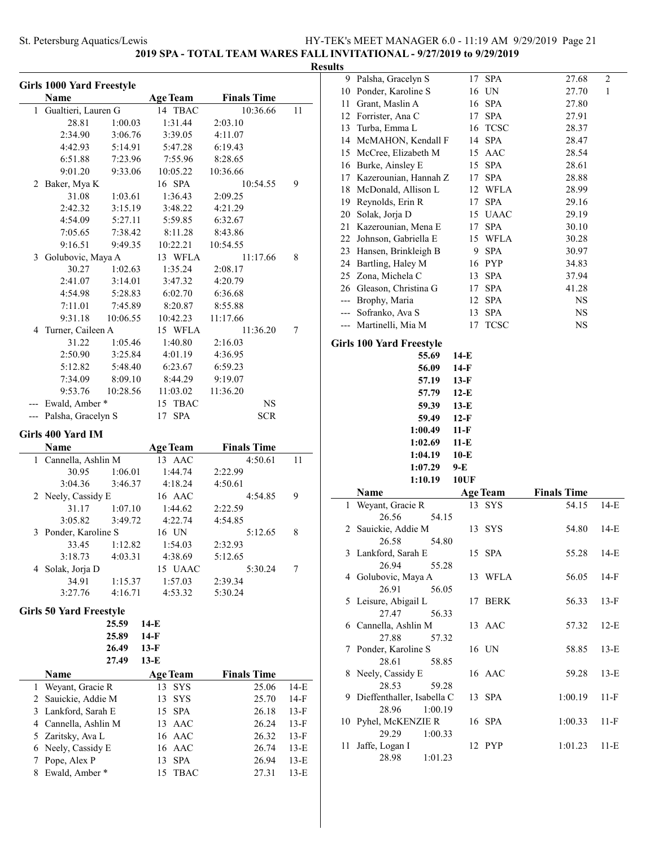**2019 SPA - TOTAL TEAM WARES FALL INVITATIONAL - 9/27/2019 to 9/29/2019**

### **Results**

|                | <b>Girls 1000 Yard Freestyle</b> |          |                         |                    |              |
|----------------|----------------------------------|----------|-------------------------|--------------------|--------------|
|                | Name                             |          | <b>Age Team</b>         | <b>Finals Time</b> |              |
| 1              | Gualtieri, Lauren G              |          | 14 TBAC                 | 10:36.66           | 11           |
|                | 28.81                            | 1:00.03  | 1:31.44                 | 2:03.10            |              |
|                | 2:34.90                          | 3:06.76  | 3:39.05                 | 4:11.07            |              |
|                | 4:42.93                          | 5:14.91  | 5:47.28                 | 6:19.43            |              |
|                | 6:51.88                          | 7:23.96  | 7:55.96                 | 8:28.65            |              |
|                | 9:01.20                          | 9:33.06  | 10:05.22                | 10:36.66           |              |
| $\overline{2}$ | Baker, Mya K                     |          | 16 SPA                  | 10:54.55           | 9            |
|                | 31.08                            | 1:03.61  | 1:36.43                 | 2:09.25            |              |
|                | 2:42.32                          | 3:15.19  | 3:48.22                 | 4:21.29            |              |
|                | 4:54.09                          | 5:27.11  | 5:59.85                 | 6:32.67            |              |
|                | 7:05.65                          | 7:38.42  | 8:11.28                 | 8:43.86            |              |
|                | 9:16.51                          | 9:49.35  | 10:22.21                | 10:54.55           |              |
| 3              | Golubovic, Maya A                |          | 13 WFLA                 | 11:17.66           | 8            |
|                | 30.27                            | 1:02.63  | 1:35.24                 | 2:08.17            |              |
|                | 2:41.07                          | 3:14.01  | 3:47.32                 | 4:20.79            |              |
|                | 4:54.98                          | 5:28.83  | 6:02.70                 | 6:36.68            |              |
|                | 7:11.01                          | 7:45.89  | 8:20.87                 | 8:55.88            |              |
|                | 9:31.18                          | 10:06.55 | 10:42.23                | 11:17.66           |              |
| 4              | Turner, Caileen A                |          | 15 WFLA                 | 11:36.20           | 7            |
|                | 31.22                            | 1:05.46  | 1:40.80                 | 2:16.03            |              |
|                | 2:50.90                          | 3:25.84  | 4:01.19                 | 4:36.95            |              |
|                | 5:12.82                          | 5:48.40  | 6:23.67                 | 6:59.23            |              |
|                | 7:34.09                          | 8:09.10  | 8:44.29                 | 9:19.07            |              |
|                | 9:53.76                          | 10:28.56 | 11:03.02                | 11:36.20           |              |
|                | Ewald, Amber*                    |          | 15 TBAC                 | <b>NS</b>          |              |
|                | --- Palsha, Gracelyn S           |          | 17 SPA                  | <b>SCR</b>         |              |
|                | Girls 400 Yard IM                |          |                         |                    |              |
|                | Name                             |          | <b>Age Team</b>         | <b>Finals Time</b> |              |
|                | 1 Cannella, Ashlin M             |          | 13 AAC                  | 4:50.61            | 11           |
|                | 30.95<br>3:04.36                 | 1:06.01  | 1:44.74                 | 2:22.99<br>4:50.61 |              |
|                |                                  |          |                         |                    |              |
|                |                                  | 3:46.37  | 4:18.24                 |                    |              |
|                | 2 Neely, Cassidy E               |          | 16 AAC                  | 4:54.85            | 9            |
|                | 31.17                            | 1:07.10  | 1:44.62                 | 2:22.59            |              |
|                | 3:05.82                          | 3:49.72  | 4:22.74                 | 4:54.85            |              |
| 3              | Ponder, Karoline S               |          | 16 UN                   | 5:12.65            | 8            |
|                | 33.45                            | 1:12.82  | 1:54.03                 | 2:32.93            |              |
|                | 3:18.73                          | 4:03.31  | 4:38.69                 | 5:12.65            |              |
| 4              | Solak, Jorja D                   |          | 15 UAAC                 | 5:30.24            | 7            |
|                | 34.91                            | 1:15.37  | 1:57.03                 | 2:39.34            |              |
|                | 3:27.76                          | 4:16.71  | 4:53.32                 | 5:30.24            |              |
|                | <b>Girls 50 Yard Freestyle</b>   |          |                         |                    |              |
|                |                                  | 25.59    | 14-E                    |                    |              |
|                |                                  | 25.89    | 14-F                    |                    |              |
|                |                                  | 26.49    | 13-F                    |                    |              |
|                |                                  | 27.49    | $13-E$                  |                    |              |
|                | Name                             |          | Age Team                | <b>Finals Time</b> |              |
| 1              | Weyant, Gracie R                 |          | 13<br>SYS               | 25.06              | 14-E         |
| 2              | Sauickie, Addie M                |          | 13<br>SYS               | 25.70              | 14-F         |
| 3              | Lankford, Sarah E                |          | <b>SPA</b><br>15        | 26.18              | 13-F         |
| 4              | Cannella, Ashlin M               |          | 13 AAC                  | 26.24              | 13-F         |
| 5              | Zaritsky, Ava L                  |          | 16 AAC                  | 26.32              | 13-F         |
| 6              | Neely, Cassidy E                 |          | 16 AAC                  | 26.74              | 13-E         |
| 7<br>8         | Pope, Alex P<br>Ewald, Amber *   |          | SPA<br>13<br>15<br>TBAC | 26.94<br>27.31     | 13-E<br>13-E |

| 9        | Palsha, Gracelyn S                    |             | 17 SPA          | 27.68              | 2      |
|----------|---------------------------------------|-------------|-----------------|--------------------|--------|
| 10       | Ponder, Karoline S                    |             | 16 UN           | 27.70              | 1      |
| 11       | Grant, Maslin A                       |             | 16 SPA          | 27.80              |        |
|          | 12 Forrister, Ana C                   | 17          | <b>SPA</b>      | 27.91              |        |
| 13       | Turba, Emma L                         |             | 16 TCSC         | 28.37              |        |
|          | 14 McMAHON, Kendall F                 |             | 14 SPA          | 28.47              |        |
| 15       | McCree, Elizabeth M                   |             | 15 AAC          | 28.54              |        |
|          | 16 Burke, Ainsley E                   |             | 15 SPA          | 28.61              |        |
|          | 17 Kazerounian, Hannah Z              |             | 17 SPA          | 28.88              |        |
| 18       | McDonald, Allison L                   |             | 12 WFLA         | 28.99              |        |
| 19       | Reynolds, Erin R                      | 17          | <b>SPA</b>      | 29.16              |        |
|          |                                       |             |                 |                    |        |
| 20<br>21 | Solak, Jorja D<br>Kazerounian, Mena E |             | 15 UAAC         | 29.19              |        |
|          |                                       |             | 17 SPA          | 30.10              |        |
| 22       | Johnson, Gabriella E                  |             | 15 WFLA         | 30.28              |        |
| 23       | Hansen, Brinkleigh B                  |             | 9 SPA           | 30.97              |        |
|          | 24 Bartling, Haley M                  |             | 16 PYP          | 34.83              |        |
|          | 25 Zona, Michela C                    |             | 13 SPA          | 37.94              |        |
|          | 26 Gleason, Christina G               |             | 17 SPA          | 41.28              |        |
|          | --- Brophy, Maria                     |             | 12 SPA          | NS                 |        |
|          | --- Sofranko, Ava S                   |             | 13 SPA          | NS                 |        |
| $---$    | Martinelli, Mia M                     | 17          | <b>TCSC</b>     | NS                 |        |
|          | <b>Girls 100 Yard Freestyle</b>       |             |                 |                    |        |
|          | 55.69                                 | 14-E        |                 |                    |        |
|          | 56.09                                 | 14-F        |                 |                    |        |
|          | 57.19                                 | $13-F$      |                 |                    |        |
|          | 57.79                                 | $12-E$      |                 |                    |        |
|          | 59.39                                 | $13-E$      |                 |                    |        |
|          | 59.49                                 | $12-F$      |                 |                    |        |
|          |                                       |             |                 |                    |        |
|          |                                       |             |                 |                    |        |
|          | 1:00.49                               | $11-F$      |                 |                    |        |
|          | 1:02.69                               | $11-E$      |                 |                    |        |
|          | 1:04.19                               | $10-E$      |                 |                    |        |
|          | 1:07.29                               | 9-E         |                 |                    |        |
|          | 1:10.19                               | <b>10UF</b> |                 |                    |        |
|          | Name                                  |             | <b>Age Team</b> | <b>Finals Time</b> |        |
| 1        | Weyant, Gracie R                      | 13          | SYS             | 54.15              | $14-E$ |
|          | 26.56<br>54.15                        |             |                 |                    |        |
| 2        | Sauickie, Addie M                     | 13          | <b>SYS</b>      | 54.80              | 14-E   |
|          | 26.58<br>54.80                        |             |                 |                    |        |
|          | 3 Lankford, Sarah E                   |             | 15 SPA          | 55.28              | $14-E$ |
|          | 26.94<br>55.28                        |             |                 |                    |        |
|          | 4 Golubovic, Maya A                   |             | 13 WFLA         | 56.05              | $14-F$ |
|          | 26.91<br>56.05                        |             |                 |                    |        |
| 5.       | Leisure, Abigail L                    |             | 17 BERK         | 56.33              | $13-F$ |
|          | 27.47<br>56.33                        |             |                 |                    |        |
|          | 6 Cannella, Ashlin M                  |             | 13 AAC          | 57.32              | $12-E$ |
|          | 27.88<br>57.32                        |             |                 |                    |        |
| 7        | Ponder, Karoline S                    |             | 16 UN           | 58.85              | $13-E$ |
|          | 28.61<br>58.85                        |             |                 |                    |        |
| 8        | Neely, Cassidy E                      |             | 16 AAC          | 59.28              | $13-E$ |
|          | 28.53<br>59.28                        |             |                 |                    |        |
| 9        | Dieffenthaller, Isabella C            |             | 13 SPA          | 1:00.19            | $11-F$ |
|          | 28.96<br>1:00.19                      |             |                 |                    |        |
| 10       | Pyhel, McKENZIE R                     |             | 16 SPA          | 1:00.33            | $11-F$ |
|          | 29.29<br>1:00.33                      |             |                 |                    |        |
| 11       | Jaffe, Logan I<br>28.98<br>1:01.23    |             | 12 PYP          | 1:01.23            | 11-E   |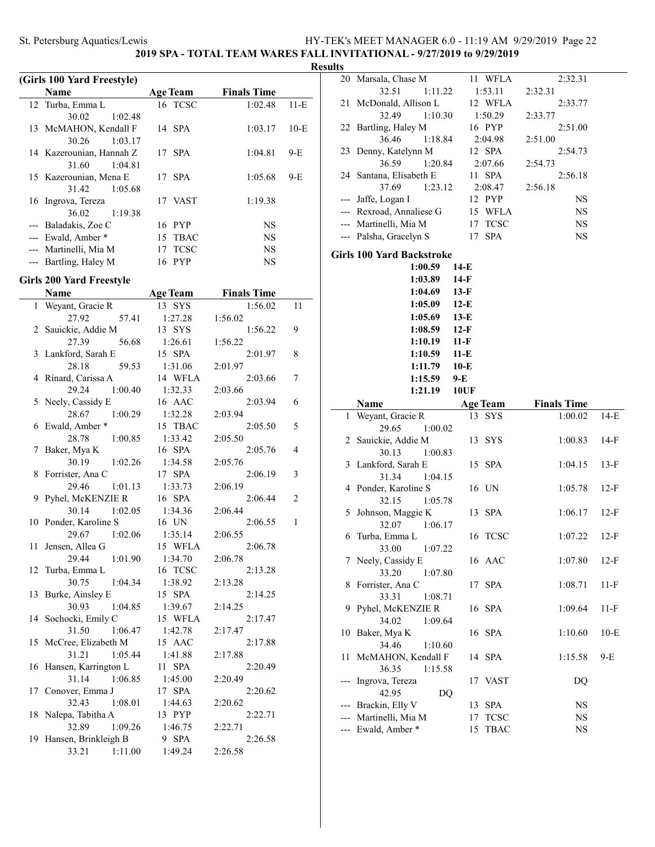### **2019 SPA - TOTAL TEAM WARES FALL INVITATIONAL - 9/27/2019 to 9/29/2019**

### **Result**

÷

|       | (Girls 100 Yard Freestyle)      |                   |                    |        |
|-------|---------------------------------|-------------------|--------------------|--------|
|       | Name                            | <b>Age Team</b>   | <b>Finals Time</b> |        |
|       | 12 Turba, Emma L                | 16 TCSC           | 1:02.48            | $11-E$ |
|       | 30.02<br>1:02.48                |                   |                    |        |
|       | 13 McMAHON, Kendall F           | 14 SPA            | 1:03.17            | $10-E$ |
|       | 30.26<br>1:03.17                |                   |                    |        |
|       | 14 Kazerounian, Hannah Z        | 17 SPA            | 1:04.81            | 9-E    |
|       | 31.60<br>1:04.81                |                   |                    |        |
|       | 15 Kazerounian, Mena E          | 17 SPA            | 1:05.68            | 9-E    |
|       | 31.42<br>1:05.68                |                   |                    |        |
|       | 16 Ingrova, Tereza              | 17 VAST           | 1:19.38            |        |
|       | 36.02<br>1:19.38                |                   |                    |        |
|       | --- Baladakis, Zoe C            | 16 PYP            | <b>NS</b>          |        |
| $---$ | Ewald, Amber *                  | <b>TBAC</b><br>15 | <b>NS</b>          |        |
|       | --- Martinelli, Mia M           | <b>TCSC</b><br>17 | <b>NS</b>          |        |
|       | --- Bartling, Haley M           | 16 PYP            | <b>NS</b>          |        |
|       | <b>Girls 200 Yard Freestyle</b> |                   |                    |        |
|       | Name                            |                   | <b>Finals Time</b> |        |
|       |                                 | <b>Age Team</b>   |                    |        |
| 1     | Weyant, Gracie R                | 13 SYS            | 1:56.02            | 11     |
|       | 27.92<br>57.41                  | 1:27.28           | 1:56.02            |        |
| 2     | Sauickie, Addie M               | 13 SYS            | 1:56.22            | 9      |

|    | гуаше                | <u>дзе геаш</u>  | гинат типе |                          |
|----|----------------------|------------------|------------|--------------------------|
| 1  | Weyant, Gracie R     | 13 SYS           | 1:56.02    | 11                       |
|    | 57.41<br>27.92       | 1:27.28          | 1:56.02    |                          |
| 2  | Sauickie, Addie M    | 13 SYS           | 1:56.22    | 9                        |
|    | 27.39<br>56.68       | 1:26.61          | 1:56.22    |                          |
| 3  | Lankford, Sarah E    | 15 SPA           | 2:01.97    | 8                        |
|    | 59.53<br>28.18       | 1:31.06          | 2:01.97    |                          |
| 4  | Rinard, Carissa A    | 14 WFLA          | 2:03.66    | $\tau$                   |
|    | 29.24<br>1:00.40     | 1:32.33          | 2:03.66    |                          |
| 5  | Neely, Cassidy E     | 16 AAC           | 2:03.94    | 6                        |
|    | 28.67<br>1:00.29     | 1:32.28          | 2:03.94    |                          |
| 6  | Ewald, Amber*        | 15 TBAC          | 2:05.50    | 5                        |
|    | 28.78<br>1:00.85     | 1:33.42          | 2:05.50    |                          |
| 7  | Baker, Mya K         | 16 SPA           | 2:05.76    | $\overline{\mathcal{L}}$ |
|    | 30.19<br>1:02.26     | 1:34.58          | 2:05.76    |                          |
| 8  | Forrister, Ana C     | 17 SPA           | 2:06.19    | 3                        |
|    | 29.46<br>1:01.13     | 1:33.73          | 2:06.19    |                          |
| 9  | Pyhel, McKENZIE R    | 16 SPA           | 2:06.44    | $\overline{c}$           |
|    | 30.14<br>1:02.05     | 1:34.36          | 2:06.44    |                          |
| 10 | Ponder, Karoline S   | 16 UN            | 2:06.55    | $\mathbf{1}$             |
|    | 29.67<br>1:02.06     | 1:35.14          | 2:06.55    |                          |
| 11 | Jensen, Allea G      | 15 WFLA          | 2:06.78    |                          |
|    | 29.44<br>1:01.90     | 1:34.70          | 2:06.78    |                          |
| 12 | Turba, Emma L        | 16 TCSC          | 2:13.28    |                          |
|    | 30.75<br>1:04.34     | 1:38.92          | 2:13.28    |                          |
| 13 | Burke, Ainsley E     | 15 SPA           | 2:14.25    |                          |
|    | 30.93<br>1:04.85     | 1:39.67          | 2:14.25    |                          |
| 14 | Sochocki, Emily C    | 15 WFLA          | 2:17.47    |                          |
|    | 31.50<br>1:06.47     | 1:42.78          | 2:17.47    |                          |
| 15 | McCree, Elizabeth M  | 15 AAC           | 2:17.88    |                          |
|    | 31.21<br>1:05.44     | 1:41.88          | 2:17.88    |                          |
| 16 | Hansen, Karrington L | <b>SPA</b><br>11 | 2:20.49    |                          |
|    | 1:06.85<br>31.14     | 1:45.00          | 2:20.49    |                          |
| 17 | Conover, Emma J      | 17 SPA           | 2:20.62    |                          |
|    | 1:08.01<br>32.43     | 1:44.63          | 2:20.62    |                          |
| 18 | Nalepa, Tabitha A    | 13 PYP           | 2:22.71    |                          |
|    | 32.89<br>1:09.26     | 1:46.75          | 2:22.71    |                          |
| 19 | Hansen, Brinkleigh B | 9 SPA            | 2:26.58    |                          |
|    | 33.21<br>1:11.00     | 1:49.24          | 2:26.58    |                          |

| ılts  |                                      |             |                 |                    |        |
|-------|--------------------------------------|-------------|-----------------|--------------------|--------|
|       | 20 Marsala, Chase M                  |             | 11 WFLA         | 2:32.31            |        |
|       | 32.51<br>1:11.22                     |             | 1:53.11         | 2:32.31            |        |
| 21    | McDonald, Allison L                  |             | 12 WFLA         | 2:33.77            |        |
|       | 32.49<br>1:10.30                     |             | 1:50.29         | 2:33.77            |        |
|       | 22 Bartling, Haley M                 |             | 16 PYP          | 2:51.00            |        |
|       | 36.46<br>1:18.84                     |             | 2:04.98         | 2:51.00            |        |
|       | 23 Denny, Katelynn M                 |             | 12 SPA          | 2:54.73            |        |
|       | 36.59<br>1:20.84                     |             | 2:07.66         | 2:54.73            |        |
|       | 24 Santana, Elisabeth E              |             | 11 SPA          | 2:56.18            |        |
|       | 37.69<br>1:23.12                     |             | 2:08.47         | 2:56.18            |        |
| $---$ | Jaffe, Logan I                       |             | 12 PYP          | NS                 |        |
|       | --- Rexroad, Annaliese G             |             | 15 WFLA         | NS                 |        |
|       | --- Martinelli, Mia M                |             | 17 TCSC         | <b>NS</b>          |        |
| ---   | Palsha, Gracelyn S                   | 17          | <b>SPA</b>      | NS                 |        |
|       |                                      |             |                 |                    |        |
|       | <b>Girls 100 Yard Backstroke</b>     |             |                 |                    |        |
|       | 1:00.59                              | 14-E        |                 |                    |        |
|       | 1:03.89                              | $14-F$      |                 |                    |        |
|       | 1:04.69                              | $13-F$      |                 |                    |        |
|       | $1:05.09$ 12-E                       |             |                 |                    |        |
|       | 1:05.69                              | $13-E$      |                 |                    |        |
|       | 1:08.59                              | $12-F$      |                 |                    |        |
|       | 1:10.19                              | $11-F$      |                 |                    |        |
|       | 1:10.59                              | $11-E$      |                 |                    |        |
|       | 1:11.79                              | $10-E$      |                 |                    |        |
|       | 1:15.59                              | $9-E$       |                 |                    |        |
|       | 1:21.19                              | <b>10UF</b> |                 |                    |        |
|       |                                      |             |                 |                    |        |
|       | Name                                 |             | <b>Age Team</b> | <b>Finals Time</b> |        |
| 1     | Weyant, Gracie R                     |             | 13 SYS          | 1:00.02            | $14-E$ |
|       | 29.65<br>1:00.02                     |             |                 |                    |        |
|       | 2 Sauickie, Addie M                  |             | 13 SYS          | 1:00.83            | $14-F$ |
|       | 30.13<br>1:00.83                     |             |                 |                    |        |
|       | 3 Lankford, Sarah E                  |             | 15 SPA          | 1:04.15            | $13-F$ |
|       | 1:04.15<br>31.34                     |             |                 |                    |        |
|       | 4 Ponder, Karoline S                 |             | 16 UN           | 1:05.78            | $12-F$ |
|       | 32.15<br>1:05.78                     |             |                 |                    |        |
| 5     | Johnson, Maggie K                    | 13          | <b>SPA</b>      | 1:06.17            | $12-F$ |
|       | 32.07<br>1:06.17                     |             |                 |                    |        |
|       | 6 Turba, Emma L                      |             | 16 TCSC         | 1:07.22            | $12-F$ |
|       | 33.00<br>1:07.22                     |             |                 |                    |        |
|       | 7 Neely, Cassidy E                   |             | 16 AAC          | 1:07.80            | $12-F$ |
|       | 33.20<br>1:07.80                     |             |                 |                    |        |
| 8     | Forrister, Ana C                     | 17          | <b>SPA</b>      | 1:08.71            | $11-F$ |
|       | 33.31<br>1:08.71                     |             |                 |                    |        |
| 9     | Pyhel, McKENZIE R                    | 16          | SPA             | 1:09.64            | 11-F   |
|       | 34.02<br>1:09.64                     |             |                 |                    |        |
| 10    | Baker, Mya K                         |             | 16 SPA          | 1:10.60            | 10-E   |
|       | 34.46<br>1:10.60                     |             |                 |                    |        |
| 11    | McMAHON, Kendall F                   | 14          | <b>SPA</b>      | 1:15.58            | 9-E    |
|       | 36.35<br>1:15.58                     |             |                 |                    |        |
|       | Ingrova, Tereza                      |             | 17 VAST         | DQ                 |        |
|       | 42.95<br>DQ                          |             |                 |                    |        |
| ---   |                                      | 13          | <b>SPA</b>      | NS                 |        |
|       | Brackin, Elly V<br>Martinelli, Mia M | 17          | <b>TCSC</b>     | NS                 |        |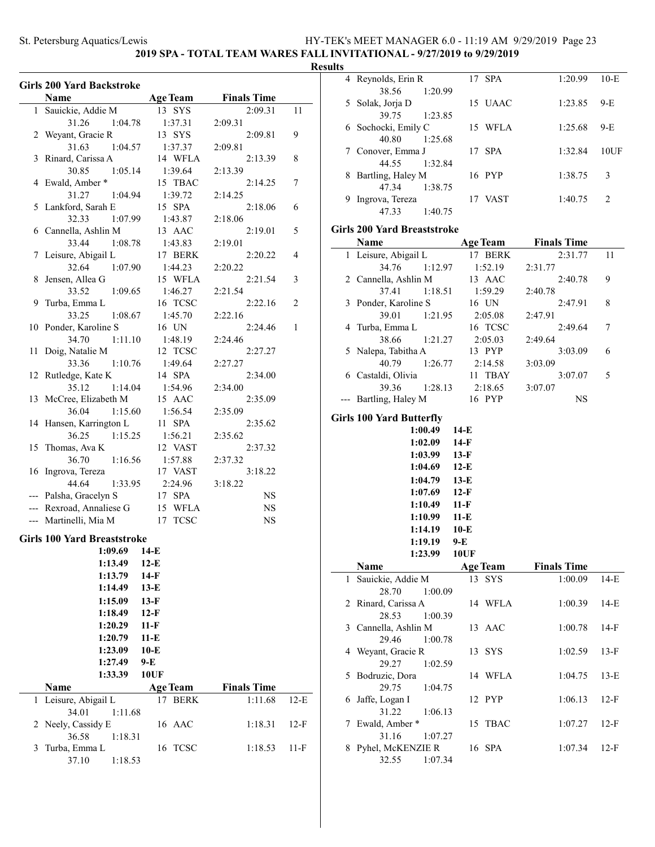### **2019 SPA - TOTAL TEAM WARES FALL INVITATIONAL - 9/27/2019 to 9/29/2019**

### **Results**

ц.

|    | <b>Girls 200 Yard Backstroke</b>           |                    |                    |        |
|----|--------------------------------------------|--------------------|--------------------|--------|
|    | Name                                       | <b>Age Team</b>    | <b>Finals Time</b> |        |
| 1  | Sauickie, Addie M                          | 13 SYS             | 2:09.31            | 11     |
|    | 1:04.78<br>31.26                           | 1:37.31            | 2:09.31            |        |
| 2  | Weyant, Gracie R                           | 13 SYS             | 2:09.81            | 9      |
|    | 31.63<br>1:04.57                           | 1:37.37            | 2:09.81            |        |
| 3  | Rinard, Carissa A                          | 14 WFLA            | 2:13.39            | 8      |
|    | 30.85<br>1:05.14                           | 1:39.64            | 2:13.39            |        |
|    | 4 Ewald, Amber*                            | 15 TBAC            | 2:14.25            | 7      |
|    | 31.27<br>1:04.94                           | 1:39.72<br>15 SPA  | 2:14.25<br>2:18.06 |        |
|    | 5 Lankford, Sarah E<br>1:07.99<br>32.33    | 1:43.87            | 2:18.06            | 6      |
|    | 6 Cannella, Ashlin M                       | 13 AAC             | 2:19.01            | 5      |
|    | 33.44<br>1:08.78                           | 1:43.83            | 2:19.01            |        |
| 7  | Leisure, Abigail L                         | 17 BERK            | 2:20.22            | 4      |
|    | 32.64<br>1:07.90                           | 1:44.23            | 2:20.22            |        |
| 8  | Jensen, Allea G                            | 15 WFLA            | 2:21.54            | 3      |
|    | 33.52<br>1:09.65                           | 1:46.27            | 2:21.54            |        |
| 9  | Turba, Emma L                              | 16 TCSC            | 2:22.16            | 2      |
|    | 33.25<br>1:08.67                           | 1:45.70            | 2:22.16            |        |
|    | 10 Ponder, Karoline S                      | 16 UN              | 2:24.46            | 1      |
|    | 34.70<br>1:11.10                           | 1:48.19            | 2:24.46            |        |
| 11 | Doig, Natalie M                            | 12 TCSC            | 2:27.27            |        |
|    | 33.36<br>1:10.76                           | 1:49.64            | 2:27.27            |        |
|    | 12 Rutledge, Kate K                        | 14 SPA             | 2:34.00            |        |
|    | 35.12<br>1:14.04                           | 1:54.96            | 2:34.00            |        |
|    | 13 McCree, Elizabeth M<br>36.04<br>1:15.60 | 15 AAC<br>1:56.54  | 2:35.09<br>2:35.09 |        |
|    | 14 Hansen, Karrington L                    | 11 SPA             | 2:35.62            |        |
|    | 36.25<br>1:15.25                           | 1:56.21            | 2:35.62            |        |
| 15 | Thomas, Ava K                              | 12 VAST            | 2:37.32            |        |
|    | 36.70<br>1:16.56                           | 1:57.88            | 2:37.32            |        |
|    | 16 Ingrova, Tereza                         | 17 VAST            | 3:18.22            |        |
|    | 44.64<br>1:33.95                           | 2:24.96            | 3:18.22            |        |
|    | --- Palsha, Gracelyn S                     | 17 SPA             | <b>NS</b>          |        |
|    | --- Rexroad, Annaliese G                   | 15 WFLA            | NS                 |        |
|    | --- Martinelli, Mia M                      | 17 TCSC            | <b>NS</b>          |        |
|    | <b>Girls 100 Yard Breaststroke</b>         |                    |                    |        |
|    | 1:09.69                                    | 14-E               |                    |        |
|    | 1:13.49                                    | $12-E$             |                    |        |
|    | 1:13.79                                    | $14-F$             |                    |        |
|    | 1:14.49                                    | $13-E$             |                    |        |
|    | 1:15.09                                    | $13-F$             |                    |        |
|    | 1:18.49                                    | $12-F$             |                    |        |
|    | 1:20.29                                    | $11-F$             |                    |        |
|    | 1:20.79                                    | $11-E$             |                    |        |
|    | 1:23.09                                    | $10-E$             |                    |        |
|    | 1:27.49                                    | 9-E<br><b>10UF</b> |                    |        |
|    | 1:33.39<br>Name                            | <b>Age Team</b>    | <b>Finals Time</b> |        |
| 1  | Leisure, Abigail L                         | 17 BERK            | 1:11.68            | $12-E$ |
|    | 34.01<br>1:11.68                           |                    |                    |        |
| 2  | Neely, Cassidy E                           | 16 AAC             | 1:18.31            | $12-F$ |
|    | 36.58<br>1:18.31                           |                    |                    |        |
| 3  | Turba, Emma L                              | 16 TCSC            | 1:18.53            | $11-F$ |
|    | 37.10<br>1:18.53                           |                    |                    |        |

| ιιιэ |                                       |                   |                    |                |
|------|---------------------------------------|-------------------|--------------------|----------------|
|      | 4 Reynolds, Erin R                    | 17 SPA            | 1:20.99            | $10-E$         |
|      | 38.56<br>1:20.99                      |                   |                    |                |
| 5    | Solak, Jorja D                        | 15 UAAC           | 1:23.85            | 9-E            |
| 6    | 39.75<br>1:23.85<br>Sochocki, Emily C | 15 WFLA           | 1:25.68            | 9-E            |
|      | 40.80<br>1:25.68                      |                   |                    |                |
| 7    | Conover, Emma J                       | 17 SPA            | 1:32.84            | 10UF           |
|      | 44.55<br>1:32.84                      |                   |                    |                |
| 8    | Bartling, Haley M                     | 16 PYP            | 1:38.75            | 3              |
|      | 47.34<br>1:38.75                      |                   |                    |                |
| 9    | Ingrova, Tereza                       | 17 VAST           | 1:40.75            | $\overline{c}$ |
|      | 47.33<br>1:40.75                      |                   |                    |                |
|      | <b>Girls 200 Yard Breaststroke</b>    |                   |                    |                |
|      | Name                                  | <b>Age Team</b>   | <b>Finals Time</b> |                |
| 1    | Leisure, Abigail L                    | 17 BERK           | 2:31.77            | 11             |
|      | 34.76<br>1:12.97                      | 1:52.19           | 2:31.77            |                |
|      | 2 Cannella, Ashlin M                  | 13 AAC            | 2:40.78            | 9              |
|      | 37.41<br>1:18.51                      | 1:59.29           | 2:40.78            |                |
| 3    | Ponder, Karoline S                    | 16 UN             | 2:47.91            | 8              |
|      | 39.01<br>1:21.95                      | 2:05.08           | 2:47.91            |                |
| 4    | Turba, Emma L<br>38.66<br>1:21.27     | 16 TCSC           | 2:49.64<br>2:49.64 | 7              |
| 5    | Nalepa, Tabitha A                     | 2:05.03<br>13 PYP | 3:03.09            | 6              |
|      | 40.79<br>1:26.77                      | 2:14.58           | 3:03.09            |                |
|      | 6 Castaldi, Olivia                    | 11 TBAY           | 3:07.07            | 5              |
|      | 39.36<br>1:28.13                      | 2:18.65           | 3:07.07            |                |
| ---  | Bartling, Haley M                     | 16 PYP            | NS                 |                |
|      | <b>Girls 100 Yard Butterfly</b>       |                   |                    |                |
|      | 1:00.49                               | $14-E$            |                    |                |
|      | 1:02.09                               | 14-F              |                    |                |
|      | 1:03.99                               | $13-F$            |                    |                |
|      | 1:04.69                               | $12-E$            |                    |                |
|      | 1:04.79                               | $13-E$            |                    |                |
|      | 1:07.69                               | $12-F$            |                    |                |
|      | 1:10.49                               | $11-F$            |                    |                |
|      | 1:10.99                               | $11-E$            |                    |                |
|      | 1:14.19                               | $10-E$            |                    |                |
|      | 1:19.19                               | $9-E$             |                    |                |
|      | 1:23.99                               | 10UF              |                    |                |
|      | Name                                  | <b>Age Team</b>   | <b>Finals Time</b> |                |
| 1    | Sauickie, Addie M<br>28.70<br>1:00.09 | 13 SYS            | 1:00.09            | $14-E$         |
|      | 2 Rinard, Carissa A                   | 14 WFLA           | 1:00.39            | $14-E$         |
|      | 28.53<br>1:00.39                      |                   |                    |                |
| 3    | Cannella, Ashlin M                    | 13 AAC            | 1:00.78            | $14-F$         |
|      | 29.46<br>1:00.78                      |                   |                    |                |
| 4    | Weyant, Gracie R                      | 13 SYS            | 1:02.59            | $13-F$         |
|      | 29.27<br>1:02.59                      |                   |                    |                |
| 5    | Bodruzic, Dora                        | 14 WFLA           | 1:04.75            | $13-E$         |
|      | 29.75<br>1:04.75                      |                   |                    |                |
| 6    | Jaffe, Logan I                        | 12 PYP            | 1:06.13            | $12-F$         |
|      | 31.22<br>1:06.13                      |                   |                    |                |
| 7    | Ewald, Amber*<br>31.16<br>1:07.27     | 15 TBAC           | 1:07.27            | $12-F$         |
| 8    |                                       |                   | 1:07.34            | $12-F$         |
|      |                                       |                   |                    |                |
|      | Pyhel, McKENZIE R<br>32.55<br>1:07.34 | 16 SPA            |                    |                |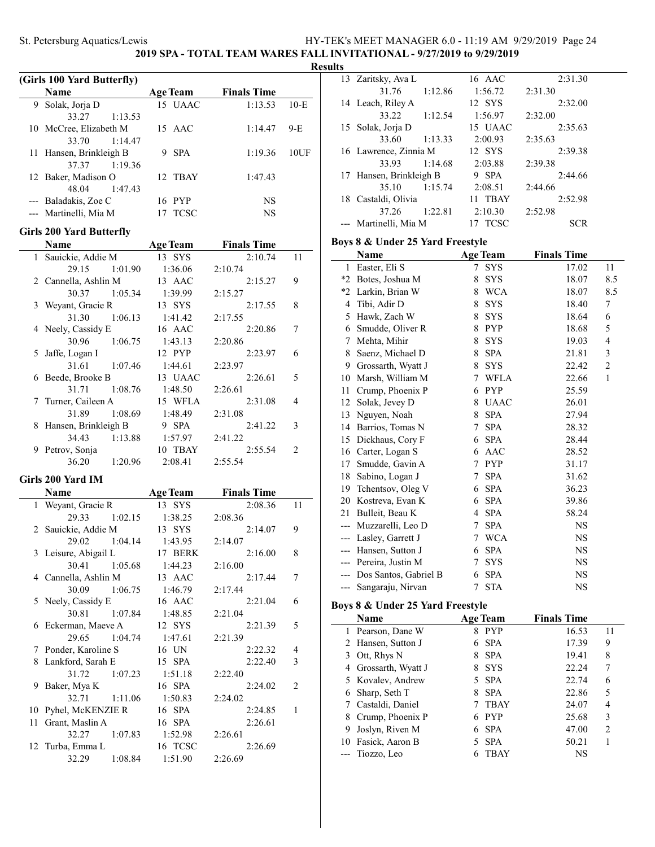**2019 SPA - TOTAL TEAM WARES FALL INVITATIONAL - 9/27/2019 to 9/29/2019**

#### **Results**

 $\overline{a}$ 

| $10-E$ |
|--------|
|        |
| $9-E$  |
|        |
| 10UF   |
|        |
|        |
|        |
|        |
|        |
|        |

### **Girls 200 Yard Butterfly**

|   | Name                   |         | <b>Age Team</b> | <b>Finals Time</b> |               |
|---|------------------------|---------|-----------------|--------------------|---------------|
|   | 1 Sauickie, Addie M    |         | 13 SYS          | 2:10.74            | 11            |
|   | 29.15                  | 1:01.90 | 1:36.06         | 2:10.74            |               |
|   | 2 Cannella, Ashlin M   |         | 13 AAC          | 2:15.27            | 9             |
|   | 30.37                  | 1:05.34 | 1:39.99         | 2:15.27            |               |
|   | 3 Weyant, Gracie R     |         | 13 SYS          | 2:17.55            | 8             |
|   | 31.30 1:06.13          |         | 1:41.42         | 2:17.55            |               |
|   | 4 Neely, Cassidy E     |         | 16 AAC          | 2:20.86            | 7             |
|   | 30.96 1:06.75          |         | 1:43.13         | 2:20.86            |               |
|   | 5 Jaffe, Logan I       |         | 12 PYP          | 2:23.97            | 6             |
|   | 31.61 1:07.46          |         | 1:44.61         | 2:23.97            |               |
|   | 6 Beede, Brooke B      |         | 13 UAAC         | 2:26.61            | 5             |
|   | 31.71                  | 1:08.76 | 1:48.50         | 2:26.61            |               |
|   | 7 Turner, Caileen A    |         | 15 WFLA         | 2:31.08            | 4             |
|   | 31.89                  | 1:08.69 | 1:48.49         | 2:31.08            |               |
|   | 8 Hansen, Brinkleigh B |         | 9 SPA           | 2:41.22            | 3             |
|   | 34.43                  | 1:13.88 | 1:57.97         | 2:41.22            |               |
| 9 | Petrov, Sonja          |         | 10 TBAY         | 2:55.54            | $\mathcal{P}$ |
|   | 36.20                  | 1:20.96 | 2:08.41         | 2:55.54            |               |

### **Girls 200 Yard IM**

|    | Name                 |         | <b>Age Team</b> | <b>Finals Time</b> |    |
|----|----------------------|---------|-----------------|--------------------|----|
| 1  | Weyant, Gracie R     |         | 13 SYS          | 2:08.36            | 11 |
|    | 29.33                | 1:02.15 | 1:38.25         | 2:08.36            |    |
|    | 2 Sauickie, Addie M  |         | 13 SYS          | 2:14.07            | 9  |
|    | 29.02                | 1:04.14 | 1:43.95         | 2:14.07            |    |
|    | 3 Leisure, Abigail L |         | 17 BERK         | 2:16.00            | 8  |
|    | 30.41                | 1:05.68 | 1:44.23         | 2:16.00            |    |
|    | 4 Cannella, Ashlin M |         | 13 AAC          | 2:17.44            | 7  |
|    | 30.09                | 1:06.75 | 1:46.79         | 2:17.44            |    |
|    | 5 Neely, Cassidy E   |         | 16 AAC          | 2:21.04            | 6  |
|    | 30.81 1:07.84        |         | 1:48.85         | 2:21.04            |    |
|    | 6 Eckerman, Maeve A  |         | 12 SYS          | 2:21.39            | 5  |
|    | 29.65 1:04.74        |         | 1:47.61         | 2:21.39            |    |
|    | 7 Ponder, Karoline S |         | 16 UN           | 2:22.32            | 4  |
|    | 8 Lankford, Sarah E  |         | 15 SPA          | 2:22.40            | 3  |
|    | 31.72                | 1:07.23 | 1:51.18         | 2:22.40            |    |
|    | 9 Baker, Mya K       |         | 16 SPA          | 2:24.02            | 2  |
|    | 32.71                | 1:11.06 | 1:50.83         | 2:24.02            |    |
|    | 10 Pyhel, McKENZIE R |         | 16 SPA          | 2:24.85            | 1  |
| 11 | Grant, Maslin A      |         | 16 SPA          | 2:26.61            |    |
|    | 32.27                | 1:07.83 | 1:52.98         | 2:26.61            |    |
|    | 12 Turba, Emma L     |         | 16 TCSC         | 2:26.69            |    |
|    | 32.29                | 1:08.84 | 1:51.90         | 2:26.69            |    |

|    | 13 Zaritsky, Ava L    |         | 16 AAC          | 2:31.30    |
|----|-----------------------|---------|-----------------|------------|
|    | 31.76                 | 1:12.86 | 1:56.72         | 2:31.30    |
|    | 14 Leach, Riley A     |         | 12 SYS          | 2:32.00    |
|    | 33.22                 | 1:12.54 | 1:56.97         | 2:32.00    |
| 15 | Solak, Jorja D        |         | 15 UAAC         | 2:35.63    |
|    | 33.60                 | 1:13.33 | 2:00.93         | 2:35.63    |
|    | 16 Lawrence, Zinnia M |         | 12 SYS          | 2:39.38    |
|    | 33.93                 | 1:14.68 | 2:03.88         | 2:39.38    |
| 17 | Hansen, Brinkleigh B  |         | <b>SPA</b><br>9 | 2:44.66    |
|    | 35.10                 | 1:15.74 | 2:08.51         | 2:44.66    |
| 18 | Castaldi, Olivia      |         | 11 TBAY         | 2:52.98    |
|    | 37.26                 | 1:22.81 | 2:10.30         | 2:52.98    |
|    | Martinelli, Mia M     |         | <b>TCSC</b>     | <b>SCR</b> |

### **Boys 8 & Under 25 Yard Freestyle**

|       | Name                  |   | <b>Age Team</b> | <b>Finals Time</b> |                |
|-------|-----------------------|---|-----------------|--------------------|----------------|
| 1     | Easter, Eli S         | 7 | <b>SYS</b>      | 17.02              | 11             |
| *2    | Botes, Joshua M       | 8 | <b>SYS</b>      | 18.07              | 8.5            |
| *2    | Larkin, Brian W       | 8 | <b>WCA</b>      | 18.07              | 8.5            |
| 4     | Tibi, Adir D          | 8 | <b>SYS</b>      | 18.40              | 7              |
| 5     | Hawk, Zach W          | 8 | <b>SYS</b>      | 18.64              | 6              |
| 6     | Smudde, Oliver R      | 8 | <b>PYP</b>      | 18.68              | 5              |
| 7     | Mehta, Mihir          | 8 | <b>SYS</b>      | 19.03              | 4              |
| 8     | Saenz, Michael D      | 8 | <b>SPA</b>      | 21.81              | 3              |
| 9     | Grossarth, Wyatt J    | 8 | <b>SYS</b>      | 22.42              | $\overline{c}$ |
| 10    | Marsh, William M      | 7 | <b>WFLA</b>     | 22.66              | $\mathbf{1}$   |
| 11    | Crump, Phoenix P      | 6 | <b>PYP</b>      | 25.59              |                |
| 12    | Solak, Jevey D        | 8 | <b>UAAC</b>     | 26.01              |                |
| 13    | Nguyen, Noah          | 8 | <b>SPA</b>      | 27.94              |                |
| 14    | Barrios, Tomas N      | 7 | <b>SPA</b>      | 28.32              |                |
| 15    | Dickhaus, Cory F      | 6 | <b>SPA</b>      | 28.44              |                |
| 16    | Carter, Logan S       | 6 | AAC             | 28.52              |                |
| 17    | Smudde, Gavin A       | 7 | <b>PYP</b>      | 31.17              |                |
| 18    | Sabino, Logan J       | 7 | <b>SPA</b>      | 31.62              |                |
| 19    | Tchentsov, Oleg V     | 6 | <b>SPA</b>      | 36.23              |                |
| 20    | Kostreva, Evan K      | 6 | <b>SPA</b>      | 39.86              |                |
| 21    | Bulleit, Beau K       | 4 | <b>SPA</b>      | 58.24              |                |
| ---   | Muzzarelli, Leo D     | 7 | <b>SPA</b>      | NS                 |                |
| $---$ | Lasley, Garrett J     | 7 | <b>WCA</b>      | NS                 |                |
| ---   | Hansen, Sutton J      | 6 | <b>SPA</b>      | NS                 |                |
|       | Pereira, Justin M     | 7 | <b>SYS</b>      | <b>NS</b>          |                |
| $---$ | Dos Santos, Gabriel B | 6 | <b>SPA</b>      | <b>NS</b>          |                |
|       | Sangaraju, Nirvan     | 7 | <b>STA</b>      | NS                 |                |

# **Boys 8 & Under 25 Yard Freestyle**

| Name                 |   | <b>Age Team</b> | <b>Finals Time</b> |                |
|----------------------|---|-----------------|--------------------|----------------|
| 1 Pearson, Dane W    | 8 | <b>PYP</b>      | 16.53              | 11             |
| 2 Hansen, Sutton J   |   | 6 SPA           | 17.39              | 9              |
| 3 Ott, Rhys N        | 8 | <b>SPA</b>      | 19.41              | 8              |
| 4 Grossarth, Wyatt J | 8 | – SYS           | 22.24              |                |
| 5 Kovalev, Andrew    |   | 5 SPA           | 22.74              | 6              |
| 6 Sharp, Seth T      | 8 | <b>SPA</b>      | 22.86              | 5              |
| 7 Castaldi, Daniel   |   | <b>TBAY</b>     | 24.07              | 4              |
| 8 Crump, Phoenix P   | 6 | <b>PYP</b>      | 25.68              | 3              |
| 9 Joslyn, Riven M    |   | 6 SPA           | 47.00              | $\mathfrak{D}$ |
| 10 Fasick, Aaron B   |   | 5 SPA           | 50.21              |                |
| --- Tiozzo, Leo      |   | TBAY            | NS                 |                |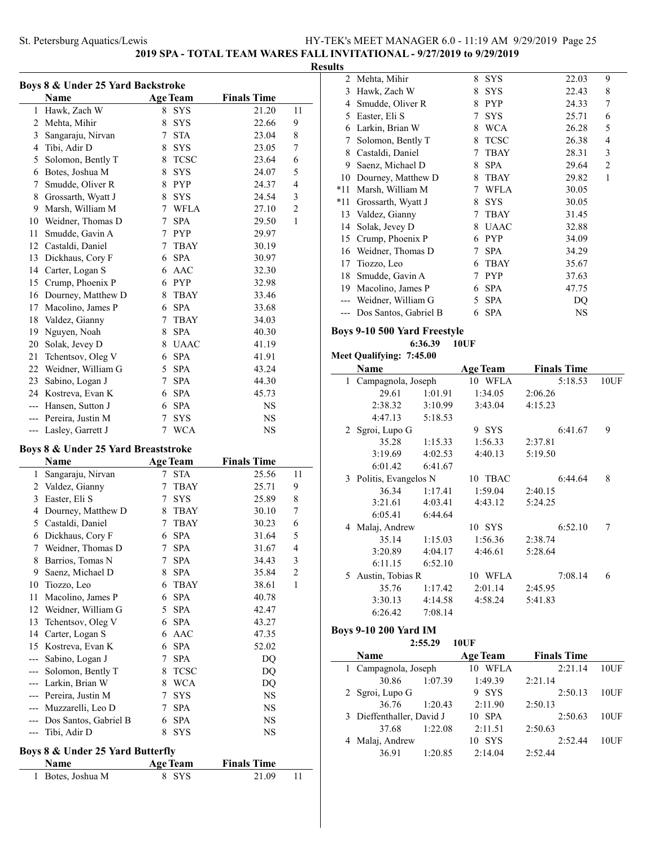**2019 SPA - TOTAL TEAM WARES FALL INVITATIONAL - 9/27/2019 to 9/29/2019**

### **Results**

| Boys 8 & Under 25 Yard Backstroke |                                     |                 |                 |                    |                |
|-----------------------------------|-------------------------------------|-----------------|-----------------|--------------------|----------------|
|                                   | Name                                |                 | <b>Age Team</b> | <b>Finals Time</b> |                |
| $\mathbf{1}$                      | Hawk, Zach W                        | 8               | <b>SYS</b>      | 21.20              | 11             |
| 2                                 | Mehta, Mihir                        | 8               | <b>SYS</b>      | 22.66              | 9              |
| 3                                 | Sangaraju, Nirvan                   | 7               | <b>STA</b>      | 23.04              | 8              |
| 4                                 | Tibi, Adir D                        | 8               | <b>SYS</b>      | 23.05              | 7              |
| 5                                 | Solomon, Bently T                   | 8               | <b>TCSC</b>     | 23.64              | 6              |
| 6                                 | Botes, Joshua M                     | 8               | <b>SYS</b>      | 24.07              | 5              |
| 7                                 | Smudde, Oliver R                    | 8               | <b>PYP</b>      | 24.37              | 4              |
| 8                                 | Grossarth, Wyatt J                  | 8               | <b>SYS</b>      | 24.54              | 3              |
| 9                                 | Marsh, William M                    | $7^{\circ}$     | <b>WFLA</b>     | 27.10              | $\overline{c}$ |
| 10                                | Weidner, Thomas D                   | 7               | <b>SPA</b>      | 29.50              | $\mathbf{1}$   |
| 11                                | Smudde, Gavin A                     | $7\overline{ }$ | <b>PYP</b>      | 29.97              |                |
| 12                                | Castaldi, Daniel                    | 7               | TBAY            | 30.19              |                |
| 13                                | Dickhaus, Cory F                    | 6               | <b>SPA</b>      | 30.97              |                |
| 14                                | Carter, Logan S                     | 6               | AAC             | 32.30              |                |
| 15                                | Crump, Phoenix P                    | 6               | <b>PYP</b>      | 32.98              |                |
| 16                                | Dourney, Matthew D                  | 8               | <b>TBAY</b>     | 33.46              |                |
| 17                                | Macolino, James P                   | 6               | <b>SPA</b>      | 33.68              |                |
| 18                                | Valdez, Gianny                      | 7               | <b>TBAY</b>     | 34.03              |                |
| 19                                | Nguyen, Noah                        | 8               | <b>SPA</b>      | 40.30              |                |
| 20                                | Solak, Jevey D                      | 8               | <b>UAAC</b>     | 41.19              |                |
| 21                                | Tchentsov, Oleg V                   | 6               | <b>SPA</b>      | 41.91              |                |
| 22                                | Weidner, William G                  | 5               | <b>SPA</b>      | 43.24              |                |
| 23                                | Sabino, Logan J                     | 7               | <b>SPA</b>      | 44.30              |                |
| 24                                | Kostreva, Evan K                    | 6               | <b>SPA</b>      | 45.73              |                |
| ---                               | Hansen, Sutton J                    | 6               | <b>SPA</b>      | NS                 |                |
| ---                               | Pereira, Justin M                   | 7               | SYS             | NS                 |                |
| ---                               | Lasley, Garrett J                   | 7               | <b>WCA</b>      | NS                 |                |
|                                   | Boys 8 & Under 25 Yard Breaststroke |                 |                 |                    |                |
|                                   | Name                                |                 | Age Team        | Finale Time        |                |

|     | Name                  |   | <b>Age Team</b> | <b>Finals Time</b> |                |
|-----|-----------------------|---|-----------------|--------------------|----------------|
| 1   | Sangaraju, Nirvan     | 7 | <b>STA</b>      | 25.56              | 11             |
| 2   | Valdez, Gianny        | 7 | TBAY            | 25.71              | 9              |
| 3   | Easter, Eli S         | 7 | <b>SYS</b>      | 25.89              | 8              |
| 4   | Dourney, Matthew D    | 8 | <b>TBAY</b>     | 30.10              | 7              |
| 5   | Castaldi, Daniel      | 7 | TBAY            | 30.23              | 6              |
| 6   | Dickhaus, Cory F      | 6 | <b>SPA</b>      | 31.64              | 5              |
| 7   | Weidner, Thomas D     | 7 | <b>SPA</b>      | 31.67              | 4              |
| 8   | Barrios, Tomas N      | 7 | <b>SPA</b>      | 34.43              | 3              |
| 9   | Saenz, Michael D      | 8 | <b>SPA</b>      | 35.84              | $\overline{2}$ |
| 10  | Tiozzo, Leo           | 6 | <b>TBAY</b>     | 38.61              | $\mathbf{1}$   |
| 11  | Macolino, James P     | 6 | <b>SPA</b>      | 40.78              |                |
| 12  | Weidner, William G    | 5 | <b>SPA</b>      | 42.47              |                |
| 13  | Tchentsov, Oleg V     | 6 | <b>SPA</b>      | 43.27              |                |
| 14  | Carter, Logan S       | 6 | AAC             | 47.35              |                |
| 15  | Kostreva, Evan K      | 6 | <b>SPA</b>      | 52.02              |                |
|     | Sabino, Logan J       | 7 | <b>SPA</b>      | DQ                 |                |
|     | Solomon, Bently T     | 8 | <b>TCSC</b>     | DQ                 |                |
|     | Larkin, Brian W       | 8 | <b>WCA</b>      | DQ                 |                |
|     | Pereira, Justin M     | 7 | <b>SYS</b>      | <b>NS</b>          |                |
| --- | Muzzarelli, Leo D     | 7 | <b>SPA</b>      | NS.                |                |
|     | Dos Santos, Gabriel B | 6 | <b>SPA</b>      | NS                 |                |
|     | Tibi, Adir D          | 8 | SYS             | NS                 |                |
|     |                       |   |                 |                    |                |

### **Boys 8 & Under 25 Yard Butterfly**

| <b>Name</b>       | Age Team | <b>Finals Time</b> |  |
|-------------------|----------|--------------------|--|
| 1 Botes, Joshua M | 8 SYS    | 21.09              |  |

| 2   | Mehta, Mihir          | 8 | <b>SYS</b>  | 22.03 | 9 |
|-----|-----------------------|---|-------------|-------|---|
| 3   | Hawk, Zach W          | 8 | <b>SYS</b>  | 22.43 | 8 |
| 4   | Smudde, Oliver R      | 8 | <b>PYP</b>  | 24.33 | 7 |
| 5   | Easter, Eli S         | 7 | <b>SYS</b>  | 25.71 | 6 |
| 6   | Larkin, Brian W       | 8 | <b>WCA</b>  | 26.28 | 5 |
| 7   | Solomon, Bently T     | 8 | <b>TCSC</b> | 26.38 | 4 |
| 8   | Castaldi, Daniel      | 7 | <b>TBAY</b> | 28.31 | 3 |
| 9   | Saenz, Michael D      | 8 | <b>SPA</b>  | 29.64 | 2 |
| 10  | Dourney, Matthew D    | 8 | <b>TBAY</b> | 29.82 | 1 |
| *11 | Marsh, William M      | 7 | WFLA        | 30.05 |   |
| *11 | Grossarth, Wyatt J    | 8 | <b>SYS</b>  | 30.05 |   |
| 13  | Valdez, Gianny        |   | <b>TBAY</b> | 31.45 |   |
| 14  | Solak, Jevey D        | 8 | <b>UAAC</b> | 32.88 |   |
| 15  | Crump, Phoenix P      | 6 | <b>PYP</b>  | 34.09 |   |
| 16  | Weidner, Thomas D     | 7 | <b>SPA</b>  | 34.29 |   |
| 17  | Tiozzo, Leo           | 6 | <b>TBAY</b> | 35.67 |   |
| 18  | Smudde, Gavin A       |   | <b>PYP</b>  | 37.63 |   |
| 19  | Macolino, James P     | 6 | <b>SPA</b>  | 47.75 |   |
|     | Weidner, William G    | 5 | <b>SPA</b>  | DQ    |   |
|     | Dos Santos, Gabriel B | 6 | <b>SPA</b>  | NS    |   |
|     |                       |   |             |       |   |

### **Boys 9-10 500 Yard Freestyle**

**6:36.39 10UF**

```
Meet Qualifying: 7:45.00
```

|    | Name                   |         | <b>Age Team</b> | <b>Finals Time</b> |      |
|----|------------------------|---------|-----------------|--------------------|------|
| 1. | Campagnola, Joseph     |         | 10 WFLA         | 5:18.53            | 10UF |
|    | 29.61                  | 1:01.91 | 1:34.05         | 2:06.26            |      |
|    | 2:38.32                | 3:10.99 | 3:43.04         | 4:15.23            |      |
|    | 4:47.13                | 5:18.53 |                 |                    |      |
|    | 2 Sgroi, Lupo G        |         | 9 SYS           | 6:41.67            | 9    |
|    | 35.28                  | 1:15.33 | 1:56.33         | 2:37.81            |      |
|    | 3:19.69                | 4:02.53 | 4:40.13         | 5:19.50            |      |
|    | 6:01.42                | 6:41.67 |                 |                    |      |
|    | 3 Politis, Evangelos N |         | 10 TBAC         | 6:44.64            | 8    |
|    | 36.34                  | 1:17.41 | 1:59.04         | 2:40.15            |      |
|    | 3:21.61                | 4:03.41 | 4:43.12         | 5:24.25            |      |
|    | 6:05.41                | 6:44.64 |                 |                    |      |
|    | 4 Malaj, Andrew        |         | 10 SYS          | 6:52.10            | 7    |
|    | 35.14                  | 1:15.03 | 1:56.36         | 2:38.74            |      |
|    | 3:20.89                | 4:04.17 | 4:46.61         | 5:28.64            |      |
|    | 6:11.15                | 6:52.10 |                 |                    |      |
| 5. | Austin, Tobias R       |         | 10 WFLA         | 7:08.14            | 6    |
|    | 35.76                  | 1:17.42 | 2:01.14         | 2:45.95            |      |
|    | 3:30.13                | 4:14.58 | 4:58.24         | 5:41.83            |      |
|    | 6:26.42                | 7:08.14 |                 |                    |      |

### **Boys 9-10 200 Yard IM**

 $\overline{\phantom{0}}$ 

|                           | 2:55.29 | 10UF            |                    |      |
|---------------------------|---------|-----------------|--------------------|------|
| Name                      |         | <b>Age Team</b> | <b>Finals Time</b> |      |
| 1 Campagnola, Joseph      |         | WFLA<br>10      | 2:21.14            | 10UF |
| 30.86                     | 1:07.39 | 1:49.39         | 2:21.14            |      |
| 2 Sgroi, Lupo G           |         | 9 SYS           | 2:50.13            | 10UF |
| 36.76                     | 1:20.43 | 2:11.90         | 2:50.13            |      |
| 3 Dieffenthaller, David J |         | 10 SPA          | 2:50.63            | 10UF |
| 37.68                     | 1:22.08 | 2:11.51         | 2:50.63            |      |
| 4 Malaj, Andrew           |         | 10 SYS          | 2:52.44            | 10UF |
| 36.91                     | 1:20.85 | 2:14.04         | 2:52.44            |      |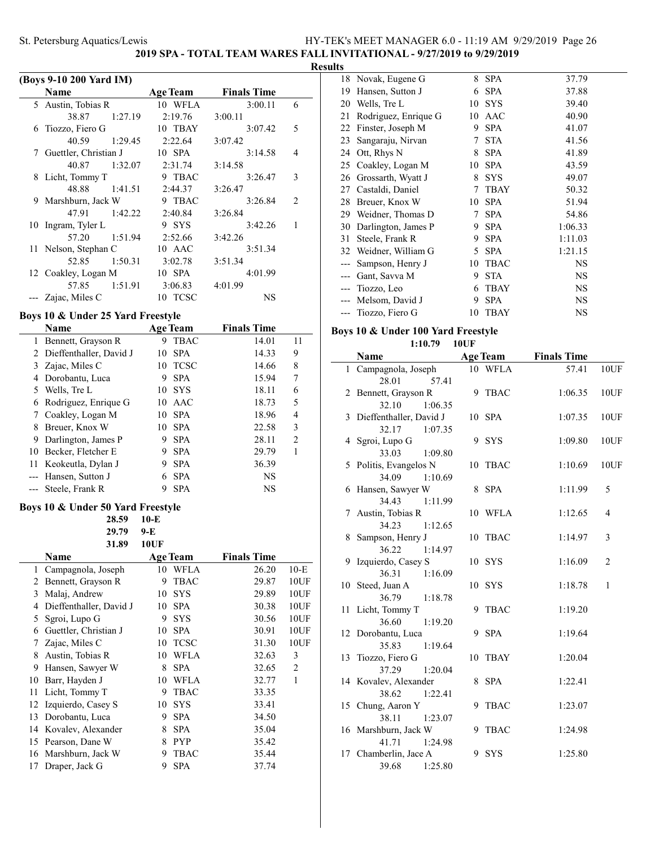**2019 SPA - TOTAL TEAM WARES FALL INVITATIONAL - 9/27/2019 to 9/29/2019**

### **Results**

|              | (Boys 9-10 200 Yard IM)           |                  |                    |                |
|--------------|-----------------------------------|------------------|--------------------|----------------|
|              | <b>Name</b>                       | <b>Age Team</b>  | <b>Finals Time</b> |                |
| 5            | Austin, Tobias R                  | 10 WFLA          | 3:00.11            | 6              |
|              | 38.87<br>1:27.19                  | 2:19.76          | 3:00.11            |                |
| 6            | Tiozzo, Fiero G                   | 10 TBAY          | 3:07.42            | 5              |
|              | 40.59<br>1:29.45                  | 2:22.64          | 3:07.42            |                |
| 7            | Guettler, Christian J             | 10 SPA           | 3:14.58            | 4              |
|              | 40.87<br>1:32.07                  | 2:31.74          | 3:14.58            |                |
| 8            | Licht, Tommy T                    | 9 TBAC           | 3:26.47            | 3              |
|              | 48.88<br>1:41.51                  | 2:44.37          | 3:26.47            |                |
| 9            | Marshburn, Jack W                 | 9 TBAC           | 3:26.84            | 2              |
|              | 47.91<br>1:42.22                  | 2:40.84          | 3:26.84            |                |
| 10           | Ingram, Tyler L                   | 9 SYS            | 3:42.26            | 1              |
|              | 57.20<br>1:51.94                  | 2:52.66          | 3:42.26            |                |
| 11           | Nelson, Stephan C                 | 10 AAC           | 3:51.34            |                |
|              | 52.85<br>1:50.31                  | 3:02.78          | 3:51.34            |                |
| 12           | Coakley, Logan M                  | 10 SPA           | 4:01.99            |                |
|              | 57.85<br>1:51.91                  | 3:06.83          | 4:01.99            |                |
|              | Zajac, Miles C                    | 10 TCSC          | NS                 |                |
|              | Boys 10 & Under 25 Yard Freestyle |                  |                    |                |
|              | Name                              | <b>Age Team</b>  | <b>Finals Time</b> |                |
| $\mathbf{1}$ | Bennett, Grayson R                | 9 TBAC           | 14.01              | 11             |
| 2            | Dieffenthaller, David J           | 10<br><b>SPA</b> | 14.33              | 9              |
| 3            | Zajac, Miles C                    | 10 TCSC          | 14.66              | 8              |
|              | 4 Dorobantu, Luca                 | 9 SPA            | 15.94              | 7              |
| 5            | Wells, Tre L                      | 10 SYS           | 18.11              | 6              |
| 6            | Rodriguez, Enrique G              | 10 AAC           | 18.73              | 5              |
| 7            | Coakley, Logan M                  | 10 SPA           | 18.96              | 4              |
| 8            | Breuer, Knox W                    | 10 SPA           | 22.58              | 3              |
| 9            | Darlington, James P               | 9 SPA            | 28.11              | $\overline{c}$ |
|              | 10 Becker, Fletcher E             | 9 SPA            | 29.79              | 1              |
| 11           | Keokeutla, Dylan J                | 9 SPA            | 36.39              |                |
| $---$        | Hansen, Sutton J                  | <b>SPA</b><br>6  | <b>NS</b>          |                |
|              | Steele, Frank R                   | 9<br><b>SPA</b>  | <b>NS</b>          |                |
|              | Boys 10 & Under 50 Yard Freestyle |                  |                    |                |
|              | 28.59                             | $10-E$           |                    |                |
|              | 29.79                             | 9-E              |                    |                |
|              | 31.89                             | <b>10UF</b>      |                    |                |
|              |                                   |                  |                    |                |

|    | 31.89                   | 10UF |                 |                    |                |
|----|-------------------------|------|-----------------|--------------------|----------------|
|    | Name                    |      | <b>Age Team</b> | <b>Finals Time</b> |                |
| 1  | Campagnola, Joseph      | 10   | <b>WFLA</b>     | 26.20              | $10-E$         |
| 2  | Bennett, Grayson R      | 9    | <b>TBAC</b>     | 29.87              | 10UF           |
| 3  | Malaj, Andrew           | 10   | <b>SYS</b>      | 29.89              | 10UF           |
| 4  | Dieffenthaller, David J | 10   | <b>SPA</b>      | 30.38              | 10UF           |
| 5  | Sgroi, Lupo G           | 9    | <b>SYS</b>      | 30.56              | 10UF           |
| 6  | Guettler, Christian J   | 10   | <b>SPA</b>      | 30.91              | 10UF           |
| 7  | Zajac, Miles C          | 10   | <b>TCSC</b>     | 31.30              | 10UF           |
| 8  | Austin, Tobias R        | 10   | <b>WFLA</b>     | 32.63              | 3              |
| 9  | Hansen, Sawyer W        | 8    | <b>SPA</b>      | 32.65              | $\overline{2}$ |
| 10 | Barr, Hayden J          | 10   | <b>WFLA</b>     | 32.77              | 1              |
| 11 | Licht, Tommy T          | 9    | <b>TBAC</b>     | 33.35              |                |
| 12 | Izquierdo, Casey S      | 10   | <b>SYS</b>      | 33.41              |                |
| 13 | Dorobantu, Luca         | 9    | <b>SPA</b>      | 34.50              |                |
| 14 | Kovalev, Alexander      | 8    | <b>SPA</b>      | 35.04              |                |
| 15 | Pearson, Dane W         | 8    | <b>PYP</b>      | 35.42              |                |
| 16 | Marshburn, Jack W       | 9    | <b>TBAC</b>     | 35.44              |                |
| 17 | Draper, Jack G          | 9    | <b>SPA</b>      | 37.74              |                |

|    | 18 Novak, Eugene G   | 8  | <b>SPA</b>  | 37.79     |
|----|----------------------|----|-------------|-----------|
| 19 | Hansen, Sutton J     | 6  | <b>SPA</b>  | 37.88     |
| 20 | Wells, Tre L         | 10 | <b>SYS</b>  | 39.40     |
| 21 | Rodriguez, Enrique G | 10 | AAC         | 40.90     |
| 22 | Finster, Joseph M    | 9  | <b>SPA</b>  | 41.07     |
| 23 | Sangaraju, Nirvan    | 7  | <b>STA</b>  | 41.56     |
| 24 | Ott, Rhys N          | 8  | <b>SPA</b>  | 41.89     |
| 25 | Coakley, Logan M     | 10 | <b>SPA</b>  | 43.59     |
| 26 | Grossarth, Wyatt J   | 8  | <b>SYS</b>  | 49.07     |
| 27 | Castaldi, Daniel     | 7  | <b>TBAY</b> | 50.32     |
| 28 | Breuer, Knox W       | 10 | <b>SPA</b>  | 51.94     |
| 29 | Weidner, Thomas D    | 7  | <b>SPA</b>  | 54.86     |
| 30 | Darlington, James P  | 9  | <b>SPA</b>  | 1:06.33   |
| 31 | Steele, Frank R      | 9  | <b>SPA</b>  | 1:11.03   |
| 32 | Weidner, William G   | 5  | <b>SPA</b>  | 1:21.15   |
|    | Sampson, Henry J     | 10 | <b>TBAC</b> | NS        |
|    | Gant, Savva M        | 9  | <b>STA</b>  | NS        |
|    | Tiozzo, Leo          | 6  | <b>TBAY</b> | <b>NS</b> |
|    | Melsom, David J      | 9  | <b>SPA</b>  | <b>NS</b> |
|    | Tiozzo, Fiero G      | 10 | TBAY        | NS        |
|    |                      |    |             |           |

# **Boys 10 & Under 100 Yard Freestyle**

**1:10.79 10UF**

|    | Name                    |    | <b>Age Team</b> | <b>Finals Time</b> |                |
|----|-------------------------|----|-----------------|--------------------|----------------|
|    | 1 Campagnola, Joseph    |    | 10 WFLA         | 57.41              | 10UF           |
|    | 28.01<br>57.41          |    |                 |                    |                |
| 2  | Bennett, Grayson R      |    | 9 TBAC          | 1:06.35            | 10UF           |
|    | 32.10<br>1:06.35        |    |                 |                    |                |
| 3  | Dieffenthaller, David J |    | 10 SPA          | 1:07.35            | 10UF           |
|    | 32.17<br>1:07.35        |    |                 |                    |                |
|    | 4 Sgroi, Lupo G         | 9  | SYS             | 1:09.80            | 10UF           |
|    | 33.03<br>1:09.80        |    |                 |                    |                |
|    | 5 Politis, Evangelos N  | 10 | <b>TBAC</b>     | 1:10.69            | 10UF           |
|    | 34.09<br>1:10.69        |    |                 |                    |                |
|    | 6 Hansen, Sawyer W      | 8  | <b>SPA</b>      | 1:11.99            | 5              |
|    | 34.43<br>1:11.99        |    |                 |                    |                |
|    | 7 Austin, Tobias R      |    | 10 WFLA         | 1:12.65            | 4              |
|    | 34.23<br>1:12.65        |    |                 |                    |                |
| 8. | Sampson, Henry J        |    | 10 TBAC         | 1:14.97            | 3              |
|    | 36.22<br>1:14.97        |    |                 |                    |                |
| 9. | Izquierdo, Casey S      |    | 10 SYS          | 1:16.09            | $\overline{c}$ |
|    | 36.31<br>1:16.09        |    |                 |                    |                |
|    | 10 Steed, Juan A        |    | 10 SYS          | 1:18.78            | $\mathbf{1}$   |
|    | 36.79<br>1:18.78        |    |                 |                    |                |
|    | 11 Licht, Tommy T       | 9  | <b>TBAC</b>     | 1:19.20            |                |
|    | 36.60<br>1:19.20        |    |                 |                    |                |
|    | 12 Dorobantu, Luca      | 9  | <b>SPA</b>      | 1:19.64            |                |
|    | 1:19.64<br>35.83        |    |                 |                    |                |
|    | 13 Tiozzo, Fiero G      | 10 | <b>TBAY</b>     | 1:20.04            |                |
|    | 37.29<br>1:20.04        |    |                 |                    |                |
|    | 14 Kovalev, Alexander   | 8  | <b>SPA</b>      | 1:22.41            |                |
|    | 38.62<br>1:22.41        |    |                 |                    |                |
|    | 15 Chung, Aaron Y       | 9  | <b>TBAC</b>     | 1:23.07            |                |
|    | 38.11<br>1:23.07        |    |                 |                    |                |
|    | 16 Marshburn, Jack W    | 9  | <b>TBAC</b>     | 1:24.98            |                |
|    | 41.71<br>1:24.98        |    |                 |                    |                |
|    | 17 Chamberlin, Jace A   | 9  | <b>SYS</b>      | 1:25.80            |                |
|    | 39.68<br>1:25.80        |    |                 |                    |                |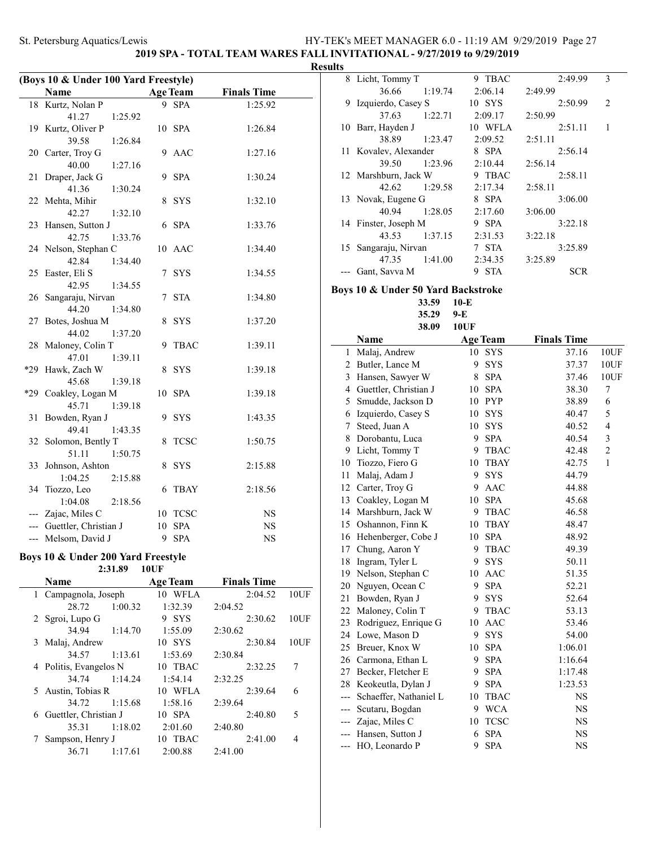**2019 SPA - TOTAL TEAM WARES FALL INVITATIONAL - 9/27/2019 to 9/29/2019**

| (Boys 10 & Under 100 Yard Freestyle) |                                    |    |                 |                    |  |  |
|--------------------------------------|------------------------------------|----|-----------------|--------------------|--|--|
|                                      | Name                               |    | <b>Age Team</b> | <b>Finals Time</b> |  |  |
| 18                                   | Kurtz, Nolan P                     | 9  | <b>SPA</b>      | 1:25.92            |  |  |
|                                      | 41.27<br>1:25.92                   |    |                 |                    |  |  |
|                                      | 19 Kurtz, Oliver P                 | 10 | <b>SPA</b>      | 1:26.84            |  |  |
|                                      | 39.58<br>1:26.84                   |    |                 |                    |  |  |
|                                      | 20 Carter, Troy G                  | 9  | <b>AAC</b>      | 1:27.16            |  |  |
|                                      | 40.00<br>1:27.16                   |    |                 |                    |  |  |
| 21                                   | Draper, Jack G                     | 9  | <b>SPA</b>      | 1:30.24            |  |  |
|                                      | 41.36<br>1:30.24                   |    |                 |                    |  |  |
|                                      | 22 Mehta, Mihir                    | 8  | <b>SYS</b>      | 1:32.10            |  |  |
|                                      | 42.27<br>1:32.10                   |    |                 |                    |  |  |
| 23                                   | Hansen, Sutton J                   | 6  | <b>SPA</b>      | 1:33.76            |  |  |
|                                      | 42.75<br>1:33.76                   |    |                 |                    |  |  |
|                                      | 24 Nelson, Stephan C               | 10 | <b>AAC</b>      | 1:34.40            |  |  |
|                                      | 42.84<br>1:34.40                   |    |                 |                    |  |  |
| 25                                   | Easter, Eli S                      | 7  | <b>SYS</b>      | 1:34.55            |  |  |
|                                      | 42.95<br>1:34.55                   |    |                 |                    |  |  |
| 26                                   | Sangaraju, Nirvan                  | 7  | <b>STA</b>      | 1:34.80            |  |  |
|                                      | 44.20<br>1:34.80                   |    |                 |                    |  |  |
| 27                                   | Botes, Joshua M                    | 8  | <b>SYS</b>      | 1:37.20            |  |  |
|                                      | 44.02<br>1:37.20                   |    |                 |                    |  |  |
| 28                                   | Maloney, Colin T                   | 9  | <b>TBAC</b>     | 1:39.11            |  |  |
|                                      | 47.01<br>1:39.11                   |    |                 |                    |  |  |
| *29                                  | Hawk, Zach W                       | 8  | <b>SYS</b>      | 1:39.18            |  |  |
|                                      | 45.68<br>1:39.18                   |    |                 |                    |  |  |
|                                      | *29 Coakley, Logan M               | 10 | <b>SPA</b>      | 1:39.18            |  |  |
| 31                                   | 45.71<br>1:39.18                   | 9  | <b>SYS</b>      |                    |  |  |
|                                      | Bowden, Ryan J<br>49.41<br>1:43.35 |    |                 | 1:43.35            |  |  |
| 32                                   | Solomon, Bently T                  | 8  | <b>TCSC</b>     | 1:50.75            |  |  |
|                                      | 51.11<br>1:50.75                   |    |                 |                    |  |  |
| 33                                   | Johnson, Ashton                    | 8  | <b>SYS</b>      | 2:15.88            |  |  |
|                                      | 1:04.25<br>2:15.88                 |    |                 |                    |  |  |
| 34                                   | Tiozzo, Leo                        | 6  | <b>TBAY</b>     | 2:18.56            |  |  |
|                                      | 1:04.08<br>2:18.56                 |    |                 |                    |  |  |
|                                      | --- Zajac, Miles C                 |    | 10 TCSC         | <b>NS</b>          |  |  |
|                                      | --- Guettler, Christian J          | 10 | <b>SPA</b>      | <b>NS</b>          |  |  |
|                                      | --- Melsom, David J                | 9  | <b>SPA</b>      | NS                 |  |  |
|                                      |                                    |    |                 |                    |  |  |

## **Boys 10 & Under 200 Yard Freestyle**

| 10UF |
|------|
|      |

|   | Name                   |         | <b>Age Team</b> | <b>Finals Time</b> |      |
|---|------------------------|---------|-----------------|--------------------|------|
|   | 1 Campagnola, Joseph   |         | 10 WFLA         | 2:04.52            | 10UF |
|   | 28.72                  | 1:00.32 | 1:32.39         | 2:04.52            |      |
|   | 2 Sgroi, Lupo G        |         | 9 SYS           | 2:30.62            | 10UF |
|   | 34.94                  | 1:14.70 | 1:55.09         | 2:30.62            |      |
|   | 3 Malaj, Andrew        |         | $10$ SYS        | 2:30.84            | 10UF |
|   | 34.57                  | 1:13.61 | 1:53.69         | 2:30.84            |      |
|   | 4 Politis, Evangelos N |         | 10 TBAC         | 2:32.25            | 7    |
|   | 34.74                  | 1:14.24 | 1:54.14         | 2:32.25            |      |
|   | 5 Austin, Tobias R     |         | 10 WFLA         | 2:39.64            | 6    |
|   | 34.72                  | 1:15.68 | 1:58.16         | 2:39.64            |      |
| 6 | Guettler, Christian J  |         | 10 SPA          | 2:40.80            | 5    |
|   | 35.31                  | 1:18.02 | 2:01.60         | 2:40.80            |      |
|   | Sampson, Henry J       |         | 10 TBAC         | 2:41.00            | 4    |
|   | 36.71                  | 1:17.61 | 2:00.88         | 2:41.00            |      |
|   |                        |         |                 |                    |      |

| <b>Results</b> |                       |         |            |            |                |
|----------------|-----------------------|---------|------------|------------|----------------|
|                | 8 Licht, Tommy T      |         | 9 TBAC     | 2:49.99    | 3              |
|                | 36.66                 | 1:19.74 | 2:06.14    | 2:49.99    |                |
|                | 9 Izquierdo, Casey S  |         | $10$ SYS   | 2:50.99    | $\mathfrak{D}$ |
|                | 37.63                 | 1:22.71 | 2:09.17    | 2:50.99    |                |
|                | 10 Barr, Hayden J     |         | 10 WFLA    | 2:51.11    |                |
|                | 38.89                 | 1:23.47 | 2:09.52    | 2:51.11    |                |
|                | 11 Kovalev, Alexander |         | 8 SPA      | 2:56.14    |                |
|                | 39.50                 | 1:23.96 | 2:10.44    | 2:56.14    |                |
|                | 12 Marshburn, Jack W  |         | 9 TBAC     | 2:58.11    |                |
|                | 42.62                 | 1:29.58 | 2:17.34    | 2:58.11    |                |
|                | 13 Novak, Eugene G    |         | 8 SPA      | 3:06.00    |                |
|                | 40.94                 | 1:28.05 | 2:17.60    | 3:06.00    |                |
|                | 14 Finster, Joseph M  |         | 9 SPA      | 3:22.18    |                |
|                | 43.53                 | 1:37.15 | 2:31.53    | 3:22.18    |                |
|                | 15 Sangaraju, Nirvan  |         | 7 STA      | 3:25.89    |                |
|                | 47.35                 | 1:41.00 | 2:34.35    | 3:25.89    |                |
|                | Gant, Savva M         |         | <b>STA</b> | <b>SCR</b> |                |

# **Boys 10 & Under 50 Yard Backstroke**<br>33.59 **10-E**

**33.59 35.29 9-E**

**38.09 10UF**

|                | Name                   |    | <b>Age Team</b> | <b>Finals Time</b> |                |
|----------------|------------------------|----|-----------------|--------------------|----------------|
| 1              | Malaj, Andrew          | 10 | SYS             | 37.16              | 10UF           |
| $\overline{c}$ | Butler, Lance M        | 9  | <b>SYS</b>      | 37.37              | 10UF           |
| 3              | Hansen, Sawyer W       | 8  | <b>SPA</b>      | 37.46              | 10UF           |
| 4              | Guettler, Christian J  | 10 | <b>SPA</b>      | 38.30              | 7              |
| 5              | Smudde, Jackson D      |    | 10 PYP          | 38.89              | 6              |
| 6              | Izquierdo, Casey S     | 10 | <b>SYS</b>      | 40.47              | 5              |
| 7              | Steed, Juan A          | 10 | <b>SYS</b>      | 40.52              | 4              |
| 8              | Dorobantu, Luca        | 9  | <b>SPA</b>      | 40.54              | 3              |
| 9              | Licht, Tommy T         | 9  | <b>TBAC</b>     | 42.48              | $\mathfrak{2}$ |
| 10             | Tiozzo, Fiero G        | 10 | <b>TBAY</b>     | 42.75              | $\mathbf{1}$   |
| 11             | Malaj, Adam J          | 9  | <b>SYS</b>      | 44.79              |                |
| 12             | Carter, Troy G         | 9  | <b>AAC</b>      | 44.88              |                |
| 13             | Coakley, Logan M       | 10 | <b>SPA</b>      | 45.68              |                |
| 14             | Marshburn, Jack W      | 9  | <b>TBAC</b>     | 46.58              |                |
| 15             | Oshannon, Finn K       | 10 | <b>TBAY</b>     | 48.47              |                |
| 16             | Hehenberger, Cobe J    | 10 | <b>SPA</b>      | 48.92              |                |
| 17             | Chung, Aaron Y         | 9  | <b>TBAC</b>     | 49.39              |                |
| 18             | Ingram, Tyler L        | 9  | <b>SYS</b>      | 50.11              |                |
| 19             | Nelson, Stephan C      | 10 | <b>AAC</b>      | 51.35              |                |
| 20             | Nguyen, Ocean C        | 9  | <b>SPA</b>      | 52.21              |                |
| 21             | Bowden, Ryan J         | 9  | <b>SYS</b>      | 52.64              |                |
| 22             | Maloney, Colin T       | 9  | <b>TBAC</b>     | 53.13              |                |
| 23             | Rodriguez, Enrique G   | 10 | <b>AAC</b>      | 53.46              |                |
| 24             | Lowe, Mason D          | 9  | <b>SYS</b>      | 54.00              |                |
| 25             | Breuer, Knox W         | 10 | <b>SPA</b>      | 1:06.01            |                |
| 26             | Carmona, Ethan L       | 9  | <b>SPA</b>      | 1:16.64            |                |
| 27             | Becker, Fletcher E     | 9  | <b>SPA</b>      | 1:17.48            |                |
| 28             | Keokeutla, Dylan J     | 9  | <b>SPA</b>      | 1:23.53            |                |
| $---$          | Schaeffer, Nathaniel L | 10 | <b>TBAC</b>     | <b>NS</b>          |                |
| ---            | Scutaru, Bogdan        | 9  | <b>WCA</b>      | <b>NS</b>          |                |
| $---$          | Zajac, Miles C         | 10 | <b>TCSC</b>     | NS                 |                |
| ---            | Hansen, Sutton J       | 6  | <b>SPA</b>      | <b>NS</b>          |                |
| ---            | HO, Leonardo P         | 9  | <b>SPA</b>      | <b>NS</b>          |                |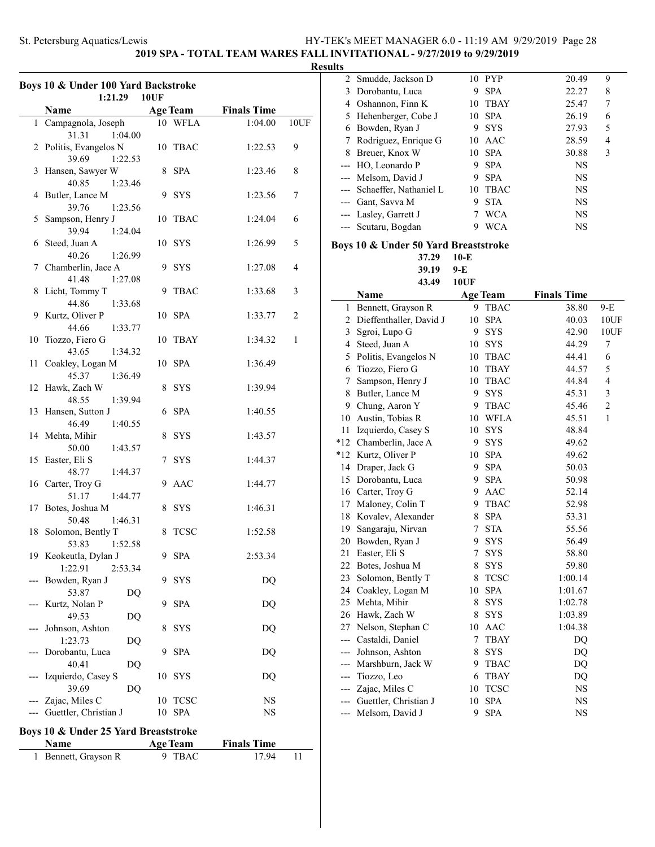# **2019 SPA - TOTAL TEAM WARES FALL INVITATIONAL - 9/27/2019 to 9/29/2019**

### **Results**

 $\sim$ 

|                        | Boys 10 & Under 100 Yard Backstroke         |    |                 |                    |      |  |  |
|------------------------|---------------------------------------------|----|-----------------|--------------------|------|--|--|
| 1:21.29<br><b>10UF</b> |                                             |    |                 |                    |      |  |  |
|                        | Name                                        |    | <b>Age Team</b> | <b>Finals Time</b> |      |  |  |
|                        | 1 Campagnola, Joseph<br>31.31<br>1:04.00    |    | 10 WFLA         | 1:04.00            | 10UF |  |  |
|                        | 2 Politis, Evangelos N<br>39.69<br>1:22.53  |    | 10 TBAC         | 1:22.53            | 9    |  |  |
| 3                      | Hansen, Sawyer W<br>40.85<br>1:23.46        |    | 8 SPA           | 1:23.46            | 8    |  |  |
|                        | 4 Butler, Lance M<br>39.76<br>1:23.56       |    | 9 SYS           | 1:23.56            | 7    |  |  |
|                        | 5 Sampson, Henry J<br>39.94<br>1:24.04      | 10 | TBAC            | 1:24.04            | 6    |  |  |
| 6                      | Steed, Juan A<br>40.26<br>1:26.99           |    | 10 SYS          | 1:26.99            | 5    |  |  |
| 7                      | Chamberlin, Jace A<br>41.48<br>1:27.08      |    | 9 SYS           | 1:27.08            | 4    |  |  |
| 8                      | Licht, Tommy T<br>44.86<br>1:33.68          | 9  | <b>TBAC</b>     | 1:33.68            | 3    |  |  |
|                        | 9 Kurtz, Oliver P<br>44.66<br>1:33.77       |    | 10 SPA          | 1:33.77            | 2    |  |  |
| 10                     | Tiozzo, Fiero G<br>43.65<br>1:34.32         |    | 10 TBAY         | 1:34.32            | 1    |  |  |
| 11                     | Coakley, Logan M<br>1:36.49<br>45.37        |    | 10 SPA          | 1:36.49            |      |  |  |
|                        | 12 Hawk, Zach W<br>48.55<br>1:39.94         |    | 8 SYS           | 1:39.94            |      |  |  |
|                        | 13 Hansen, Sutton J<br>46.49<br>1:40.55     | 6  | SPA             | 1:40.55            |      |  |  |
|                        | 14 Mehta, Mihir<br>50.00<br>1:43.57         | 8  | <b>SYS</b>      | 1:43.57            |      |  |  |
|                        | 15 Easter, Eli S<br>48.77<br>1:44.37        | 7  | <b>SYS</b>      | 1:44.37            |      |  |  |
|                        | 16 Carter, Troy G<br>51.17<br>1:44.77       |    | 9 AAC           | 1:44.77            |      |  |  |
|                        | 17 Botes, Joshua M<br>50.48<br>1:46.31      | 8  | <b>SYS</b>      | 1:46.31            |      |  |  |
|                        | 18 Solomon, Bently T<br>53.83<br>1:52.58    | 8  | <b>TCSC</b>     | 1:52.58            |      |  |  |
|                        | 19 Keokeutla, Dylan J<br>1:22.91<br>2:53.34 |    | 9 SPA           | 2:53.34            |      |  |  |
|                        | Bowden, Ryan J<br>53.87<br>DQ               | 9  | <b>SYS</b>      | DQ                 |      |  |  |
|                        | Kurtz, Nolan P<br>49.53<br>DQ               | 9  | <b>SPA</b>      | DQ                 |      |  |  |
|                        | Johnson, Ashton<br>1:23.73<br>DQ            | 8  | <b>SYS</b>      | DQ                 |      |  |  |
|                        | Dorobantu, Luca<br>40.41<br>DQ              | 9  | <b>SPA</b>      | D <sub>O</sub>     |      |  |  |
|                        | Izquierdo, Casey S<br>39.69<br>DQ           | 10 | <b>SYS</b>      | DQ                 |      |  |  |
| ---                    | Zajac, Miles C                              | 10 | <b>TCSC</b>     | NS                 |      |  |  |
|                        | Guettler, Christian J                       | 10 | <b>SPA</b>      | NS                 |      |  |  |
|                        | Boys 10 & Under 25 Yard Breaststroke        |    |                 |                    |      |  |  |
|                        | <b>Name</b>                                 |    | <b>Age Team</b> | <b>Finals Time</b> |      |  |  |
| 1                      | Bennett, Grayson R                          |    | 9 TBAC          | 17.94              | 11   |  |  |
|                        |                                             |    |                 |                    |      |  |  |

| 2              | Smudde, Jackson D                    |                 | 10 PYP          | 20.49              | 9                       |
|----------------|--------------------------------------|-----------------|-----------------|--------------------|-------------------------|
| 3              | Dorobantu, Luca                      |                 | 9 SPA           | 22.27              | 8                       |
| 4              | Oshannon, Finn K                     |                 | 10 TBAY         | 25.47              | 7                       |
| 5              | Hehenberger, Cobe J                  | 10              | <b>SPA</b>      | 26.19              | 6                       |
| 6              | Bowden, Ryan J                       | 9.              | SYS             | 27.93              | 5                       |
| 7              | Rodriguez, Enrique G                 |                 | 10 AAC          | 28.59              | $\overline{4}$          |
| 8              | Breuer, Knox W                       | 10              | <b>SPA</b>      | 30.88              | 3                       |
| ---            | HO, Leonardo P                       | 9.              | <b>SPA</b>      | NS                 |                         |
| ---            | Melsom, David J                      | 9.              | <b>SPA</b>      | NS                 |                         |
|                | --- Schaeffer, Nathaniel L           |                 | 10 TBAC         | NS                 |                         |
| $---$          | Gant, Savva M                        | 9.              | <b>STA</b>      | NS                 |                         |
|                | --- Lasley, Garrett J                | 7               | <b>WCA</b>      | <b>NS</b>          |                         |
| ---            | Scutaru, Bogdan                      | 9               | <b>WCA</b>      | <b>NS</b>          |                         |
|                | Boys 10 & Under 50 Yard Breaststroke |                 |                 |                    |                         |
|                | 37.29                                | $10-E$          |                 |                    |                         |
|                | 39.19                                | 9-E             |                 |                    |                         |
|                | 43.49                                | <b>10UF</b>     |                 |                    |                         |
|                |                                      |                 |                 |                    |                         |
|                | Name                                 |                 | <b>Age Team</b> | <b>Finals Time</b> |                         |
| 1              | Bennett, Grayson R                   | 9               | <b>TBAC</b>     | 38.80              | $9-E$                   |
| $\overline{c}$ | Dieffenthaller, David J              | 10              | <b>SPA</b>      | 40.03              | 10UF                    |
| 3              | Sgroi, Lupo G                        | 9               | SYS             | 42.90              | 10UF                    |
| 4              | Steed, Juan A                        |                 | 10 SYS          | 44.29              | 7                       |
| 5              | Politis, Evangelos N                 |                 | 10 TBAC         | 44.41              | 6                       |
| 6              | Tiozzo, Fiero G                      |                 | 10 TBAY         | 44.57              | 5                       |
| 7              | Sampson, Henry J                     |                 | 10 TBAC         | 44.84              | $\overline{\mathbf{4}}$ |
| 8              | Butler, Lance M                      | 9.              | <b>SYS</b>      | 45.31              | 3                       |
| 9              | Chung, Aaron Y                       | 9               | <b>TBAC</b>     | 45.46              | $\overline{c}$          |
| 10             | Austin, Tobias R                     | 10              | <b>WFLA</b>     | 45.51              | 1                       |
| 11             | Izquierdo, Casey S                   | 10              | <b>SYS</b>      | 48.84              |                         |
| $*12$          | Chamberlin, Jace A                   | 9               | SYS             | 49.62              |                         |
| *12            | Kurtz, Oliver P                      | 10              | <b>SPA</b>      | 49.62              |                         |
| 14             | Draper, Jack G                       | 9.              | <b>SPA</b>      | 50.03              |                         |
| 15             | Dorobantu, Luca                      | 9.              | <b>SPA</b>      | 50.98              |                         |
|                | 16 Carter, Troy G                    |                 | 9 AAC           | 52.14              |                         |
| 17             | Maloney, Colin T                     |                 | 9 TBAC          | 52.98              |                         |
| 18             | Kovalev, Alexander                   | 8               | <b>SPA</b>      | 53.31              |                         |
| 19             | Sangaraju, Nirvan                    | 7               | <b>STA</b>      | 55.56              |                         |
| 20             | Bowden, Ryan J                       | 9.              | <b>SYS</b>      | 56.49              |                         |
|                | 21 Easter, Eli S                     | $7\overline{ }$ | <b>SYS</b>      | 58.80              |                         |
|                | 22 Botes, Joshua M                   | 8               | <b>SYS</b>      | 59.80              |                         |
| 23             | Solomon, Bently T                    | 8               | <b>TCSC</b>     | 1:00.14            |                         |
| 24             | Coakley, Logan M                     | 10              | SPA             | 1:01.67            |                         |
| 25             | Mehta, Mihir                         | 8               | SYS             | 1:02.78            |                         |
| 26             | Hawk, Zach W                         | 8               | SYS             | 1:03.89            |                         |
| 27             | Nelson, Stephan C                    | 10              | AAC             | 1:04.38            |                         |
| ---            | Castaldi, Daniel                     | 7               | <b>TBAY</b>     | DQ                 |                         |
| ---            | Johnson, Ashton                      | 8               | <b>SYS</b>      | DQ                 |                         |
| ---            | Marshburn, Jack W                    | 9.              | <b>TBAC</b>     | DQ                 |                         |
| ---            | Tiozzo, Leo                          | 6               | <b>TBAY</b>     | DQ                 |                         |
| ---            | Zajac, Miles C                       | 10              | <b>TCSC</b>     | NS                 |                         |
| ---            | Guettler, Christian J                | $10\,$          | <b>SPA</b>      | NS                 |                         |
| ---            | Melsom, David J                      | 9               | <b>SPA</b>      | NS                 |                         |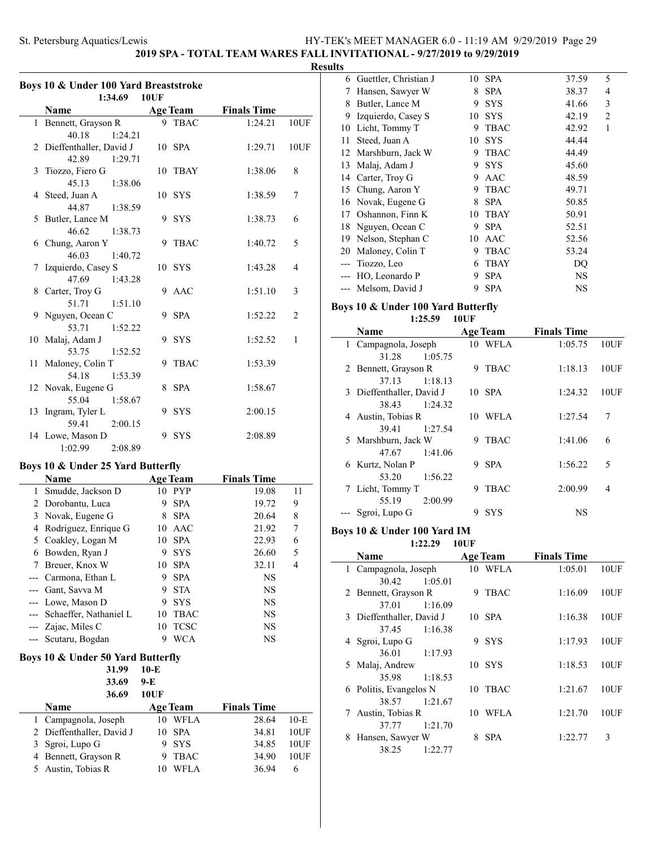**2019 SPA - TOTAL TEAM WARES FALL INVITATIONAL - 9/27/2019 to 9/29/2019**

### **Results**

 $\overline{\phantom{0}}$ 

|     | Boys 10 & Under 100 Yard Breaststroke<br>1:34.69<br><b>10UF</b> |             |                 |                    |        |  |  |  |
|-----|-----------------------------------------------------------------|-------------|-----------------|--------------------|--------|--|--|--|
|     | <b>Name</b><br><b>Age Team</b><br><b>Finals Time</b>            |             |                 |                    |        |  |  |  |
| 1   | Bennett, Grayson R                                              |             | 9 TBAC          | 1:24.21            | 10UF   |  |  |  |
| 2   | 40.18<br>1:24.21<br>Dieffenthaller, David J                     |             | 10 SPA          | 1:29.71            | 10UF   |  |  |  |
| 3   | 42.89<br>1:29.71<br>Tiozzo, Fiero G                             | 10          | TBAY            | 1:38.06            | 8      |  |  |  |
| 4   | 45.13<br>1:38.06<br>Steed, Juan A                               | 10          | SYS             | 1:38.59            | 7      |  |  |  |
| 5   | 44.87<br>1:38.59<br>Butler, Lance M                             | 9           | <b>SYS</b>      | 1:38.73            | 6      |  |  |  |
|     | 46.62<br>1:38.73                                                |             |                 |                    |        |  |  |  |
| 6   | Chung, Aaron Y<br>46.03<br>1:40.72                              | 9           | TBAC            | 1:40.72            | 5      |  |  |  |
| 7   | Izquierdo, Casey S<br>47.69<br>1:43.28                          | 10          | <b>SYS</b>      | 1:43.28            | 4      |  |  |  |
| 8   | Carter, Troy G<br>51.71<br>1:51.10                              |             | 9 AAC           | 1:51.10            | 3      |  |  |  |
| 9   | Nguyen, Ocean C<br>53.71<br>1:52.22                             | 9           | <b>SPA</b>      | 1:52.22            | 2      |  |  |  |
|     | 10 Malaj, Adam J<br>53.75<br>1:52.52                            | 9           | <b>SYS</b>      | 1:52.52            | 1      |  |  |  |
| 11  | Maloney, Colin T<br>54.18<br>1:53.39                            | 9           | <b>TBAC</b>     | 1:53.39            |        |  |  |  |
|     | 12 Novak, Eugene G<br>55.04<br>1:58.67                          | 8           | <b>SPA</b>      | 1:58.67            |        |  |  |  |
| 13  | Ingram, Tyler L<br>59.41<br>2:00.15                             | 9           | <b>SYS</b>      | 2:00.15            |        |  |  |  |
|     | 14 Lowe, Mason D<br>1:02.99<br>2:08.89                          | 9           | <b>SYS</b>      | 2:08.89            |        |  |  |  |
|     | Boys 10 & Under 25 Yard Butterfly                               |             |                 |                    |        |  |  |  |
|     | <b>Name</b>                                                     |             | <b>Age Team</b> | <b>Finals Time</b> |        |  |  |  |
| 1   | Smudde, Jackson D                                               |             | 10 PYP          | 19.08              | 11     |  |  |  |
|     | 2 Dorobantu, Luca                                               |             | 9 SPA           | 19.72              | 9      |  |  |  |
| 3   | Novak, Eugene G                                                 |             | 8 SPA           | 20.64              | 8      |  |  |  |
|     | 4 Rodriguez, Enrique G                                          |             | 10 AAC          | 21.92              | 7      |  |  |  |
|     |                                                                 |             |                 |                    |        |  |  |  |
|     | 5 Coakley, Logan M                                              |             | 10 SPA          | 22.93              | 6      |  |  |  |
|     | 6 Bowden, Ryan J                                                |             | 9 SYS           | 26.60              | 5      |  |  |  |
| 7   | Breuer, Knox W                                                  | 10          | <b>SPA</b>      | 32.11              | 4      |  |  |  |
|     | Carmona, Ethan L                                                | 9           | <b>SPA</b>      | NS                 |        |  |  |  |
| --  | Gant, Savva M                                                   | 9           | <b>STA</b>      | NS                 |        |  |  |  |
| --- | Lowe, Mason D                                                   | 9           | <b>SYS</b>      | NS                 |        |  |  |  |
| --- | Schaeffer, Nathaniel L                                          | 10          | <b>TBAC</b>     | NS                 |        |  |  |  |
| --- | Zajac, Miles C                                                  | 10          | <b>TCSC</b>     | NS                 |        |  |  |  |
|     |                                                                 |             |                 |                    |        |  |  |  |
| --- | Scutaru, Bogdan                                                 | 9           | <b>WCA</b>      | NS                 |        |  |  |  |
|     | Boys 10 & Under 50 Yard Butterfly<br>31.99                      | $10-E$      |                 |                    |        |  |  |  |
|     | 33.69                                                           | 9-E         |                 |                    |        |  |  |  |
|     | 36.69                                                           |             |                 |                    |        |  |  |  |
|     |                                                                 | <b>10UF</b> |                 |                    |        |  |  |  |
|     | Name                                                            |             | <u>Age Team</u> | <b>Finals Time</b> |        |  |  |  |
| 1   | Campagnola, Joseph                                              | 10          | <b>WFLA</b>     | 28.64              | $10-E$ |  |  |  |
| 2   | Dieffenthaller, David J                                         | 10          | <b>SPA</b>      | 34.81              | 10UF   |  |  |  |
| 3   | Sgroi, Lupo G                                                   | 9           | SYS             | 34.85              | 10UF   |  |  |  |
| 4   | Bennett, Grayson R                                              | 9           | TBAC            | 34.90              | 10UF   |  |  |  |
| 5   | Austin, Tobias R                                                | 10          | <b>WFLA</b>     | 36.94              | 6      |  |  |  |

| ັບ |                         |    |             |       |                |  |
|----|-------------------------|----|-------------|-------|----------------|--|
|    | 6 Guettler, Christian J | 10 | <b>SPA</b>  | 37.59 | 5              |  |
| 7  | Hansen, Sawyer W        | 8  | <b>SPA</b>  | 38.37 | $\overline{4}$ |  |
| 8  | Butler, Lance M         | 9  | <b>SYS</b>  | 41.66 | 3              |  |
| 9  | Izquierdo, Casey S      | 10 | <b>SYS</b>  | 42.19 | $\overline{2}$ |  |
| 10 | Licht, Tommy T          | 9  | <b>TBAC</b> | 42.92 | 1              |  |
| 11 | Steed, Juan A           | 10 | <b>SYS</b>  | 44.44 |                |  |
|    | 12 Marshburn, Jack W    | 9  | <b>TBAC</b> | 44.49 |                |  |
|    | 13 Malaj, Adam J        | 9  | <b>SYS</b>  | 45.60 |                |  |
|    | 14 Carter, Troy G       | 9  | AAC         | 48.59 |                |  |
|    | 15 Chung, Aaron Y       | 9  | <b>TBAC</b> | 49.71 |                |  |
|    | 16 Novak, Eugene G      | 8  | <b>SPA</b>  | 50.85 |                |  |
|    | 17 Oshannon, Finn K     | 10 | <b>TBAY</b> | 50.91 |                |  |
|    | 18 Nguyen, Ocean C      | 9  | <b>SPA</b>  | 52.51 |                |  |
|    | 19 Nelson, Stephan C    | 10 | AAC         | 52.56 |                |  |
|    | 20 Maloney, Colin T     | 9  | <b>TBAC</b> | 53.24 |                |  |
|    | Tiozzo, Leo             | 6  | <b>TBAY</b> | DO    |                |  |
|    | HO, Leonardo P          | 9  | <b>SPA</b>  | NS    |                |  |
|    | Melsom, David J         | 9  | SPA         | NS    |                |  |
|    |                         |    |             |       |                |  |

# **Boys 10 & Under 100 Yard Butterfly**

**1:25.59 10UF**

| <b>Name</b>               |   | <b>Age Team</b> | <b>Finals Time</b> |      |
|---------------------------|---|-----------------|--------------------|------|
| 1 Campagnola, Joseph      |   | 10 WFLA         | 1:05.75            | 10UF |
| 1:05.75<br>31.28          |   |                 |                    |      |
| 2 Bennett, Grayson R      | 9 | <b>TBAC</b>     | 1:18.13            | 10UF |
| 1:18.13<br>37.13          |   |                 |                    |      |
| 3 Dieffenthaller, David J |   | 10 SPA          | 1:24.32            | 10UF |
| 38.43<br>1:24.32          |   |                 |                    |      |
| 4 Austin, Tobias R        |   | 10 WFLA         | 1:27.54            | 7    |
| 39.41<br>1:27.54          |   |                 |                    |      |
| 5 Marshburn, Jack W       | 9 | <b>TBAC</b>     | 1:41.06            | 6    |
| 1:41.06<br>47.67          |   |                 |                    |      |
| 6 Kurtz, Nolan P          | 9 | <b>SPA</b>      | 1:56.22            | 5    |
| 1:56.22<br>53.20          |   |                 |                    |      |
| 7 Licht, Tommy T          | 9 | <b>TBAC</b>     | 2:00.99            | 4    |
| 2:00.99<br>55.19          |   |                 |                    |      |
| --- Sgroi, Lupo G         | 9 | <b>SYS</b>      | NS                 |      |

#### **Boys 10 & Under 100 Yard IM 1:22.29 10UF**

|             | Name                      |         |    | <b>Age Team</b> | <b>Finals Time</b> |      |
|-------------|---------------------------|---------|----|-----------------|--------------------|------|
|             | 1 Campagnola, Joseph      |         |    | 10 WFLA         | 1:05.01            | 10UF |
|             | 30.42                     | 1:05.01 |    |                 |                    |      |
|             | 2 Bennett, Grayson R      |         | 9  | <b>TBAC</b>     | 1:16.09            | 10UF |
|             | 37.01                     | 1:16.09 |    |                 |                    |      |
|             | 3 Dieffenthaller, David J |         |    | 10 SPA          | 1:16.38            | 10UF |
|             | 37.45                     | 1:16.38 |    |                 |                    |      |
|             | 4 Sgroi, Lupo G           |         | 9  | <b>SYS</b>      | 1:17.93            | 10UF |
|             | 36.01                     | 1:17.93 |    |                 |                    |      |
|             | 5 Malaj, Andrew           |         |    | 10 SYS          | 1:18.53            | 10UF |
|             | 35.98                     | 1:18.53 |    |                 |                    |      |
|             | 6 Politis, Evangelos N    |         | 10 | <b>TBAC</b>     | 1:21.67            | 10UF |
|             | 38.57                     | 1:21.67 |    |                 |                    |      |
| $7^{\circ}$ | Austin, Tobias R          |         | 10 | WFLA            | 1:21.70            | 10UF |
|             | 37.77                     | 1:21.70 |    |                 |                    |      |
| 8           | Hansen, Sawyer W          |         | 8  | <b>SPA</b>      | 1:22.77            | 3    |
|             | 38.25                     | 1:22.77 |    |                 |                    |      |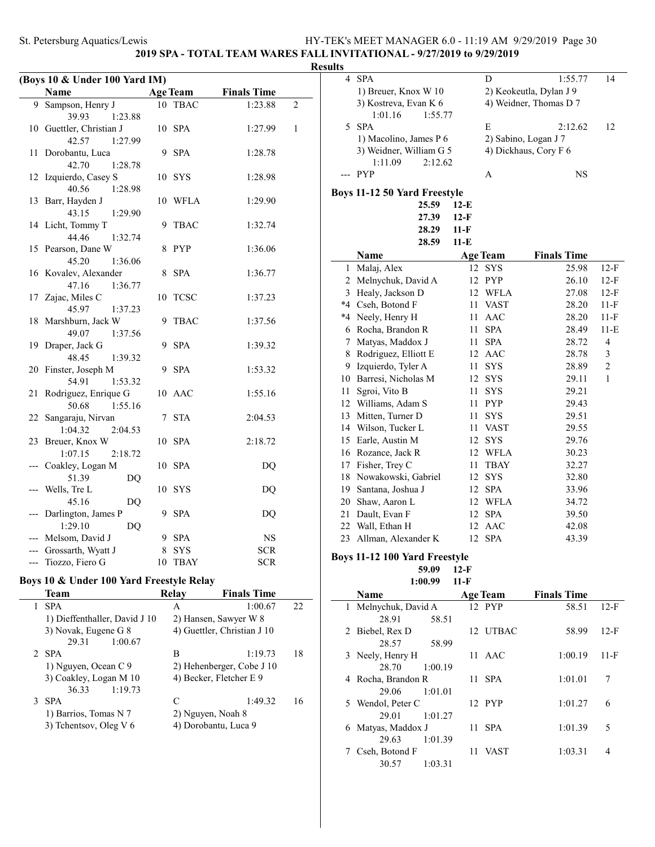**2019 SPA - TOTAL TEAM WARES FALL INVITATIONAL - 9/27/2019 to 9/29/2019**

| (Boys 10 & Under 100 Yard IM)                 |                          |    |             |            |   |  |  |
|-----------------------------------------------|--------------------------|----|-------------|------------|---|--|--|
| <b>Age Team</b><br>Name<br><b>Finals Time</b> |                          |    |             |            |   |  |  |
| 9                                             | Sampson, Henry J         | 10 | <b>TBAC</b> | 1:23.88    | 2 |  |  |
|                                               | 39.93<br>1:23.88         |    |             |            |   |  |  |
|                                               | 10 Guettler, Christian J | 10 | <b>SPA</b>  | 1:27.99    | 1 |  |  |
|                                               | 42.57<br>1:27.99         |    |             |            |   |  |  |
| 11                                            | Dorobantu, Luca          | 9  | <b>SPA</b>  | 1:28.78    |   |  |  |
|                                               | 42.70<br>1:28.78         |    |             |            |   |  |  |
| 12                                            | Izquierdo, Casey S       | 10 | <b>SYS</b>  | 1:28.98    |   |  |  |
|                                               | 40.56<br>1:28.98         |    |             |            |   |  |  |
| 13                                            | Barr, Hayden J           | 10 | <b>WFLA</b> | 1:29.90    |   |  |  |
|                                               | 43.15<br>1:29.90         |    |             |            |   |  |  |
| 14                                            | Licht, Tommy T           | 9  | <b>TBAC</b> | 1:32.74    |   |  |  |
|                                               | 44.46<br>1:32.74         |    |             |            |   |  |  |
| 15                                            | Pearson, Dane W          | 8  | <b>PYP</b>  | 1:36.06    |   |  |  |
|                                               | 45.20<br>1:36.06         |    |             |            |   |  |  |
|                                               | 16 Kovalev, Alexander    | 8  | <b>SPA</b>  | 1:36.77    |   |  |  |
|                                               | 47.16<br>1:36.77         |    |             |            |   |  |  |
| 17                                            | Zajac, Miles C           | 10 | <b>TCSC</b> | 1:37.23    |   |  |  |
|                                               | 45.97<br>1:37.23         |    |             |            |   |  |  |
| 18                                            | Marshburn, Jack W        | 9  | <b>TBAC</b> | 1:37.56    |   |  |  |
|                                               | 49.07<br>1:37.56         |    |             |            |   |  |  |
| 19                                            | Draper, Jack G           | 9  | <b>SPA</b>  | 1:39.32    |   |  |  |
|                                               | 48.45<br>1:39.32         |    |             |            |   |  |  |
| 20                                            | Finster, Joseph M        | 9  | <b>SPA</b>  | 1:53.32    |   |  |  |
|                                               | 54.91<br>1:53.32         |    |             |            |   |  |  |
| 21                                            | Rodriguez, Enrique G     |    | 10 AAC      | 1:55.16    |   |  |  |
|                                               | 50.68<br>1:55.16         |    |             |            |   |  |  |
| 22                                            | Sangaraju, Nirvan        | 7  | <b>STA</b>  | 2:04.53    |   |  |  |
|                                               | 1:04.32<br>2:04.53       |    |             |            |   |  |  |
| 23                                            | Breuer, Knox W           | 10 | <b>SPA</b>  | 2:18.72    |   |  |  |
|                                               | 1:07.15<br>2:18.72       |    |             |            |   |  |  |
|                                               | Coakley, Logan M         | 10 | <b>SPA</b>  | DQ         |   |  |  |
|                                               | 51.39<br>DQ              |    |             |            |   |  |  |
|                                               | Wells, Tre L             | 10 | <b>SYS</b>  | DQ         |   |  |  |
|                                               | 45.16<br>DQ              |    |             |            |   |  |  |
|                                               | Darlington, James P      | 9  | <b>SPA</b>  | DQ         |   |  |  |
|                                               | 1:29.10<br>DQ            |    |             |            |   |  |  |
|                                               | Melsom, David J          |    | 9 SPA       | NS         |   |  |  |
|                                               | Grossarth, Wyatt J       | 8  | <b>SYS</b>  | <b>SCR</b> |   |  |  |
| ---                                           | Tiozzo, Fiero G          | 10 | <b>TBAY</b> | <b>SCR</b> |   |  |  |

# **Boys 10 & Under 100 Yard Freestyle Relay**

| Team                          | Relav | <b>Finals Time</b>          |     |
|-------------------------------|-------|-----------------------------|-----|
| <b>SPA</b>                    | A     | 1:00.67                     | 22. |
| 1) Dieffenthaller, David J 10 |       | 2) Hansen, Sawyer W 8       |     |
| 3) Novak, Eugene G 8          |       | 4) Guettler, Christian J 10 |     |
| 29.31<br>1:00.67              |       |                             |     |
| <b>SPA</b>                    | B     | 1:19.73                     | 18  |
| 1) Nguyen, Ocean C 9          |       | 2) Hehenberger, Cobe J 10   |     |
| 3) Coakley, Logan M 10        |       | 4) Becker, Fletcher E 9     |     |
| 36.33<br>1:19.73              |       |                             |     |
| <b>SPA</b>                    | C     | 1:49.32                     | 16  |
| 1) Barrios, Tomas N 7         |       | 2) Nguyen, Noah 8           |     |
| 3) Tchentsov, Oleg V 6        |       | 4) Dorobantu, Luca 9        |     |
|                               |       |                             |     |

| <b>Results</b> |                               |        |                        |                         |                |
|----------------|-------------------------------|--------|------------------------|-------------------------|----------------|
| 4              | <b>SPA</b>                    |        | D                      | 1:55.77                 | 14             |
|                | 1) Breuer, Knox W 10          |        |                        | 2) Keokeutla, Dylan J 9 |                |
|                | 3) Kostreva, Evan K 6         |        | 4) Weidner, Thomas D 7 |                         |                |
|                | 1:01.16<br>1:55.77            |        |                        |                         |                |
| 5              | <b>SPA</b>                    |        | E                      | 2:12.62                 | 12             |
|                | 1) Macolino, James P 6        |        |                        | 2) Sabino, Logan J 7    |                |
|                | 3) Weidner, William G 5       |        |                        | 4) Dickhaus, Cory F 6   |                |
|                | 1:11.09<br>2:12.62            |        |                        |                         |                |
|                | --- PYP                       |        | A                      | NS                      |                |
|                | Boys 11-12 50 Yard Freestyle  |        |                        |                         |                |
|                | 25.59                         | $12-E$ |                        |                         |                |
|                | 27.39                         | $12-F$ |                        |                         |                |
|                | 28.29                         | 11-F   |                        |                         |                |
|                | 28.59                         | $11-E$ |                        |                         |                |
|                | Name                          |        | <b>Age Team</b>        | <b>Finals Time</b>      |                |
|                | 1 Malaj, Alex                 |        | 12 SYS                 | 25.98                   | 12-F           |
|                | 2 Melnychuk, David A          |        | 12 PYP                 | 26.10                   | $12-F$         |
|                | 3 Healy, Jackson D            | 12     | <b>WFLA</b>            | 27.08                   | $12-F$         |
|                | *4 Cseh, Botond F             | 11     | <b>VAST</b>            | 28.20                   | 11-F           |
|                | *4 Neely, Henry H             | 11     | AAC                    | 28.20                   | 11-F           |
|                | 6 Rocha, Brandon R            | 11     | <b>SPA</b>             | 28.49                   | $11-E$         |
|                | 7 Matyas, Maddox J            | 11     | SPA                    | 28.72                   | $\overline{4}$ |
|                | 8 Rodriguez, Elliott E        |        | 12 AAC                 | 28.78                   | 3              |
|                | 9 Izquierdo, Tyler A          | 11     | SYS                    | 28.89                   | 2              |
|                | 10 Barresi, Nicholas M        |        | 12 SYS                 | 29.11                   | 1              |
| 11             | Sgroi, Vito B                 | 11     | <b>SYS</b>             | 29.21                   |                |
|                | 12 Williams, Adam S           | 11     | <b>PYP</b>             | 29.43                   |                |
|                | 13 Mitten, Turner D           | 11     | <b>SYS</b>             | 29.51                   |                |
|                | 14 Wilson, Tucker L           | 11     | VAST                   | 29.55                   |                |
|                | 15 Earle, Austin M            | 12     | <b>SYS</b>             | 29.76                   |                |
|                | 16 Rozance, Jack R            | 12     | WFLA                   | 30.23                   |                |
|                | 17 Fisher, Trey C             | 11     | <b>TBAY</b>            | 32.27                   |                |
|                | 18 Nowakowski, Gabriel        | 12     | <b>SYS</b>             | 32.80                   |                |
|                | 19 Santana, Joshua J          |        | 12 SPA                 | 33.96                   |                |
|                | 20 Shaw, Aaron L              |        | 12 WFLA                | 34.72                   |                |
|                | 21 Dault, Evan F              |        | 12 SPA                 | 39.50                   |                |
| 22             | Wall, Ethan H                 | 12     | AAC                    | 42.08                   |                |
| 23             | Allman, Alexander K           | 12     | <b>SPA</b>             | 43.39                   |                |
|                | Boys 11-12 100 Yard Freestyle |        |                        |                         |                |
|                | 59.09                         | $12-F$ |                        |                         |                |
|                | 1:00.99                       | 11-F   |                        |                         |                |
|                | Name                          |        | Age Team               | <b>Finals Time</b>      |                |
| 1              | Melnychuk David A             |        | $12$ PVP               | 58.51                   | $12-F$         |

|   | 1 Melnychuk, David A |       | 12 PYP      | 58.51   | $12-F$ |
|---|----------------------|-------|-------------|---------|--------|
|   | 28.91                | 58.51 |             |         |        |
|   | 2 Biebel, Rex D      |       | 12 UTBAC    | 58.99   | $12-F$ |
|   | 28.57                | 58.99 |             |         |        |
|   | 3 Neely, Henry H     | 11    | AAC         | 1:00.19 | 11-F   |
|   | 28.70<br>1:00.19     |       |             |         |        |
| 4 | Rocha, Brandon R     |       | 11 SPA      | 1:01.01 | 7      |
|   | 1:01.01<br>29.06     |       |             |         |        |
|   | 5 Wendol, Peter C    |       | 12 PYP      | 1:01.27 | 6      |
|   | 1:01.27<br>29.01     |       |             |         |        |
| 6 | Matyas, Maddox J     | 11    | <b>SPA</b>  | 1:01.39 | 5      |
|   | 1:01.39<br>29.63     |       |             |         |        |
|   | Cseh, Botond F       | 11    | <b>VAST</b> | 1:03.31 | 4      |
|   | 30.57<br>1:03.31     |       |             |         |        |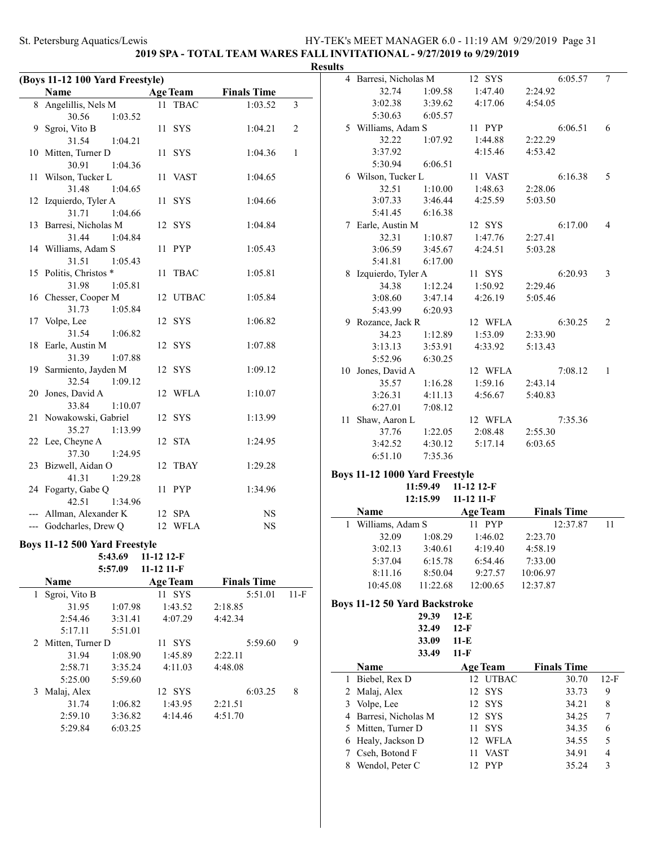# **2019 SPA - TOTAL TEAM WARES FALL INVITATIONAL - 9/27/2019 to 9/29/2019**

|              | (Boys 11-12 100 Yard Freestyle)                 |            |                 |                    |        |
|--------------|-------------------------------------------------|------------|-----------------|--------------------|--------|
|              | Name                                            |            | <b>Age Team</b> | <b>Finals Time</b> |        |
| 8            | Angelillis, Nels M                              | 11         | TBAC            | 1:03.52            | 3      |
|              | 30.56<br>1:03.52                                |            |                 |                    |        |
| 9            | Sgroi, Vito B                                   |            | 11 SYS          | 1:04.21            | 2      |
|              | 31.54<br>1:04.21<br>10 Mitten, Turner D         |            |                 |                    | 1      |
|              |                                                 |            | 11 SYS          | 1:04.36            |        |
| 11           | 30.91<br>1:04.36<br>Wilson, Tucker L            |            | 11 VAST         | 1:04.65            |        |
|              | 31.48<br>1:04.65                                |            |                 |                    |        |
| 12           | Izquierdo, Tyler A                              |            | 11 SYS          | 1:04.66            |        |
|              | 31.71<br>1:04.66                                |            |                 |                    |        |
| 13           | Barresi, Nicholas M                             |            | 12 SYS          | 1:04.84            |        |
|              | 31.44<br>1:04.84                                |            |                 |                    |        |
|              | 14 Williams, Adam S                             |            | 11 PYP          | 1:05.43            |        |
|              | 31.51<br>1:05.43                                |            |                 |                    |        |
|              | 15 Politis, Christos *                          | 11         | <b>TBAC</b>     | 1:05.81            |        |
|              | 31.98<br>1:05.81                                |            |                 |                    |        |
|              | 16 Chesser, Cooper M                            |            | 12 UTBAC        | 1:05.84            |        |
|              | 31.73<br>1:05.84                                |            |                 |                    |        |
|              | 17 Volpe, Lee                                   |            | 12 SYS          | 1:06.82            |        |
|              | 31.54<br>1:06.82                                |            |                 |                    |        |
| 18           | Earle, Austin M                                 |            | 12 SYS          | 1:07.88            |        |
|              | 31.39<br>1:07.88                                |            |                 |                    |        |
| 19           | Sarmiento, Jayden M                             |            | 12 SYS          | 1:09.12            |        |
|              | 32.54<br>1:09.12                                |            |                 |                    |        |
| 20           | Jones, David A                                  |            | 12 WFLA         | 1:10.07            |        |
|              | 33.84<br>1:10.07                                |            |                 |                    |        |
| 21           | Nowakowski, Gabriel                             |            | 12 SYS          | 1:13.99            |        |
|              | 35.27<br>1:13.99<br>22 Lee, Cheyne A            |            | 12 STA          |                    |        |
|              | 37.30<br>1:24.95                                |            |                 | 1:24.95            |        |
| 23           | Bizwell, Aidan O                                |            | 12 TBAY         | 1:29.28            |        |
|              | 41.31<br>1:29.28                                |            |                 |                    |        |
|              | 24 Fogarty, Gabe Q                              |            | 11 PYP          | 1:34.96            |        |
|              | 42.51<br>1:34.96                                |            |                 |                    |        |
|              | --- Allman, Alexander K                         |            | 12 SPA          | NS                 |        |
|              | --- Godcharles, Drew Q                          |            | 12 WFLA         | NS                 |        |
|              |                                                 |            |                 |                    |        |
|              | <b>Boys 11-12 500 Yard Freestyle</b><br>5:43.69 | 11-12 12-F |                 |                    |        |
|              | 5:57.09                                         | 11-12 11-F |                 |                    |        |
|              | Name                                            |            | <b>Age Team</b> | <b>Finals Time</b> |        |
| $\mathbf{1}$ | Sgroi, Vito B                                   |            | 11 SYS          | 5:51.01            | $11-F$ |
|              | 31.95<br>1:07.98                                |            | 1:43.52         | 2:18.85            |        |
|              | 2:54.46<br>3:31.41                              |            | 4:07.29         | 4:42.34            |        |
|              | 5:17.11<br>5:51.01                              |            |                 |                    |        |
| 2            | Mitten, Turner D                                |            | 11 SYS          | 5:59.60            | 9      |
|              | 31.94<br>1:08.90                                |            | 1:45.89         | 2:22.11            |        |
|              | 2:58.71<br>3:35.24                              |            | 4:11.03         | 4:48.08            |        |
|              | 5:25.00<br>5:59.60                              |            |                 |                    |        |
| 3            | Malaj, Alex                                     |            | 12 SYS          | 6:03.25            | 8      |
|              | 31.74<br>1:06.82                                |            | 1:43.95         | 2:21.51            |        |
|              | 2:59.10<br>3:36.82                              |            | 4:14.46         | 4:51.70            |        |
|              | 5:29.84<br>6:03.25                              |            |                 |                    |        |

| <b>Results</b> |                                |                 |            |         |   |
|----------------|--------------------------------|-----------------|------------|---------|---|
|                | 4 Barresi, Nicholas M          |                 | 12 SYS     | 6:05.57 | 7 |
|                | 32.74                          | 1:09.58         | 1:47.40    | 2:24.92 |   |
|                | 3:02.38                        | 3:39.62         | 4:17.06    | 4:54.05 |   |
|                | 5:30.63                        | 6:05.57         |            |         |   |
|                | 5 Williams, Adam S             |                 | 11 PYP     | 6:06.51 | 6 |
|                | 32.22                          | 1:07.92         | 1:44.88    | 2:22.29 |   |
|                | 3:37.92                        |                 | 4:15.46    | 4:53.42 |   |
|                |                                | 5:30.94 6:06.51 |            |         |   |
|                | 6 Wilson, Tucker L             |                 | 11 VAST    | 6:16.38 | 5 |
|                | 32.51                          | 1:10.00         | 1:48.63    | 2:28.06 |   |
|                | 3:07.33                        | 3:46.44         | 4:25.59    | 5:03.50 |   |
|                | 5:41.45                        | 6:16.38         |            |         |   |
|                | 7 Earle, Austin M              |                 | 12 SYS     | 6:17.00 | 4 |
|                | 32.31                          | 1:10.87         | 1:47.76    | 2:27.41 |   |
|                | 3:06.59                        | 3:45.67         | 4:24.51    | 5:03.28 |   |
|                | 5:41.81                        | 6:17.00         |            |         |   |
| 8              | Izquierdo, Tyler A             |                 | 11 SYS     | 6:20.93 | 3 |
|                | 34.38                          | 1:12.24         | 1:50.92    | 2:29.46 |   |
|                | 3:08.60                        | 3:47.14         | 4:26.19    | 5:05.46 |   |
|                |                                | 5:43.99 6:20.93 |            |         |   |
|                | 9 Rozance, Jack R              |                 | 12 WFLA    | 6:30.25 | 2 |
|                | 34.23                          | 1:12.89         | 1:53.09    | 2:33.90 |   |
|                | 3:13.13                        | 3:53.91         | 4:33.92    | 5:13.43 |   |
|                |                                | 5:52.96 6:30.25 |            |         |   |
|                | 10 Jones, David A              |                 | 12 WFLA    | 7:08.12 | 1 |
|                | 35.57                          | 1:16.28         | 1:59.16    | 2:43.14 |   |
|                | 3:26.31                        | 4:11.13         | 4:56.67    | 5:40.83 |   |
|                | 6:27.01                        | 7:08.12         |            |         |   |
|                | 11 Shaw, Aaron L               |                 | 12 WFLA    | 7:35.36 |   |
|                | 37.76                          | 1:22.05         | 2:08.48    | 2:55.30 |   |
|                | 3:42.52                        | 4:30.12         | 5:17.14    | 6:03.65 |   |
|                | 6:51.10                        | 7:35.36         |            |         |   |
|                | Boys 11-12 1000 Yard Freestyle |                 |            |         |   |
|                |                                | 11:59.49        | 11-12 12-F |         |   |

|                    | 12:15.99 | $11 - 12$ 11-F  |                    |  |
|--------------------|----------|-----------------|--------------------|--|
| <b>Name</b>        |          | <b>Age Team</b> | <b>Finals Time</b> |  |
| 1 Williams, Adam S |          | <b>PYP</b>      | 12:37.87           |  |
| 32.09              | 1:08.29  | 1:46.02         | 2:23.70            |  |
| 3:02.13            | 3:40.61  | 4:19.40         | 4:58.19            |  |
| 5:37.04            | 6:15.78  | 6:54.46         | 7:33.00            |  |
| 8:11.16            | 8:50.04  | 9:27.57         | 10:06.97           |  |
| 10:45.08           | 11:22.68 | 12:00.65        | 12:37.87           |  |

### **Boys 11-12 50 Yard Backstroke**

|  | 29.39 | 12-E |  |
|--|-------|------|--|
|  | 32.49 | 12-F |  |
|  | 33.09 | 11-E |  |
|  | 33.49 | 11-F |  |
|  |       |      |  |

| Name                  | <b>Age Team</b> | <b>Finals Time</b> |        |
|-----------------------|-----------------|--------------------|--------|
| 1 Biebel, Rex D       | 12 UTBAC        | 30.70              | $12-F$ |
| 2 Malaj, Alex         | 12 SYS          | 33.73              | 9      |
| 3 Volpe, Lee          | 12 SYS          | 34.21              | 8      |
| 4 Barresi, Nicholas M | 12 SYS          | 34.25              |        |
| 5 Mitten, Turner D    | 11 SYS          | 34.35              | 6      |
| 6 Healy, Jackson D    | 12 WFLA         | 34.55              | 5      |
| 7 Cseh, Botond F      | <b>VAST</b>     | 34.91              | 4      |
| Wendol, Peter C       | <b>PYP</b>      | 35.24              | 3      |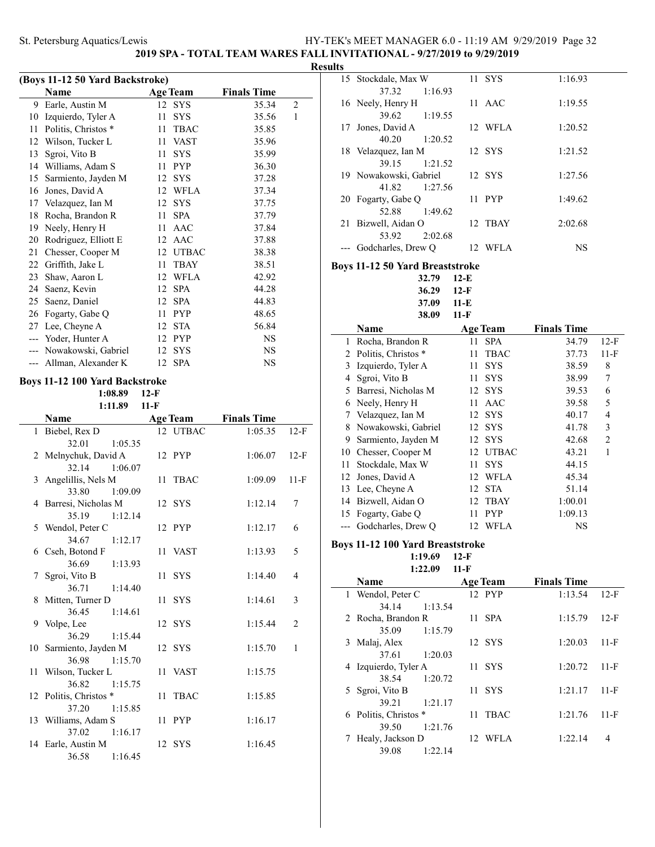**2019 SPA - TOTAL TEAM WARES FALL INVITATIONAL - 9/27/2019 to 9/29/2019**

| (Boys 11-12 50 Yard Backstroke) |                      |                 |             |                    |                |  |  |
|---------------------------------|----------------------|-----------------|-------------|--------------------|----------------|--|--|
|                                 | Name                 | <b>Age Team</b> |             | <b>Finals Time</b> |                |  |  |
| 9                               | Earle, Austin M      | 12 SYS          |             | 35.34              | $\overline{c}$ |  |  |
| 10                              | Izquierdo, Tyler A   | 11              | <b>SYS</b>  | 35.56              | 1              |  |  |
| 11                              | Politis, Christos *  | 11              | <b>TBAC</b> | 35.85              |                |  |  |
| 12                              | Wilson, Tucker L     | 11              | <b>VAST</b> | 35.96              |                |  |  |
| 13                              | Sgroi, Vito B        | 11              | <b>SYS</b>  | 35.99              |                |  |  |
| 14                              | Williams, Adam S     | 11              | <b>PYP</b>  | 36.30              |                |  |  |
| 15                              | Sarmiento, Jayden M  | 12              | <b>SYS</b>  | 37.28              |                |  |  |
| 16                              | Jones, David A       | 12              | <b>WFLA</b> | 37.34              |                |  |  |
| 17                              | Velazquez, Ian M     | 12              | <b>SYS</b>  | 37.75              |                |  |  |
| 18                              | Rocha, Brandon R     | 11              | <b>SPA</b>  | 37.79              |                |  |  |
| 19                              | Neely, Henry H       | 11              | <b>AAC</b>  | 37.84              |                |  |  |
| 20                              | Rodriguez, Elliott E | 12              | AAC         | 37.88              |                |  |  |
| 21                              | Chesser, Cooper M    | 12              | UTBAC       | 38.38              |                |  |  |
| 22                              | Griffith, Jake L     | 11              | <b>TBAY</b> | 38.51              |                |  |  |
| 23                              | Shaw, Aaron L        | 12              | <b>WFLA</b> | 42.92              |                |  |  |
| 24                              | Saenz, Kevin         | 12              | <b>SPA</b>  | 44.28              |                |  |  |
| 25                              | Saenz, Daniel        | 12              | <b>SPA</b>  | 44.83              |                |  |  |
| 26                              | Fogarty, Gabe Q      | 11              | <b>PYP</b>  | 48.65              |                |  |  |
| 27                              | Lee, Cheyne A        | 12              | <b>STA</b>  | 56.84              |                |  |  |
| $---$                           | Yoder, Hunter A      | 12              | <b>PYP</b>  | <b>NS</b>          |                |  |  |
|                                 | Nowakowski, Gabriel  | 12              | <b>SYS</b>  | NS                 |                |  |  |
|                                 | Allman, Alexander K  | 12 SPA          |             | NS                 |                |  |  |

### **Boys 11-12 100 Yard Backstroke**

|                        | 1:08.89       | $12-F$ |                 |                    |              |
|------------------------|---------------|--------|-----------------|--------------------|--------------|
|                        | 1:11.89       | $11-F$ |                 |                    |              |
| <b>Name</b>            |               |        | <b>Age Team</b> | <b>Finals Time</b> |              |
| 1 Biebel, Rex D        |               |        | 12 UTBAC        | 1:05.35            | $12-F$       |
| 32.01                  | 1:05.35       |        |                 |                    |              |
| 2 Melnychuk, David A   |               |        | 12 PYP          | 1:06.07            | $12-F$       |
|                        | 32.14 1:06.07 |        |                 |                    |              |
| 3 Angelillis, Nels M   |               |        | 11 TBAC         | 1:09.09            | $11-F$       |
| 33.80                  | 1:09.09       |        |                 |                    |              |
| 4 Barresi, Nicholas M  |               |        | 12 SYS          | 1:12.14            | 7            |
| 35.19                  | 1:12.14       |        |                 |                    |              |
| 5 Wendol, Peter C      |               |        | 12 PYP          | 1:12.17            | 6            |
| 34.67                  | 1:12.17       |        |                 |                    |              |
| 6 Cseh, Botond F       |               |        | 11 VAST         | 1:13.93            | 5            |
| 36.69                  | 1:13.93       |        |                 |                    |              |
| 7 Sgroi, Vito B        |               |        | 11 SYS          | 1:14.40            | 4            |
| 36.71                  | 1:14.40       |        |                 |                    |              |
| 8 Mitten, Turner D     |               |        | 11 SYS          | 1:14.61            | 3            |
| 36.45                  | 1:14.61       |        |                 |                    |              |
| 9 Volpe, Lee           |               |        | 12 SYS          | 1:15.44            | 2            |
| 36.29                  | 1:15.44       |        |                 |                    |              |
| 10 Sarmiento, Jayden M |               |        | 12 SYS          | 1:15.70            | $\mathbf{1}$ |
| 36.98                  | 1:15.70       |        |                 |                    |              |
| 11 Wilson, Tucker L    |               |        | 11 VAST         | 1:15.75            |              |
| 36.82                  | 1:15.75       |        |                 |                    |              |
| 12 Politis, Christos * |               |        | 11 TBAC         | 1:15.85            |              |
| 37.20                  | 1:15.85       |        |                 |                    |              |
| 13 Williams, Adam S    |               |        | 11 PYP          | 1:16.17            |              |
| 37.02                  | 1:16.17       |        |                 |                    |              |
| 14 Earle, Austin M     |               |        | 12 SYS          | 1:16.45            |              |
| 36.58                  | 1:16.45       |        |                 |                    |              |

| <b>Results</b> |                  |                                                                                                                                                                                                                                                                                                                                                                                                                                                                                                                                                                                                                                                                                                                                                                                                                                                                                                                                                                                                                             |                                                                                                                |                                                                                                                                                                                                                                                                                                                                                                                     |                                                                                              |
|----------------|------------------|-----------------------------------------------------------------------------------------------------------------------------------------------------------------------------------------------------------------------------------------------------------------------------------------------------------------------------------------------------------------------------------------------------------------------------------------------------------------------------------------------------------------------------------------------------------------------------------------------------------------------------------------------------------------------------------------------------------------------------------------------------------------------------------------------------------------------------------------------------------------------------------------------------------------------------------------------------------------------------------------------------------------------------|----------------------------------------------------------------------------------------------------------------|-------------------------------------------------------------------------------------------------------------------------------------------------------------------------------------------------------------------------------------------------------------------------------------------------------------------------------------------------------------------------------------|----------------------------------------------------------------------------------------------|
|                |                  |                                                                                                                                                                                                                                                                                                                                                                                                                                                                                                                                                                                                                                                                                                                                                                                                                                                                                                                                                                                                                             |                                                                                                                | 1:16.93                                                                                                                                                                                                                                                                                                                                                                             |                                                                                              |
|                |                  |                                                                                                                                                                                                                                                                                                                                                                                                                                                                                                                                                                                                                                                                                                                                                                                                                                                                                                                                                                                                                             |                                                                                                                | 1:19.55                                                                                                                                                                                                                                                                                                                                                                             |                                                                                              |
|                |                  |                                                                                                                                                                                                                                                                                                                                                                                                                                                                                                                                                                                                                                                                                                                                                                                                                                                                                                                                                                                                                             |                                                                                                                | 1:20.52                                                                                                                                                                                                                                                                                                                                                                             |                                                                                              |
|                |                  |                                                                                                                                                                                                                                                                                                                                                                                                                                                                                                                                                                                                                                                                                                                                                                                                                                                                                                                                                                                                                             |                                                                                                                | 1:21.52                                                                                                                                                                                                                                                                                                                                                                             |                                                                                              |
|                |                  |                                                                                                                                                                                                                                                                                                                                                                                                                                                                                                                                                                                                                                                                                                                                                                                                                                                                                                                                                                                                                             |                                                                                                                | 1:27.56                                                                                                                                                                                                                                                                                                                                                                             |                                                                                              |
|                |                  | 11                                                                                                                                                                                                                                                                                                                                                                                                                                                                                                                                                                                                                                                                                                                                                                                                                                                                                                                                                                                                                          |                                                                                                                | 1:49.62                                                                                                                                                                                                                                                                                                                                                                             |                                                                                              |
|                |                  | 12                                                                                                                                                                                                                                                                                                                                                                                                                                                                                                                                                                                                                                                                                                                                                                                                                                                                                                                                                                                                                          |                                                                                                                | 2:02.68                                                                                                                                                                                                                                                                                                                                                                             |                                                                                              |
|                |                  |                                                                                                                                                                                                                                                                                                                                                                                                                                                                                                                                                                                                                                                                                                                                                                                                                                                                                                                                                                                                                             |                                                                                                                | <b>NS</b>                                                                                                                                                                                                                                                                                                                                                                           |                                                                                              |
|                |                  |                                                                                                                                                                                                                                                                                                                                                                                                                                                                                                                                                                                                                                                                                                                                                                                                                                                                                                                                                                                                                             |                                                                                                                |                                                                                                                                                                                                                                                                                                                                                                                     |                                                                                              |
|                |                  |                                                                                                                                                                                                                                                                                                                                                                                                                                                                                                                                                                                                                                                                                                                                                                                                                                                                                                                                                                                                                             |                                                                                                                |                                                                                                                                                                                                                                                                                                                                                                                     |                                                                                              |
|                |                  |                                                                                                                                                                                                                                                                                                                                                                                                                                                                                                                                                                                                                                                                                                                                                                                                                                                                                                                                                                                                                             |                                                                                                                |                                                                                                                                                                                                                                                                                                                                                                                     |                                                                                              |
|                |                  |                                                                                                                                                                                                                                                                                                                                                                                                                                                                                                                                                                                                                                                                                                                                                                                                                                                                                                                                                                                                                             |                                                                                                                |                                                                                                                                                                                                                                                                                                                                                                                     |                                                                                              |
|                |                  |                                                                                                                                                                                                                                                                                                                                                                                                                                                                                                                                                                                                                                                                                                                                                                                                                                                                                                                                                                                                                             |                                                                                                                |                                                                                                                                                                                                                                                                                                                                                                                     |                                                                                              |
|                |                  |                                                                                                                                                                                                                                                                                                                                                                                                                                                                                                                                                                                                                                                                                                                                                                                                                                                                                                                                                                                                                             |                                                                                                                |                                                                                                                                                                                                                                                                                                                                                                                     |                                                                                              |
|                |                  |                                                                                                                                                                                                                                                                                                                                                                                                                                                                                                                                                                                                                                                                                                                                                                                                                                                                                                                                                                                                                             |                                                                                                                |                                                                                                                                                                                                                                                                                                                                                                                     |                                                                                              |
|                |                  |                                                                                                                                                                                                                                                                                                                                                                                                                                                                                                                                                                                                                                                                                                                                                                                                                                                                                                                                                                                                                             |                                                                                                                |                                                                                                                                                                                                                                                                                                                                                                                     | $12-F$                                                                                       |
|                |                  |                                                                                                                                                                                                                                                                                                                                                                                                                                                                                                                                                                                                                                                                                                                                                                                                                                                                                                                                                                                                                             |                                                                                                                |                                                                                                                                                                                                                                                                                                                                                                                     | $11-F$                                                                                       |
|                |                  |                                                                                                                                                                                                                                                                                                                                                                                                                                                                                                                                                                                                                                                                                                                                                                                                                                                                                                                                                                                                                             |                                                                                                                |                                                                                                                                                                                                                                                                                                                                                                                     | 8                                                                                            |
|                |                  |                                                                                                                                                                                                                                                                                                                                                                                                                                                                                                                                                                                                                                                                                                                                                                                                                                                                                                                                                                                                                             |                                                                                                                |                                                                                                                                                                                                                                                                                                                                                                                     | 7                                                                                            |
|                |                  |                                                                                                                                                                                                                                                                                                                                                                                                                                                                                                                                                                                                                                                                                                                                                                                                                                                                                                                                                                                                                             |                                                                                                                |                                                                                                                                                                                                                                                                                                                                                                                     | 6                                                                                            |
|                |                  |                                                                                                                                                                                                                                                                                                                                                                                                                                                                                                                                                                                                                                                                                                                                                                                                                                                                                                                                                                                                                             |                                                                                                                |                                                                                                                                                                                                                                                                                                                                                                                     | 5                                                                                            |
|                |                  |                                                                                                                                                                                                                                                                                                                                                                                                                                                                                                                                                                                                                                                                                                                                                                                                                                                                                                                                                                                                                             |                                                                                                                |                                                                                                                                                                                                                                                                                                                                                                                     | $\overline{\mathbf{4}}$                                                                      |
|                |                  |                                                                                                                                                                                                                                                                                                                                                                                                                                                                                                                                                                                                                                                                                                                                                                                                                                                                                                                                                                                                                             |                                                                                                                | 41.78                                                                                                                                                                                                                                                                                                                                                                               | $\mathfrak{Z}$                                                                               |
|                |                  |                                                                                                                                                                                                                                                                                                                                                                                                                                                                                                                                                                                                                                                                                                                                                                                                                                                                                                                                                                                                                             |                                                                                                                | 42.68                                                                                                                                                                                                                                                                                                                                                                               | $\overline{c}$                                                                               |
|                |                  |                                                                                                                                                                                                                                                                                                                                                                                                                                                                                                                                                                                                                                                                                                                                                                                                                                                                                                                                                                                                                             |                                                                                                                | 43.21                                                                                                                                                                                                                                                                                                                                                                               | 1                                                                                            |
|                |                  |                                                                                                                                                                                                                                                                                                                                                                                                                                                                                                                                                                                                                                                                                                                                                                                                                                                                                                                                                                                                                             | <b>SYS</b>                                                                                                     | 44.15                                                                                                                                                                                                                                                                                                                                                                               |                                                                                              |
|                |                  |                                                                                                                                                                                                                                                                                                                                                                                                                                                                                                                                                                                                                                                                                                                                                                                                                                                                                                                                                                                                                             |                                                                                                                | 45.34                                                                                                                                                                                                                                                                                                                                                                               |                                                                                              |
|                |                  |                                                                                                                                                                                                                                                                                                                                                                                                                                                                                                                                                                                                                                                                                                                                                                                                                                                                                                                                                                                                                             |                                                                                                                | 51.14                                                                                                                                                                                                                                                                                                                                                                               |                                                                                              |
|                |                  |                                                                                                                                                                                                                                                                                                                                                                                                                                                                                                                                                                                                                                                                                                                                                                                                                                                                                                                                                                                                                             |                                                                                                                | 1:00.01                                                                                                                                                                                                                                                                                                                                                                             |                                                                                              |
|                |                  |                                                                                                                                                                                                                                                                                                                                                                                                                                                                                                                                                                                                                                                                                                                                                                                                                                                                                                                                                                                                                             | <b>PYP</b>                                                                                                     |                                                                                                                                                                                                                                                                                                                                                                                     |                                                                                              |
|                |                  |                                                                                                                                                                                                                                                                                                                                                                                                                                                                                                                                                                                                                                                                                                                                                                                                                                                                                                                                                                                                                             |                                                                                                                | NS                                                                                                                                                                                                                                                                                                                                                                                  |                                                                                              |
|                |                  |                                                                                                                                                                                                                                                                                                                                                                                                                                                                                                                                                                                                                                                                                                                                                                                                                                                                                                                                                                                                                             |                                                                                                                |                                                                                                                                                                                                                                                                                                                                                                                     |                                                                                              |
|                | 1:19.69          |                                                                                                                                                                                                                                                                                                                                                                                                                                                                                                                                                                                                                                                                                                                                                                                                                                                                                                                                                                                                                             |                                                                                                                |                                                                                                                                                                                                                                                                                                                                                                                     |                                                                                              |
|                | 1:22.09          |                                                                                                                                                                                                                                                                                                                                                                                                                                                                                                                                                                                                                                                                                                                                                                                                                                                                                                                                                                                                                             |                                                                                                                |                                                                                                                                                                                                                                                                                                                                                                                     |                                                                                              |
|                | Name             |                                                                                                                                                                                                                                                                                                                                                                                                                                                                                                                                                                                                                                                                                                                                                                                                                                                                                                                                                                                                                             |                                                                                                                | <b>Finals Time</b>                                                                                                                                                                                                                                                                                                                                                                  |                                                                                              |
|                |                  |                                                                                                                                                                                                                                                                                                                                                                                                                                                                                                                                                                                                                                                                                                                                                                                                                                                                                                                                                                                                                             |                                                                                                                | 1:13.54                                                                                                                                                                                                                                                                                                                                                                             | $12-F$                                                                                       |
|                |                  | 11                                                                                                                                                                                                                                                                                                                                                                                                                                                                                                                                                                                                                                                                                                                                                                                                                                                                                                                                                                                                                          | <b>SPA</b>                                                                                                     | 1:15.79                                                                                                                                                                                                                                                                                                                                                                             | $12-F$                                                                                       |
|                |                  |                                                                                                                                                                                                                                                                                                                                                                                                                                                                                                                                                                                                                                                                                                                                                                                                                                                                                                                                                                                                                             |                                                                                                                | 1:20.03                                                                                                                                                                                                                                                                                                                                                                             | $11-F$                                                                                       |
|                |                  | 11                                                                                                                                                                                                                                                                                                                                                                                                                                                                                                                                                                                                                                                                                                                                                                                                                                                                                                                                                                                                                          | <b>SYS</b>                                                                                                     | 1:20.72                                                                                                                                                                                                                                                                                                                                                                             | $11-F$                                                                                       |
|                | Sgroi, Vito B    |                                                                                                                                                                                                                                                                                                                                                                                                                                                                                                                                                                                                                                                                                                                                                                                                                                                                                                                                                                                                                             |                                                                                                                | 1:21.17                                                                                                                                                                                                                                                                                                                                                                             | 11-F                                                                                         |
|                |                  | 11                                                                                                                                                                                                                                                                                                                                                                                                                                                                                                                                                                                                                                                                                                                                                                                                                                                                                                                                                                                                                          | <b>TBAC</b>                                                                                                    | 1:21.76                                                                                                                                                                                                                                                                                                                                                                             | 11-F                                                                                         |
|                | 39.08<br>1:22.14 |                                                                                                                                                                                                                                                                                                                                                                                                                                                                                                                                                                                                                                                                                                                                                                                                                                                                                                                                                                                                                             |                                                                                                                | 1:22.14                                                                                                                                                                                                                                                                                                                                                                             | 4                                                                                            |
|                |                  | 15 Stockdale, Max W<br>37.32<br>1:16.93<br>16 Neely, Henry H<br>39.62<br>1:19.55<br>17 Jones, David A<br>40.20<br>1:20.52<br>18 Velazquez, Ian M<br>39.15<br>1:21.52<br>19 Nowakowski, Gabriel<br>41.82<br>1:27.56<br>20 Fogarty, Gabe Q<br>52.88<br>1:49.62<br>21 Bizwell, Aidan O<br>53.92<br>2:02.68<br>--- Godcharles, Drew Q<br>32.79<br>36.29<br>37.09<br>38.09<br>Name<br>1 Rocha, Brandon R<br>2 Politis, Christos *<br>3 Izquierdo, Tyler A<br>4 Sgroi, Vito B<br>5 Barresi, Nicholas M<br>6 Neely, Henry H<br>7 Velazquez, Ian M<br>8 Nowakowski, Gabriel<br>9 Sarmiento, Jayden M<br>10 Chesser, Cooper M<br>11 Stockdale, Max W<br>12 Jones, David A<br>13 Lee, Cheyne A<br>14 Bizwell, Aidan O<br>15 Fogarty, Gabe Q<br>--- Godcharles, Drew Q<br>1 Wendol, Peter C<br>34.14<br>1:13.54<br>2 Rocha, Brandon R<br>35.09<br>1:15.79<br>3 Malaj, Alex<br>37.61<br>1:20.03<br>4 Izquierdo, Tyler A<br>38.54<br>1:20.72<br>5<br>39.21<br>1:21.17<br>6 Politis, Christos *<br>39.50<br>1:21.76<br>7 Healy, Jackson D | <b>Boys 11-12 50 Yard Breaststroke</b><br>$12-E$<br>$12-F$<br>$11-E$<br>$11-F$<br>11<br>11<br>$12-F$<br>$11-F$ | 11 SYS<br>11 AAC<br>12 WFLA<br>12 SYS<br>12 SYS<br>PYP<br>TBAY<br>12 WFLA<br><b>Age Team</b><br>11 SPA<br><b>TBAC</b><br><b>SYS</b><br><b>SYS</b><br>11<br>12 SYS<br>11 AAC<br>12 SYS<br>12 SYS<br>12 SYS<br>12 UTBAC<br>11<br>12 WFLA<br>12 STA<br>12 TBAY<br>11<br>12 WFLA<br><b>Boys 11-12 100 Yard Breaststroke</b><br><b>Age Team</b><br>12 PYP<br>12 SYS<br>11 SYS<br>12 WFLA | <b>Finals Time</b><br>34.79<br>37.73<br>38.59<br>38.99<br>39.53<br>39.58<br>40.17<br>1:09.13 |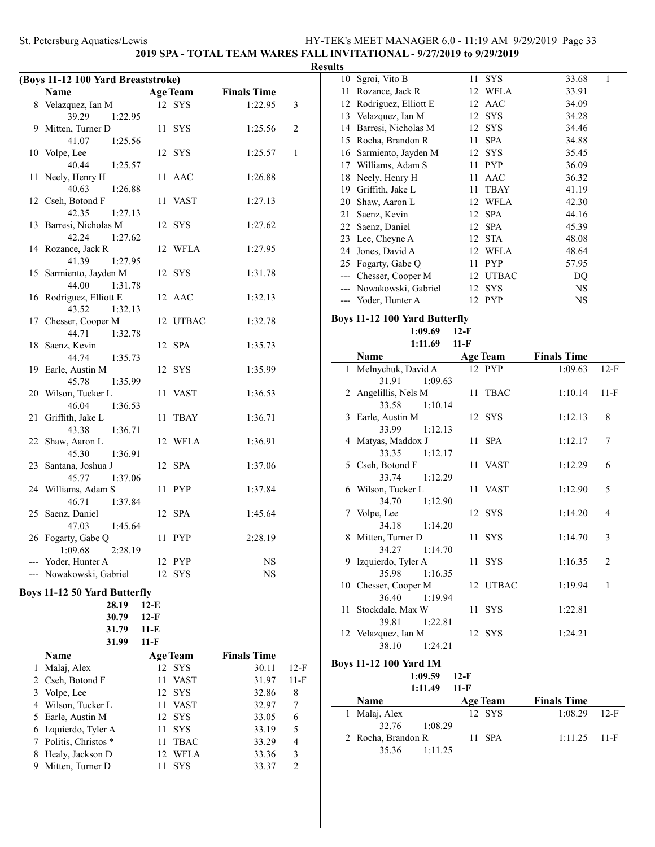### **2019 SPA - TOTAL TEAM WARES FALL INVITATIONAL - 9/27/2019 to 9/29/2019**

| Name             |                                                                                                                                                                                                                                                                                                                                                                                                                                                                                                                                                                                                            |                                                                                                           |                                                                                                                                                                                                     |                                                                                                                                                     |
|------------------|------------------------------------------------------------------------------------------------------------------------------------------------------------------------------------------------------------------------------------------------------------------------------------------------------------------------------------------------------------------------------------------------------------------------------------------------------------------------------------------------------------------------------------------------------------------------------------------------------------|-----------------------------------------------------------------------------------------------------------|-----------------------------------------------------------------------------------------------------------------------------------------------------------------------------------------------------|-----------------------------------------------------------------------------------------------------------------------------------------------------|
|                  |                                                                                                                                                                                                                                                                                                                                                                                                                                                                                                                                                                                                            |                                                                                                           | 1:22.95                                                                                                                                                                                             | $\overline{3}$                                                                                                                                      |
| 39.29<br>1:22.95 |                                                                                                                                                                                                                                                                                                                                                                                                                                                                                                                                                                                                            |                                                                                                           |                                                                                                                                                                                                     |                                                                                                                                                     |
| Mitten, Turner D | 11                                                                                                                                                                                                                                                                                                                                                                                                                                                                                                                                                                                                         | <b>SYS</b>                                                                                                | 1:25.56                                                                                                                                                                                             | 2                                                                                                                                                   |
| 1:25.56          |                                                                                                                                                                                                                                                                                                                                                                                                                                                                                                                                                                                                            |                                                                                                           |                                                                                                                                                                                                     |                                                                                                                                                     |
|                  | 12                                                                                                                                                                                                                                                                                                                                                                                                                                                                                                                                                                                                         |                                                                                                           |                                                                                                                                                                                                     | $\mathbf{1}$                                                                                                                                        |
| 1:25.57          |                                                                                                                                                                                                                                                                                                                                                                                                                                                                                                                                                                                                            |                                                                                                           |                                                                                                                                                                                                     |                                                                                                                                                     |
|                  | 11                                                                                                                                                                                                                                                                                                                                                                                                                                                                                                                                                                                                         | AAC                                                                                                       | 1:26.88                                                                                                                                                                                             |                                                                                                                                                     |
| 40.63<br>1:26.88 |                                                                                                                                                                                                                                                                                                                                                                                                                                                                                                                                                                                                            |                                                                                                           |                                                                                                                                                                                                     |                                                                                                                                                     |
|                  | 11                                                                                                                                                                                                                                                                                                                                                                                                                                                                                                                                                                                                         | <b>VAST</b>                                                                                               | 1:27.13                                                                                                                                                                                             |                                                                                                                                                     |
| 1:27.13          |                                                                                                                                                                                                                                                                                                                                                                                                                                                                                                                                                                                                            |                                                                                                           |                                                                                                                                                                                                     |                                                                                                                                                     |
|                  | 12                                                                                                                                                                                                                                                                                                                                                                                                                                                                                                                                                                                                         | <b>SYS</b>                                                                                                |                                                                                                                                                                                                     |                                                                                                                                                     |
| 1:27.62          |                                                                                                                                                                                                                                                                                                                                                                                                                                                                                                                                                                                                            |                                                                                                           |                                                                                                                                                                                                     |                                                                                                                                                     |
|                  | 12                                                                                                                                                                                                                                                                                                                                                                                                                                                                                                                                                                                                         | WFLA                                                                                                      | 1:27.95                                                                                                                                                                                             |                                                                                                                                                     |
| 41.39<br>1:27.95 |                                                                                                                                                                                                                                                                                                                                                                                                                                                                                                                                                                                                            |                                                                                                           |                                                                                                                                                                                                     |                                                                                                                                                     |
|                  | 12                                                                                                                                                                                                                                                                                                                                                                                                                                                                                                                                                                                                         | <b>SYS</b>                                                                                                | 1:31.78                                                                                                                                                                                             |                                                                                                                                                     |
| 44.00<br>1:31.78 |                                                                                                                                                                                                                                                                                                                                                                                                                                                                                                                                                                                                            |                                                                                                           |                                                                                                                                                                                                     |                                                                                                                                                     |
|                  |                                                                                                                                                                                                                                                                                                                                                                                                                                                                                                                                                                                                            |                                                                                                           | 1:32.13                                                                                                                                                                                             |                                                                                                                                                     |
| 43.52<br>1:32.13 |                                                                                                                                                                                                                                                                                                                                                                                                                                                                                                                                                                                                            |                                                                                                           |                                                                                                                                                                                                     |                                                                                                                                                     |
|                  | 12                                                                                                                                                                                                                                                                                                                                                                                                                                                                                                                                                                                                         | <b>UTBAC</b>                                                                                              | 1:32.78                                                                                                                                                                                             |                                                                                                                                                     |
| 44.71<br>1:32.78 |                                                                                                                                                                                                                                                                                                                                                                                                                                                                                                                                                                                                            |                                                                                                           |                                                                                                                                                                                                     |                                                                                                                                                     |
| Saenz, Kevin     | 12                                                                                                                                                                                                                                                                                                                                                                                                                                                                                                                                                                                                         | <b>SPA</b>                                                                                                | 1:35.73                                                                                                                                                                                             |                                                                                                                                                     |
| 1:35.73          |                                                                                                                                                                                                                                                                                                                                                                                                                                                                                                                                                                                                            |                                                                                                           |                                                                                                                                                                                                     |                                                                                                                                                     |
|                  |                                                                                                                                                                                                                                                                                                                                                                                                                                                                                                                                                                                                            |                                                                                                           |                                                                                                                                                                                                     |                                                                                                                                                     |
|                  |                                                                                                                                                                                                                                                                                                                                                                                                                                                                                                                                                                                                            |                                                                                                           |                                                                                                                                                                                                     |                                                                                                                                                     |
|                  |                                                                                                                                                                                                                                                                                                                                                                                                                                                                                                                                                                                                            |                                                                                                           |                                                                                                                                                                                                     |                                                                                                                                                     |
|                  |                                                                                                                                                                                                                                                                                                                                                                                                                                                                                                                                                                                                            |                                                                                                           |                                                                                                                                                                                                     |                                                                                                                                                     |
|                  |                                                                                                                                                                                                                                                                                                                                                                                                                                                                                                                                                                                                            |                                                                                                           |                                                                                                                                                                                                     |                                                                                                                                                     |
|                  |                                                                                                                                                                                                                                                                                                                                                                                                                                                                                                                                                                                                            |                                                                                                           |                                                                                                                                                                                                     |                                                                                                                                                     |
|                  |                                                                                                                                                                                                                                                                                                                                                                                                                                                                                                                                                                                                            |                                                                                                           |                                                                                                                                                                                                     |                                                                                                                                                     |
|                  |                                                                                                                                                                                                                                                                                                                                                                                                                                                                                                                                                                                                            |                                                                                                           |                                                                                                                                                                                                     |                                                                                                                                                     |
|                  |                                                                                                                                                                                                                                                                                                                                                                                                                                                                                                                                                                                                            |                                                                                                           |                                                                                                                                                                                                     |                                                                                                                                                     |
|                  |                                                                                                                                                                                                                                                                                                                                                                                                                                                                                                                                                                                                            |                                                                                                           |                                                                                                                                                                                                     |                                                                                                                                                     |
|                  |                                                                                                                                                                                                                                                                                                                                                                                                                                                                                                                                                                                                            |                                                                                                           |                                                                                                                                                                                                     |                                                                                                                                                     |
|                  |                                                                                                                                                                                                                                                                                                                                                                                                                                                                                                                                                                                                            |                                                                                                           |                                                                                                                                                                                                     |                                                                                                                                                     |
|                  |                                                                                                                                                                                                                                                                                                                                                                                                                                                                                                                                                                                                            |                                                                                                           |                                                                                                                                                                                                     |                                                                                                                                                     |
|                  |                                                                                                                                                                                                                                                                                                                                                                                                                                                                                                                                                                                                            |                                                                                                           |                                                                                                                                                                                                     |                                                                                                                                                     |
|                  |                                                                                                                                                                                                                                                                                                                                                                                                                                                                                                                                                                                                            |                                                                                                           |                                                                                                                                                                                                     |                                                                                                                                                     |
|                  |                                                                                                                                                                                                                                                                                                                                                                                                                                                                                                                                                                                                            |                                                                                                           |                                                                                                                                                                                                     |                                                                                                                                                     |
|                  |                                                                                                                                                                                                                                                                                                                                                                                                                                                                                                                                                                                                            |                                                                                                           |                                                                                                                                                                                                     |                                                                                                                                                     |
|                  |                                                                                                                                                                                                                                                                                                                                                                                                                                                                                                                                                                                                            | <b>SYS</b>                                                                                                |                                                                                                                                                                                                     |                                                                                                                                                     |
|                  |                                                                                                                                                                                                                                                                                                                                                                                                                                                                                                                                                                                                            |                                                                                                           |                                                                                                                                                                                                     |                                                                                                                                                     |
| 28.19            |                                                                                                                                                                                                                                                                                                                                                                                                                                                                                                                                                                                                            |                                                                                                           |                                                                                                                                                                                                     |                                                                                                                                                     |
|                  | Velazquez, Ian M<br>41.07<br>Volpe, Lee<br>40.44<br>Neely, Henry H<br>Cseh, Botond F<br>42.35<br>Barresi, Nicholas M<br>42.24<br>Rozance, Jack R<br>Sarmiento, Jayden M<br>Rodriguez, Elliott E<br>Chesser, Cooper M<br>44.74<br>Earle, Austin M<br>1:35.99<br>45.78<br>Wilson, Tucker L<br>46.04<br>1:36.53<br>Griffith, Jake L<br>43.38<br>1:36.71<br>Shaw, Aaron L<br>45.30<br>1:36.91<br>Santana, Joshua J<br>45.77<br>1:37.06<br>Williams, Adam S<br>46.71<br>1:37.84<br>Saenz, Daniel<br>47.03<br>1:45.64<br>Fogarty, Gabe Q<br>1:09.68<br>2:28.19<br>--- Yoder, Hunter A<br>--- Nowakowski, Gabriel | 12<br>11<br>11<br>12<br>12<br>11<br>12<br>11<br>12<br>12<br><b>Boys 11-12 50 Yard Butterfly</b><br>$12-E$ | (Boys 11-12 100 Yard Breaststroke)<br><b>Age Team</b><br>12 SYS<br>SYS<br>12 AAC<br><b>SYS</b><br><b>VAST</b><br><b>TBAY</b><br>WFLA<br><b>SPA</b><br><b>PYP</b><br><b>SPA</b><br><b>PYP</b><br>PYP | <b>Finals Time</b><br>1:25.57<br>1:27.62<br>1:35.99<br>1:36.53<br>1:36.71<br>1:36.91<br>1:37.06<br>1:37.84<br>1:45.64<br>2:28.19<br>NS<br><b>NS</b> |

|   | 31.79               | 11-E              |                    |                |
|---|---------------------|-------------------|--------------------|----------------|
|   | 31.99               | $11-F$            |                    |                |
|   | Name                | <b>Age Team</b>   | <b>Finals Time</b> |                |
|   | Malaj, Alex         | 12 SYS            | 30.11              | $12-F$         |
|   | 2 Cseh, Botond F    | VAST<br>11        | 31.97              | $11-F$         |
| 3 | Volpe, Lee          | 12 SYS            | 32.86              | 8              |
|   | Wilson, Tucker L    | VAST<br>11        | 32.97              | 7              |
|   | 5 Earle, Austin M   | 12 SYS            | 33.05              | 6              |
|   | Izquierdo, Tyler A  | – SYS<br>11       | 33.19              | 5              |
|   | Politis, Christos * | <b>TBAC</b><br>11 | 33.29              | 4              |
|   | Healy, Jackson D    | 12 WFLA           | 33.36              | 3              |
|   | Mitten, Turner D    | <b>SYS</b>        | 33.37              | $\mathfrak{D}$ |
|   |                     |                   |                    |                |

**30.79 12-F**

| <b>Results</b> |                         |    |             |            |
|----------------|-------------------------|----|-------------|------------|
| 10             | Sgroi, Vito B           |    | 11 SYS      | 1<br>33.68 |
| 11             | Rozance, Jack R         |    | 12 WFLA     | 33.91      |
| 12             | Rodriguez, Elliott E    | 12 | AAC         | 34.09      |
| 13             | Velazquez, Ian M        |    | 12 SYS      | 34.28      |
|                | 14 Barresi, Nicholas M  |    | 12 SYS      | 34.46      |
| 15             | Rocha, Brandon R        | 11 | <b>SPA</b>  | 34.88      |
| 16             | Sarmiento, Jayden M     |    | 12 SYS      | 35.45      |
| 17             | Williams, Adam S        |    | 11 PYP      | 36.09      |
|                | 18 Neely, Henry H       | 11 | AAC         | 36.32      |
| 19             | Griffith, Jake L        | 11 | <b>TBAY</b> | 41.19      |
| 20             | Shaw, Aaron L           |    | 12 WFLA     | 42.30      |
| 21             | Saenz, Kevin            | 12 | <b>SPA</b>  | 44.16      |
| 22             | Saenz, Daniel           |    | 12 SPA      | 45.39      |
|                | 23 Lee, Cheyne A        |    | 12 STA      | 48.08      |
|                | 24 Jones, David A       |    | 12 WFLA     | 48.64      |
|                | 25 Fogarty, Gabe Q      | 11 | <b>PYP</b>  | 57.95      |
|                | Chesser, Cooper M       |    | 12 UTBAC    | DO         |
|                | --- Nowakowski, Gabriel |    | 12 SYS      | NS         |
|                | Yoder, Hunter A         |    | 12 PYP      | NS         |
|                |                         |    |             |            |

### **Boys 11-12 100 Yard Butterfly 1:09.69 12-F 1:11.69 11-F**

 $\overline{\phantom{a}}$ 

|   | Name                 | <b>Age Team</b> | <b>Finals Time</b> |                |
|---|----------------------|-----------------|--------------------|----------------|
|   | 1 Melnychuk, David A | 12 PYP          | 1:09.63            | $12-F$         |
|   | 31.91<br>1:09.63     |                 |                    |                |
|   | 2 Angelillis, Nels M | 11 TBAC         | 1:10.14            | $11-F$         |
|   | 33.58<br>1:10.14     |                 |                    |                |
|   | 3 Earle, Austin M    | 12 SYS          | 1:12.13            | 8              |
|   | 33.99<br>1:12.13     |                 |                    |                |
|   | 4 Matyas, Maddox J   | 11 SPA          | 1:12.17            | 7              |
|   | 33.35<br>1:12.17     |                 |                    |                |
|   | 5 Cseh, Botond F     | 11 VAST         | 1:12.29            | 6              |
|   | 33.74<br>1:12.29     |                 |                    |                |
|   | 6 Wilson, Tucker L   | 11 VAST         | 1:12.90            | 5              |
|   | 34.70<br>1:12.90     |                 |                    |                |
| 7 | Volpe, Lee           | 12 SYS          | 1:14.20            | $\overline{4}$ |
|   | 34.18<br>1:14.20     |                 |                    |                |
| 8 | Mitten, Turner D     | 11 SYS          | 1:14.70            | 3              |
|   | 34.27<br>1:14.70     |                 |                    |                |
| 9 | Izquierdo, Tyler A   | 11 SYS          | 1:16.35            | $\overline{2}$ |
|   | 35.98<br>1:16.35     |                 |                    |                |
|   | 10 Chesser, Cooper M | 12 UTBAC        | 1:19.94            | 1              |
|   | 36.40 1:19.94        |                 |                    |                |
|   | 11 Stockdale, Max W  | 11 SYS          | 1:22.81            |                |
|   | 39.81<br>1:22.81     |                 |                    |                |
|   | 12 Velazquez, Ian M  | 12 SYS          | 1:24.21            |                |
|   | 38.10<br>1:24.21     |                 |                    |                |

### **Boys 11-12 100 Yard IM**

| <b>Name</b> |                | <b>Age Team</b> | <b>Finals Time</b> |
|-------------|----------------|-----------------|--------------------|
|             | $1:11.49$ 11-F |                 |                    |
|             | $1:09.59$ 12-F |                 |                    |

|                    |         | - ------ |                |  |
|--------------------|---------|----------|----------------|--|
| 1 Malaj, Alex      |         | 12 SYS   | $1:08.29$ 12-F |  |
| 32.76 1:08.29      |         |          |                |  |
| 2 Rocha, Brandon R |         | $11$ SPA | $1:11.25$ 11-F |  |
| 35.36              | 1:11.25 |          |                |  |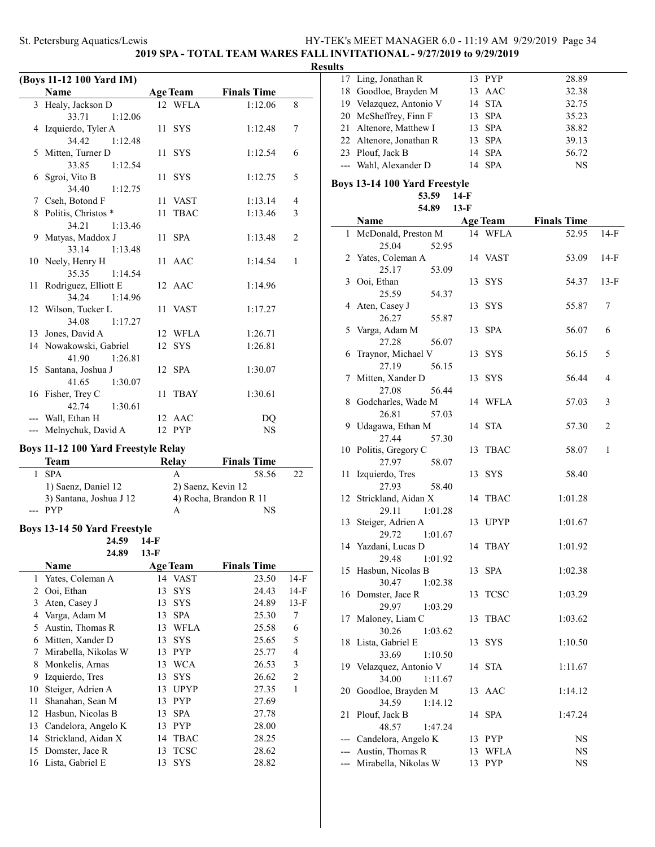# **2019 SPA - TOTAL TEAM WARES FALL INVITATIONAL - 9/27/2019 to 9/29/2019**

# **Results**

 $\overline{\phantom{0}}$ 

|                | (Boys 11-12 100 Yard IM)                    |        |                  |                              |                |
|----------------|---------------------------------------------|--------|------------------|------------------------------|----------------|
|                | Name                                        |        | <b>Age Team</b>  | <b>Finals Time</b>           |                |
|                | 3 Healy, Jackson D<br>33.71<br>1:12.06      |        | 12 WFLA          | 1:12.06                      | 8              |
| 4              | Izquierdo, Tyler A                          | 11     | <b>SYS</b>       | 1:12.48                      | 7              |
| 5              | 34.42<br>1:12.48<br>Mitten, Turner D        | 11     | <b>SYS</b>       | 1:12.54                      | 6              |
| 6              | 33.85<br>1:12.54<br>Sgroi, Vito B           | 11     | <b>SYS</b>       | 1:12.75                      | 5              |
|                | 34.40<br>1:12.75                            | 11     | VAST             | 1:13.14                      | 4              |
|                | 7 Cseh, Botond F                            |        |                  |                              |                |
|                | 8 Politis, Christos *<br>34.21<br>1:13.46   | 11     | <b>TBAC</b>      | 1:13.46                      | 3              |
|                | 9 Matyas, Maddox J<br>33.14<br>1:13.48      | 11     | <b>SPA</b>       | 1:13.48                      | 2              |
|                | 10 Neely, Henry H<br>35.35<br>1:14.54       | 11     | AAC              | 1:14.54                      | 1              |
| 11             | Rodriguez, Elliott E<br>34.24<br>1:14.96    |        | 12 AAC           | 1:14.96                      |                |
|                | 12 Wilson, Tucker L                         | 11     | VAST             | 1:17.27                      |                |
|                | 34.08<br>1:17.27                            |        |                  |                              |                |
|                | 13 Jones, David A                           |        | 12 WFLA          | 1:26.71                      |                |
|                | 14 Nowakowski, Gabriel<br>41.90<br>1:26.81  | 12     | <b>SYS</b>       | 1:26.81                      |                |
| 15             | Santana, Joshua J<br>41.65<br>1:30.07       |        | 12 SPA           | 1:30.07                      |                |
|                | 16 Fisher, Trey C<br>42.74<br>1:30.61       | 11     | <b>TBAY</b>      | 1:30.61                      |                |
|                | --- Wall, Ethan H<br>--- Melnychuk, David A |        | 12 AAC<br>12 PYP | DQ<br><b>NS</b>              |                |
|                |                                             |        |                  |                              |                |
|                | <b>Boys 11-12 100 Yard Freestyle Relay</b>  |        |                  |                              |                |
|                | <b>Team</b>                                 |        | <b>Relay</b>     | <b>Finals Time</b>           |                |
| 1              | <b>SPA</b>                                  |        | A                | 58.56                        | 22             |
|                | 1) Saenz, Daniel 12                         |        |                  | 2) Saenz, Kevin 12           |                |
|                | 3) Santana, Joshua J 12<br>--- PYP          |        | A                | 4) Rocha, Brandon R 11<br>NS |                |
|                | <b>Boys 13-14 50 Yard Freestyle</b>         |        |                  |                              |                |
|                | 24.59                                       | $14-F$ |                  |                              |                |
|                | 24.89                                       | $13-F$ |                  |                              |                |
|                | Name                                        |        | <b>Age Team</b>  | <b>Finals Time</b>           |                |
| $\mathbf{1}$   | Yates, Coleman A                            | 14     | <b>VAST</b>      | 23.50                        | $14-F$         |
| $\overline{c}$ | Ooi, Ethan                                  | 13     | SYS              | 24.43                        | 14-F           |
| 3              |                                             | 13     |                  |                              |                |
| 4              | Aten, Casey J                               | 13     | <b>SYS</b>       | 24.89                        | $13-F$         |
|                | Varga, Adam M                               |        | <b>SPA</b>       | 25.30                        | 7              |
| 5              | Austin, Thomas R                            | 13     | WFLA             | 25.58                        | 6              |
| 6              | Mitten, Xander D                            | 13     | <b>SYS</b>       | 25.65                        | 5              |
| 7              | Mirabella, Nikolas W                        | 13     | PYP              | 25.77                        | 4              |
| 8              | Monkelis, Arnas                             | 13     | <b>WCA</b>       | 26.53                        | 3              |
| 9              | Izquierdo, Tres                             | 13     | <b>SYS</b>       | 26.62                        | $\overline{c}$ |
| 10             | Steiger, Adrien A                           | 13     | <b>UPYP</b>      | 27.35                        | 1              |
| 11             | Shanahan, Sean M                            | 13     | PYP              | 27.69                        |                |
| 12             | Hasbun, Nicolas B                           | 13     | SPA              | 27.78                        |                |
| 13             | Candelora, Angelo K                         | 13     | PYP              | 28.00                        |                |

14 Strickland, Aidan X 14 TBAC 28.25 15 Domster, Jace R 13 TCSC 28.62 16 Lista, Gabriel E 13 SYS 28.82

| 17           | Ling, Jonathan R              |        | 13 PYP          | 28.89              |                |
|--------------|-------------------------------|--------|-----------------|--------------------|----------------|
| 18           | Goodloe, Brayden M            |        | 13 AAC          | 32.38              |                |
|              | 19 Velazquez, Antonio V       | 14     | <b>STA</b>      | 32.75              |                |
| 20           | McSheffrey, Finn F            | 13     | <b>SPA</b>      | 35.23              |                |
|              |                               |        |                 |                    |                |
| 21           | Altenore, Matthew I           | 13     | <b>SPA</b>      | 38.82              |                |
|              | 22 Altenore, Jonathan R       | 13     | <b>SPA</b>      | 39.13              |                |
|              | 23 Plouf, Jack B              | 14     | <b>SPA</b>      | 56.72              |                |
|              | --- Wahl, Alexander D         | 14     | <b>SPA</b>      | <b>NS</b>          |                |
|              |                               |        |                 |                    |                |
|              | Boys 13-14 100 Yard Freestyle |        |                 |                    |                |
|              | 53.59                         | 14-F   |                 |                    |                |
|              | 54.89                         | $13-F$ |                 |                    |                |
|              | Name                          |        | <b>Age Team</b> | <b>Finals Time</b> |                |
| $\mathbf{1}$ | McDonald, Preston M           |        | 14 WFLA         | 52.95              | $14-F$         |
|              | 25.04<br>52.95                |        |                 |                    |                |
| 2            | Yates, Coleman A              |        | 14 VAST         | 53.09              | $14-F$         |
|              | 25.17<br>53.09                |        |                 |                    |                |
| 3            | Ooi, Ethan                    |        | <b>SYS</b>      |                    | $13-F$         |
|              |                               | 13     |                 | 54.37              |                |
|              | 25.59<br>54.37                |        |                 |                    |                |
| 4            | Aten, Casey J                 | 13     | <b>SYS</b>      | 55.87              | 7              |
|              | 26.27<br>55.87                |        |                 |                    |                |
| 5            | Varga, Adam M                 | 13     | <b>SPA</b>      | 56.07              | 6              |
|              | 27.28<br>56.07                |        |                 |                    |                |
| 6            | Traynor, Michael V            | 13     | <b>SYS</b>      | 56.15              | 5              |
|              | 27.19<br>56.15                |        |                 |                    |                |
| 7            | Mitten, Xander D              | 13     | <b>SYS</b>      | 56.44              | $\overline{4}$ |
|              |                               |        |                 |                    |                |
|              | 27.08<br>56.44                |        |                 |                    |                |
| 8            | Godcharles, Wade M            |        | 14 WFLA         | 57.03              | 3              |
|              | 26.81<br>57.03                |        |                 |                    |                |
| 9            | Udagawa, Ethan M              | 14     | <b>STA</b>      | 57.30              | $\overline{c}$ |
|              | 27.44<br>57.30                |        |                 |                    |                |
|              | 10 Politis, Gregory C         | 13     | TBAC            | 58.07              | 1              |
|              | 27.97<br>58.07                |        |                 |                    |                |
| 11           | Izquierdo, Tres               | 13     | <b>SYS</b>      | 58.40              |                |
|              | 27.93<br>58.40                |        |                 |                    |                |
| 12           | Strickland, Aidan X           |        | 14 TBAC         | 1:01.28            |                |
|              |                               |        |                 |                    |                |
|              | 29.11<br>1:01.28              |        |                 |                    |                |
| 13           | Steiger, Adrien A             | 13     | <b>UPYP</b>     | 1:01.67            |                |
|              | 29.72<br>1:01.67              |        |                 |                    |                |
|              | 14 Yazdani, Lucas D           | 14     | <b>TBAY</b>     | 1:01.92            |                |
|              | 29.48<br>1:01.92              |        |                 |                    |                |
|              | 15 Hasbun, Nicolas B          |        | 13 SPA          | 1:02.38            |                |
|              | 30.47<br>1:02.38              |        |                 |                    |                |
| 16           | Domster, Jace R               | 13     | <b>TCSC</b>     | 1:03.29            |                |
|              | 29.97<br>1:03.29              |        |                 |                    |                |
| 17           | Maloney, Liam C               | 13     | <b>TBAC</b>     | 1:03.62            |                |
|              | 30.26<br>1:03.62              |        |                 |                    |                |
|              |                               |        |                 |                    |                |
| 18           | Lista, Gabriel E              | 13     | <b>SYS</b>      | 1:10.50            |                |
|              | 33.69<br>1:10.50              |        |                 |                    |                |
|              | 19 Velazquez, Antonio V       |        | 14 STA          | 1:11.67            |                |
|              | 34.00<br>1:11.67              |        |                 |                    |                |
| 20           | Goodloe, Brayden M            |        | 13 AAC          | 1:14.12            |                |
|              | 34.59<br>1:14.12              |        |                 |                    |                |
| 21           | Plouf, Jack B                 | 14     | <b>SPA</b>      | 1:47.24            |                |
|              | 48.57<br>1:47.24              |        |                 |                    |                |
| ---          | Candelora, Angelo K           |        | 13 PYP          | NS                 |                |
|              |                               |        |                 |                    |                |
|              | Austin, Thomas R              |        | 13 WFLA         | NS                 |                |
|              | Mirabella, Nikolas W          |        | 13 PYP          | NS                 |                |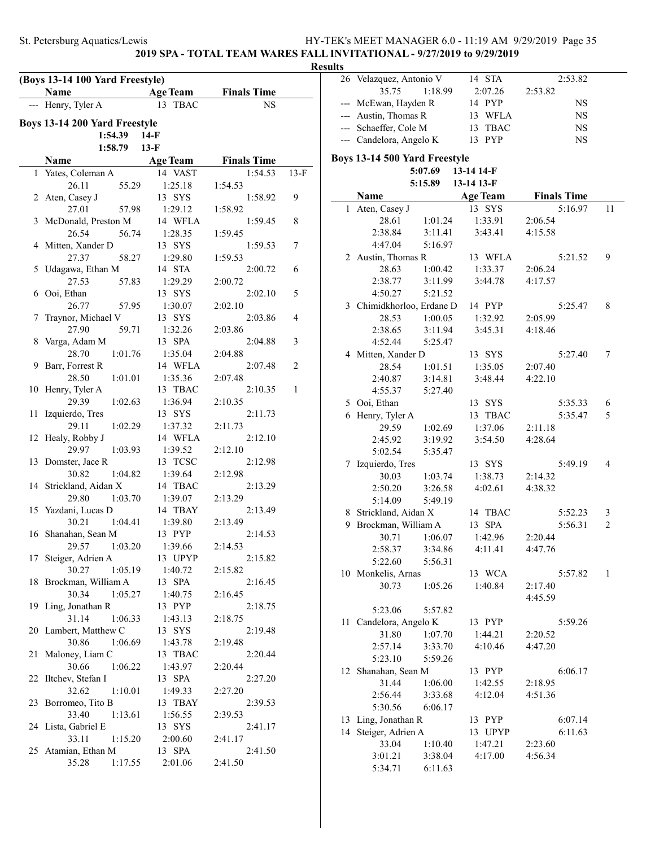### **2019 SPA - TOTAL TEAM WARES FALL INVITATIONAL - 9/27/2019 to 9/29/2019**

### **Results**

|    | (Boys 13-14 100 Yard Freestyle)      |                    |                    |        |
|----|--------------------------------------|--------------------|--------------------|--------|
|    | Name                                 | <b>Age Team</b>    | <b>Finals Time</b> |        |
|    | Henry, Tyler A                       | <b>TBAC</b><br>13  | NS                 |        |
|    | Boys 13-14 200 Yard Freestyle        |                    |                    |        |
|    | 1:54.39                              | $14-F$             |                    |        |
|    | 1:58.79                              | $13-F$             |                    |        |
|    | Name                                 | <b>Age Team</b>    | <b>Finals Time</b> |        |
|    | 1 Yates, Coleman A                   | 14 VAST            | 1:54.53            | $13-F$ |
|    | 26.11<br>55.29                       | 1:25.18            | 1:54.53            |        |
|    | 2 Aten, Casey J                      | 13 SYS             | 1:58.92            | 9      |
|    | 27.01<br>57.98                       | 1:29.12            | 1:58.92            |        |
| 3  | McDonald, Preston M                  | 14 WFLA            | 1:59.45            | 8      |
|    | 26.54<br>56.74                       | 1:28.35            | 1:59.45            |        |
| 4  | Mitten, Xander D                     | 13 SYS             | 1:59.53            | 7      |
|    | 27.37<br>58.27                       | 1:29.80            | 1:59.53            |        |
| 5  | Udagawa, Ethan M                     | 14 STA             | 2:00.72            | 6      |
|    | 27.53<br>57.83                       | 1:29.29            | 2:00.72            |        |
| 6  | Ooi, Ethan                           | 13 SYS             | 2:02.10            | 5      |
|    | 26.77<br>57.95                       | 1:30.07<br>13 SYS  | 2:02.10            | 4      |
| 7  | Traynor, Michael V<br>27.90<br>59.71 | 1:32.26            | 2:03.86<br>2:03.86 |        |
| 8  | Varga, Adam M                        | 13 SPA             | 2:04.88            | 3      |
|    | 28.70<br>1:01.76                     | 1:35.04            | 2:04.88            |        |
| 9  | Barr, Forrest R                      | 14 WFLA            | 2:07.48            | 2      |
|    | 28.50<br>1:01.01                     | 1:35.36            | 2:07.48            |        |
| 10 | Henry, Tyler A                       | 13 TBAC            | 2:10.35            | 1      |
|    | 29.39<br>1:02.63                     | 1:36.94            | 2:10.35            |        |
| 11 | Izquierdo, Tres                      | 13 SYS             | 2:11.73            |        |
|    | 29.11<br>1:02.29                     | 1:37.32            | 2:11.73            |        |
| 12 | Healy, Robby J                       | 14 WFLA            | 2:12.10            |        |
|    | 29.97<br>1:03.93                     | 1:39.52            | 2:12.10            |        |
| 13 | Domster, Jace R                      | 13 TCSC            | 2:12.98            |        |
|    | 30.82<br>1:04.82                     | 1:39.64            | 2:12.98            |        |
| 14 | Strickland, Aidan X                  | 14 TBAC            | 2:13.29            |        |
|    | 1:03.70<br>29.80                     | 1:39.07            | 2:13.29            |        |
| 15 | Yazdani, Lucas D<br>30.21<br>1:04.41 | 14 TBAY<br>1:39.80 | 2:13.49<br>2:13.49 |        |
|    | 16 Shanahan, Sean M                  | 13 PYP             | 2:14.53            |        |
|    | 29.57 1:03.20                        | 1:39.66            | 2:14.53            |        |
| 17 | Steiger, Adrien A                    | 13 UPYP            | 2:15.82            |        |
|    | 30.27<br>1:05.19                     | 1:40.72            | 2:15.82            |        |
| 18 | Brockman, William A                  | 13 SPA             | 2:16.45            |        |
|    | 30.34<br>1:05.27                     | 1:40.75            | 2:16.45            |        |
| 19 | Ling, Jonathan R                     | 13 PYP             | 2:18.75            |        |
|    | 31.14<br>1:06.33                     | 1:43.13            | 2:18.75            |        |
|    | 20 Lambert, Matthew C                | 13 SYS             | 2:19.48            |        |
|    | 30.86<br>1:06.69                     | 1:43.78            | 2:19.48            |        |
| 21 | Maloney, Liam C                      | 13 TBAC            | 2:20.44            |        |
|    | 30.66<br>1:06.22                     | 1:43.97            | 2:20.44            |        |
| 22 | Iltchev, Stefan I                    | 13 SPA             | 2:27.20            |        |
|    | 32.62<br>1:10.01                     | 1:49.33            | 2:27.20            |        |
| 23 | Borromeo, Tito B<br>33.40            | 13 TBAY            | 2:39.53            |        |
|    | 1:13.61<br>24 Lista, Gabriel E       | 1:56.55<br>13 SYS  | 2:39.53<br>2:41.17 |        |
|    | 33.11<br>1:15.20                     | 2:00.60            | 2:41.17            |        |
| 25 | Atamian, Ethan M                     | 13 SPA             | 2:41.50            |        |
|    | 35.28<br>1:17.55                     | 2:01.06            | 2:41.50            |        |
|    |                                      |                    |                    |        |

|    | 26 Velazquez, Antonio V              |         | 14 STA          |         | 2:53.82            |                |
|----|--------------------------------------|---------|-----------------|---------|--------------------|----------------|
|    | 35.75                                | 1:18.99 | 2:07.26         | 2:53.82 |                    |                |
|    | --- McEwan, Hayden R                 |         | 14 PYP          |         | <b>NS</b>          |                |
|    | --- Austin, Thomas R                 |         | 13 WFLA         |         | <b>NS</b>          |                |
|    | --- Schaeffer, Cole M                |         | 13 TBAC         |         | <b>NS</b>          |                |
|    | --- Candelora, Angelo K              |         | 13 PYP          |         | <b>NS</b>          |                |
|    |                                      |         |                 |         |                    |                |
|    | <b>Boys 13-14 500 Yard Freestyle</b> |         |                 |         |                    |                |
|    |                                      | 5:07.69 | 13-14 14-F      |         |                    |                |
|    |                                      | 5:15.89 | 13-14 13-F      |         |                    |                |
|    | Name                                 |         | <b>Age Team</b> |         | <b>Finals Time</b> |                |
| 1  | Aten, Casey J                        |         | 13 SYS          |         | 5:16.97            | 11             |
|    | 28.61                                | 1:01.24 | 1:33.91         | 2:06.54 |                    |                |
|    | 2:38.84                              | 3:11.41 | 3:43.41         | 4:15.58 |                    |                |
|    | 4:47.04                              | 5:16.97 |                 |         |                    |                |
|    | 2 Austin, Thomas R                   |         | 13 WFLA         |         | 5:21.52            | 9              |
|    | 28.63                                | 1:00.42 | 1:33.37         | 2:06.24 |                    |                |
|    | 2:38.77                              | 3:11.99 | 3:44.78         | 4:17.57 |                    |                |
|    | 4:50.27                              | 5:21.52 |                 |         |                    |                |
|    | 3 Chimidkhorloo, Erdane D            |         | 14 PYP          |         | 5:25.47            | 8              |
|    | 28.53                                | 1:00.05 | 1:32.92         | 2:05.99 |                    |                |
|    | 2:38.65                              | 3:11.94 | 3:45.31         | 4:18.46 |                    |                |
|    | 4:52.44                              | 5:25.47 |                 |         |                    |                |
|    | 4 Mitten, Xander D                   |         | 13 SYS          |         | 5:27.40            | 7              |
|    | 28.54                                | 1:01.51 | 1:35.05         | 2:07.40 |                    |                |
|    | 2:40.87                              | 3:14.81 | 3:48.44         | 4:22.10 |                    |                |
|    | 4:55.37                              | 5:27.40 |                 |         |                    |                |
|    | 5 Ooi, Ethan                         |         | 13 SYS          |         | 5:35.33            | 6              |
|    | 6 Henry, Tyler A                     |         | 13 TBAC         |         | 5:35.47            | 5              |
|    | 29.59                                | 1:02.69 | 1:37.06         | 2:11.18 |                    |                |
|    | 2:45.92                              | 3:19.92 | 3:54.50         | 4:28.64 |                    |                |
|    | 5:02.54                              | 5:35.47 |                 |         |                    |                |
| 7  | Izquierdo, Tres                      |         | 13 SYS          |         | 5:49.19            | 4              |
|    | 30.03                                | 1:03.74 | 1:38.73         | 2:14.32 |                    |                |
|    | 2:50.20                              | 3:26.58 | 4:02.61         | 4:38.32 |                    |                |
|    | 5:14.09                              | 5:49.19 |                 |         |                    |                |
| 8  | Strickland, Aidan X                  |         | 14 TBAC         |         | 5:52.23            | 3              |
| 9  | Brockman, William A                  |         | 13 SPA          |         | 5:56.31            | $\overline{c}$ |
|    | 30.71                                | 1:06.07 | 1:42.96         | 2:20.44 |                    |                |
|    | 2:58.37                              | 3:34.86 | 4:11.41         | 4:47.76 |                    |                |
|    | 5:22.60                              | 5:56.31 |                 |         |                    |                |
|    | 10 Monkelis, Arnas                   |         | 13 WCA          |         | 5:57.82            | 1              |
|    | 30.73                                | 1:05.26 | 1:40.84         | 2:17.40 |                    |                |
|    |                                      |         |                 | 4:45.59 |                    |                |
|    | 5:23.06                              | 5:57.82 |                 |         |                    |                |
| 11 | Candelora, Angelo K                  |         | 13 PYP          |         | 5:59.26            |                |
|    | 31.80                                | 1:07.70 | 1:44.21         | 2:20.52 |                    |                |
|    | 2:57.14                              | 3:33.70 | 4:10.46         | 4:47.20 |                    |                |
|    | 5:23.10                              | 5:59.26 |                 |         |                    |                |
| 12 | Shanahan, Sean M                     |         | 13 PYP          |         | 6:06.17            |                |
|    | 31.44                                | 1:06.00 | 1:42.55         | 2:18.95 |                    |                |
|    | 2:56.44                              | 3:33.68 | 4:12.04         | 4:51.36 |                    |                |
|    | 5:30.56                              | 6:06.17 |                 |         |                    |                |
| 13 | Ling, Jonathan R                     |         | 13 PYP          |         | 6:07.14            |                |
| 14 | Steiger, Adrien A                    |         | 13 UPYP         |         | 6:11.63            |                |
|    | 33.04                                | 1:10.40 | 1:47.21         | 2:23.60 |                    |                |
|    | 3:01.21                              | 3:38.04 | 4:17.00         | 4:56.34 |                    |                |
|    | 5:34.71                              | 6:11.63 |                 |         |                    |                |
|    |                                      |         |                 |         |                    |                |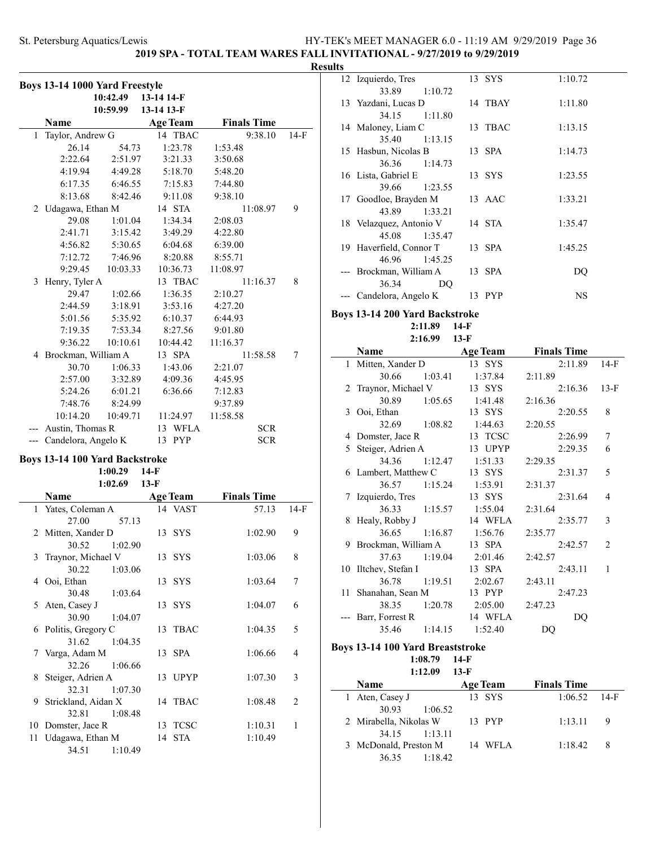### **2019 SPA - TOTAL TEAM WARES FALL INVITATIONAL - 9/27/2019 to 9/29/2019**

#### **Results**

|       | Boys 13-14 1000 Yard Freestyle |          |                     |             |          |                    |        |
|-------|--------------------------------|----------|---------------------|-------------|----------|--------------------|--------|
|       |                                | 10:42.49 | 13-14 14-F          |             |          |                    |        |
|       |                                |          | 10:59.99 13-14 13-F |             |          |                    |        |
|       | Name                           |          | <b>Age Team</b>     |             |          | <b>Finals Time</b> |        |
| 1     | Taylor, Andrew G               |          |                     | 14 TBAC     |          | 9:38.10            | 14-F   |
|       | 26.14                          | 54.73    |                     | 1:23.78     | 1:53.48  |                    |        |
|       | 2:22.64                        | 2:51.97  |                     | 3:21.33     | 3:50.68  |                    |        |
|       | 4:19.94                        | 4:49.28  |                     | 5:18.70     | 5:48.20  |                    |        |
|       | 6:17.35                        | 6:46.55  |                     | 7:15.83     | 7:44.80  |                    |        |
|       | 8:13.68                        | 8:42.46  |                     | 9:11.08     | 9:38.10  |                    |        |
|       | 2 Udagawa, Ethan M             |          | 14 STA              |             |          | 11:08.97           | 9      |
|       | 29.08                          | 1:01.04  |                     | 1:34.34     | 2:08.03  |                    |        |
|       | 2:41.71                        | 3:15.42  |                     | 3:49.29     | 4:22.80  |                    |        |
|       | 4:56.82                        | 5:30.65  |                     | 6:04.68     | 6:39.00  |                    |        |
|       | 7:12.72                        | 7:46.96  |                     | 8:20.88     | 8:55.71  |                    |        |
|       | 9:29.45                        | 10:03.33 | 10:36.73            |             | 11:08.97 |                    |        |
| 3     | Henry, Tyler A                 |          |                     | 13 TBAC     |          | 11:16.37           | 8      |
|       | 29.47                          | 1:02.66  |                     | 1:36.35     | 2:10.27  |                    |        |
|       | 2:44.59                        | 3:18.91  |                     | 3:53.16     | 4:27.20  |                    |        |
|       | 5:01.56                        | 5:35.92  |                     | 6:10.37     | 6:44.93  |                    |        |
|       | 7:19.35                        | 7:53.34  |                     | 8:27.56     | 9:01.80  |                    |        |
|       | 9:36.22                        | 10:10.61 | 10:44.42            |             | 11:16.37 |                    |        |
|       | 4 Brockman, William A          |          | 13 SPA              |             |          | 11:58.58           | 7      |
|       | 30.70                          | 1:06.33  |                     | 1:43.06     | 2:21.07  |                    |        |
|       | 2:57.00                        | 3:32.89  |                     | 4:09.36     | 4:45.95  |                    |        |
|       | 5:24.26                        |          |                     | 6:36.66     |          |                    |        |
|       |                                | 6:01.21  |                     |             | 7:12.83  |                    |        |
|       | 7:48.76                        | 8:24.99  |                     |             | 9:37.89  |                    |        |
|       | 10:14.20                       | 10:49.71 | 11:24.97            |             | 11:58.58 |                    |        |
|       | Austin, Thomas R               |          |                     | 13 WFLA     |          | <b>SCR</b>         |        |
| $---$ | Candelora, Angelo K            |          | 13 PYP              |             |          | SCR                |        |
|       | Boys 13-14 100 Yard Backstroke | 1:00.29  | $14-F$              |             |          |                    |        |
|       |                                | 1:02.69  | $13-F$              |             |          |                    |        |
|       | Name                           |          | <b>Age Team</b>     |             |          | <b>Finals Time</b> |        |
| 1     | Yates, Coleman A               |          | 14                  | VAST        |          | 57.13              | $14-F$ |
|       | 27.00                          | 57.13    |                     |             |          |                    |        |
| 2     | Mitten, Xander D               |          | 13 SYS              |             |          | 1:02.90            | 9      |
|       | 30.52                          | 1:02.90  |                     |             |          |                    |        |
| 3     | Traynor, Michael V             |          | 13 SYS              |             |          | 1:03.06            | 8      |
|       | 30.22                          | 1:03.06  |                     |             |          |                    |        |
|       | 4 Ooi, Ethan                   |          | 13 SYS              |             |          | 1:03.64            | 7      |
|       | 30.48                          | 1:03.64  |                     |             |          |                    |        |
| 5     | Aten, Casey J                  |          | 13                  | <b>SYS</b>  |          | 1:04.07            | 6      |
|       | 30.90                          | 1:04.07  |                     |             |          |                    |        |
| 6     | Politis, Gregory C             |          | 13                  | <b>TBAC</b> |          | 1:04.35            | 5      |
|       | 31.62                          | 1:04.35  |                     |             |          |                    |        |
| 7     | Varga, Adam M                  |          | 13                  | <b>SPA</b>  |          | 1:06.66            | 4      |
|       | 32.26                          | 1:06.66  |                     |             |          |                    |        |
| 8     | Steiger, Adrien A              |          |                     | 13 UPYP     |          | 1:07.30            | 3      |
|       | 32.31                          | 1:07.30  |                     |             |          |                    |        |
| 9     | Strickland, Aidan X            |          | 14                  | TBAC        |          | 1:08.48            | 2      |
|       | 32.81                          | 1:08.48  |                     |             |          |                    |        |
| 10    | Domster, Jace R                |          |                     | 13 TCSC     |          | 1:10.31            | 1      |
| 11    | Udagawa, Ethan M               |          | 14 STA              |             |          | 1:10.49            |        |
|       | 34.51                          | 1:10.49  |                     |             |          |                    |        |

| LS |                                 |         |           |
|----|---------------------------------|---------|-----------|
|    | 12 Izquierdo, Tres              | 13 SYS  | 1:10.72   |
|    | 33.89<br>1:10.72                |         |           |
|    | 13 Yazdani, Lucas D             | 14 TBAY | 1:11.80   |
|    | 34.15 1:11.80                   |         |           |
|    | 14 Maloney, Liam C              | 13 TBAC | 1:13.15   |
|    | 35.40<br>1:13.15                |         |           |
|    | 15 Hasbun, Nicolas B            | 13 SPA  | 1:14.73   |
|    | 36.36 1:14.73                   |         |           |
|    | 16 Lista, Gabriel E             | 13 SYS  | 1:23.55   |
|    | 39.66 1:23.55                   |         |           |
|    | 17 Goodloe, Brayden M           | 13 AAC  | 1:33.21   |
|    | 43.89 1:33.21                   |         |           |
|    | 18 Velazquez, Antonio V         | 14 STA  | 1:35.47   |
|    | 45.08 1:35.47                   |         |           |
|    | 19 Haverfield, Connor T         | 13 SPA  | 1:45.25   |
|    | 46.96 1:45.25                   |         |           |
|    | --- Brockman, William A         | 13 SPA  | DQ        |
|    | 36.34<br>DO                     |         |           |
|    | --- Candelora, Angelo K         | 13 PYP  | <b>NS</b> |
|    | are 12 14 200 Vand Daolretualco |         |           |

### **Boys 13-14 200 Yard Backstroke**

**2:11.89 14-F 2:16.99 13-F**

|              | Name                  |         | <b>Age Team</b> | <b>Finals Time</b> |        |
|--------------|-----------------------|---------|-----------------|--------------------|--------|
| $\mathbf{1}$ | Mitten, Xander D      |         | 13 SYS          | 2:11.89            | $14-F$ |
|              | 30.66                 | 1:03.41 | 1:37.84         | 2:11.89            |        |
|              | 2 Traynor, Michael V  |         | 13 SYS          | 2:16.36            | $13-F$ |
|              | 30.89                 | 1:05.65 | 1:41.48         | 2:16.36            |        |
|              | 3 Ooi, Ethan          |         | 13 SYS          | 2:20.55            | 8      |
|              | 32.69                 | 1:08.82 | 1:44.63         | 2:20.55            |        |
|              | 4 Domster, Jace R     |         | 13 TCSC         | 2:26.99            | 7      |
|              | 5 Steiger, Adrien A   |         | 13 UPYP         | 2:29.35            | 6      |
|              | 34.36                 | 1:12.47 | 1:51.33         | 2:29.35            |        |
|              | 6 Lambert, Matthew C  |         | 13 SYS          | 2:31.37            | 5      |
|              | 36.57                 | 1:15.24 | 1:53.91         | 2:31.37            |        |
|              | 7 Izquierdo, Tres     |         | 13 SYS          | 2:31.64            | 4      |
|              | 36.33                 | 1:15.57 | 1:55.04         | 2:31.64            |        |
|              | 8 Healy, Robby J      |         | 14 WFLA         | 2:35.77            | 3      |
|              | 36.65                 | 1:16.87 | 1:56.76         | 2:35.77            |        |
|              | 9 Brockman, William A |         | 13 SPA          | 2:42.57            | 2      |
|              | 37.63                 | 1:19.04 | 2:01.46         | 2:42.57            |        |
|              | 10 Iltchev, Stefan I  |         | 13 SPA          | 2:43.11            | 1      |
|              | 36.78                 | 1:19.51 | 2:02.67         | 2:43.11            |        |
|              | 11 Shanahan, Sean M   |         | 13 PYP          | 2:47.23            |        |
|              | 38.35                 | 1:20.78 | 2:05.00         | 2:47.23            |        |
|              | Barr, Forrest R       |         | 14 WFLA         | DQ                 |        |
|              | 35.46                 | 1:14.15 | 1:52.40         | DQ                 |        |

### **Boys 13-14 100 Yard Breaststroke**

**1:08.79 14-F 1:12.09 13-F**

| .                      | $\cdots$        |                    |        |
|------------------------|-----------------|--------------------|--------|
| <b>Name</b>            | <b>Age Team</b> | <b>Finals Time</b> |        |
| 1 Aten, Casey J        | 13 SYS          | 1:06.52            | - 14-F |
| 30.93<br>1:06.52       |                 |                    |        |
| 2 Mirabella, Nikolas W | 13 PYP          | 1:13.11            | - 9    |
| 34.15 1:13.11          |                 |                    |        |
| 3 McDonald, Preston M  | 14 WFLA         | 1:18.42            | -8     |
| 1:18.42<br>36.35       |                 |                    |        |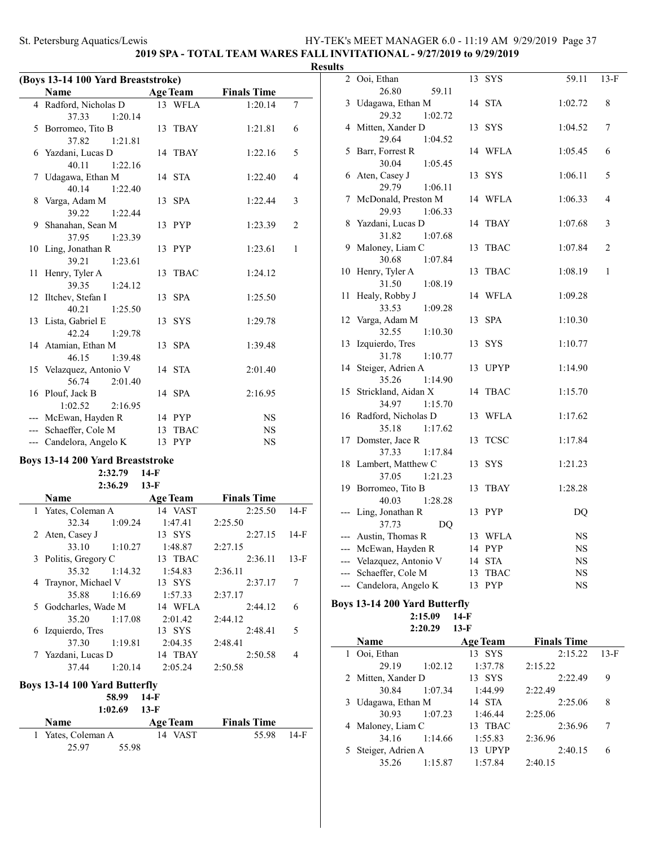# **2019 SPA - TOTAL TEAM WARES FALL INVITATIONAL - 9/27/2019 to 9/29/2019**

| (Boys 13-14 100 Yard Breaststroke) |                                         |        |                 |                    |                |  |
|------------------------------------|-----------------------------------------|--------|-----------------|--------------------|----------------|--|
|                                    | Name                                    |        | <b>Age Team</b> | <b>Finals Time</b> |                |  |
|                                    | 4 Radford, Nicholas D                   |        | 13 WFLA         | 1:20.14            | 7              |  |
|                                    | 37.33<br>1:20.14                        |        |                 |                    |                |  |
|                                    | 5 Borromeo, Tito B                      |        | 13 TBAY         | 1:21.81            | 6              |  |
|                                    | 37.82<br>1:21.81                        |        |                 |                    |                |  |
|                                    | 6 Yazdani, Lucas D                      |        | 14 TBAY         | 1:22.16            | 5              |  |
|                                    | 40.11<br>1:22.16                        |        |                 |                    |                |  |
| 7                                  | Udagawa, Ethan M                        |        | 14 STA          | 1:22.40            | 4              |  |
|                                    | 40.14<br>1:22.40                        |        |                 |                    |                |  |
| 8                                  | Varga, Adam M                           |        | 13 SPA          | 1:22.44            | 3              |  |
|                                    | 39.22<br>1:22.44                        |        |                 |                    |                |  |
| 9                                  | Shanahan, Sean M                        |        | 13 PYP          | 1:23.39            | $\overline{c}$ |  |
|                                    | 37.95<br>1:23.39                        |        |                 |                    |                |  |
|                                    | 10 Ling, Jonathan R                     |        | 13 PYP          | 1:23.61            | $\mathbf{1}$   |  |
|                                    | 39.21<br>1:23.61                        |        |                 |                    |                |  |
| 11                                 | Henry, Tyler A                          |        | 13 TBAC         | 1:24.12            |                |  |
|                                    | 39.35<br>1:24.12                        |        |                 |                    |                |  |
| 12                                 | Iltchev, Stefan I                       |        | 13 SPA          | 1:25.50            |                |  |
|                                    | 40.21<br>1:25.50                        |        |                 |                    |                |  |
|                                    | 13 Lista, Gabriel E                     |        | 13 SYS          | 1:29.78            |                |  |
|                                    | 42.24<br>1:29.78                        |        |                 |                    |                |  |
|                                    | 14 Atamian, Ethan M                     |        | 13 SPA          | 1:39.48            |                |  |
|                                    | 46.15<br>1:39.48                        |        |                 |                    |                |  |
|                                    | 15 Velazquez, Antonio V                 |        | 14 STA          | 2:01.40            |                |  |
|                                    | 56.74<br>2:01.40                        |        |                 |                    |                |  |
|                                    | 16 Plouf, Jack B                        |        | 14 SPA          | 2:16.95            |                |  |
|                                    | 1:02.52<br>2:16.95                      |        |                 |                    |                |  |
| ---                                | McEwan, Hayden R                        |        | 14 PYP          | <b>NS</b>          |                |  |
|                                    | --- Schaeffer, Cole M                   |        | 13 TBAC         | <b>NS</b>          |                |  |
|                                    | --- Candelora, Angelo K                 |        | 13 PYP          | NS                 |                |  |
|                                    | <b>Boys 13-14 200 Yard Breaststroke</b> |        |                 |                    |                |  |
|                                    | 2:32.79                                 | $14-F$ |                 |                    |                |  |

| 2:36.29<br>$13-F$ |                                      |         |                 |                    |        |
|-------------------|--------------------------------------|---------|-----------------|--------------------|--------|
|                   | Name                                 |         | <b>Age Team</b> | <b>Finals Time</b> |        |
|                   | 1 Yates, Coleman A                   |         | 14 VAST         | 2:25.50            | $14-F$ |
|                   | 32.34                                | 1:09.24 | 1:47.41         | 2:25.50            |        |
|                   | 2 Aten, Casey J                      |         | 13 SYS          | 2:27.15            | $14-F$ |
|                   | 33.10                                | 1:10.27 | 1:48.87         | 2:27.15            |        |
|                   | 3 Politis, Gregory C                 |         | 13 TBAC         | 2:36.11            | $13-F$ |
|                   | 35.32                                | 1:14.32 | 1:54.83         | 2:36.11            |        |
|                   | 4 Traynor, Michael V                 |         | 13 SYS          | 2:37.17            | 7      |
|                   | 35.88                                | 1:16.69 | 1:57.33         | 2:37.17            |        |
|                   | 5 Godcharles, Wade M                 |         | 14 WFLA         | 2:44.12            | 6      |
|                   | 35.20                                | 1:17.08 | 2:01.42         | 2:44.12            |        |
|                   | 6 Izquierdo, Tres                    |         | 13 SYS          | 2:48.41            | 5      |
|                   | 37.30                                | 1:19.81 | 2:04.35         | 2:48.41            |        |
|                   | 7 Yazdani, Lucas D                   |         | 14 TBAY         | 2:50.58            | 4      |
|                   | 37.44                                | 1:20.14 | 2:05.24         | 2:50.58            |        |
|                   | <b>Boys 13-14 100 Yard Butterfly</b> | 58.99   | 14-F            |                    |        |
|                   |                                      | 1:02.69 | $13-F$          |                    |        |

| <b>Name</b>        | Age Team | <b>Finals Time</b> |        |
|--------------------|----------|--------------------|--------|
| 1 Yates, Coleman A | 14 VAST  | 55.98              | $14-F$ |
| 25.97<br>55.98     |          |                    |        |

| <b>Results</b> |                                     |                   |             |                |
|----------------|-------------------------------------|-------------------|-------------|----------------|
|                | 2 Ooi, Ethan                        | 13 SYS            | 59.11       | $13-F$         |
|                | 26.80<br>59.11                      |                   |             |                |
|                | 3 Udagawa, Ethan M                  | 14 STA            | 1:02.72     | 8              |
|                | 29.32<br>1:02.72                    |                   |             |                |
|                | 4 Mitten, Xander D                  | 13 SYS            | 1:04.52     | 7              |
|                | 29.64<br>1:04.52                    |                   |             |                |
|                | 5 Barr, Forrest R                   | 14 WFLA           | 1:05.45     | 6              |
|                | 30.04<br>1:05.45                    |                   |             |                |
|                | 6 Aten, Casey J                     | 13 SYS            | 1:06.11     | 5              |
|                | 29.79<br>1:06.11                    |                   |             |                |
|                | 7 McDonald, Preston M               | 14 WFLA           | 1:06.33     | 4              |
|                | 29.93<br>1:06.33                    |                   |             |                |
|                | 8 Yazdani, Lucas D                  | 14<br><b>TBAY</b> | 1:07.68     | 3              |
|                | 31.82<br>1:07.68                    |                   |             |                |
|                | 9 Maloney, Liam C                   | <b>TBAC</b><br>13 | 1:07.84     | $\overline{2}$ |
|                | 30.68<br>1:07.84                    |                   |             |                |
|                | 10 Henry, Tyler A                   | 13<br><b>TBAC</b> | 1:08.19     | $\mathbf{1}$   |
|                | 31.50<br>1:08.19                    |                   |             |                |
|                | 11 Healy, Robby J                   | 14<br>WFLA        | 1:09.28     |                |
|                | 33.53<br>1:09.28                    |                   |             |                |
|                | 12 Varga, Adam M                    | <b>SPA</b><br>13  | 1:10.30     |                |
| 13             | 32.55<br>1:10.30<br>Izquierdo, Tres | SYS<br>13         | 1:10.77     |                |
|                | 31.78<br>1:10.77                    |                   |             |                |
|                | 14 Steiger, Adrien A                | 13 UPYP           | 1:14.90     |                |
|                | 35.26<br>1:14.90                    |                   |             |                |
|                | 15 Strickland, Aidan X              | <b>TBAC</b><br>14 | 1:15.70     |                |
|                | 34.97<br>1:15.70                    |                   |             |                |
|                | 16 Radford, Nicholas D              | 13<br>WFLA        | 1:17.62     |                |
|                | 35.18<br>1:17.62                    |                   |             |                |
|                | 17 Domster, Jace R                  | <b>TCSC</b><br>13 | 1:17.84     |                |
|                | 37.33<br>1:17.84                    |                   |             |                |
|                | 18 Lambert, Matthew C               | 13<br>SYS         | 1:21.23     |                |
|                | 37.05<br>1:21.23                    |                   |             |                |
|                | 19 Borromeo, Tito B                 | 13<br>TBAY        | 1:28.28     |                |
|                | 40.03<br>1:28.28                    |                   |             |                |
|                | Ling, Jonathan R                    | 13 PYP            | DQ          |                |
|                | 37.73<br>DQ                         |                   |             |                |
|                | --- Austin, Thomas R                | 13 WFLA           | NS          |                |
|                | --- McEwan, Hayden R                | 14 PYP            | $_{\rm NS}$ |                |
|                | --- Velazquez, Antonio V            | 14 STA            | <b>NS</b>   |                |
| $---$          | Schaeffer, Cole M                   | 13 TBAC           | NS          |                |
|                | --- Candelora, Angelo K             | 13 PYP            | NS          |                |
|                |                                     |                   |             |                |

#### **Boys 13-14 200 Yard Butterfly 2:15.09 14-F 2:20.29 13-F**

 $\sim$ 

|   | Name               |         | <b>Age Team</b> | <b>Finals Time</b> |        |  |
|---|--------------------|---------|-----------------|--------------------|--------|--|
|   | Ooi, Ethan         |         | 13 SYS          | 2:15.22            | $13-F$ |  |
|   | 29.19              | 1:02.12 | 1:37.78         | 2:15.22            |        |  |
|   | 2 Mitten, Xander D |         | 13 SYS          | 2:22.49            | 9      |  |
|   | 30.84              | 1:07.34 | 1:44.99         | 2:22.49            |        |  |
| 3 | Udagawa, Ethan M   |         | 14 STA          | 2:25.06            | 8      |  |
|   | 30.93              | 1:07.23 | 1:46.44         | 2:25.06            |        |  |
|   | 4 Maloney, Liam C  |         | 13 TBAC         | 2:36.96            | 7      |  |
|   | 34.16              | 1:14.66 | 1:55.83         | 2:36.96            |        |  |
|   | Steiger, Adrien A  |         | <b>UPYP</b>     | 2:40.15            | 6      |  |
|   | 35.26              | 1:15.87 | 1:57.84         | 2:40.15            |        |  |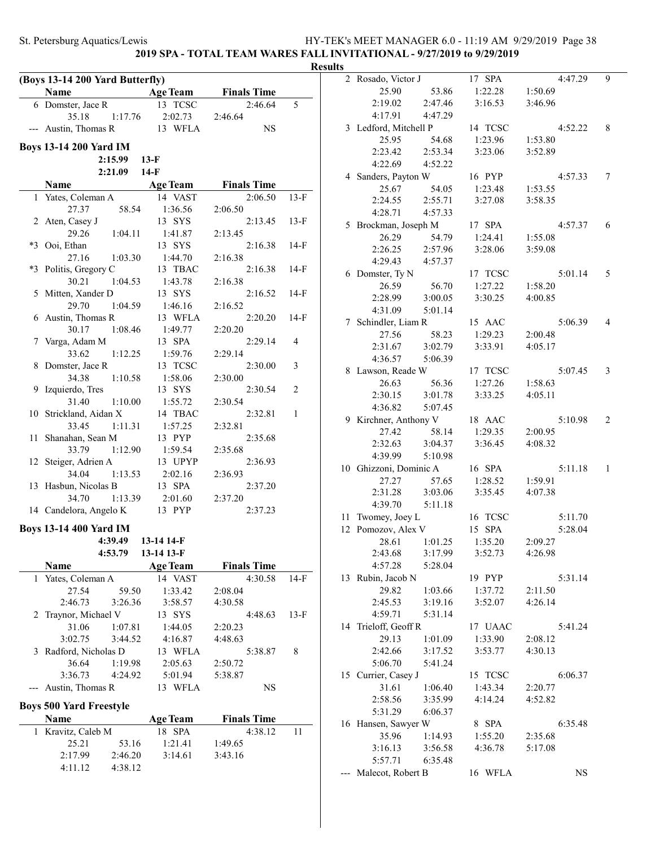### **2019 SPA - TOTAL TEAM WARES FALL INVITATIONAL - 9/27/2019 to 9/29/2019**

|       | (Boys 13-14 200 Yard Butterfly)      |                    |                    | <b>Results</b> |
|-------|--------------------------------------|--------------------|--------------------|----------------|
|       | Name<br><b>Age Team</b>              |                    | <b>Finals Time</b> |                |
|       | 6 Domster, Jace R                    | 13 TCSC            | 2:46.64            | 5              |
|       | 35.18<br>1:17.76                     | 2:02.73            | 2:46.64            |                |
|       | --- Austin, Thomas R                 | 13 WFLA            | <b>NS</b>          |                |
|       | <b>Boys 13-14 200 Yard IM</b>        |                    |                    |                |
|       | 2:15.99<br>2:21.09                   | $13-F$<br>14-F     |                    |                |
|       | Name                                 | <b>Age Team</b>    | <b>Finals Time</b> |                |
|       |                                      | 14 VAST            | 2:06.50            |                |
|       | 1 Yates, Coleman A<br>27.37<br>58.54 |                    | 2:06.50            | 13-F           |
|       | 2 Aten, Casey J                      | 1:36.56<br>13 SYS  | 2:13.45            |                |
|       | 29.26<br>1:04.11                     | 1:41.87            | 2:13.45            | $13-F$         |
|       | *3 Ooi, Ethan                        | 13 SYS             | 2:16.38            | 14-F           |
|       | 27.16                                |                    |                    |                |
|       | 1:03.30<br>*3 Politis, Gregory C     | 1:44.70            | 2:16.38<br>2:16.38 |                |
|       | 1:04.53<br>30.21                     | 13 TBAC            | 2:16.38            | 14-F           |
|       |                                      | 1:43.78            | 2:16.52            | $14-F$         |
|       | 5 Mitten, Xander D<br>29.70          | 13 SYS             |                    |                |
|       | 1:04.59                              | 1:46.16<br>13 WFLA | 2:16.52<br>2:20.20 | $14-F$         |
|       | 6 Austin, Thomas R                   |                    |                    |                |
|       | 30.17<br>1:08.46                     | 1:49.77<br>13 SPA  | 2:20.20            |                |
|       | 7 Varga, Adam M                      |                    | 2:29.14            | 4              |
|       | 33.62<br>1:12.25                     | 1:59.76            | 2:29.14            |                |
| 8     | Domster, Jace R                      | 13 TCSC            | 2:30.00            | 3              |
|       | 34.38<br>1:10.58                     | 1:58.06            | 2:30.00            |                |
|       | 9 Izquierdo, Tres                    | 13 SYS             | 2:30.54            | 2              |
|       | 31.40<br>1:10.00                     | 1:55.72            | 2:30.54            |                |
|       | 10 Strickland, Aidan X               | 14 TBAC            | 2:32.81            | 1              |
|       | 33.45<br>1:11.31                     | 1:57.25            | 2:32.81            |                |
|       | 11 Shanahan, Sean M                  | 13 PYP             | 2:35.68            |                |
|       | 1:12.90<br>33.79                     | 1:59.54            | 2:35.68            |                |
|       | 12 Steiger, Adrien A                 | 13 UPYP            | 2:36.93            |                |
|       | 34.04<br>1:13.53                     | 2:02.16            | 2:36.93            |                |
|       | 13 Hasbun, Nicolas B                 | 13 SPA             | 2:37.20            |                |
|       | 34.70<br>1:13.39                     | 2:01.60            | 2:37.20            |                |
|       | 14 Candelora, Angelo K               | 13 PYP             | 2:37.23            |                |
|       | <b>Boys 13-14 400 Yard IM</b>        |                    |                    |                |
|       | 4:39.49 13-14 14-F                   |                    |                    |                |
|       | 4:53.79                              | 13-14 13-F         |                    |                |
|       | Name                                 | <b>Age Team</b>    | <b>Finals Time</b> |                |
|       | 1 Yates, Coleman A                   | 14 VAST            | 4:30.58            | $14-F$         |
|       | 27.54<br>59.50                       | 1:33.42            | 2:08.04            |                |
|       | 2:46.73<br>3:26.36                   | 3:58.57            | 4:30.58            |                |
| 2     | Traynor, Michael V                   | 13 SYS             | 4:48.63            | $13-F$         |
|       | 31.06<br>1:07.81                     | 1:44.05            | 2:20.23            |                |
|       | 3:02.75<br>3:44.52                   | 4:16.87            | 4:48.63            |                |
|       | 3 Radford, Nicholas D                | 13 WFLA            | 5:38.87            | 8              |
|       | 36.64<br>1:19.98                     | 2:05.63            | 2:50.72            |                |
|       | 3:36.73<br>4:24.92                   | 5:01.94            | 5:38.87            |                |
| $---$ | Austin, Thomas R                     | 13 WFLA            | <b>NS</b>          |                |
|       | <b>Boys 500 Yard Freestyle</b>       |                    |                    |                |
|       | Name                                 | <b>Age Team</b>    | <b>Finals Time</b> |                |
|       | 1 Kravitz, Caleb M                   | 18 SPA             | 4:38.12            | 11             |
|       | 25.21<br>53.16                       | 1:21.41            | 1:49.65            |                |
|       | 2:17.99<br>2:46.20                   | 3:14.61            | 3:43.16            |                |
|       | 4:11.12<br>4:38.12                   |                    |                    |                |
|       |                                      |                    |                    |                |

| 2   | Rosado, Victor J         |         | 17 SPA  | 4:47.29   | 9 |
|-----|--------------------------|---------|---------|-----------|---|
|     | 25.90                    | 53.86   | 1:22.28 | 1:50.69   |   |
|     | 2:19.02                  | 2:47.46 | 3:16.53 | 3:46.96   |   |
|     | 4:17.91                  | 4:47.29 |         |           |   |
|     | 3 Ledford, Mitchell P    |         | 14 TCSC | 4:52.22   | 8 |
|     | 25.95                    | 54.68   | 1:23.96 | 1:53.80   |   |
|     | 2:23.42                  | 2:53.34 | 3:23.06 | 3:52.89   |   |
|     | 4:22.69                  | 4:52.22 |         |           |   |
|     | 4 Sanders, Payton W      |         | 16 PYP  | 4:57.33   | 7 |
|     | 25.67                    | 54.05   | 1:23.48 | 1:53.55   |   |
|     | 2:24.55                  | 2:55.71 | 3:27.08 | 3:58.35   |   |
|     | 4:28.71                  | 4:57.33 |         |           |   |
|     | 5 Brockman, Joseph M     |         | 17 SPA  | 4:57.37   | 6 |
|     | 26.29                    | 54.79   | 1:24.41 | 1:55.08   |   |
|     | 2:26.25                  | 2:57.96 | 3:28.06 | 3:59.08   |   |
|     | 4:29.43                  | 4:57.37 |         |           |   |
|     |                          |         |         |           |   |
|     | 6 Domster, Ty N<br>26.59 |         | 17 TCSC | 5:01.14   | 5 |
|     |                          | 56.70   | 1:27.22 | 1:58.20   |   |
|     | 2:28.99                  | 3:00.05 | 3:30.25 | 4:00.85   |   |
|     | 4:31.09                  | 5:01.14 |         |           |   |
|     | 7 Schindler, Liam R      |         | 15 AAC  | 5:06.39   | 4 |
|     | 27.56                    | 58.23   | 1:29.23 | 2:00.48   |   |
|     | 2:31.67                  | 3:02.79 | 3:33.91 | 4:05.17   |   |
|     | 4:36.57                  | 5:06.39 |         |           |   |
|     | 8 Lawson, Reade W        |         | 17 TCSC | 5:07.45   | 3 |
|     | 26.63                    | 56.36   | 1:27.26 | 1:58.63   |   |
|     | 2:30.15                  | 3:01.78 | 3:33.25 | 4:05.11   |   |
|     | 4:36.82                  | 5:07.45 |         |           |   |
|     | 9 Kirchner, Anthony V    |         | 18 AAC  | 5:10.98   | 2 |
|     | 27.42                    | 58.14   | 1:29.35 | 2:00.95   |   |
|     | 2:32.63                  | 3:04.37 | 3:36.45 | 4:08.32   |   |
|     | 4:39.99                  | 5:10.98 |         |           |   |
| 10  | Ghizzoni, Dominic A      |         | 16 SPA  | 5:11.18   | 1 |
|     | 27.27                    | 57.65   | 1:28.52 | 1:59.91   |   |
|     | 2:31.28                  | 3:03.06 | 3:35.45 | 4:07.38   |   |
|     | 4:39.70                  | 5:11.18 |         |           |   |
| 11  | Twomey, Joey L           |         | 16 TCSC | 5:11.70   |   |
| 12  | Pomozov, Alex V          |         | 15 SPA  | 5:28.04   |   |
|     | 28.61                    | 1:01.25 | 1:35.20 | 2:09.27   |   |
|     | 2:43.68                  | 3:17.99 | 3:52.73 | 4:26.98   |   |
|     | 4:57.28                  | 5:28.04 |         |           |   |
| 13  | Rubin, Jacob N           |         | 19 PYP  | 5:31.14   |   |
|     | 29.82                    | 1:03.66 | 1:37.72 | 2:11.50   |   |
|     | 2:45.53                  | 3:19.16 | 3:52.07 | 4:26.14   |   |
|     | 4:59.71                  | 5:31.14 |         |           |   |
| 14  | Trieloff, Geoff R        |         | 17 UAAC | 5:41.24   |   |
|     | 29.13                    | 1:01.09 | 1:33.90 | 2:08.12   |   |
|     | 2:42.66                  | 3:17.52 | 3:53.77 | 4:30.13   |   |
|     | 5:06.70                  | 5:41.24 |         |           |   |
|     | 15 Currier, Casey J      |         | 15 TCSC | 6:06.37   |   |
|     | 31.61                    | 1:06.40 | 1:43.34 | 2:20.77   |   |
|     | 2:58.56                  | 3:35.99 | 4:14.24 | 4:52.82   |   |
|     | 5:31.29                  | 6:06.37 |         |           |   |
|     | 16 Hansen, Sawyer W      |         | 8 SPA   | 6:35.48   |   |
|     | 35.96                    | 1:14.93 | 1:55.20 | 2:35.68   |   |
|     | 3:16.13                  | 3:56.58 | 4:36.78 | 5:17.08   |   |
|     | 5:57.71                  | 6:35.48 |         |           |   |
| --- | Malecot, Robert B        |         | 16 WFLA | <b>NS</b> |   |
|     |                          |         |         |           |   |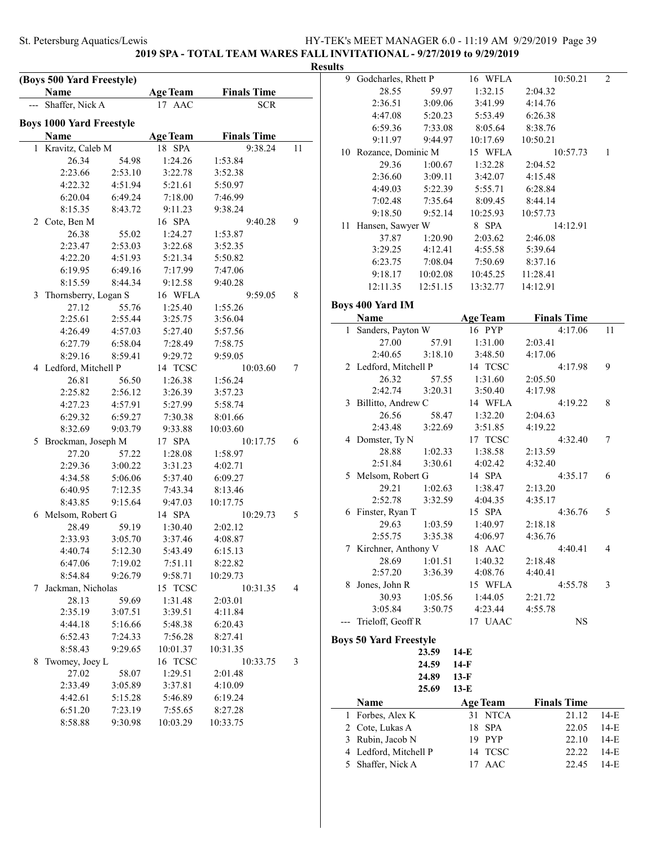**2019 SPA - TOTAL TEAM WARES FALL INVITATIONAL - 9/27/2019 to 9/29/2019**

|   |                                   |                    |                    |                    |    | <b>Results</b>        |
|---|-----------------------------------|--------------------|--------------------|--------------------|----|-----------------------|
|   | (Boys 500 Yard Freestyle)<br>Name |                    | <b>Age Team</b>    | <b>Finals Time</b> |    |                       |
|   | Shaffer, Nick A                   |                    | 17 AAC             | <b>SCR</b>         |    |                       |
|   |                                   |                    |                    |                    |    |                       |
|   | <b>Boys 1000 Yard Freestyle</b>   |                    |                    |                    |    |                       |
|   | Name                              |                    | <b>Age Team</b>    | <b>Finals Time</b> |    |                       |
|   | 1 Kravitz, Caleb M                |                    | 18 SPA             | 9:38.24            | 11 |                       |
|   | 26.34                             | 54.98              | 1:24.26            | 1:53.84            |    |                       |
|   | 2:23.66                           | 2:53.10            | 3:22.78            | 3:52.38            |    |                       |
|   | 4:22.32<br>6:20.04                | 4:51.94<br>6:49.24 | 5:21.61<br>7:18.00 | 5:50.97<br>7:46.99 |    |                       |
|   | 8:15.35                           | 8:43.72            | 9:11.23            | 9:38.24            |    |                       |
| 2 | Cote, Ben M                       |                    | 16 SPA             | 9:40.28            | 9  |                       |
|   | 26.38                             | 55.02              | 1:24.27            | 1:53.87            |    |                       |
|   | 2:23.47                           | 2:53.03            | 3:22.68            | 3:52.35            |    |                       |
|   | 4:22.20                           | 4:51.93            | 5:21.34            | 5:50.82            |    |                       |
|   | 6:19.95                           | 6:49.16            | 7:17.99            | 7:47.06            |    |                       |
|   | 8:15.59                           | 8:44.34            | 9:12.58            | 9:40.28            |    |                       |
| 3 | Thornsberry, Logan S              |                    | 16 WFLA            | 9:59.05            | 8  |                       |
|   | 27.12                             | 55.76              | 1:25.40            | 1:55.26            |    | <b>B</b> <sub>0</sub> |
|   | 2:25.61                           | 2:55.44            | 3:25.75            | 3:56.04            |    |                       |
|   | 4:26.49                           | 4:57.03            | 5:27.40            | 5:57.56            |    |                       |
|   | 6:27.79                           | 6:58.04            | 7:28.49            | 7:58.75            |    |                       |
|   | 8:29.16                           | 8:59.41            | 9:29.72            | 9:59.05            |    |                       |
|   | 4 Ledford, Mitchell P             |                    | 14 TCSC            | 10:03.60           | 7  |                       |
|   | 26.81                             | 56.50              | 1:26.38            | 1:56.24            |    |                       |
|   | 2:25.82                           | 2:56.12            | 3:26.39            | 3:57.23            |    |                       |
|   | 4:27.23                           | 4:57.91            | 5:27.99            | 5:58.74            |    |                       |
|   | 6:29.32                           | 6:59.27            | 7:30.38            | 8:01.66            |    |                       |
|   | 8:32.69                           | 9:03.79            | 9:33.88            | 10:03.60           |    |                       |
| 5 | Brockman, Joseph M                |                    | 17 SPA             | 10:17.75           | 6  |                       |
|   | 27.20                             | 57.22              | 1:28.08            | 1:58.97            |    |                       |
|   | 2:29.36                           | 3:00.22            | 3:31.23            | 4:02.71            |    |                       |
|   | 4:34.58                           | 5:06.06            | 5:37.40            | 6:09.27            |    |                       |
|   | 6:40.95                           | 7:12.35            | 7:43.34            | 8:13.46            |    |                       |
|   | 8:43.85                           | 9:15.64            | 9:47.03            | 10:17.75           |    |                       |
| 6 | Melsom, Robert G                  |                    | 14 SPA             | 10:29.73           | 5  |                       |
|   | 28.49                             | 59.19              | 1:30.40            | 2:02.12            |    |                       |
|   | 2:33.93 3:05.70                   |                    | 3:37.46            | 4:08.87            |    |                       |
|   | 4:40.74                           | 5:12.30            | 5:43.49            | 6:15.13            |    |                       |
|   | 6:47.06                           | 7:19.02            | 7:51.11            | 8:22.82            |    |                       |
|   | 8:54.84                           | 9:26.79            | 9:58.71            | 10:29.73           |    |                       |
| 7 | Jackman, Nicholas                 |                    | 15 TCSC            | 10:31.35           | 4  |                       |
|   | 28.13                             | 59.69              | 1:31.48            | 2:03.01            |    |                       |
|   | 2:35.19                           | 3:07.51            | 3:39.51            | 4:11.84            |    |                       |
|   | 4:44.18                           | 5:16.66            | 5:48.38            | 6:20.43            |    |                       |
|   | 6:52.43                           | 7:24.33            | 7:56.28            | 8:27.41            |    | Bo                    |
|   | 8:58.43                           | 9:29.65            | 10:01.37           | 10:31.35           |    |                       |
| 8 | Twomey, Joey L                    |                    | 16 TCSC            | 10:33.75           | 3  |                       |
|   | 27.02                             | 58.07              | 1:29.51            | 2:01.48            |    |                       |
|   | 2:33.49                           | 3:05.89            | 3:37.81            | 4:10.09            |    |                       |
|   | 4:42.61                           | 5:15.28            | 5:46.89            | 6:19.24            |    |                       |
|   | 6:51.20                           | 7:23.19            | 7:55.65            | 8:27.28            |    |                       |
|   | 8:58.88                           | 9:30.98            | 10:03.29           | 10:33.75           |    |                       |

| ults |                               |          |                   |                    |        |
|------|-------------------------------|----------|-------------------|--------------------|--------|
| 9    | Godcharles, Rhett P           |          | 16 WFLA           | 10:50.21           | 2      |
|      | 28.55                         | 59.97    | 1:32.15           | 2:04.32            |        |
|      | 2:36.51                       | 3:09.06  | 3:41.99           | 4:14.76            |        |
|      | 4:47.08                       | 5:20.23  | 5:53.49           | 6:26.38            |        |
|      | 6:59.36                       | 7:33.08  | 8:05.64           | 8:38.76            |        |
|      | 9:11.97                       | 9:44.97  | 10:17.69          | 10:50.21           |        |
|      | 10 Rozance, Dominic M         |          | 15 WFLA           | 10:57.73           | 1      |
|      | 29.36                         | 1:00.67  | 1:32.28           | 2:04.52            |        |
|      | 2:36.60                       | 3:09.11  | 3:42.07           | 4:15.48            |        |
|      | 4:49.03                       | 5:22.39  | 5:55.71           | 6:28.84            |        |
|      | 7:02.48                       | 7:35.64  | 8:09.45           | 8:44.14            |        |
|      | 9:18.50                       | 9:52.14  | 10:25.93          | 10:57.73           |        |
|      | 11 Hansen, Sawyer W           |          | 8 SPA             | 14:12.91           |        |
|      | 37.87                         | 1:20.90  | 2:03.62           | 2:46.08            |        |
|      | 3:29.25                       | 4:12.41  | 4:55.58           | 5:39.64            |        |
|      | 6:23.75                       | 7:08.04  | 7:50.69           | 8:37.16            |        |
|      | 9:18.17                       | 10:02.08 | 10:45.25          | 11:28.41           |        |
|      | 12:11.35                      | 12:51.15 | 13:32.77          | 14:12.91           |        |
|      |                               |          |                   |                    |        |
|      | <b>Boys 400 Yard IM</b>       |          |                   |                    |        |
|      | Name                          |          | <b>Age Team</b>   | <b>Finals Time</b> |        |
|      | 1 Sanders, Payton W           |          | 16 PYP            | 4:17.06            | 11     |
|      | 27.00                         | 57.91    | 1:31.00           | 2:03.41            |        |
|      | 2:40.65                       | 3:18.10  | 3:48.50           | 4:17.06            |        |
|      | 2 Ledford, Mitchell P         |          | 14 TCSC           | 4:17.98            | 9      |
|      | 26.32                         | 57.55    | 1:31.60           | 2:05.50            |        |
|      | 2:42.74                       | 3:20.31  | 3:50.40           | 4:17.98            |        |
|      | 3 Billitto, Andrew C          |          | 14 WFLA           | 4:19.22            | 8      |
|      | 26.56                         | 58.47    | 1:32.20           | 2:04.63            |        |
|      | 2:43.48                       | 3:22.69  | 3:51.85           | 4:19.22            |        |
|      | 4 Domster, Ty N               |          | 17 TCSC           | 4:32.40            | 7      |
|      | 28.88                         | 1:02.33  | 1:38.58           | 2:13.59            |        |
|      | 2:51.84                       | 3:30.61  | 4:02.42           | 4:32.40            |        |
|      | 5 Melsom, Robert G            |          | 14 SPA            | 4:35.17            | 6      |
|      | 29.21                         | 1:02.63  | 1:38.47           | 2:13.20            |        |
|      | 2:52.78                       | 3:32.59  | 4:04.35           | 4:35.17            |        |
|      | 6 Finster, Ryan T             |          | 15 SPA            | 4:36.76            | 5      |
|      | 29.63                         | 1:03.59  | 1:40.97           | 2:18.18            |        |
|      | 2:55.75                       | 3:35.38  | 4:06.97           | 4:36.76            |        |
|      | 7 Kirchner, Anthony V         |          | 18 AAC            | 4:40.41            | 4      |
|      | 28.69                         | 1:01.51  | 1:40.32           | 2:18.48            |        |
|      | 2:57.20                       | 3:36.39  | 4:08.76           | 4:40.41            |        |
| 8    | Jones, John R                 |          | 15 WFLA           | 4:55.78            | 3      |
|      | 30.93                         | 1:05.56  | 1:44.05           | 2:21.72            |        |
|      | 3:05.84                       | 3:50.75  | 4:23.44           | 4:55.78            |        |
| ---  | Trieloff, Geoff R             |          | 17 UAAC           | <b>NS</b>          |        |
|      | <b>Boys 50 Yard Freestyle</b> |          |                   |                    |        |
|      |                               | 23.59    | 14-E              |                    |        |
|      |                               | 24.59    | $14-F$            |                    |        |
|      |                               | 24.89    | $13-F$            |                    |        |
|      |                               | 25.69    | $13-E$            |                    |        |
|      |                               |          |                   |                    |        |
| 1    | Name<br>Forbes, Alex K        |          | <b>Age Team</b>   | <b>Finals Time</b> |        |
|      |                               |          | 31<br><b>NTCA</b> | 21.12              | 14-E   |
|      | 2 Cote, Lukas A               |          | 18 SPA            | 22.05              | $14-E$ |

3 Rubin, Jacob N 19 PYP 22.10 14-E 4 Ledford, Mitchell P 14 TCSC 22.22 14-E 5 Shaffer, Nick A 17 AAC 22.45 14-E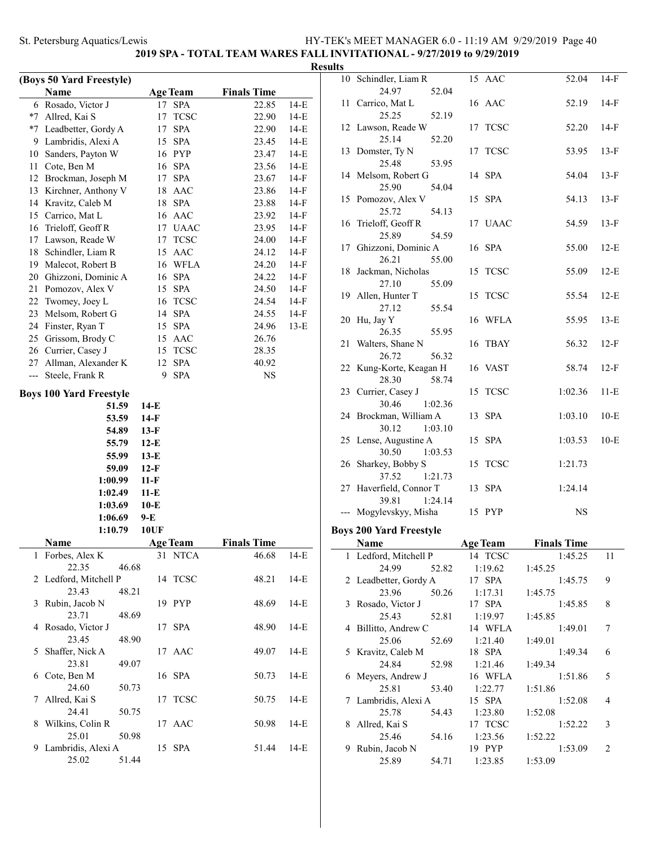# **2019 SPA - TOTAL TEAM WARES FALL INVITATIONAL - 9/27/2019 to 9/29/2019**

|     |                                |                    |                 |                    |        | <b>Results</b> |
|-----|--------------------------------|--------------------|-----------------|--------------------|--------|----------------|
|     | (Boys 50 Yard Freestyle)       |                    |                 |                    |        | 1              |
|     | Name                           |                    | <b>Age Team</b> | <b>Finals Time</b> |        |                |
|     | 6 Rosado, Victor J             | 17                 | <b>SPA</b>      | 22.85              | $14-E$ | 1              |
|     | *7 Allred, Kai S               | 17                 | <b>TCSC</b>     | 22.90              | $14-E$ |                |
|     | *7 Leadbetter, Gordy A         | 17                 | <b>SPA</b>      | 22.90              | $14-E$ | 1              |
|     | 9 Lambridis, Alexi A           |                    | 15 SPA          | 23.45              | $14-E$ |                |
| 10  | Sanders, Payton W              |                    | 16 PYP          | 23.47              | $14-E$ | $\mathbf{1}$   |
| 11  | Cote, Ben M                    |                    | 16 SPA          | 23.56              | 14-E   |                |
|     | 12 Brockman, Joseph M          | 17                 | <b>SPA</b>      | 23.67              | $14-F$ | $\mathbf{1}$   |
|     | 13 Kirchner, Anthony V         | 18                 | AAC             | 23.86              | $14-F$ |                |
|     | 14 Kravitz, Caleb M            | 18                 | <b>SPA</b>      | 23.88              | $14-F$ | 1              |
|     | 15 Carrico, Mat L              |                    | 16 AAC          | 23.92              | $14-F$ |                |
|     | 16 Trieloff, Geoff R           |                    | 17 UAAC         | 23.95              | $14-F$ | 1              |
|     | 17 Lawson, Reade W             |                    | 17 TCSC         | 24.00              | $14-F$ |                |
|     | 18 Schindler, Liam R           |                    | 15 AAC          | 24.12              | $14-F$ | 1              |
|     | 19 Malecot, Robert B           |                    | 16 WFLA         | 24.20              | $14-F$ |                |
|     | 20 Ghizzoni, Dominic A         |                    | 16 SPA          | 24.22              | $14-F$ | $\mathbf{1}$   |
| 21  | Pomozov, Alex V                |                    | 15 SPA          | 24.50              | $14-F$ |                |
|     | 22 Twomey, Joey L              |                    | 16 TCSC         | 24.54              | $14-F$ | 1              |
|     | 23 Melsom, Robert G            |                    | 14 SPA          | 24.55              | $14-F$ |                |
|     | 24 Finster, Ryan T             |                    | 15 SPA          | 24.96              | $13-E$ | $\overline{c}$ |
| 25  | Grissom, Brody C               |                    | 15 AAC          | 26.76              |        |                |
|     | 26 Currier, Casey J            |                    | 15 TCSC         | 28.35              |        | $\overline{c}$ |
| 27  | Allman, Alexander K            | 12                 | <b>SPA</b>      | 40.92              |        |                |
| --- | Steele, Frank R                | 9                  | <b>SPA</b>      | NS                 |        | $\overline{c}$ |
|     | <b>Boys 100 Yard Freestyle</b> |                    |                 |                    |        | $\overline{c}$ |
|     | 51.59                          | $14-E$             |                 |                    |        |                |
|     | 53.59                          | $14-F$             |                 |                    |        | $\overline{c}$ |
|     |                                |                    |                 |                    |        |                |
|     | 54.89                          | $13-F$             |                 |                    |        | $\overline{c}$ |
|     | 55.79                          | $12-E$             |                 |                    |        |                |
|     | 55.99                          | $13-E$             |                 |                    |        | $\overline{c}$ |
|     | 59.09                          | $12-F$             |                 |                    |        |                |
|     | 1:00.99                        | $11-F$             |                 |                    |        | $\overline{c}$ |
|     | 1:02.49                        | $11-E$             |                 |                    |        |                |
|     | 1:03.69                        | $10-E$             |                 |                    |        |                |
|     | 1:06.69<br>1:10.79             | 9-E<br><b>10UF</b> |                 |                    |        | Boy            |
|     | <b>Name</b>                    |                    | Age Team        | <b>Finals Time</b> |        |                |
|     | 1 Forbes, Alex K               |                    | 31 NTCA         | 46.68              | 14-E   |                |
|     | 22.35<br>46.68                 |                    |                 |                    |        |                |
|     | 2 Ledford, Mitchell P          |                    | 14 TCSC         | 48.21              | $14-E$ |                |
|     | 23.43<br>48.21                 |                    |                 |                    |        |                |
|     | 3 Rubin, Jacob N               |                    | 19 PYP          | 48.69              | $14-E$ |                |
|     | 23.71<br>48.69                 |                    |                 |                    |        |                |
|     | 4 Rosado, Victor J             |                    | 17 SPA          | 48.90              | $14-E$ |                |
|     | 23.45<br>48.90                 |                    |                 |                    |        |                |
|     | 5 Shaffer, Nick A              |                    | 17 AAC          | 49.07              | $14-E$ |                |
|     | 23.81<br>49.07                 |                    |                 |                    |        |                |
|     | 6 Cote, Ben M                  |                    | 16 SPA          | 50.73              | $14-E$ |                |
|     | 24.60<br>50.73                 |                    |                 |                    |        |                |
|     | 7 Allred, Kai S                |                    | 17 TCSC         | 50.75              | $14-E$ |                |
|     | 24.41<br>50.75                 |                    |                 |                    |        |                |
|     | 8 Wilkins, Colin R             |                    | 17 AAC          | 50.98              | $14-E$ |                |
|     | 25.01<br>50.98                 |                    |                 |                    |        |                |
|     | 9 Lambridis, Alexi A           |                    | 15 SPA          | 51.44              | $14-E$ |                |
|     | 51.44<br>25.02                 |                    |                 |                    |        |                |
|     |                                |                    |                 |                    |        |                |

|              | 10 Schindler, Liam R               | 15 AAC            | 52.04              | $14-F$ |
|--------------|------------------------------------|-------------------|--------------------|--------|
|              | 24.97<br>52.04                     |                   |                    |        |
|              | 11 Carrico, Mat L                  | 16 AAC            | 52.19              | $14-F$ |
|              | 25.25<br>52.19                     |                   |                    |        |
|              | 12 Lawson, Reade W                 | 17 TCSC           | 52.20              | 14-F   |
|              | 25.14<br>52.20                     |                   |                    |        |
|              | 13 Domster, Ty N                   | 17 TCSC           | 53.95              | $13-F$ |
|              | 25.48<br>53.95                     |                   |                    |        |
|              | 14 Melsom, Robert G                | 14 SPA            | 54.04              | $13-F$ |
|              | 25.90<br>54.04                     |                   |                    |        |
|              | 15 Pomozov, Alex V                 | 15 SPA            | 54.13              | $13-F$ |
|              | 25.72<br>54.13                     |                   |                    |        |
|              | 16 Trieloff, Geoff R               | 17 UAAC           | 54.59              | $13-F$ |
|              | 25.89<br>54.59                     |                   |                    |        |
|              | 17 Ghizzoni, Dominic A             | 16 SPA            | 55.00              | $12-E$ |
|              | 26.21<br>55.00                     |                   |                    |        |
|              | 18 Jackman, Nicholas               | 15 TCSC           | 55.09              | $12-E$ |
|              | 27.10<br>55.09                     |                   |                    |        |
|              | 19 Allen, Hunter T                 | 15 TCSC           | 55.54              | $12-E$ |
|              | 27.12<br>55.54                     |                   |                    |        |
|              | 20 Hu, Jay Y                       | 16 WFLA           | 55.95              | $13-E$ |
|              | 26.35<br>55.95                     |                   |                    |        |
|              | 21 Walters, Shane N                | 16 TBAY           | 56.32              | $12-F$ |
|              | 26.72<br>56.32                     |                   |                    |        |
|              | 22 Kung-Korte, Keagan H            | 16 VAST           | 58.74              | $12-F$ |
|              | 28.30<br>58.74                     |                   |                    |        |
|              | 23 Currier, Casey J                | 15 TCSC           | 1:02.36            | $11-E$ |
|              | 30.46<br>1:02.36                   |                   |                    |        |
|              | 24 Brockman, William A             | 13 SPA            | 1:03.10            | $10-E$ |
|              | 30.12<br>1:03.10                   |                   |                    |        |
|              | 25 Lense, Augustine A<br>30.50     | 15 SPA            | 1:03.53            | $10-E$ |
|              | 1:03.53<br>26 Sharkey, Bobby S     | 15 TCSC           | 1:21.73            |        |
|              | 37.52<br>1:21.73                   |                   |                    |        |
|              | 27 Haverfield, Connor T            | 13 SPA            | 1:24.14            |        |
|              | 39.81<br>1:24.14                   |                   |                    |        |
|              | --- Mogylevskyy, Misha             | 15 PYP            | <b>NS</b>          |        |
|              |                                    |                   |                    |        |
|              | <b>Boys 200 Yard Freestyle</b>     |                   |                    |        |
|              | Name                               |                   |                    |        |
| $\mathbf{1}$ |                                    | <b>Age Team</b>   | <b>Finals Time</b> |        |
|              | Ledford, Mitchell P                | 14 TCSC           | 1:45.25            | 11     |
|              | 24.99<br>52.82                     | 1:19.62           | 1:45.25            |        |
|              | 2 Leadbetter, Gordy A              | 17 SPA            | 1:45.75            | 9      |
|              | 23.96<br>50.26                     | 1:17.31           | 1:45.75            |        |
|              | 3 Rosado, Victor J                 | 17 SPA            | 1:45.85            | 8      |
|              | 25.43<br>52.81                     | 1:19.97           | 1:45.85            |        |
|              | 4 Billitto, Andrew C               | 14 WFLA           | 1:49.01            | 7      |
|              | 25.06<br>52.69                     | 1:21.40           | 1:49.01            |        |
|              | 5 Kravitz, Caleb M                 | 18 SPA            | 1:49.34            | 6      |
|              | 24.84<br>52.98                     | 1:21.46           | 1:49.34            |        |
|              | 6 Meyers, Andrew J                 | 16 WFLA           | 1:51.86            | 5      |
|              | 25.81<br>53.40                     | 1:22.77           | 1:51.86            |        |
|              | 7 Lambridis, Alexi A               | 15 SPA            | 1:52.08            | 4      |
|              | 25.78<br>54.43                     | 1:23.80           | 1:52.08            |        |
|              | 8 Allred, Kai S                    | 17 TCSC           | 1:52.22            | 3      |
|              | 25.46<br>54.16                     | 1:23.56           | 1:52.22            | 2      |
|              | 9 Rubin, Jacob N<br>25.89<br>54.71 | 19 PYP<br>1:23.85 | 1:53.09<br>1:53.09 |        |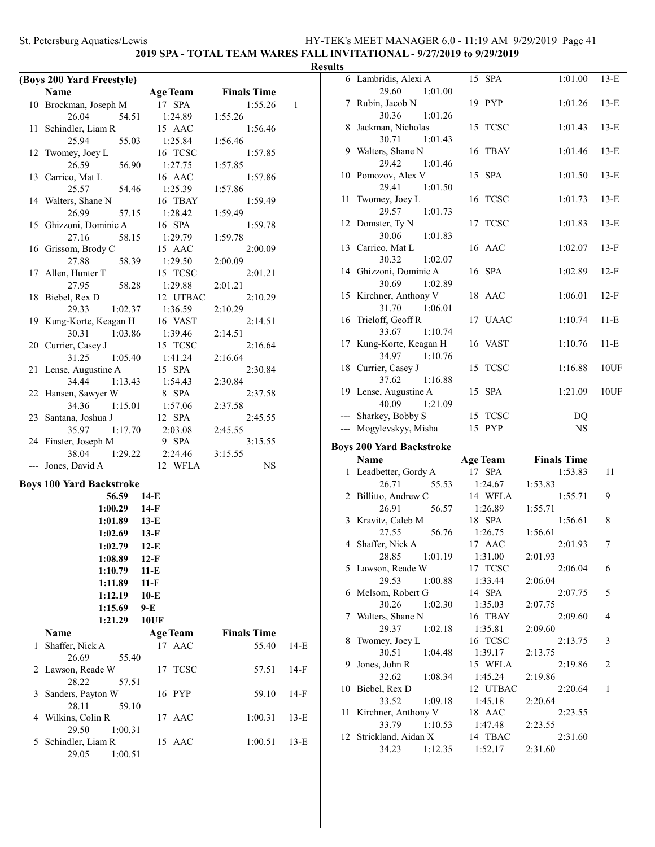### **2019 SPA - TOTAL TEAM WARES FALL INVITATIONAL - 9/27/2019 to 9/29/2019**

#### **Results**

|     | (Boys 200 Yard Freestyle)                   |                    |                    |        |
|-----|---------------------------------------------|--------------------|--------------------|--------|
|     | Name                                        | <b>Age Team</b>    | <b>Finals Time</b> |        |
|     | 10 Brockman, Joseph M                       | 17 SPA             | 1:55.26            | 1      |
|     | 26.04<br>54.51                              | 1:24.89            | 1:55.26            |        |
| 11  | Schindler, Liam R                           | 15 AAC             | 1:56.46            |        |
|     | 25.94<br>55.03                              | 1:25.84            | 1:56.46            |        |
| 12  | Twomey, Joey L                              | 16 TCSC            | 1:57.85            |        |
|     | 26.59<br>56.90                              | 1:27.75            | 1:57.85            |        |
|     | 13 Carrico, Mat L                           | 16 AAC             | 1:57.86            |        |
|     | 25.57<br>54.46                              | 1:25.39            | 1:57.86            |        |
|     | 14 Walters, Shane N                         | 16 TBAY            | 1:59.49            |        |
|     | 26.99<br>57.15                              | 1:28.42            | 1:59.49            |        |
| 15  | Ghizzoni, Dominic A                         | 16 SPA             | 1:59.78            |        |
|     | 27.16<br>58.15                              | 1:29.79            | 1:59.78            |        |
| 16  | Grissom, Brody C                            | 15 AAC             | 2:00.09            |        |
|     | 27.88<br>58.39                              | 1:29.50            | 2:00.09            |        |
| 17  | Allen, Hunter T                             | 15 TCSC            | 2:01.21            |        |
|     | 27.95<br>58.28                              | 1:29.88            | 2:01.21            |        |
| 18  | Biebel, Rex D                               | 12 UTBAC           | 2:10.29            |        |
|     | 29.33<br>1:02.37                            | 1:36.59            | 2:10.29            |        |
|     | 19 Kung-Korte, Keagan H<br>30.31<br>1:03.86 | 16 VAST            | 2:14.51            |        |
|     | 20 Currier, Casey J                         | 1:39.46<br>15 TCSC | 2:14.51<br>2:16.64 |        |
|     | 31.25<br>1:05.40                            | 1:41.24            | 2:16.64            |        |
| 21  | Lense, Augustine A                          | 15 SPA             | 2:30.84            |        |
|     | 34.44<br>1:13.43                            | 1:54.43            | 2:30.84            |        |
|     | 22 Hansen, Sawyer W                         | 8 SPA              | 2:37.58            |        |
|     | 34.36<br>1:15.01                            | 1:57.06            | 2:37.58            |        |
|     | 23 Santana, Joshua J                        | 12 SPA             | 2:45.55            |        |
|     | 35.97<br>1:17.70                            | 2:03.08            | 2:45.55            |        |
|     | 24 Finster, Joseph M                        | 9 SPA              | 3:15.55            |        |
|     | 38.04<br>1:29.22                            | 2:24.46            | 3:15.55            |        |
| --- | Jones, David A                              | 12 WFLA            | NS                 |        |
|     |                                             |                    |                    |        |
|     | <b>Boys 100 Yard Backstroke</b>             |                    |                    |        |
|     | 56.59                                       | $14-E$             |                    |        |
|     | 1:00.29                                     | 14-F               |                    |        |
|     | 1:01.89                                     | $13-E$             |                    |        |
|     | 1:02.69                                     | $13-F$             |                    |        |
|     | 1:02.79                                     | $12-E$             |                    |        |
|     | 1:08.89                                     | $12-F$             |                    |        |
|     | 1:10.79                                     | $11-E$             |                    |        |
|     | 1:11.89                                     | $11-F$             |                    |        |
|     | 1:12.19                                     | $10-E$             |                    |        |
|     | 1:15.69                                     | 9-E                |                    |        |
|     | 1:21.29                                     | 10UF               |                    |        |
|     | Name                                        | <b>Age Team</b>    | <b>Finals Time</b> |        |
| 1   | Shaffer, Nick A                             | AAC<br>17          | 55.40              | $14-E$ |
|     | 26.69<br>55.40<br>2 Lawson, Reade W         |                    |                    | $14-F$ |
|     | 28.22<br>57.51                              | <b>TCSC</b><br>17  | 57.51              |        |
| 3   | Sanders, Payton W                           | 16 PYP             | 59.10              | 14-F   |
|     | 28.11<br>59.10                              |                    |                    |        |
| 4   | Wilkins, Colin R                            | 17 AAC             | 1:00.31            | $13-E$ |
|     | 29.50<br>1:00.31                            |                    |                    |        |
| 5.  | Schindler, Liam R                           | 15 AAC             | 1:00.51            | $13-E$ |
|     | 29.05<br>1:00.51                            |                    |                    |        |

|    | 6 Lambridis, Alexi A              | 15 SPA          | 1:01.00            | $13-E$ |
|----|-----------------------------------|-----------------|--------------------|--------|
|    | 29.60<br>1:01.00                  |                 |                    |        |
|    | 7 Rubin, Jacob N                  | 19 PYP          | 1:01.26            | $13-E$ |
|    | 30.36<br>1:01.26                  |                 |                    |        |
| 8  | Jackman, Nicholas                 | 15 TCSC         | 1:01.43            | $13-E$ |
|    | 1:01.43<br>30.71                  |                 |                    |        |
|    | 9 Walters, Shane N                | 16 TBAY         | 1:01.46            | $13-E$ |
|    | 29.42<br>1:01.46                  |                 |                    |        |
|    | 10 Pomozov, Alex V                | 15 SPA          | 1:01.50            | $13-E$ |
|    | 29.41<br>1:01.50                  |                 |                    |        |
| 11 | Twomey, Joey L                    | 16 TCSC         | 1:01.73            | $13-E$ |
|    | 29.57<br>1:01.73                  |                 |                    |        |
|    | 12 Domster, Ty N                  | 17 TCSC         | 1:01.83            | $13-E$ |
|    | 30.06<br>1:01.83                  |                 |                    |        |
|    | 13 Carrico, Mat L                 | 16 AAC          | 1:02.07            | $13-F$ |
|    | 30.32<br>1:02.07                  |                 |                    |        |
|    | 14 Ghizzoni, Dominic A            | 16 SPA          | 1:02.89            | $12-F$ |
|    | 30.69<br>1:02.89                  |                 |                    |        |
|    | 15 Kirchner, Anthony V            | 18 AAC          | 1:06.01            | $12-F$ |
|    | 31.70<br>1:06.01                  |                 |                    |        |
|    | 16 Trieloff, Geoff R              | 17 UAAC         | 1:10.74            | 11-E   |
|    | 33.67<br>1:10.74                  |                 |                    |        |
|    | 17 Kung-Korte, Keagan H           | 16 VAST         | 1:10.76            | $11-E$ |
|    | 34.97<br>1:10.76                  |                 |                    |        |
|    | 18 Currier, Casey J               | 15 TCSC         | 1:16.88            | 10UF   |
|    | 37.62<br>1:16.88                  |                 |                    |        |
|    |                                   |                 |                    |        |
|    |                                   |                 |                    |        |
|    | 19 Lense, Augustine A             | 15 SPA          | 1:21.09            | 10UF   |
|    | 40.09<br>1:21.09                  |                 |                    |        |
|    | --- Sharkey, Bobby S              | 15 TCSC         | DQ                 |        |
|    | --- Mogylevskyy, Misha            | 15 PYP          | $_{\rm NS}$        |        |
|    | <b>Boys 200 Yard Backstroke</b>   |                 |                    |        |
|    | Name                              | <b>Age Team</b> | <b>Finals Time</b> |        |
|    | 1 Leadbetter, Gordy A             | 17 SPA          | 1:53.83            | 11     |
|    | 26.71<br>55.53                    | 1:24.67         | 1:53.83            |        |
|    | 2 Billitto, Andrew C              | 14 WFLA         | 1:55.71            | 9      |
|    | 26.91<br>56.57                    | 1:26.89         | 1:55.71            |        |
|    | 3 Kravitz, Caleb M                | 18 SPA          | 1:56.61            | 8      |
|    | 27.55<br>56.76                    | 1:26.75         | 1:56.61            |        |
|    | 4 Shaffer, Nick A                 | 17 AAC          | 2:01.93            | 7      |
|    | 28.85 1:01.19                     | 1:31.00         | 2:01.93            |        |
|    | 5 Lawson, Reade W                 | 17 TCSC         | 2:06.04            | 6      |
|    | 29.53<br>1:00.88                  | 1:33.44         | 2:06.04            |        |
| 6  | Melsom, Robert G                  | 14 SPA          | 2:07.75            | 5      |
|    | 30.26<br>1:02.30                  | 1:35.03         | 2:07.75            |        |
| 7  | Walters, Shane N                  | 16 TBAY         | 2:09.60            | 4      |
|    | 29.37<br>1:02.18                  | 1:35.81         | 2:09.60            |        |
| 8  | Twomey, Joey L                    | 16 TCSC         | 2:13.75            | 3      |
|    | 30.51<br>1:04.48                  | 1:39.17         | 2:13.75            |        |
| 9  | Jones, John R                     | 15 WFLA         | 2:19.86            | 2      |
|    | 32.62<br>1:08.34                  | 1:45.24         | 2:19.86            |        |
| 10 |                                   | 12 UTBAC        | 2:20.64            | 1      |
|    | Biebel, Rex D<br>33.52<br>1:09.18 | 1:45.18         | 2:20.64            |        |

33.79 1:10.53 1:47.48 2:23.55 12 Strickland, Aidan X 14 TBAC 2:31.60 34.23 1:12.35 1:52.17 2:31.60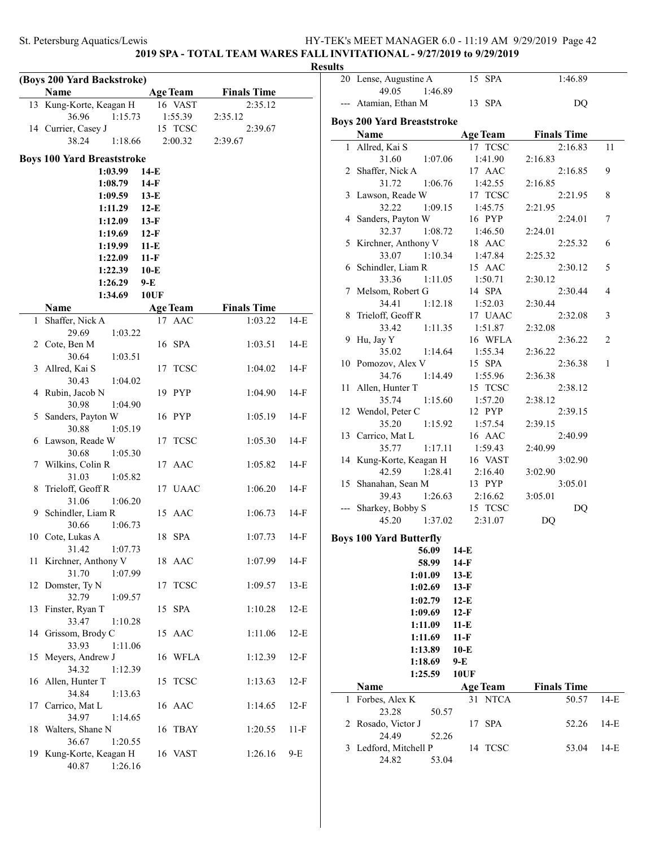# **2019 SPA - TOTAL TEAM WARES FALL INVITATIONAL - 9/27/2019 to 9/29/2019**

|    | (Boys 200 Yard Backstroke)                   |                  |                    |        |
|----|----------------------------------------------|------------------|--------------------|--------|
|    | Name                                         | <b>Age Team</b>  | <b>Finals Time</b> |        |
|    | 13 Kung-Korte, Keagan H                      | 16 VAST          | 2:35.12            |        |
|    | 36.96<br>1:15.73<br>14 Currier, Casey J      | 1:55.39          | 2:35.12            |        |
|    | 38.24<br>1:18.66                             | 15 TCSC          | 2:39.67<br>2:39.67 |        |
|    |                                              | 2:00.32          |                    |        |
|    | <b>Boys 100 Yard Breaststroke</b><br>1:03.99 | $14-E$           |                    |        |
|    | 1:08.79                                      | $14-F$           |                    |        |
|    | 1:09.59                                      |                  |                    |        |
|    | 1:11.29                                      | $13-E$<br>$12-E$ |                    |        |
|    |                                              |                  |                    |        |
|    | 1:12.09<br>1:19.69                           | $13-F$<br>$12-F$ |                    |        |
|    | 1:19.99                                      | $11-E$           |                    |        |
|    | 1:22.09                                      | $11-F$           |                    |        |
|    | 1:22.39                                      | $10-E$           |                    |        |
|    | 1:26.29                                      | $9-E$            |                    |        |
|    | 1:34.69                                      | <b>10UF</b>      |                    |        |
|    | <b>Name</b>                                  | <b>Age Team</b>  | <b>Finals Time</b> |        |
| 1  | Shaffer, Nick A                              | 17 AAC           | 1:03.22            | $14-E$ |
|    | 29.69<br>1:03.22                             |                  |                    |        |
|    | 2 Cote, Ben M                                | 16 SPA           | 1:03.51            | $14-E$ |
|    | 30.64<br>1:03.51                             |                  |                    |        |
|    | 3 Allred, Kai S                              | 17 TCSC          | 1:04.02            | 14-F   |
|    | 30.43<br>1:04.02                             |                  |                    |        |
| 4  | Rubin, Jacob N                               | 19 PYP           | 1:04.90            | 14-F   |
|    | 30.98<br>1:04.90                             |                  |                    |        |
|    | 5 Sanders, Payton W                          | 16 PYP           | 1:05.19            | $14-F$ |
|    | 30.88<br>1:05.19                             |                  |                    |        |
|    | 6 Lawson, Reade W                            | 17 TCSC          | 1:05.30            | 14-F   |
|    | 30.68<br>1:05.30                             |                  |                    |        |
|    | 7 Wilkins, Colin R<br>31.03                  | 17 AAC           | 1:05.82            | 14-F   |
| 8  | 1:05.82<br>Trieloff, Geoff R                 | 17 UAAC          | 1:06.20            | 14-F   |
|    | 31.06<br>1:06.20                             |                  |                    |        |
|    | 9 Schindler, Liam R                          | 15 AAC           | 1:06.73            | $14-F$ |
|    | 30.66<br>1:06.73                             |                  |                    |        |
|    | 10 Cote, Lukas A                             | 18 SPA           | 1:07.73            | $14-F$ |
|    | 31.42<br>1:07.73                             |                  |                    |        |
|    | 11 Kirchner, Anthony V                       | 18 AAC           | 1:07.99            | $14-F$ |
|    | 31.70<br>1:07.99                             |                  |                    |        |
| 12 | Domster, Ty N                                | 17 TCSC          | 1:09.57            | $13-E$ |
|    | 32.79<br>1:09.57                             |                  |                    |        |
|    | 13 Finster, Ryan T                           | 15 SPA           | 1:10.28            | $12-E$ |
|    | 33.47<br>1:10.28                             |                  |                    |        |
|    | 14 Grissom, Brody C                          | 15 AAC           | 1:11.06            | $12-E$ |
|    | 1:11.06<br>33.93                             |                  | 1:12.39            |        |
|    | 15 Meyers, Andrew J<br>34.32<br>1:12.39      | 16 WFLA          |                    | $12-F$ |
|    | 16 Allen, Hunter T                           | 15 TCSC          | 1:13.63            | $12-F$ |
|    | 34.84<br>1:13.63                             |                  |                    |        |
|    | 17 Carrico, Mat L                            | 16 AAC           | 1:14.65            | $12-F$ |
|    | 34.97<br>1:14.65                             |                  |                    |        |
| 18 | Walters, Shane N                             | 16 TBAY          | 1:20.55            | 11-F   |
|    | 36.67<br>1:20.55                             |                  |                    |        |
|    | 19 Kung-Korte, Keagan H                      | 16 VAST          | 1:26.16            | 9-E    |
|    | 40.87<br>1:26.16                             |                  |                    |        |

| <b>Results</b> |                                           |                  |                    |        |
|----------------|-------------------------------------------|------------------|--------------------|--------|
|                | 20 Lense, Augustine A<br>49.05<br>1:46.89 | 15 SPA           | 1:46.89            |        |
| -              | --- Atamian, Ethan M                      | 13 SPA           | DQ                 |        |
|                | <b>Boys 200 Yard Breaststroke</b>         |                  |                    |        |
|                | <b>Name</b>                               | <b>Age Team</b>  | <b>Finals Time</b> |        |
| $\mathbf{1}$   | Allred, Kai S                             | 17 TCSC          | 2:16.83            | 11     |
|                | 31.60<br>1:07.06                          | 1:41.90          | 2:16.83            |        |
|                | 2 Shaffer, Nick A                         | 17 AAC           | 2:16.85            | 9      |
|                | 31.72<br>1:06.76                          | 1:42.55          | 2:16.85            |        |
|                | 3 Lawson, Reade W                         | 17 TCSC          | 2:21.95            | 8      |
|                | 32.22<br>1:09.15                          | 1:45.75          | 2:21.95            |        |
|                | 4 Sanders, Payton W                       | 16 PYP           | 2:24.01            | 7      |
|                | 32.37<br>1:08.72                          | 1:46.50          | 2:24.01            |        |
|                | 5 Kirchner, Anthony V                     | 18 AAC           | 2:25.32            | 6      |
|                | 33.07<br>1:10.34                          | 1:47.84          | 2:25.32            |        |
|                | 6 Schindler, Liam R                       | 15 AAC           | 2:30.12            | 5      |
|                | 1:11.05<br>33.36                          | 1:50.71          | 2:30.12            |        |
|                | 7 Melsom, Robert G                        | 14 SPA           | 2:30.44            | 4      |
|                | 34.41<br>1:12.18                          | 1:52.03          | 2:30.44            |        |
|                | 8 Trieloff, Geoff R                       | 17 UAAC          | 2:32.08            | 3      |
|                | 33.42<br>1:11.35                          | 1:51.87          | 2:32.08            |        |
|                | 9 Hu, Jay Y                               | 16 WFLA          | 2:36.22            | 2      |
|                | 35.02<br>1:14.64                          | 1:55.34          | 2:36.22            |        |
|                | 10 Pomozov, Alex V                        | 15 SPA           | 2:36.38            | 1      |
|                | 34.76<br>1:14.49                          | 1:55.96          | 2:36.38            |        |
|                | 11 Allen, Hunter T                        | 15 TCSC          | 2:38.12            |        |
|                | 35.74<br>1:15.60                          | 1:57.20          | 2:38.12            |        |
|                | 12 Wendol, Peter C                        | 12 PYP           | 2:39.15            |        |
|                | 35.20<br>1:15.92                          | 1:57.54          | 2:39.15            |        |
|                | 13 Carrico, Mat L                         | 16 AAC           | 2:40.99            |        |
|                | 35.77<br>1:17.11                          | 1:59.43          | 2:40.99            |        |
|                | 14 Kung-Korte, Keagan H                   | 16 VAST          | 3:02.90            |        |
|                | 42.59<br>1:28.41                          | 2:16.40          | 3:02.90            |        |
|                | 15 Shanahan, Sean M                       | 13 PYP           | 3:05.01            |        |
|                | 1:26.63<br>39.43                          | 2:16.62          | 3:05.01            |        |
|                | --- Sharkey, Bobby S                      | 15 TCSC          | DQ                 |        |
|                | 45.20<br>1:37.02                          | 2:31.07          | DQ                 |        |
|                |                                           |                  |                    |        |
|                | <b>Boys 100 Yard Butterfly</b>            |                  |                    |        |
|                | 56.09                                     | $14-E$           |                    |        |
|                | 58.99                                     | 14-F             |                    |        |
|                | 1:01.09                                   | $13-E$           |                    |        |
|                | 1:02.69                                   | $13-F$           |                    |        |
|                | 1:02.79                                   | $12-E$           |                    |        |
|                | 1:09.69                                   | $12-F$           |                    |        |
|                | 1:11.09                                   | $11-E$           |                    |        |
|                | 1:11.69                                   | $11-F$           |                    |        |
|                | 1:13.89                                   | $10-E$           |                    |        |
|                | 1:18.69                                   | 9-E              |                    |        |
|                | 1:25.59                                   | 10UF             |                    |        |
|                | Name                                      | <b>Age Team</b>  | <b>Finals Time</b> |        |
| 1              | Forbes, Alex K                            | 31 NTCA          | 50.57              | $14-E$ |
|                | 23.28<br>50.57                            |                  |                    |        |
| 2              | Rosado, Victor J                          | <b>SPA</b><br>17 | 52.26              | 14-E   |
|                | 24.49<br>52.26                            |                  |                    |        |
|                | 3 Ledford, Mitchell P                     | 14 TCSC          | 53.04              | $14-E$ |
|                | 24.82<br>53.04                            |                  |                    |        |
|                |                                           |                  |                    |        |